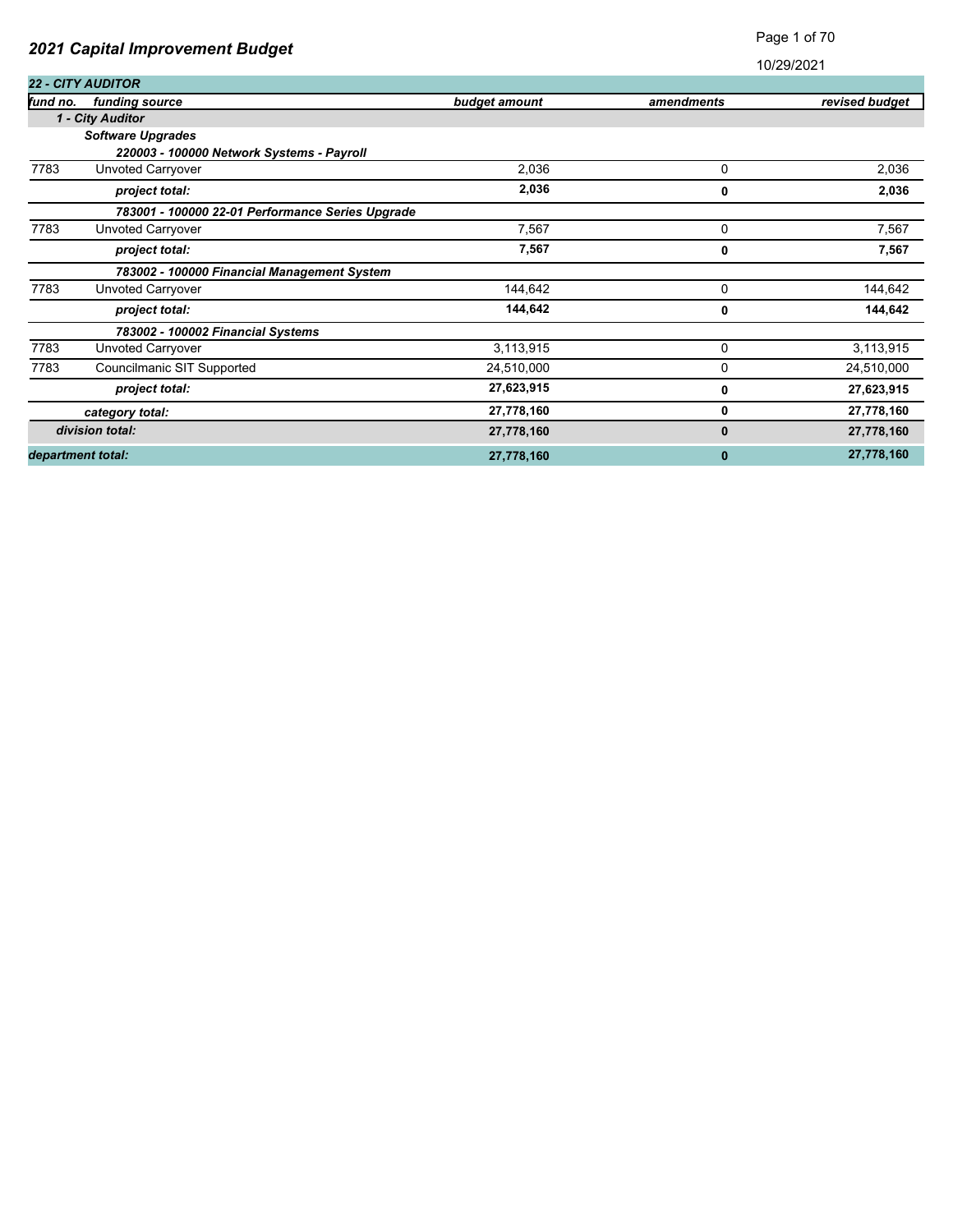|          |                                                  |               |             | 10/29/2021     |
|----------|--------------------------------------------------|---------------|-------------|----------------|
|          | <b>22 - CITY AUDITOR</b>                         |               |             |                |
| fund no. | funding source                                   | budget amount | amendments  | revised budget |
|          | 1 - City Auditor                                 |               |             |                |
|          | <b>Software Upgrades</b>                         |               |             |                |
|          | 220003 - 100000 Network Systems - Payroll        |               |             |                |
| 7783     | Unvoted Carryover                                | 2,036         | 0           | 2,036          |
|          | project total:                                   | 2,036         | 0           | 2,036          |
|          | 783001 - 100000 22-01 Performance Series Upgrade |               |             |                |
| 7783     | Unvoted Carryover                                | 7,567         | 0           | 7,567          |
|          | project total:                                   | 7,567         | 0           | 7,567          |
|          | 783002 - 100000 Financial Management System      |               |             |                |
| 7783     | Unvoted Carryover                                | 144,642       | $\mathbf 0$ | 144,642        |
|          | project total:                                   | 144,642       | 0           | 144,642        |
|          | 783002 - 100002 Financial Systems                |               |             |                |
| 7783     | Unvoted Carryover                                | 3,113,915     | $\mathbf 0$ | 3,113,915      |
| 7783     | Councilmanic SIT Supported                       | 24,510,000    | 0           | 24,510,000     |
|          | project total:                                   | 27,623,915    | 0           | 27,623,915     |
|          | category total:                                  | 27,778,160    | 0           | 27,778,160     |
|          | division total:                                  | 27,778,160    | 0           | 27,778,160     |
|          | department total:                                | 27,778,160    | $\bf{0}$    | 27,778,160     |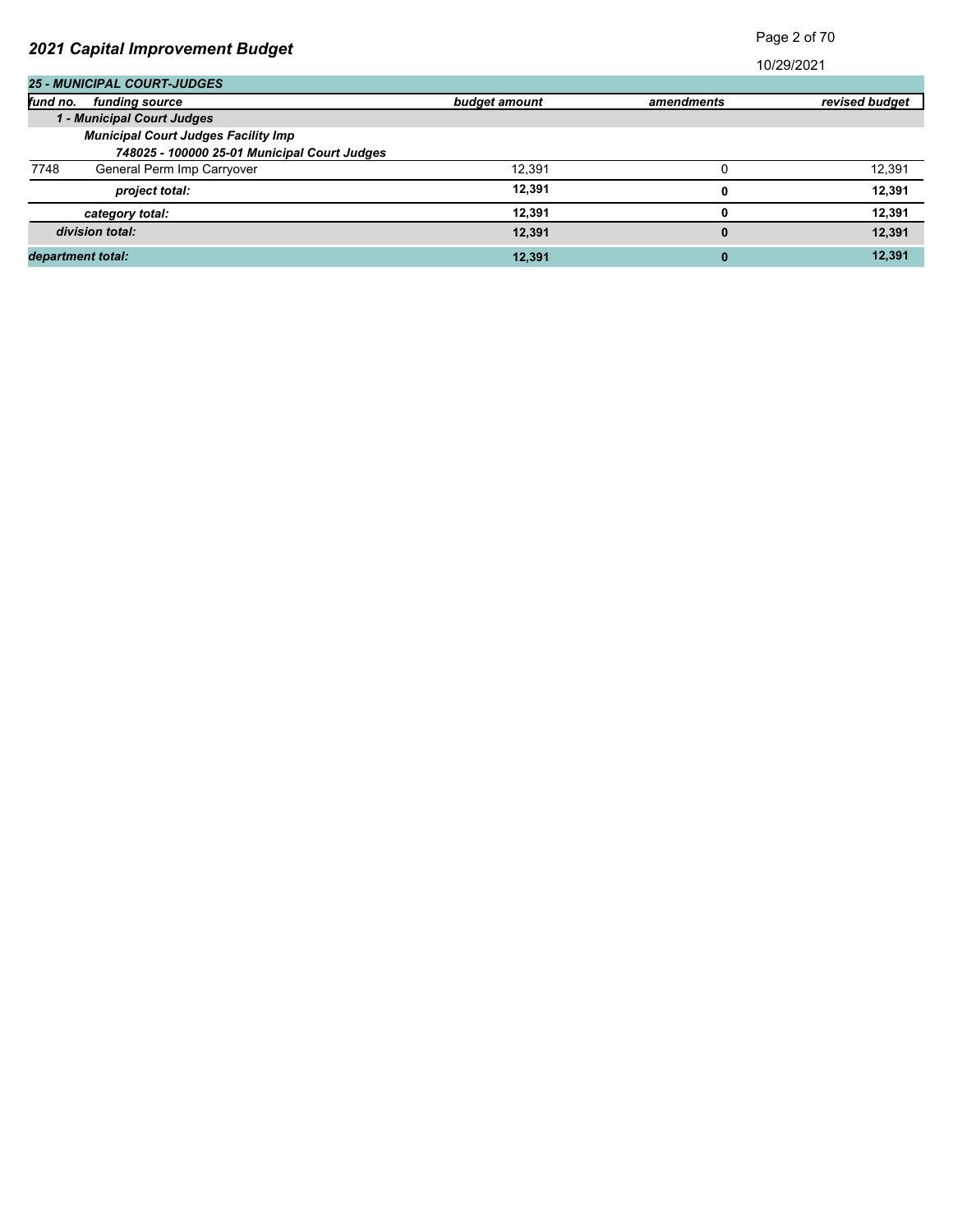| 2021 Capital Improvement Budget              |               |              | Faye z UI TU   |  |  |
|----------------------------------------------|---------------|--------------|----------------|--|--|
|                                              |               |              | 10/29/2021     |  |  |
| <b>25 - MUNICIPAL COURT-JUDGES</b>           |               |              |                |  |  |
| fund no.<br>fundina source                   | budget amount | amendments   | revised budget |  |  |
| 1 - Municipal Court Judges                   |               |              |                |  |  |
| <b>Municipal Court Judges Facility Imp</b>   |               |              |                |  |  |
| 748025 - 100000 25-01 Municipal Court Judges |               |              |                |  |  |
| 7748<br>General Perm Imp Carryover           | 12,391        |              | 12,391         |  |  |
| project total:                               | 12.391        | 0            | 12,391         |  |  |
| category total:                              | 12,391        | 0            | 12,391         |  |  |
| division total:                              | 12.391        | $\mathbf{0}$ | 12,391         |  |  |
| department total:                            | 12,391        | $\bf{0}$     | 12,391         |  |  |

Page 2 of 70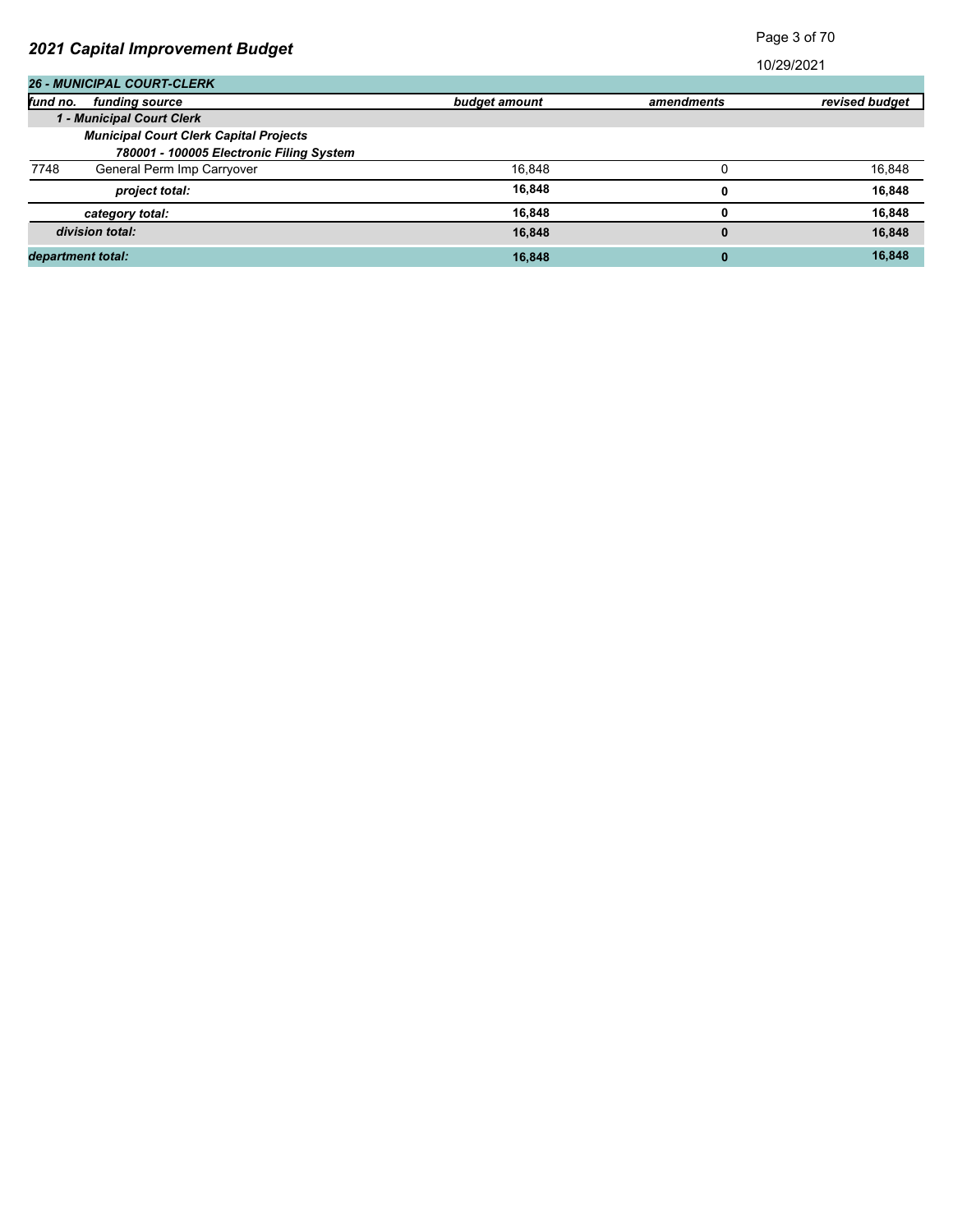| 2021 Capital Improvement Budget               |               |            | raye o or ro   |  |
|-----------------------------------------------|---------------|------------|----------------|--|
|                                               |               |            | 10/29/2021     |  |
| <b>26 - MUNICIPAL COURT-CLERK</b>             |               |            |                |  |
| fund no.<br>fundina source                    | budget amount | amendments | revised budget |  |
| 1 - Municipal Court Clerk                     |               |            |                |  |
| <b>Municipal Court Clerk Capital Projects</b> |               |            |                |  |
| 780001 - 100005 Electronic Filing System      |               |            |                |  |
| 7748<br>General Perm Imp Carryover            | 16,848        |            | 16,848         |  |
| project total:                                | 16,848        | Ω          | 16,848         |  |
| category total:                               | 16,848        |            | 16,848         |  |
| division total:                               | 16,848        | $\bf{0}$   | 16,848         |  |
| department total:                             | 16,848        | $\bf{0}$   | 16,848         |  |

Page 3 of 70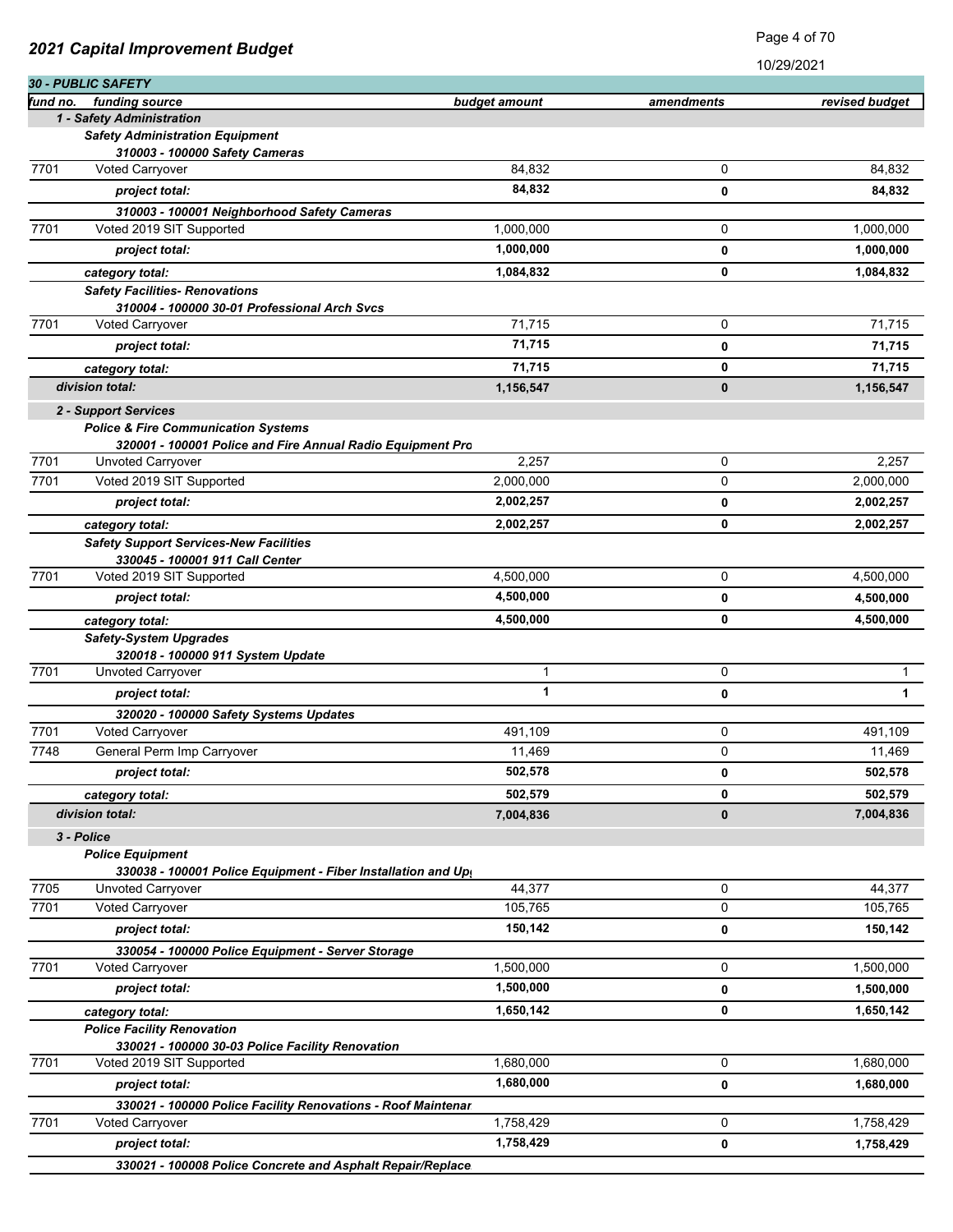| 30 - PUBLIC SAFETY<br>fund no.<br>funding source<br>budget amount<br>amendments<br>1 - Safety Administration<br><b>Safety Administration Equipment</b><br>310003 - 100000 Safety Cameras<br>84,832<br>0<br>7701<br><b>Voted Carryover</b><br>84,832<br>0<br>project total:<br>310003 - 100001 Neighborhood Safety Cameras<br>7701<br>Voted 2019 SIT Supported<br>0<br>1,000,000<br>1,000,000<br>project total:<br>0<br>0<br>1,084,832<br>category total:<br><b>Safety Facilities- Renovations</b><br>310004 - 100000 30-01 Professional Arch Svcs<br>7701<br>71,715<br>0<br><b>Voted Carryover</b><br>71,715<br>project total:<br>0<br>71,715<br>0<br>category total:<br>division total:<br>0<br>1,156,547<br>2 - Support Services<br><b>Police &amp; Fire Communication Systems</b><br>320001 - 100001 Police and Fire Annual Radio Equipment Pro<br>7701<br>2,257<br>0<br>Unvoted Carryover<br>7701<br>Voted 2019 SIT Supported<br>0<br>2,000,000 | revised budget<br>84,832<br>84,832<br>1,000,000<br>1,000,000<br>1,084,832<br>71,715<br>71,715<br>71,715<br>1,156,547 |
|-----------------------------------------------------------------------------------------------------------------------------------------------------------------------------------------------------------------------------------------------------------------------------------------------------------------------------------------------------------------------------------------------------------------------------------------------------------------------------------------------------------------------------------------------------------------------------------------------------------------------------------------------------------------------------------------------------------------------------------------------------------------------------------------------------------------------------------------------------------------------------------------------------------------------------------------------------|----------------------------------------------------------------------------------------------------------------------|
|                                                                                                                                                                                                                                                                                                                                                                                                                                                                                                                                                                                                                                                                                                                                                                                                                                                                                                                                                     |                                                                                                                      |
|                                                                                                                                                                                                                                                                                                                                                                                                                                                                                                                                                                                                                                                                                                                                                                                                                                                                                                                                                     |                                                                                                                      |
|                                                                                                                                                                                                                                                                                                                                                                                                                                                                                                                                                                                                                                                                                                                                                                                                                                                                                                                                                     |                                                                                                                      |
|                                                                                                                                                                                                                                                                                                                                                                                                                                                                                                                                                                                                                                                                                                                                                                                                                                                                                                                                                     |                                                                                                                      |
|                                                                                                                                                                                                                                                                                                                                                                                                                                                                                                                                                                                                                                                                                                                                                                                                                                                                                                                                                     |                                                                                                                      |
|                                                                                                                                                                                                                                                                                                                                                                                                                                                                                                                                                                                                                                                                                                                                                                                                                                                                                                                                                     |                                                                                                                      |
|                                                                                                                                                                                                                                                                                                                                                                                                                                                                                                                                                                                                                                                                                                                                                                                                                                                                                                                                                     |                                                                                                                      |
|                                                                                                                                                                                                                                                                                                                                                                                                                                                                                                                                                                                                                                                                                                                                                                                                                                                                                                                                                     |                                                                                                                      |
|                                                                                                                                                                                                                                                                                                                                                                                                                                                                                                                                                                                                                                                                                                                                                                                                                                                                                                                                                     |                                                                                                                      |
|                                                                                                                                                                                                                                                                                                                                                                                                                                                                                                                                                                                                                                                                                                                                                                                                                                                                                                                                                     |                                                                                                                      |
|                                                                                                                                                                                                                                                                                                                                                                                                                                                                                                                                                                                                                                                                                                                                                                                                                                                                                                                                                     |                                                                                                                      |
|                                                                                                                                                                                                                                                                                                                                                                                                                                                                                                                                                                                                                                                                                                                                                                                                                                                                                                                                                     |                                                                                                                      |
|                                                                                                                                                                                                                                                                                                                                                                                                                                                                                                                                                                                                                                                                                                                                                                                                                                                                                                                                                     |                                                                                                                      |
|                                                                                                                                                                                                                                                                                                                                                                                                                                                                                                                                                                                                                                                                                                                                                                                                                                                                                                                                                     |                                                                                                                      |
|                                                                                                                                                                                                                                                                                                                                                                                                                                                                                                                                                                                                                                                                                                                                                                                                                                                                                                                                                     |                                                                                                                      |
|                                                                                                                                                                                                                                                                                                                                                                                                                                                                                                                                                                                                                                                                                                                                                                                                                                                                                                                                                     |                                                                                                                      |
|                                                                                                                                                                                                                                                                                                                                                                                                                                                                                                                                                                                                                                                                                                                                                                                                                                                                                                                                                     |                                                                                                                      |
|                                                                                                                                                                                                                                                                                                                                                                                                                                                                                                                                                                                                                                                                                                                                                                                                                                                                                                                                                     |                                                                                                                      |
|                                                                                                                                                                                                                                                                                                                                                                                                                                                                                                                                                                                                                                                                                                                                                                                                                                                                                                                                                     | 2,257                                                                                                                |
|                                                                                                                                                                                                                                                                                                                                                                                                                                                                                                                                                                                                                                                                                                                                                                                                                                                                                                                                                     | 2,000,000                                                                                                            |
| 2,002,257<br>project total:<br>0                                                                                                                                                                                                                                                                                                                                                                                                                                                                                                                                                                                                                                                                                                                                                                                                                                                                                                                    | 2,002,257                                                                                                            |
| 0<br>2,002,257<br>category total:                                                                                                                                                                                                                                                                                                                                                                                                                                                                                                                                                                                                                                                                                                                                                                                                                                                                                                                   | 2,002,257                                                                                                            |
| <b>Safety Support Services-New Facilities</b>                                                                                                                                                                                                                                                                                                                                                                                                                                                                                                                                                                                                                                                                                                                                                                                                                                                                                                       |                                                                                                                      |
| 330045 - 100001 911 Call Center                                                                                                                                                                                                                                                                                                                                                                                                                                                                                                                                                                                                                                                                                                                                                                                                                                                                                                                     |                                                                                                                      |
| 7701<br>0<br>Voted 2019 SIT Supported<br>4,500,000                                                                                                                                                                                                                                                                                                                                                                                                                                                                                                                                                                                                                                                                                                                                                                                                                                                                                                  | 4,500,000                                                                                                            |
| 4,500,000<br>project total:<br>0                                                                                                                                                                                                                                                                                                                                                                                                                                                                                                                                                                                                                                                                                                                                                                                                                                                                                                                    | 4,500,000                                                                                                            |
| 0<br>4,500,000<br>category total:                                                                                                                                                                                                                                                                                                                                                                                                                                                                                                                                                                                                                                                                                                                                                                                                                                                                                                                   | 4,500,000                                                                                                            |
| <b>Safety-System Upgrades</b><br>320018 - 100000 911 System Update                                                                                                                                                                                                                                                                                                                                                                                                                                                                                                                                                                                                                                                                                                                                                                                                                                                                                  |                                                                                                                      |
| 1<br>7701<br>0<br>Unvoted Carryover                                                                                                                                                                                                                                                                                                                                                                                                                                                                                                                                                                                                                                                                                                                                                                                                                                                                                                                 | $\mathbf{1}$                                                                                                         |
| 1<br>0<br>project total:                                                                                                                                                                                                                                                                                                                                                                                                                                                                                                                                                                                                                                                                                                                                                                                                                                                                                                                            | 1                                                                                                                    |
| 320020 - 100000 Safety Systems Updates                                                                                                                                                                                                                                                                                                                                                                                                                                                                                                                                                                                                                                                                                                                                                                                                                                                                                                              |                                                                                                                      |
| 7701<br>Voted Carryover<br>0<br>491,109                                                                                                                                                                                                                                                                                                                                                                                                                                                                                                                                                                                                                                                                                                                                                                                                                                                                                                             | 491,109                                                                                                              |
| 7748<br>General Perm Imp Carryover<br>11,469<br>0                                                                                                                                                                                                                                                                                                                                                                                                                                                                                                                                                                                                                                                                                                                                                                                                                                                                                                   | 11,469                                                                                                               |
| 502,578<br>project total:<br>0                                                                                                                                                                                                                                                                                                                                                                                                                                                                                                                                                                                                                                                                                                                                                                                                                                                                                                                      | 502,578                                                                                                              |
| 502,579<br>0<br>category total:                                                                                                                                                                                                                                                                                                                                                                                                                                                                                                                                                                                                                                                                                                                                                                                                                                                                                                                     | 502,579                                                                                                              |
| division total:<br>7,004,836<br>0                                                                                                                                                                                                                                                                                                                                                                                                                                                                                                                                                                                                                                                                                                                                                                                                                                                                                                                   | 7,004,836                                                                                                            |
| 3 - Police                                                                                                                                                                                                                                                                                                                                                                                                                                                                                                                                                                                                                                                                                                                                                                                                                                                                                                                                          |                                                                                                                      |
| <b>Police Equipment</b>                                                                                                                                                                                                                                                                                                                                                                                                                                                                                                                                                                                                                                                                                                                                                                                                                                                                                                                             |                                                                                                                      |
| 330038 - 100001 Police Equipment - Fiber Installation and Up                                                                                                                                                                                                                                                                                                                                                                                                                                                                                                                                                                                                                                                                                                                                                                                                                                                                                        |                                                                                                                      |
| 0<br>7705<br>44,377<br>Unvoted Carryover                                                                                                                                                                                                                                                                                                                                                                                                                                                                                                                                                                                                                                                                                                                                                                                                                                                                                                            | 44,377                                                                                                               |
| 0<br>7701<br>Voted Carryover<br>105,765                                                                                                                                                                                                                                                                                                                                                                                                                                                                                                                                                                                                                                                                                                                                                                                                                                                                                                             | 105,765                                                                                                              |
| 150,142<br>0<br>project total:                                                                                                                                                                                                                                                                                                                                                                                                                                                                                                                                                                                                                                                                                                                                                                                                                                                                                                                      | 150,142                                                                                                              |
| 330054 - 100000 Police Equipment - Server Storage                                                                                                                                                                                                                                                                                                                                                                                                                                                                                                                                                                                                                                                                                                                                                                                                                                                                                                   |                                                                                                                      |
| 7701<br>0<br><b>Voted Carryover</b><br>1,500,000                                                                                                                                                                                                                                                                                                                                                                                                                                                                                                                                                                                                                                                                                                                                                                                                                                                                                                    | 1,500,000                                                                                                            |
| 1,500,000<br>project total:<br>0                                                                                                                                                                                                                                                                                                                                                                                                                                                                                                                                                                                                                                                                                                                                                                                                                                                                                                                    | 1,500,000                                                                                                            |
| 0<br>1,650,142<br>category total:                                                                                                                                                                                                                                                                                                                                                                                                                                                                                                                                                                                                                                                                                                                                                                                                                                                                                                                   | 1,650,142                                                                                                            |
| <b>Police Facility Renovation</b>                                                                                                                                                                                                                                                                                                                                                                                                                                                                                                                                                                                                                                                                                                                                                                                                                                                                                                                   |                                                                                                                      |
| 330021 - 100000 30-03 Police Facility Renovation<br>7701<br>0<br>1,680,000<br>Voted 2019 SIT Supported                                                                                                                                                                                                                                                                                                                                                                                                                                                                                                                                                                                                                                                                                                                                                                                                                                              | 1,680,000                                                                                                            |
| 1,680,000<br>project total:<br>0                                                                                                                                                                                                                                                                                                                                                                                                                                                                                                                                                                                                                                                                                                                                                                                                                                                                                                                    | 1,680,000                                                                                                            |
|                                                                                                                                                                                                                                                                                                                                                                                                                                                                                                                                                                                                                                                                                                                                                                                                                                                                                                                                                     |                                                                                                                      |
| 330021 - 100000 Police Facility Renovations - Roof Maintenar<br>7701<br>1,758,429<br>0<br>Voted Carryover                                                                                                                                                                                                                                                                                                                                                                                                                                                                                                                                                                                                                                                                                                                                                                                                                                           |                                                                                                                      |
| 1,758,429<br>project total:<br>0                                                                                                                                                                                                                                                                                                                                                                                                                                                                                                                                                                                                                                                                                                                                                                                                                                                                                                                    |                                                                                                                      |
| 330021 - 100008 Police Concrete and Asphalt Repair/Replace                                                                                                                                                                                                                                                                                                                                                                                                                                                                                                                                                                                                                                                                                                                                                                                                                                                                                          | 1,758,429<br>1,758,429                                                                                               |

Page 4 of 70

*2021 Capital Improvement Budget*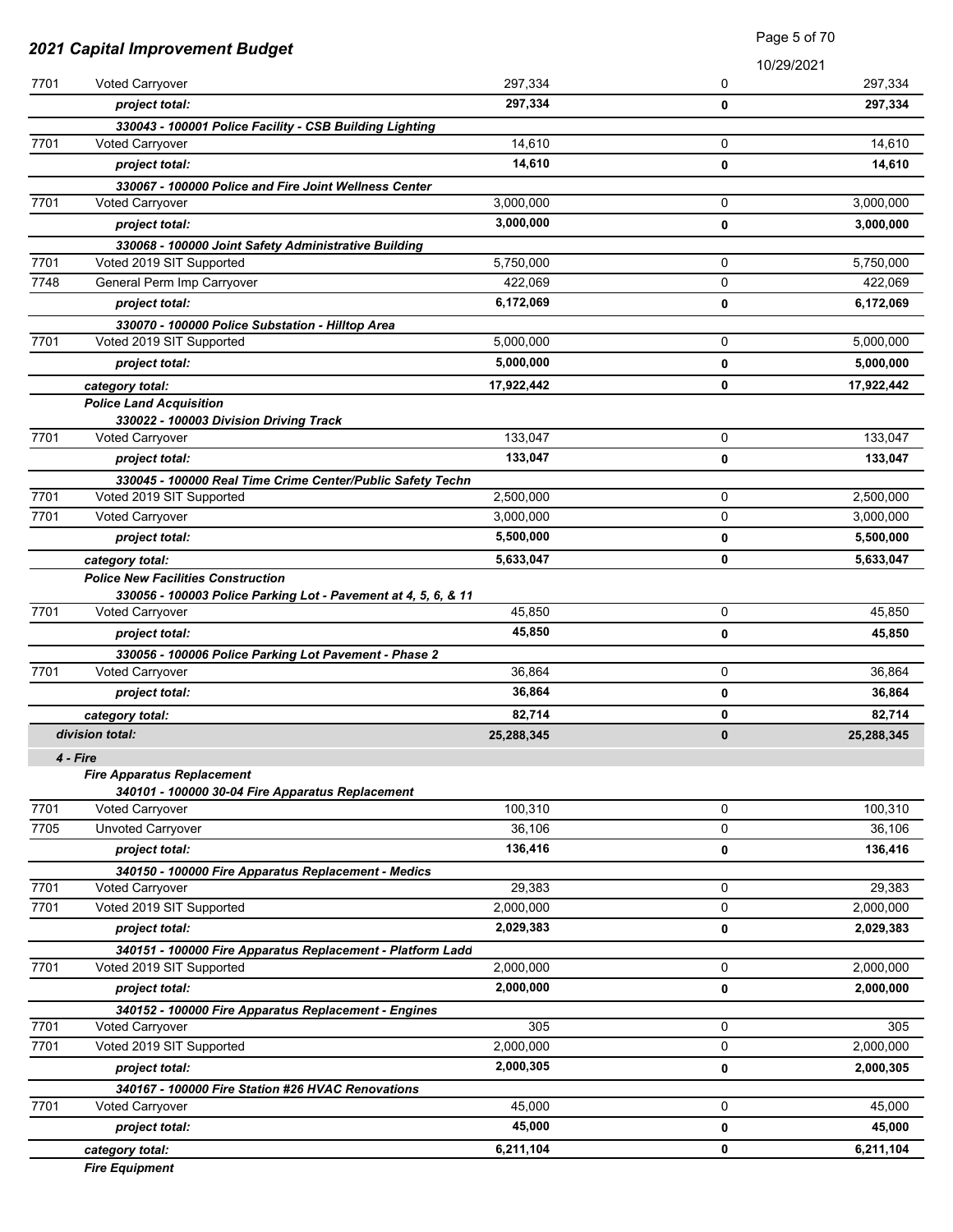|      | 2021 Capital Improvement Budget                                              |            | Page 5 of 70 |            |
|------|------------------------------------------------------------------------------|------------|--------------|------------|
|      |                                                                              |            |              | 10/29/2021 |
| 7701 | Voted Carryover                                                              | 297,334    | 0            | 297,334    |
|      | project total:                                                               | 297,334    | 0            | 297,334    |
|      | 330043 - 100001 Police Facility - CSB Building Lighting                      |            |              |            |
| 7701 | <b>Voted Carryover</b>                                                       | 14,610     | $\mathbf 0$  | 14,610     |
|      | project total:                                                               | 14,610     | 0            | 14,610     |
|      | 330067 - 100000 Police and Fire Joint Wellness Center                        |            |              |            |
| 7701 | <b>Voted Carryover</b>                                                       | 3,000,000  | $\mathbf 0$  | 3,000,000  |
|      | project total:                                                               | 3,000,000  | 0            | 3,000,000  |
|      | 330068 - 100000 Joint Safety Administrative Building                         |            |              |            |
| 7701 | Voted 2019 SIT Supported                                                     | 5,750,000  | $\mathbf 0$  | 5,750,000  |
| 7748 | General Perm Imp Carryover                                                   | 422,069    | 0            | 422,069    |
|      | project total:                                                               | 6,172,069  | 0            | 6,172,069  |
| 7701 | 330070 - 100000 Police Substation - Hilltop Area<br>Voted 2019 SIT Supported | 5,000,000  | 0            | 5,000,000  |
|      |                                                                              | 5,000,000  |              |            |
|      | project total:                                                               |            | 0            | 5,000,000  |
|      | category total:                                                              | 17,922,442 | 0            | 17,922,442 |
|      | <b>Police Land Acquisition</b><br>330022 - 100003 Division Driving Track     |            |              |            |
| 7701 | Voted Carryover                                                              | 133,047    | 0            | 133,047    |
|      | project total:                                                               | 133,047    | 0            | 133,047    |
|      | 330045 - 100000 Real Time Crime Center/Public Safety Techn                   |            |              |            |
| 7701 | Voted 2019 SIT Supported                                                     | 2,500,000  | $\mathbf 0$  | 2,500,000  |
| 7701 | Voted Carryover                                                              | 3,000,000  | 0            | 3,000,000  |
|      | project total:                                                               | 5,500,000  | 0            | 5,500,000  |
|      | category total:                                                              | 5,633,047  | $\mathbf 0$  | 5,633,047  |
|      | <b>Police New Facilities Construction</b>                                    |            |              |            |
|      | 330056 - 100003 Police Parking Lot - Pavement at 4, 5, 6, & 11               |            |              |            |
| 7701 | Voted Carryover                                                              | 45,850     | 0            | 45,850     |
|      | project total:                                                               | 45,850     | 0            | 45,850     |
|      | 330056 - 100006 Police Parking Lot Pavement - Phase 2                        |            |              |            |
| 7701 | Voted Carryover                                                              | 36,864     | 0            | 36,864     |
|      | project total:                                                               | 36,864     | 0            | 36,864     |
|      | category total:                                                              | 82,714     | 0            | 82,714     |
|      | division total:                                                              | 25,288,345 | 0            | 25,288,345 |
|      | 4 - Fire                                                                     |            |              |            |
|      | <b>Fire Apparatus Replacement</b>                                            |            |              |            |
| 7701 | 340101 - 100000 30-04 Fire Apparatus Replacement<br>Voted Carryover          | 100,310    | 0            | 100,310    |
| 7705 | <b>Unvoted Carryover</b>                                                     | 36,106     | $\mathbf 0$  | 36,106     |
|      | project total:                                                               | 136,416    | 0            | 136,416    |
|      | 340150 - 100000 Fire Apparatus Replacement - Medics                          |            |              |            |
| 7701 | <b>Voted Carryover</b>                                                       | 29,383     | 0            | 29,383     |
| 7701 | Voted 2019 SIT Supported                                                     | 2,000,000  | 0            | 2,000,000  |
|      | project total:                                                               | 2,029,383  | 0            | 2,029,383  |
|      | 340151 - 100000 Fire Apparatus Replacement - Platform Ladd                   |            |              |            |
| 7701 | Voted 2019 SIT Supported                                                     | 2,000,000  | $\mathbf 0$  | 2,000,000  |
|      | project total:                                                               | 2,000,000  | 0            | 2,000,000  |
|      | 340152 - 100000 Fire Apparatus Replacement - Engines                         |            |              |            |
| 7701 | Voted Carryover                                                              | 305        | 0            | 305        |
| 7701 | Voted 2019 SIT Supported                                                     | 2,000,000  | 0            | 2,000,000  |
|      | project total:                                                               | 2,000,305  | 0            | 2,000,305  |
|      | 340167 - 100000 Fire Station #26 HVAC Renovations                            |            |              |            |
| 7701 | Voted Carryover                                                              | 45,000     | 0            | 45,000     |
|      | project total:                                                               | 45,000     | 0            | 45,000     |
|      | category total:                                                              | 6,211,104  | 0            | 6,211,104  |
|      | <b>Fire Equipment</b>                                                        |            |              |            |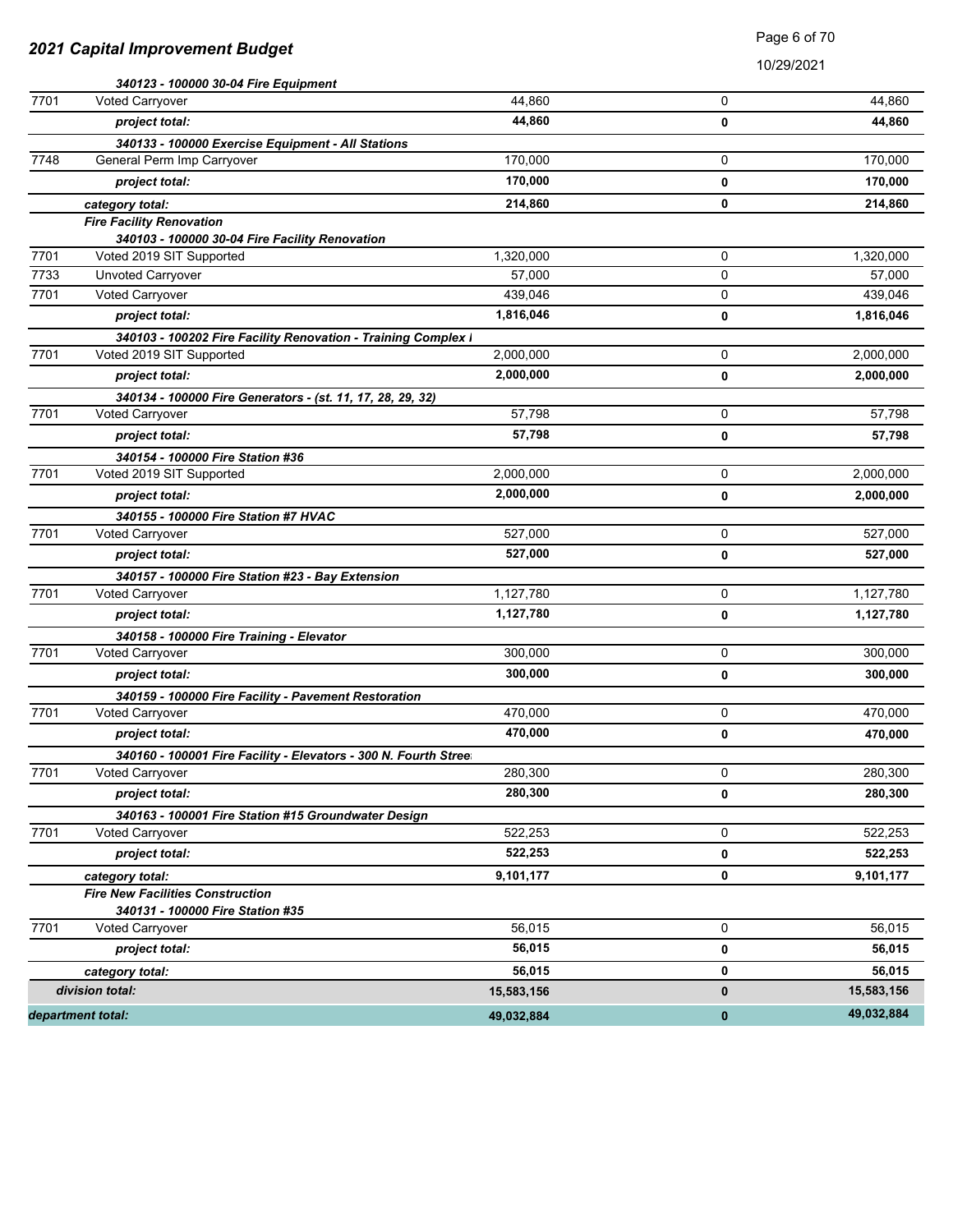|              | department total:                                               | 49,032,884             | $\pmb{0}$ | 49,032,884        |
|--------------|-----------------------------------------------------------------|------------------------|-----------|-------------------|
|              | division total:                                                 | 15,583,156             | $\pmb{0}$ | 15,583,156        |
|              | category total:                                                 | 56,015                 | 0         | 56,015            |
|              | project total:                                                  | 56,015                 | 0         | 56,015            |
| 7701         | 340131 - 100000 Fire Station #35<br>Voted Carryover             | 56,015                 | 0         | 56,015            |
|              | <b>Fire New Facilities Construction</b>                         |                        |           |                   |
|              | category total:                                                 | 9,101,177              | 0         | 9,101,177         |
|              | project total:                                                  | 522,253                | 0         | 522,253           |
| 7701         | <b>Voted Carryover</b>                                          | 522,253                | 0         | 522,253           |
|              | 340163 - 100001 Fire Station #15 Groundwater Design             |                        |           |                   |
|              | project total:                                                  | 280,300                | 0         | 280,300           |
| 7701         | <b>Voted Carryover</b>                                          | 280,300                | 0         | 280,300           |
|              | 340160 - 100001 Fire Facility - Elevators - 300 N. Fourth Stree |                        |           |                   |
|              | project total:                                                  | 470,000                | 0         | 470,000           |
| 7701         | Voted Carryover                                                 | 470,000                | 0         | 470,000           |
|              | 340159 - 100000 Fire Facility - Pavement Restoration            |                        |           |                   |
|              | project total:                                                  | 300,000                | 0         | 300,000           |
| 7701         | 340158 - 100000 Fire Training - Elevator<br>Voted Carryover     | 300,000                | 0         | 300,000           |
|              | project total:                                                  |                        | 0         | 1,127,780         |
| 7701         | Voted Carryover                                                 | 1,127,780<br>1,127,780 | 0         | 1,127,780         |
|              | 340157 - 100000 Fire Station #23 - Bay Extension                |                        |           |                   |
|              | project total:                                                  | 527,000                | 0         | 527,000           |
| 7701         | Voted Carryover                                                 | 527,000                | 0         | 527,000           |
|              | 340155 - 100000 Fire Station #7 HVAC                            |                        |           |                   |
|              | project total:                                                  | 2,000,000              | 0         | 2,000,000         |
| 7701         | Voted 2019 SIT Supported                                        | 2,000,000              | 0         | 2,000,000         |
|              | 340154 - 100000 Fire Station #36                                |                        |           |                   |
|              | project total:                                                  | 57,798                 | 0         | 57,798            |
| 7701         | Voted Carryover                                                 | 57,798                 | 0         | 57,798            |
|              | 340134 - 100000 Fire Generators - (st. 11, 17, 28, 29, 32)      |                        |           |                   |
|              | project total:                                                  | 2,000,000              | 0         | 2,000,000         |
| 7701         | Voted 2019 SIT Supported                                        | 2,000,000              | 0         | 2,000,000         |
|              | 340103 - 100202 Fire Facility Renovation - Training Complex I   |                        |           |                   |
|              | project total:                                                  | 1,816,046              | 0         | 1,816,046         |
| 7701         | Unvoted Carryover<br>Voted Carryover                            | 57,000<br>439,046      | 0         | 57,000<br>439,046 |
| 7701<br>7733 | Voted 2019 SIT Supported                                        | 1,320,000              | 0<br>0    | 1,320,000         |
|              | 340103 - 100000 30-04 Fire Facility Renovation                  |                        |           |                   |
|              | <b>Fire Facility Renovation</b>                                 |                        |           |                   |
|              | category total:                                                 | 214,860                | 0         | 214,860           |
|              | project total:                                                  | 170,000                | 0         | 170,000           |
| 7748         | General Perm Imp Carryover                                      | 170,000                | 0         | 170,000           |
|              | 340133 - 100000 Exercise Equipment - All Stations               |                        |           |                   |
|              | project total:                                                  | 44,860                 | 0         | 44,860            |
| 7701         | 340123 - 100000 30-04 Fire Equipment<br>Voted Carryover         | 44,860                 | 0         | 44,860            |
|              |                                                                 |                        |           |                   |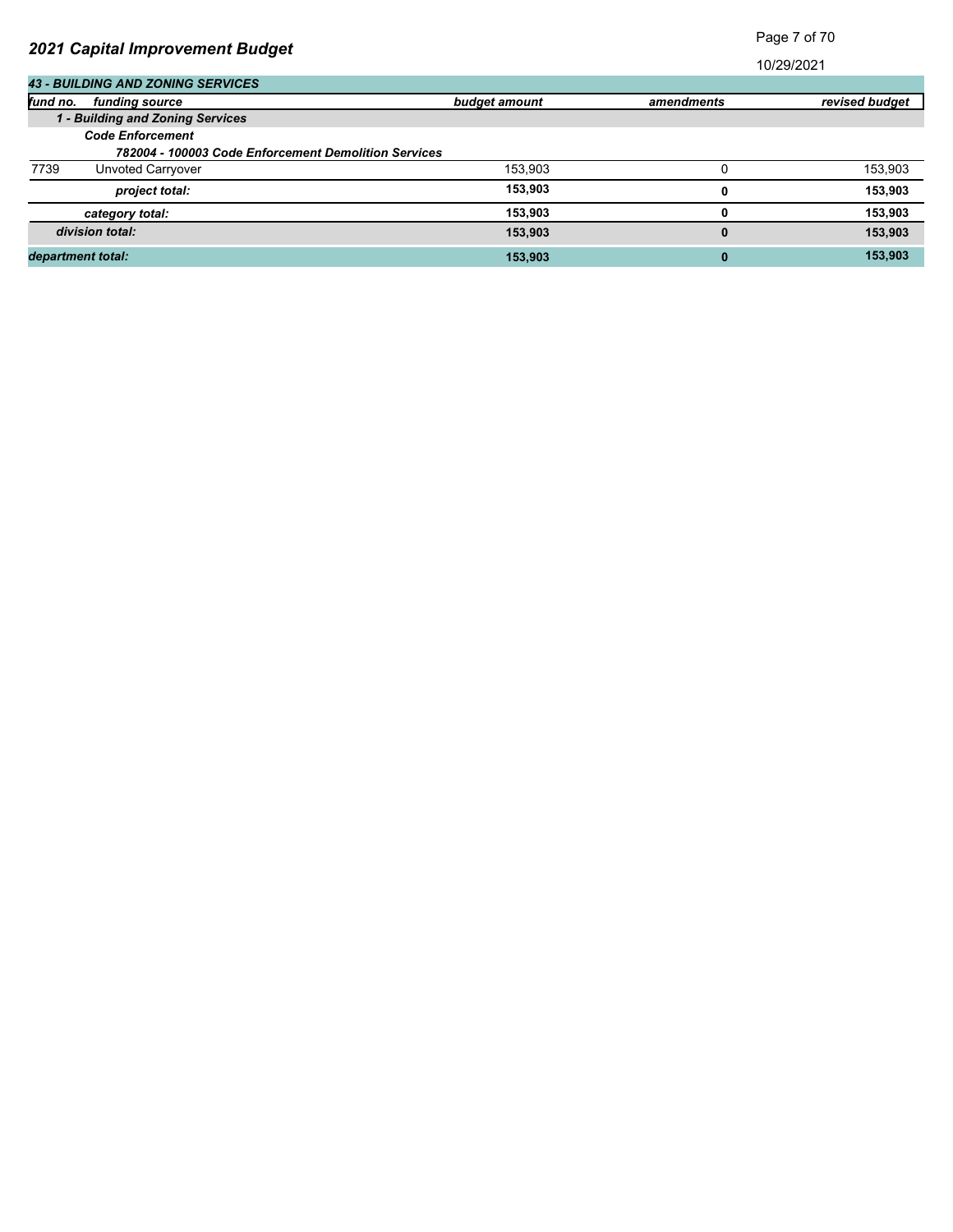Page 7 of 70

|                   | <b>43 - BUILDING AND ZONING SERVICES</b> |                                                      |            |                |
|-------------------|------------------------------------------|------------------------------------------------------|------------|----------------|
| fund no.          | funding source                           | budget amount                                        | amendments | revised budget |
|                   | 1 - Building and Zoning Services         |                                                      |            |                |
|                   | <b>Code Enforcement</b>                  |                                                      |            |                |
|                   |                                          | 782004 - 100003 Code Enforcement Demolition Services |            |                |
| 7739              | Unvoted Carryover                        | 153,903                                              |            | 153,903        |
|                   | project total:                           | 153.903                                              | 0          | 153,903        |
|                   | category total:                          | 153.903                                              | 0          | 153,903        |
|                   | division total:                          | 153.903                                              | 0          | 153,903        |
| department total: |                                          | 153.903                                              | 0          | 153,903        |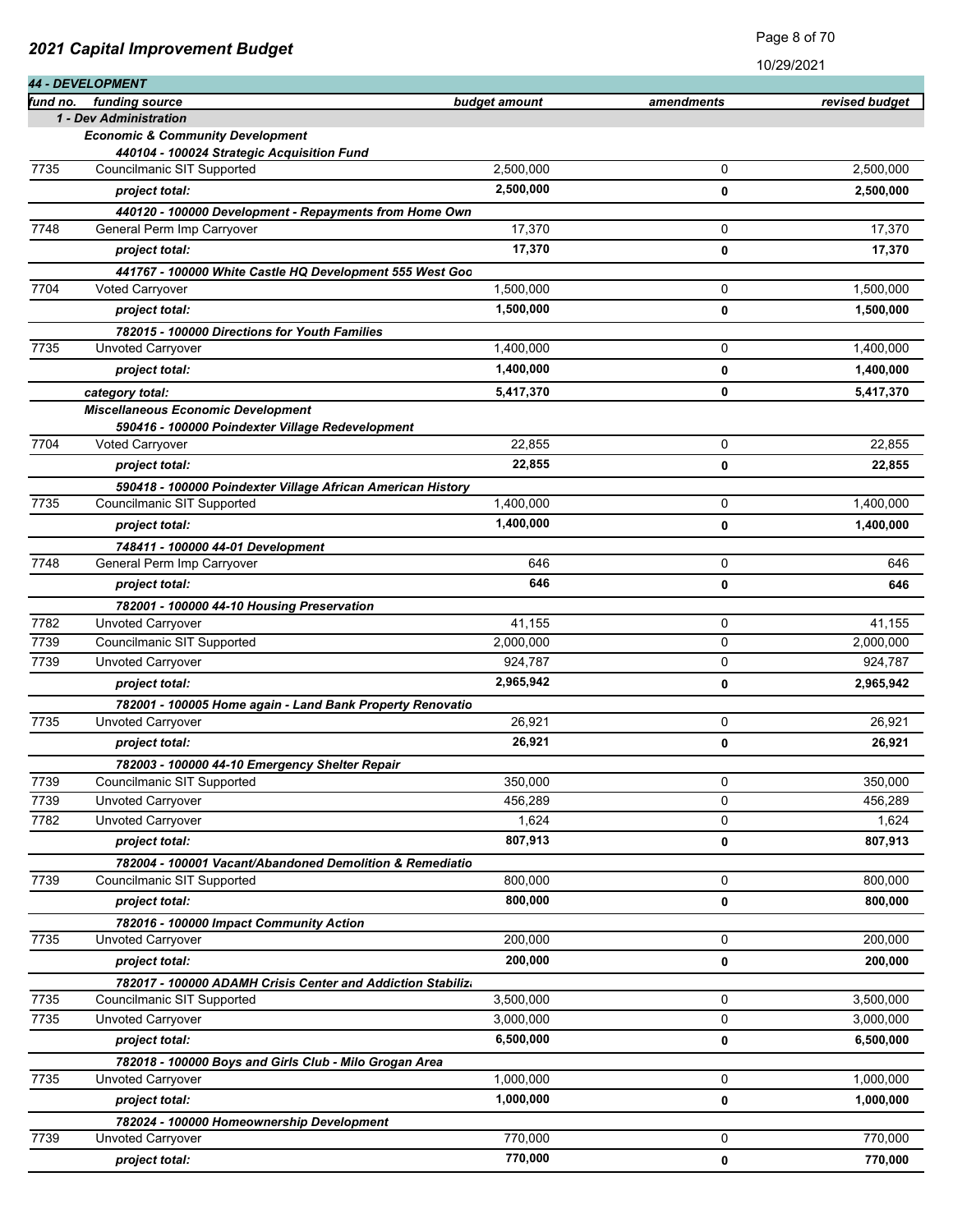|          | <b>44 - DEVELOPMENT</b>                                                                       |               | 10/29/2021 |                |
|----------|-----------------------------------------------------------------------------------------------|---------------|------------|----------------|
| fund no. | funding source                                                                                | budget amount | amendments | revised budget |
|          | 1 - Dev Administration                                                                        |               |            |                |
|          | <b>Economic &amp; Community Development</b>                                                   |               |            |                |
|          | 440104 - 100024 Strategic Acquisition Fund                                                    |               |            |                |
| 7735     | Councilmanic SIT Supported                                                                    | 2,500,000     | 0          | 2,500,000      |
|          | project total:                                                                                | 2,500,000     | 0          | 2,500,000      |
|          | 440120 - 100000 Development - Repayments from Home Own                                        |               |            |                |
| 7748     | General Perm Imp Carryover                                                                    | 17,370        | 0          | 17,370         |
|          | project total:                                                                                | 17,370        | 0          | 17,370         |
|          | 441767 - 100000 White Castle HQ Development 555 West Goo                                      |               |            |                |
| 7704     | <b>Voted Carryover</b>                                                                        | 1,500,000     | 0          | 1,500,000      |
|          | project total:                                                                                | 1,500,000     | 0          | 1,500,000      |
|          | 782015 - 100000 Directions for Youth Families                                                 |               |            |                |
| 7735     | Unvoted Carryover                                                                             | 1,400,000     | 0          | 1,400,000      |
|          | project total:                                                                                | 1,400,000     | 0          | 1,400,000      |
|          | category total:                                                                               | 5,417,370     | 0          | 5,417,370      |
|          | <b>Miscellaneous Economic Development</b><br>590416 - 100000 Poindexter Village Redevelopment |               |            |                |
| 7704     | Voted Carryover                                                                               | 22,855        | 0          | 22,855         |
|          | project total:                                                                                | 22,855        | 0          | 22,855         |
|          | 590418 - 100000 Poindexter Village African American History                                   |               |            |                |
| 7735     | Councilmanic SIT Supported                                                                    | 1,400,000     | 0          | 1,400,000      |
|          | project total:                                                                                | 1,400,000     | 0          | 1,400,000      |
|          | 748411 - 100000 44-01 Development                                                             |               |            |                |
| 7748     | General Perm Imp Carryover                                                                    | 646           | 0          | 646            |
|          | project total:                                                                                | 646           | 0          | 646            |
|          | 782001 - 100000 44-10 Housing Preservation                                                    |               |            |                |
| 7782     | Unvoted Carryover                                                                             | 41,155        | 0          | 41,155         |
| 7739     | Councilmanic SIT Supported                                                                    | 2,000,000     | 0          | 2,000,000      |
| 7739     | Unvoted Carryover                                                                             | 924,787       | 0          | 924,787        |
|          | project total:                                                                                | 2,965,942     | 0          | 2,965,942      |
|          | 782001 - 100005 Home again - Land Bank Property Renovatio                                     |               |            |                |
| 7735     | Unvoted Carryover                                                                             | 26,921        | 0          | 26,921         |
|          | project total:                                                                                | 26,921        | 0          | 26,921         |
|          | 782003 - 100000 44-10 Emergency Shelter Repair                                                |               |            |                |
| 7739     | Councilmanic SIT Supported                                                                    | 350.000       | 0          | 350,000        |
| 7739     | Unvoted Carryover                                                                             | 456,289       | 0          | 456,289        |
| 7782     | Unvoted Carryover                                                                             | 1,624         | 0          | 1,624          |
|          | project total:                                                                                | 807,913       | 0          | 807,913        |
|          | 782004 - 100001 Vacant/Abandoned Demolition & Remediatio                                      |               |            |                |
| 7739     | Councilmanic SIT Supported                                                                    | 800,000       | 0          | 800,000        |
|          | project total:                                                                                | 800,000       | 0          | 800,000        |
|          | 782016 - 100000 Impact Community Action                                                       |               |            |                |
| 7735     | <b>Unvoted Carryover</b>                                                                      | 200,000       | 0          | 200,000        |
|          | project total:                                                                                | 200,000       | 0          | 200,000        |
|          | 782017 - 100000 ADAMH Crisis Center and Addiction Stabilizo                                   |               |            |                |
| 7735     | Councilmanic SIT Supported                                                                    | 3,500,000     | 0          | 3,500,000      |
| 7735     | Unvoted Carryover                                                                             | 3,000,000     | 0          | 3,000,000      |
|          | project total:                                                                                | 6,500,000     | 0          | 6,500,000      |
|          | 782018 - 100000 Boys and Girls Club - Milo Grogan Area                                        |               |            |                |
| 7735     | Unvoted Carryover                                                                             | 1,000,000     | 0          | 1,000,000      |
|          | project total:                                                                                | 1,000,000     | 0          | 1,000,000      |
|          | 782024 - 100000 Homeownership Development                                                     |               |            |                |
| 7739     | Unvoted Carryover                                                                             | 770,000       | 0          | 770,000        |
|          | project total:                                                                                | 770,000       | 0          | 770,000        |

Page 8 of 70

*2021 Capital Improvement Budget*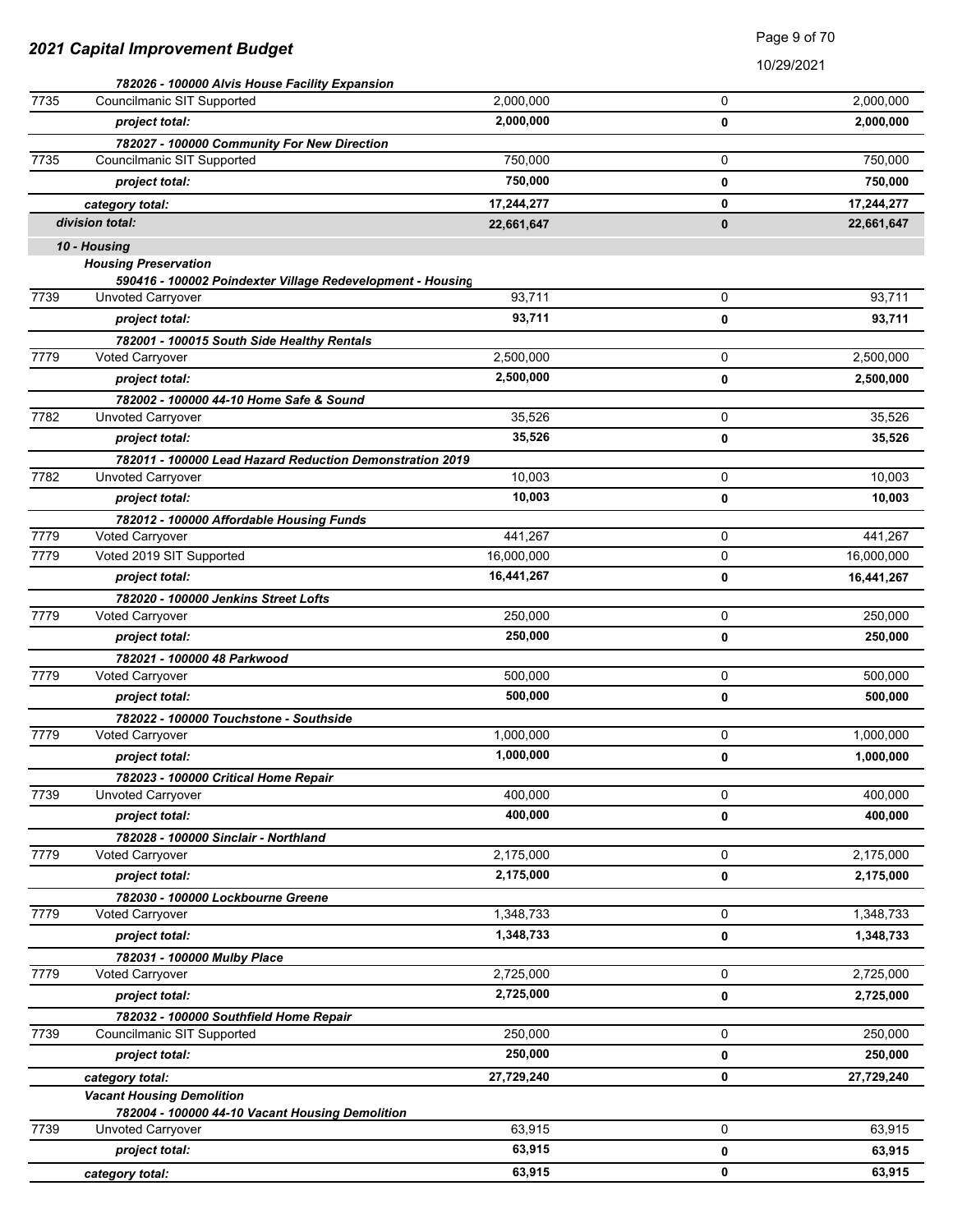Page 9 of 70

|      | 782026 - 100000 Alvis House Facility Expansion             |            |          |            |
|------|------------------------------------------------------------|------------|----------|------------|
| 7735 | Councilmanic SIT Supported                                 | 2,000,000  | 0        | 2,000,000  |
|      | project total:                                             | 2,000,000  | 0        | 2,000,000  |
|      | 782027 - 100000 Community For New Direction                |            |          |            |
| 7735 | Councilmanic SIT Supported                                 | 750,000    | 0        | 750,000    |
|      | project total:                                             | 750,000    | 0        | 750,000    |
|      | category total:                                            | 17,244,277 | 0        | 17,244,277 |
|      | division total:                                            | 22,661,647 | $\bf{0}$ | 22,661,647 |
|      | 10 - Housing                                               |            |          |            |
|      | <b>Housing Preservation</b>                                |            |          |            |
|      | 590416 - 100002 Poindexter Village Redevelopment - Housing |            |          |            |
| 7739 | Unvoted Carryover                                          | 93,711     | 0        | 93,711     |
|      | project total:                                             | 93,711     | 0        | 93,711     |
|      | 782001 - 100015 South Side Healthy Rentals                 |            |          |            |
| 7779 | Voted Carryover                                            | 2,500,000  | 0        | 2,500,000  |
|      | project total:                                             | 2,500,000  | 0        | 2,500,000  |
|      | 782002 - 100000 44-10 Home Safe & Sound                    |            |          |            |
| 7782 | Unvoted Carryover                                          | 35,526     | 0        | 35,526     |
|      | project total:                                             | 35,526     | 0        | 35,526     |
|      | 782011 - 100000 Lead Hazard Reduction Demonstration 2019   |            |          |            |
| 7782 | Unvoted Carryover                                          | 10,003     | 0        | 10,003     |
|      | project total:                                             | 10,003     | 0        | 10,003     |
|      | 782012 - 100000 Affordable Housing Funds                   |            |          |            |
| 7779 | Voted Carryover                                            | 441,267    | 0        | 441,267    |
| 7779 | Voted 2019 SIT Supported                                   | 16,000,000 | 0        | 16,000,000 |
|      | project total:                                             | 16,441,267 | 0        | 16,441,267 |
|      | 782020 - 100000 Jenkins Street Lofts                       |            |          |            |
| 7779 | Voted Carryover                                            | 250,000    | 0        | 250,000    |
|      | project total:                                             | 250,000    | 0        | 250,000    |
|      | 782021 - 100000 48 Parkwood                                |            |          |            |
| 7779 | Voted Carryover                                            | 500,000    | 0        | 500,000    |
|      | project total:                                             | 500,000    | 0        | 500,000    |
|      | 782022 - 100000 Touchstone - Southside                     |            |          |            |
| 7779 | Voted Carryover                                            | 1,000,000  | 0        | 1,000,000  |
|      | project total:                                             | 1,000,000  | 0        | 1,000,000  |
|      | 782023 - 100000 Critical Home Repair                       |            |          |            |
| 7739 | Unvoted Carryover                                          | 400,000    | 0        | 400,000    |
|      | project total:                                             | 400,000    | 0        | 400,000    |
|      | 782028 - 100000 Sinclair - Northland                       |            |          |            |
| 7779 | Voted Carryover                                            | 2,175,000  | 0        | 2,175,000  |
|      | project total:                                             | 2,175,000  | 0        | 2,175,000  |
|      | 782030 - 100000 Lockbourne Greene                          |            |          |            |
| 7779 | <b>Voted Carryover</b>                                     | 1,348,733  | 0        | 1,348,733  |
|      | project total:                                             | 1,348,733  | 0        | 1,348,733  |
|      | 782031 - 100000 Mulby Place                                |            |          |            |
| 7779 | <b>Voted Carryover</b>                                     | 2,725,000  | 0        | 2,725,000  |
|      | project total:                                             | 2,725,000  | 0        | 2,725,000  |
|      | 782032 - 100000 Southfield Home Repair                     |            |          |            |
| 7739 | Councilmanic SIT Supported                                 | 250,000    | 0        | 250,000    |
|      | project total:                                             | 250,000    | 0        | 250,000    |
|      | category total:                                            | 27,729,240 | 0        | 27,729,240 |
|      | <b>Vacant Housing Demolition</b>                           |            |          |            |
|      | 782004 - 100000 44-10 Vacant Housing Demolition            |            |          |            |
| 7739 | Unvoted Carryover                                          | 63,915     | 0        | 63,915     |
|      | project total:                                             | 63,915     | 0        | 63,915     |
|      | category total:                                            | 63,915     | 0        | 63,915     |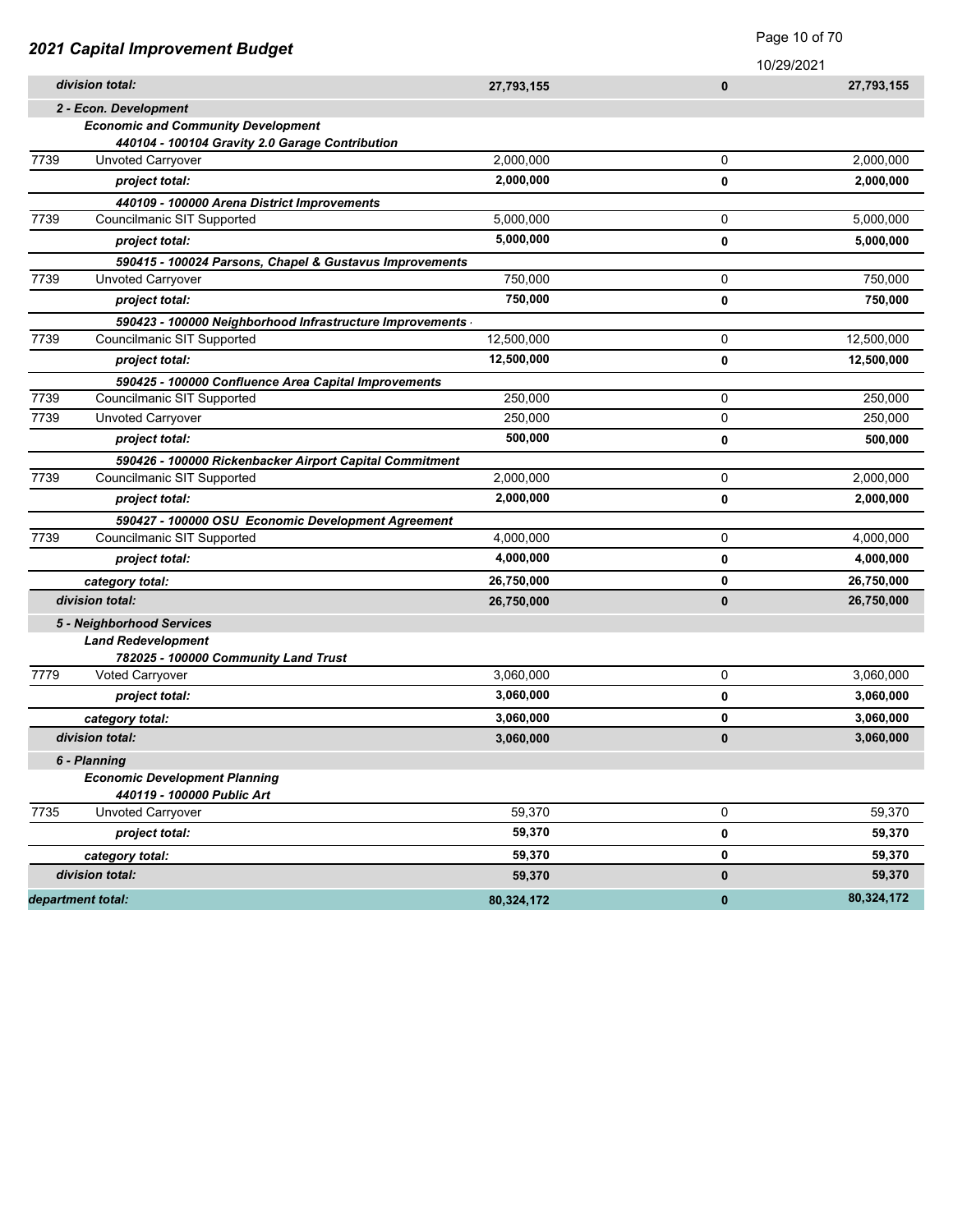|      |                                                          |            |              | Page 10 of 70 |
|------|----------------------------------------------------------|------------|--------------|---------------|
|      | 2021 Capital Improvement Budget                          |            |              | 10/29/2021    |
|      | division total:                                          | 27,793,155 | $\bf{0}$     | 27,793,155    |
|      | 2 - Econ. Development                                    |            |              |               |
|      | <b>Economic and Community Development</b>                |            |              |               |
|      | 440104 - 100104 Gravity 2.0 Garage Contribution          |            |              |               |
| 7739 | Unvoted Carryover                                        | 2,000,000  | 0            | 2,000,000     |
|      | project total:                                           | 2,000,000  | 0            | 2,000,000     |
|      | 440109 - 100000 Arena District Improvements              |            |              |               |
| 7739 | Councilmanic SIT Supported                               | 5,000,000  | 0            | 5,000,000     |
|      | project total:                                           | 5,000,000  | 0            | 5,000,000     |
|      | 590415 - 100024 Parsons, Chapel & Gustavus Improvements  |            |              |               |
| 7739 | Unvoted Carryover                                        | 750,000    | 0            | 750,000       |
|      | project total:                                           | 750,000    | $\mathbf 0$  | 750,000       |
|      | 590423 - 100000 Neighborhood Infrastructure Improvements |            |              |               |
| 7739 | Councilmanic SIT Supported                               | 12,500,000 | 0            | 12,500,000    |
|      | project total:                                           | 12,500,000 | $\mathbf 0$  | 12,500,000    |
|      | 590425 - 100000 Confluence Area Capital Improvements     |            |              |               |
| 7739 | Councilmanic SIT Supported                               | 250,000    | 0            | 250,000       |
| 7739 | <b>Unvoted Carryover</b>                                 | 250,000    | 0            | 250,000       |
|      | project total:                                           | 500,000    | $\mathbf 0$  | 500,000       |
|      | 590426 - 100000 Rickenbacker Airport Capital Commitment  |            |              |               |
| 7739 | Councilmanic SIT Supported                               | 2,000,000  | 0            | 2,000,000     |
|      | project total:                                           | 2,000,000  | 0            | 2,000,000     |
|      | 590427 - 100000 OSU Economic Development Agreement       |            |              |               |
| 7739 | Councilmanic SIT Supported                               | 4,000,000  | 0            | 4,000,000     |
|      | project total:                                           | 4,000,000  | 0            | 4,000,000     |
|      | category total:                                          | 26,750,000 | 0            | 26,750,000    |
|      | division total:                                          | 26,750,000 | $\bf{0}$     | 26,750,000    |
|      | 5 - Neighborhood Services                                |            |              |               |
|      | <b>Land Redevelopment</b>                                |            |              |               |
|      | 782025 - 100000 Community Land Trust                     |            |              |               |
| 7779 | Voted Carryover                                          | 3,060,000  | 0            | 3,060,000     |
|      | project total:                                           | 3,060,000  | 0            | 3,060,000     |
|      | category total:                                          | 3,060,000  | 0            | 3,060,000     |
|      | division total:                                          | 3,060,000  | $\bf{0}$     | 3,060,000     |
|      | 6 - Planning                                             |            |              |               |
|      | <b>Economic Development Planning</b>                     |            |              |               |
|      | 440119 - 100000 Public Art                               |            |              |               |
| 7735 | Unvoted Carryover                                        | 59,370     | 0            | 59.370        |
|      | project total:                                           | 59,370     | 0            | 59,370        |
|      | category total:                                          | 59,370     | 0            | 59,370        |
|      | division total:                                          | 59,370     | $\pmb{0}$    | 59,370        |
|      | department total:                                        | 80,324,172 | $\mathbf{0}$ | 80,324,172    |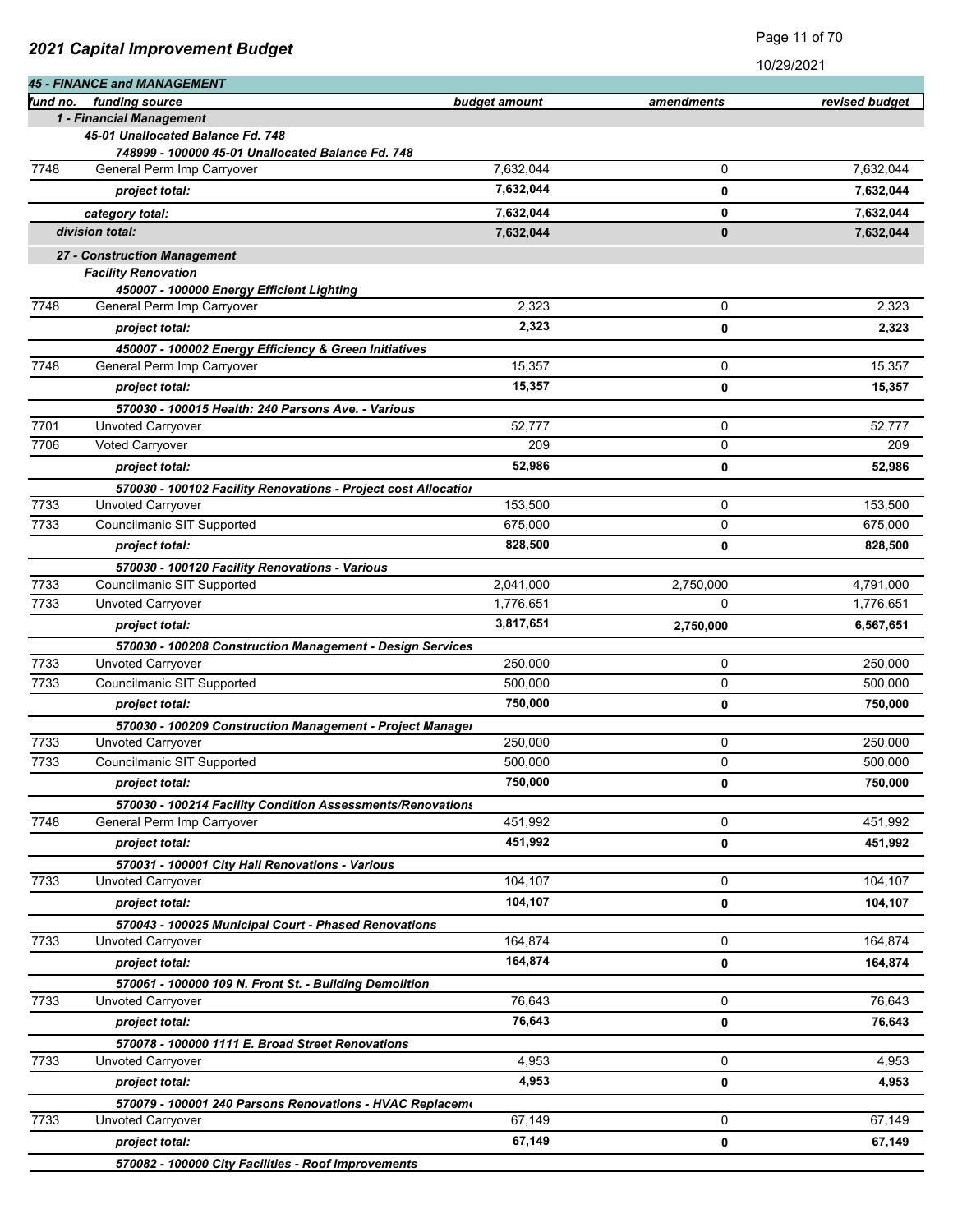| 2021 Capital Improvement Budget |
|---------------------------------|
|---------------------------------|

Page 11 of 70

|          | <b>45 - FINANCE and MANAGEMENT</b>                                                     |               |            |                |
|----------|----------------------------------------------------------------------------------------|---------------|------------|----------------|
| fund no. | funding source                                                                         | budget amount | amendments | revised budget |
|          | 1 - Financial Management                                                               |               |            |                |
|          | 45-01 Unallocated Balance Fd. 748<br>748999 - 100000 45-01 Unallocated Balance Fd. 748 |               |            |                |
| 7748     | General Perm Imp Carryover                                                             | 7.632.044     | 0          | 7,632,044      |
|          | project total:                                                                         | 7,632,044     | 0          | 7,632,044      |
|          | category total:                                                                        | 7,632,044     | 0          | 7,632,044      |
|          | division total:                                                                        | 7,632,044     | $\bf{0}$   | 7,632,044      |
|          | 27 - Construction Management                                                           |               |            |                |
|          | <b>Facility Renovation</b>                                                             |               |            |                |
|          | 450007 - 100000 Energy Efficient Lighting                                              |               |            |                |
| 7748     | General Perm Imp Carryover                                                             | 2,323         | 0          | 2,323          |
|          | project total:                                                                         | 2,323         | 0          | 2,323          |
|          | 450007 - 100002 Energy Efficiency & Green Initiatives                                  |               |            |                |
| 7748     | General Perm Imp Carryover                                                             | 15,357        | 0          | 15,357         |
|          | project total:                                                                         | 15,357        | 0          | 15,357         |
|          | 570030 - 100015 Health: 240 Parsons Ave. - Various                                     |               |            |                |
| 7701     | Unvoted Carryover                                                                      | 52,777        | 0          | 52,777         |
| 7706     | Voted Carryover                                                                        | 209           | 0          | 209            |
|          | project total:                                                                         | 52,986        | 0          | 52,986         |
|          | 570030 - 100102 Facility Renovations - Project cost Allocation                         |               |            |                |
| 7733     | <b>Unvoted Carryover</b>                                                               | 153,500       | 0          | 153,500        |
| 7733     | Councilmanic SIT Supported                                                             | 675,000       | 0          | 675,000        |
|          | project total:                                                                         | 828,500       | 0          | 828,500        |
|          | 570030 - 100120 Facility Renovations - Various                                         |               |            |                |
| 7733     | Councilmanic SIT Supported                                                             | 2,041,000     | 2,750,000  | 4,791,000      |
| 7733     | Unvoted Carryover                                                                      | 1,776,651     | 0          | 1,776,651      |
|          | project total:                                                                         | 3,817,651     | 2,750,000  | 6,567,651      |
| 7733     | 570030 - 100208 Construction Management - Design Services<br>Unvoted Carryover         | 250,000       | 0          | 250,000        |
| 7733     | Councilmanic SIT Supported                                                             | 500,000       | 0          | 500,000        |
|          |                                                                                        | 750,000       |            |                |
|          | project total:                                                                         |               | 0          | 750,000        |
| 7733     | 570030 - 100209 Construction Management - Project Manager<br><b>Unvoted Carryover</b>  | 250,000       | 0          | 250,000        |
| 7733     | Councilmanic SIT Supported                                                             | 500.000       | 0          | 500,000        |
|          | project total:                                                                         | 750,000       | 0          | 750,000        |
|          | 570030 - 100214 Facility Condition Assessments/Renovations                             |               |            |                |
| 7748     | General Perm Imp Carryover                                                             | 451,992       | 0          | 451,992        |
|          | project total:                                                                         | 451,992       | 0          | 451,992        |
|          | 570031 - 100001 City Hall Renovations - Various                                        |               |            |                |
| 7733     | Unvoted Carryover                                                                      | 104,107       | 0          | 104,107        |
|          | project total:                                                                         | 104,107       | 0          | 104,107        |
|          | 570043 - 100025 Municipal Court - Phased Renovations                                   |               |            |                |
| 7733     | Unvoted Carryover                                                                      | 164,874       | 0          | 164,874        |
|          | project total:                                                                         | 164,874       | 0          | 164,874        |
|          | 570061 - 100000 109 N. Front St. - Building Demolition                                 |               |            |                |
| 7733     | Unvoted Carryover                                                                      | 76,643        | 0          | 76,643         |
|          | project total:                                                                         | 76,643        | 0          | 76,643         |
|          | 570078 - 100000 1111 E. Broad Street Renovations                                       |               |            |                |
| 7733     | Unvoted Carryover                                                                      | 4,953         | 0          | 4,953          |
|          | project total:                                                                         | 4,953         | 0          | 4,953          |
|          | 570079 - 100001 240 Parsons Renovations - HVAC Replaceme                               |               |            |                |
| 7733     | Unvoted Carryover                                                                      | 67,149        | 0          | 67,149         |
|          | project total:                                                                         | 67,149        | 0          | 67,149         |
|          | 570082 - 100000 City Facilities - Roof Improvements                                    |               |            |                |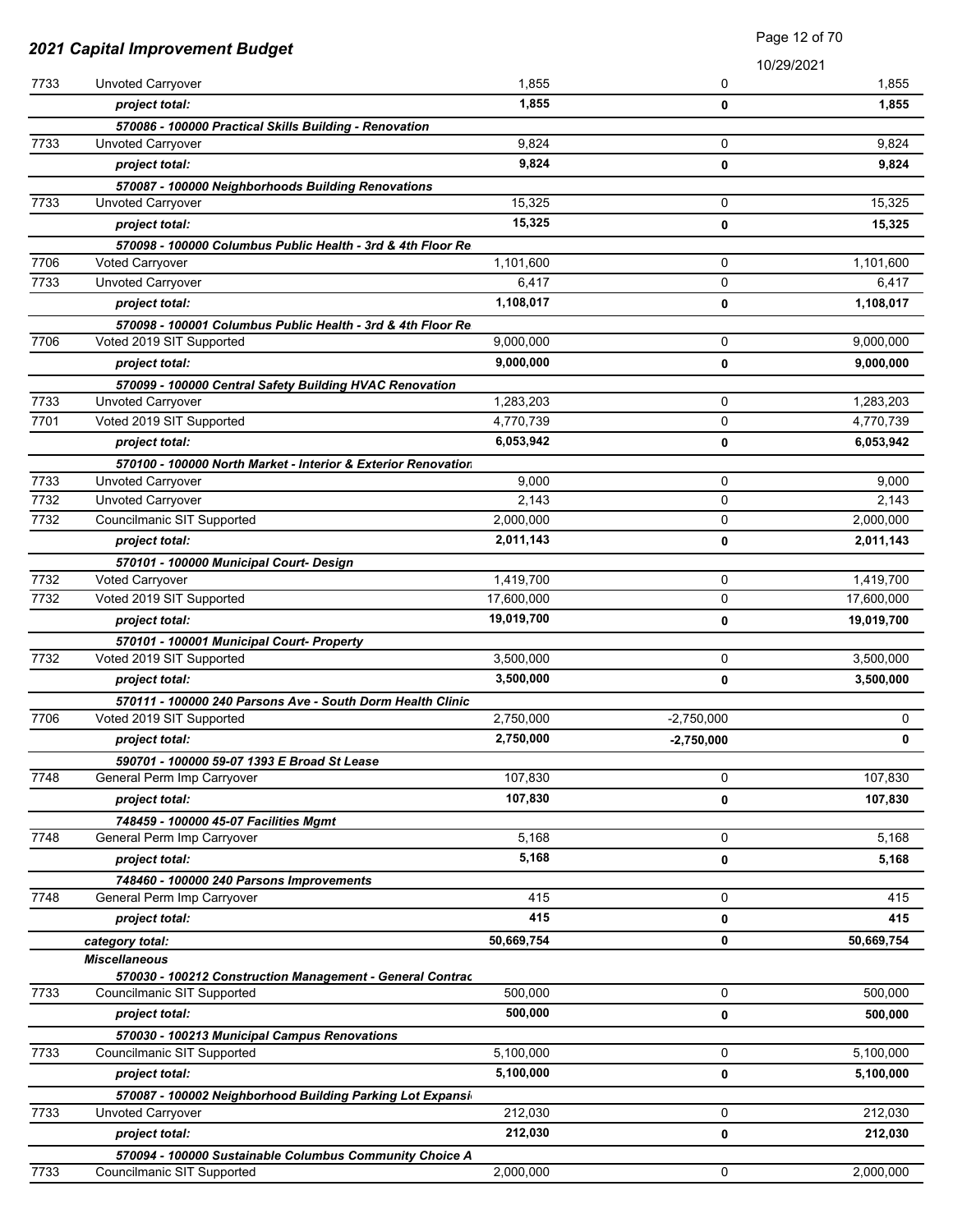| 2021 Capital Improvement Budget |                                                                                       | Page 12 of 70 |              |            |
|---------------------------------|---------------------------------------------------------------------------------------|---------------|--------------|------------|
|                                 |                                                                                       |               |              | 10/29/2021 |
| 7733                            | Unvoted Carryover                                                                     | 1,855         | 0            | 1,855      |
|                                 | project total:                                                                        | 1,855         | 0            | 1,855      |
|                                 | 570086 - 100000 Practical Skills Building - Renovation                                |               |              |            |
| 7733                            | Unvoted Carryover                                                                     | 9,824         | 0            | 9,824      |
|                                 | project total:                                                                        | 9,824         | 0            | 9,824      |
|                                 | 570087 - 100000 Neighborhoods Building Renovations                                    |               |              |            |
| 7733                            | Unvoted Carryover                                                                     | 15,325        | $\mathbf 0$  | 15,325     |
|                                 | project total:                                                                        | 15,325        | 0            | 15,325     |
|                                 | 570098 - 100000 Columbus Public Health - 3rd & 4th Floor Re                           |               |              |            |
| 7706                            | <b>Voted Carryover</b>                                                                | 1,101,600     | 0            | 1,101,600  |
| 7733                            | Unvoted Carryover                                                                     | 6,417         | 0            | 6,417      |
|                                 | project total:                                                                        | 1,108,017     | 0            | 1,108,017  |
|                                 | 570098 - 100001 Columbus Public Health - 3rd & 4th Floor Re                           |               |              |            |
| 7706                            | Voted 2019 SIT Supported                                                              | 9,000,000     | 0            | 9,000,000  |
|                                 | project total:                                                                        | 9,000,000     | 0            | 9,000,000  |
|                                 | 570099 - 100000 Central Safety Building HVAC Renovation                               |               |              |            |
| 7733                            | <b>Unvoted Carryover</b>                                                              | 1,283,203     | 0            | 1,283,203  |
| 7701                            | Voted 2019 SIT Supported                                                              | 4,770,739     | 0            | 4,770,739  |
|                                 | project total:                                                                        | 6,053,942     | 0            | 6,053,942  |
| 7733                            | 570100 - 100000 North Market - Interior & Exterior Renovation<br>Unvoted Carryover    | 9,000         | $\mathbf 0$  | 9,000      |
| 7732                            | Unvoted Carryover                                                                     | 2,143         | 0            | 2,143      |
| 7732                            | Councilmanic SIT Supported                                                            | 2,000,000     | 0            | 2,000,000  |
|                                 | project total:                                                                        | 2,011,143     | 0            | 2,011,143  |
|                                 |                                                                                       |               |              |            |
| 7732                            | 570101 - 100000 Municipal Court- Design<br>Voted Carryover                            | 1,419,700     | 0            | 1,419,700  |
| 7732                            | Voted 2019 SIT Supported                                                              | 17,600,000    | 0            | 17,600,000 |
|                                 | project total:                                                                        | 19,019,700    | 0            | 19,019,700 |
|                                 | 570101 - 100001 Municipal Court- Property                                             |               |              |            |
| 7732                            | Voted 2019 SIT Supported                                                              | 3,500,000     | 0            | 3,500,000  |
|                                 | project total:                                                                        | 3,500,000     | 0            | 3,500,000  |
|                                 | 570111 - 100000 240 Parsons Ave - South Dorm Health Clinic                            |               |              |            |
| 7706                            | Voted 2019 SIT Supported                                                              | 2.750.000     | $-2,750,000$ | 0          |
|                                 | project total:                                                                        | 2,750,000     | $-2,750,000$ | 0          |
|                                 | 590701 - 100000 59-07 1393 E Broad St Lease                                           |               |              |            |
| 7748                            | General Perm Imp Carryover                                                            | 107,830       | 0            | 107,830    |
|                                 | project total:                                                                        | 107,830       | 0            | 107,830    |
|                                 | 748459 - 100000 45-07 Facilities Mgmt                                                 |               |              |            |
| 7748                            | General Perm Imp Carryover                                                            | 5,168         | 0            | 5,168      |
|                                 | project total:                                                                        | 5,168         | 0            | 5,168      |
|                                 | 748460 - 100000 240 Parsons Improvements                                              |               |              |            |
| 7748                            | General Perm Imp Carryover                                                            | 415           | 0            | 415        |
|                                 | project total:                                                                        | 415           | 0            | 415        |
|                                 | category total:                                                                       | 50,669,754    | 0            | 50,669,754 |
|                                 | <b>Miscellaneous</b>                                                                  |               |              |            |
|                                 | 570030 - 100212 Construction Management - General Contrac                             |               |              |            |
| 7733                            | Councilmanic SIT Supported                                                            | 500,000       | 0            | 500,000    |
|                                 | project total:                                                                        | 500,000       | 0            | 500,000    |
|                                 | 570030 - 100213 Municipal Campus Renovations                                          |               | 0            |            |
| 7733                            | Councilmanic SIT Supported                                                            | 5,100,000     |              | 5,100,000  |
|                                 | project total:                                                                        | 5,100,000     | 0            | 5,100,000  |
| 7733                            | 570087 - 100002 Neighborhood Building Parking Lot Expansi<br>Unvoted Carryover        | 212,030       | 0            | 212,030    |
|                                 |                                                                                       | 212,030       |              |            |
|                                 | project total:                                                                        |               | 0            | 212,030    |
| 7733                            | 570094 - 100000 Sustainable Columbus Community Choice A<br>Councilmanic SIT Supported | 2,000,000     | 0            | 2,000,000  |
|                                 |                                                                                       |               |              |            |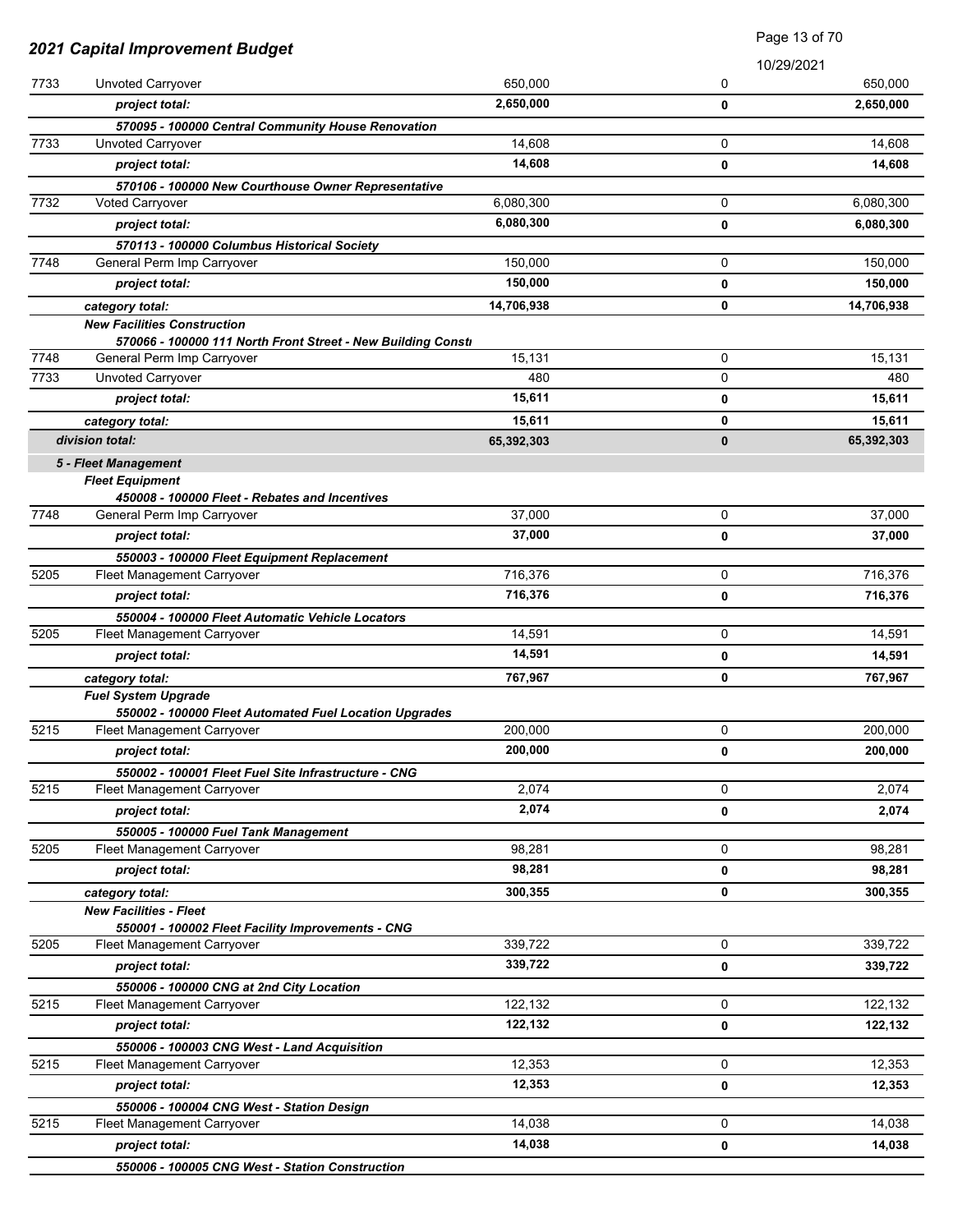| 2021 Capital Improvement Budget |                                                                                            |            | Page 13 of 70 |            |
|---------------------------------|--------------------------------------------------------------------------------------------|------------|---------------|------------|
|                                 |                                                                                            |            |               | 10/29/2021 |
| 7733                            | Unvoted Carryover                                                                          | 650,000    | 0             | 650,000    |
|                                 | project total:                                                                             | 2,650,000  | 0             | 2,650,000  |
|                                 | 570095 - 100000 Central Community House Renovation                                         |            |               |            |
| 7733                            | Unvoted Carryover                                                                          | 14,608     | 0             | 14,608     |
|                                 | project total:                                                                             | 14,608     | 0             | 14,608     |
|                                 | 570106 - 100000 New Courthouse Owner Representative                                        |            |               |            |
| 7732                            | <b>Voted Carryover</b>                                                                     | 6,080,300  | 0             | 6,080,300  |
|                                 | project total:                                                                             | 6,080,300  | 0             | 6,080,300  |
|                                 | 570113 - 100000 Columbus Historical Society                                                |            |               |            |
| 7748                            | General Perm Imp Carryover                                                                 | 150,000    | 0             | 150,000    |
|                                 | project total:                                                                             | 150,000    | 0             | 150,000    |
|                                 | category total:                                                                            | 14,706,938 | 0             | 14,706,938 |
|                                 | <b>New Facilities Construction</b>                                                         |            |               |            |
| 7748                            | 570066 - 100000 111 North Front Street - New Building Consti<br>General Perm Imp Carryover | 15,131     | 0             | 15,131     |
| 7733                            | Unvoted Carryover                                                                          | 480        | 0             | 480        |
|                                 | project total:                                                                             | 15,611     | 0             | 15,611     |
|                                 |                                                                                            | 15,611     | 0             | 15,611     |
|                                 | category total:<br>division total:                                                         | 65,392,303 | $\mathbf{0}$  | 65,392,303 |
|                                 |                                                                                            |            |               |            |
|                                 | 5 - Fleet Management<br><b>Fleet Equipment</b>                                             |            |               |            |
|                                 | 450008 - 100000 Fleet - Rebates and Incentives                                             |            |               |            |
| 7748                            | General Perm Imp Carryover                                                                 | 37,000     | 0             | 37,000     |
|                                 | project total:                                                                             | 37,000     | 0             | 37,000     |
|                                 | 550003 - 100000 Fleet Equipment Replacement                                                |            |               |            |
| 5205                            | Fleet Management Carryover                                                                 | 716,376    | 0             | 716,376    |
|                                 | project total:                                                                             | 716,376    | 0             | 716,376    |
|                                 | 550004 - 100000 Fleet Automatic Vehicle Locators                                           |            |               |            |
| 5205                            | Fleet Management Carryover                                                                 | 14,591     | 0             | 14,591     |
|                                 | project total:                                                                             | 14,591     | 0             | 14,591     |
|                                 | category total:                                                                            | 767,967    | 0             | 767,967    |
|                                 | <b>Fuel System Upgrade</b>                                                                 |            |               |            |
|                                 | 550002 - 100000 Fleet Automated Fuel Location Upgrades                                     |            |               |            |
| 5215                            | Fleet Management Carryover                                                                 | 200,000    | 0             | 200,000    |
|                                 | project total:                                                                             | 200,000    | 0             | 200,000    |
|                                 | 550002 - 100001 Fleet Fuel Site Infrastructure - CNG                                       |            |               |            |
| 5215                            | Fleet Management Carryover                                                                 | 2,074      | 0             | 2,074      |
|                                 | project total:                                                                             | 2,074      | 0             | 2,074      |
|                                 | 550005 - 100000 Fuel Tank Management                                                       |            |               |            |
| 5205                            | Fleet Management Carryover                                                                 | 98,281     | 0             | 98,281     |
|                                 | project total:                                                                             | 98,281     | 0             | 98,281     |
|                                 | category total:                                                                            | 300,355    | 0             | 300,355    |
|                                 | <b>New Facilities - Fleet</b><br>550001 - 100002 Fleet Facility Improvements - CNG         |            |               |            |
| 5205                            | Fleet Management Carryover                                                                 | 339,722    | 0             | 339,722    |
|                                 | project total:                                                                             | 339,722    | 0             | 339,722    |
|                                 | 550006 - 100000 CNG at 2nd City Location                                                   |            |               |            |
| 5215                            | Fleet Management Carryover                                                                 | 122,132    | 0             | 122,132    |
|                                 | project total:                                                                             | 122,132    | 0             | 122,132    |
|                                 | 550006 - 100003 CNG West - Land Acquisition                                                |            |               |            |
| 5215                            | Fleet Management Carryover                                                                 | 12,353     | 0             | 12,353     |
|                                 | project total:                                                                             | 12,353     | 0             | 12,353     |
|                                 | 550006 - 100004 CNG West - Station Design                                                  |            |               |            |
| 5215                            | Fleet Management Carryover                                                                 | 14,038     | 0             | 14,038     |
|                                 | project total:                                                                             | 14,038     | 0             | 14,038     |
|                                 | 550006 - 100005 CNG West - Station Construction                                            |            |               |            |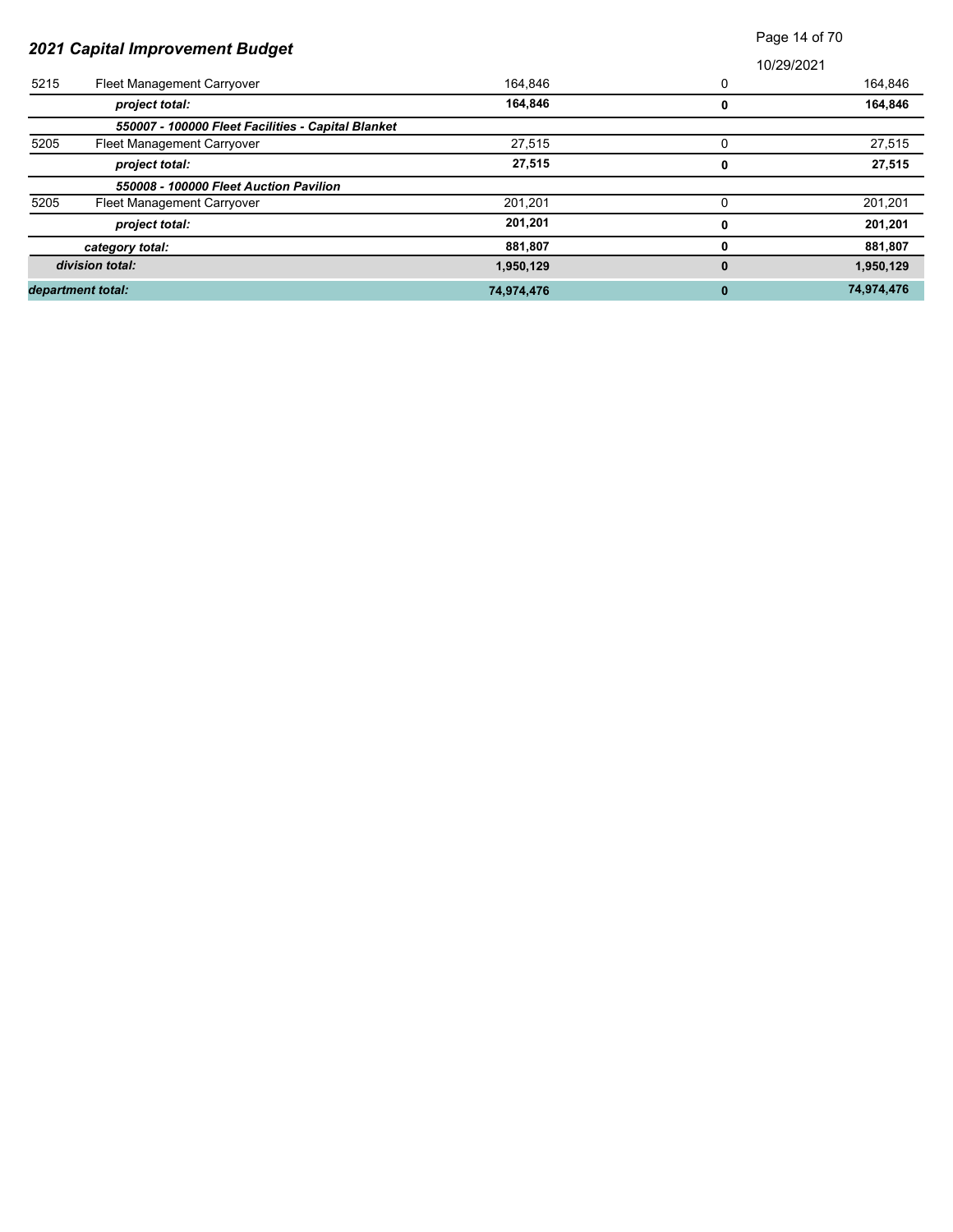|                                 |                                                    |            | Page 14 of 70 |            |  |
|---------------------------------|----------------------------------------------------|------------|---------------|------------|--|
| 2021 Capital Improvement Budget |                                                    |            | 10/29/2021    |            |  |
| 5215                            | Fleet Management Carryover                         | 164,846    | 0             | 164,846    |  |
|                                 | project total:                                     | 164,846    | 0             | 164,846    |  |
|                                 | 550007 - 100000 Fleet Facilities - Capital Blanket |            |               |            |  |
| 5205                            | Fleet Management Carryover                         | 27,515     |               | 27,515     |  |
|                                 | project total:                                     | 27,515     | 0             | 27,515     |  |
|                                 | 550008 - 100000 Fleet Auction Pavilion             |            |               |            |  |
| 5205                            | Fleet Management Carryover                         | 201,201    | 0             | 201,201    |  |
|                                 | project total:                                     | 201,201    | 0             | 201,201    |  |
|                                 | category total:                                    | 881,807    |               | 881,807    |  |
|                                 | division total:                                    | 1,950,129  | $\bf{0}$      | 1,950,129  |  |
|                                 | department total:                                  | 74,974,476 | $\mathbf{0}$  | 74,974,476 |  |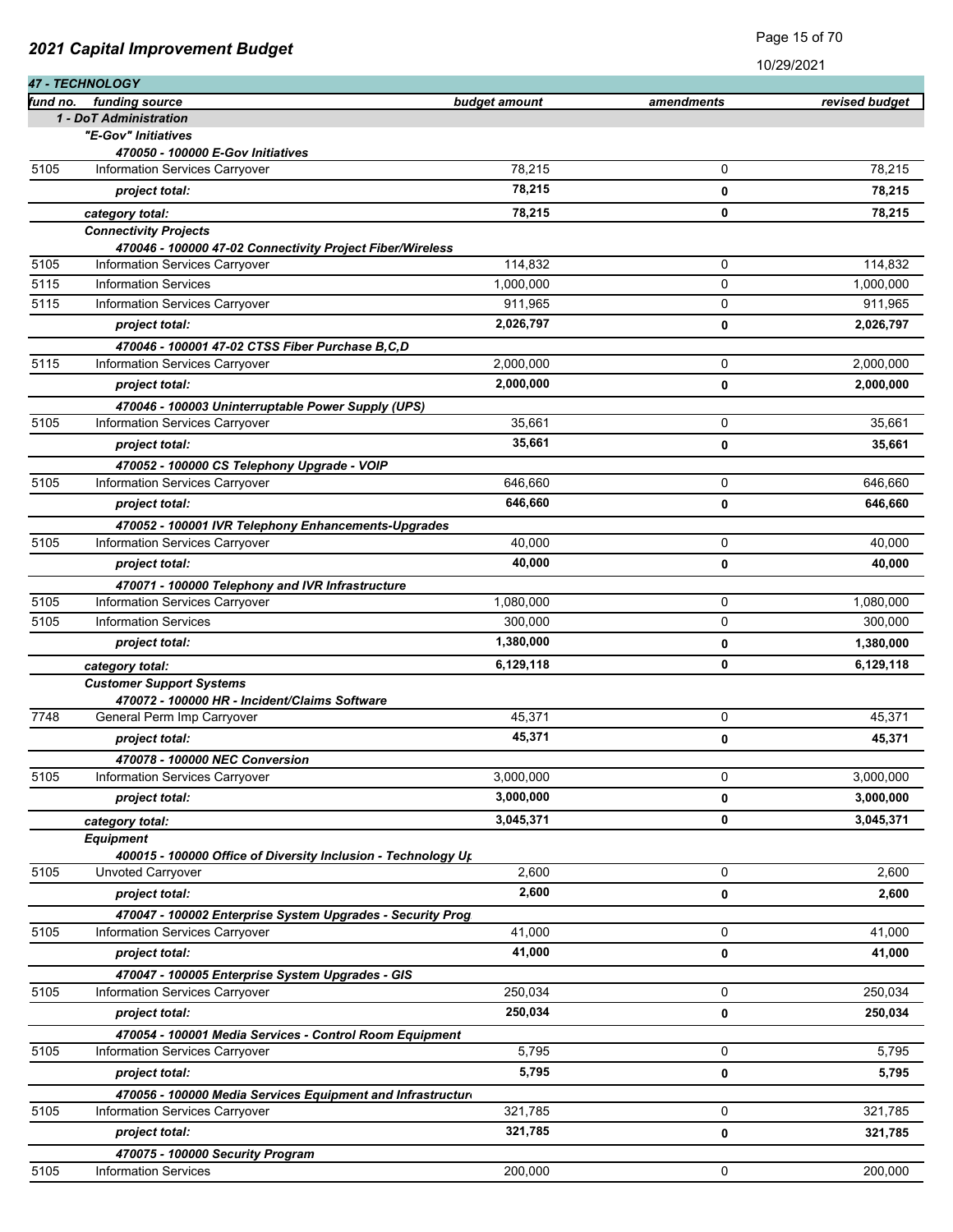|              | 47 - TECHNOLOGY                                                             |               |             |                |
|--------------|-----------------------------------------------------------------------------|---------------|-------------|----------------|
| fund no.     | funding source                                                              | budget amount | amendments  | revised budget |
|              | 1 - DoT Administration                                                      |               |             |                |
|              | "E-Gov" Initiatives                                                         |               |             |                |
|              | 470050 - 100000 E-Gov Initiatives                                           |               |             |                |
| 5105         | Information Services Carryover                                              | 78,215        | 0           | 78,215         |
|              | project total:                                                              | 78,215        | 0           | 78,215         |
|              | category total:                                                             | 78,215        | 0           | 78,215         |
|              | <b>Connectivity Projects</b>                                                |               |             |                |
|              | 470046 - 100000 47-02 Connectivity Project Fiber/Wireless                   |               |             |                |
| 5105         | Information Services Carryover                                              | 114,832       | 0           | 114,832        |
| 5115<br>5115 | <b>Information Services</b>                                                 | 1,000,000     | 0           | 1,000,000      |
|              | Information Services Carryover                                              | 911,965       | 0           | 911,965        |
|              | project total:                                                              | 2,026,797     | 0           | 2,026,797      |
|              | 470046 - 100001 47-02 CTSS Fiber Purchase B,C,D                             |               |             |                |
| 5115         | Information Services Carryover                                              | 2,000,000     | 0           | 2,000,000      |
|              | project total:                                                              | 2,000,000     | $\mathbf 0$ | 2,000,000      |
|              | 470046 - 100003 Uninterruptable Power Supply (UPS)                          |               |             |                |
| 5105         | Information Services Carryover                                              | 35,661        | 0           | 35,661         |
|              | project total:                                                              | 35,661        | 0           | 35,661         |
|              | 470052 - 100000 CS Telephony Upgrade - VOIP                                 |               |             |                |
| 5105         | Information Services Carryover                                              | 646,660       | 0           | 646,660        |
|              | project total:                                                              | 646,660       | 0           | 646,660        |
|              | 470052 - 100001 IVR Telephony Enhancements-Upgrades                         |               |             |                |
| 5105         | Information Services Carryover                                              | 40,000        | 0           | 40,000         |
|              | project total:                                                              | 40,000        | 0           | 40,000         |
|              | 470071 - 100000 Telephony and IVR Infrastructure                            |               |             |                |
| 5105         | Information Services Carryover                                              | 1,080,000     | 0           | 1,080,000      |
| 5105         | <b>Information Services</b>                                                 | 300,000       | 0           | 300,000        |
|              | project total:                                                              | 1,380,000     | 0           | 1,380,000      |
|              | category total:                                                             | 6,129,118     | 0           | 6,129,118      |
|              | <b>Customer Support Systems</b>                                             |               |             |                |
| 7748         | 470072 - 100000 HR - Incident/Claims Software<br>General Perm Imp Carryover | 45,371        | 0           | 45,371         |
|              | project total:                                                              | 45,371        | 0           | 45,371         |
|              |                                                                             |               |             |                |
| 5105         | 470078 - 100000 NEC Conversion<br>Information Services Carryover            | 3,000,000     | 0           | 3,000,000      |
|              | project total:                                                              | 3,000,000     |             |                |
|              |                                                                             |               | 0           | 3,000,000      |
|              | category total:<br><b>Equipment</b>                                         | 3,045,371     | 0           | 3,045,371      |
|              | 400015 - 100000 Office of Diversity Inclusion - Technology Ur.              |               |             |                |
| 5105         | Unvoted Carryover                                                           | 2,600         | 0           | 2,600          |
|              | project total:                                                              | 2,600         | 0           | 2,600          |
|              | 470047 - 100002 Enterprise System Upgrades - Security Prog                  |               |             |                |
| 5105         | Information Services Carryover                                              | 41,000        | 0           | 41,000         |
|              | project total:                                                              | 41,000        | 0           | 41,000         |
|              | 470047 - 100005 Enterprise System Upgrades - GIS                            |               |             |                |
| 5105         | Information Services Carryover                                              | 250,034       | 0           | 250,034        |
|              | project total:                                                              | 250,034       | 0           | 250,034        |
|              | 470054 - 100001 Media Services - Control Room Equipment                     |               |             |                |
| 5105         | Information Services Carryover                                              | 5,795         | 0           | 5,795          |
|              | project total:                                                              | 5,795         | 0           | 5,795          |
|              | 470056 - 100000 Media Services Equipment and Infrastructure                 |               |             |                |
| 5105         | Information Services Carryover                                              | 321,785       | 0           | 321,785        |
|              | project total:                                                              | 321,785       | 0           | 321,785        |
|              | 470075 - 100000 Security Program                                            |               |             |                |
| 5105         | <b>Information Services</b>                                                 | 200,000       | 0           | 200,000        |

10/29/2021

Page 15 of 70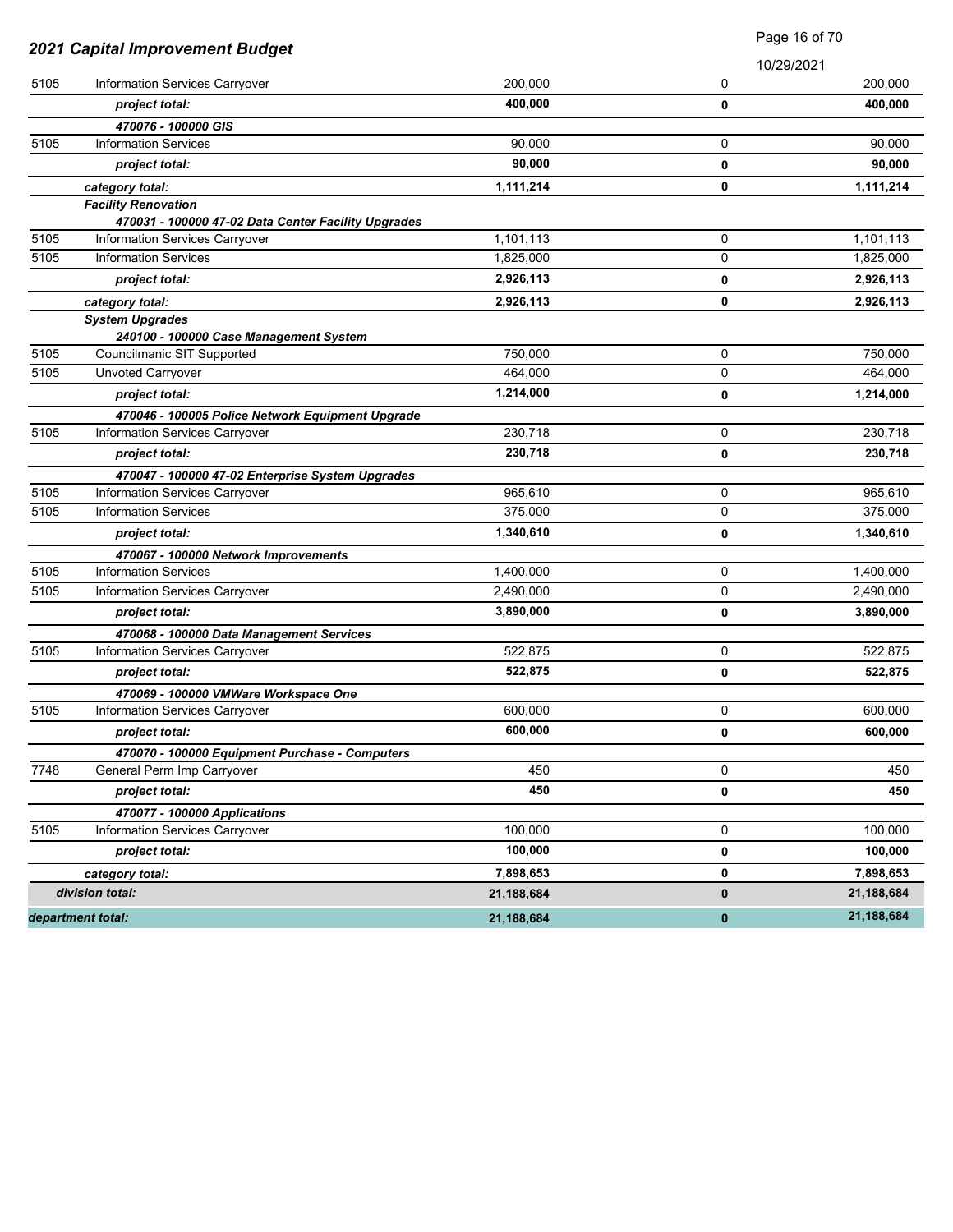| 2021 Capital Improvement Budget<br>10/29/2021<br>5105<br>Information Services Carryover<br>200,000<br>0<br>400,000<br>project total:<br>0<br>470076 - 100000 GIS<br>5105<br><b>Information Services</b><br>90,000<br>0<br>90,000<br>0<br>project total:<br>0<br>1,111,214<br>category total:<br><b>Facility Renovation</b><br>470031 - 100000 47-02 Data Center Facility Upgrades<br>1,101,113<br>0<br>Information Services Carryover<br>0<br>5105<br><b>Information Services</b><br>1,825,000<br>2,926,113<br>project total:<br>0<br>0<br>2,926,113<br>category total:<br><b>System Upgrades</b> | Page 16 of 70 |  |
|---------------------------------------------------------------------------------------------------------------------------------------------------------------------------------------------------------------------------------------------------------------------------------------------------------------------------------------------------------------------------------------------------------------------------------------------------------------------------------------------------------------------------------------------------------------------------------------------------|---------------|--|
| 5105                                                                                                                                                                                                                                                                                                                                                                                                                                                                                                                                                                                              |               |  |
|                                                                                                                                                                                                                                                                                                                                                                                                                                                                                                                                                                                                   | 200,000       |  |
|                                                                                                                                                                                                                                                                                                                                                                                                                                                                                                                                                                                                   | 400,000       |  |
|                                                                                                                                                                                                                                                                                                                                                                                                                                                                                                                                                                                                   |               |  |
|                                                                                                                                                                                                                                                                                                                                                                                                                                                                                                                                                                                                   | 90,000        |  |
|                                                                                                                                                                                                                                                                                                                                                                                                                                                                                                                                                                                                   | 90,000        |  |
|                                                                                                                                                                                                                                                                                                                                                                                                                                                                                                                                                                                                   | 1,111,214     |  |
|                                                                                                                                                                                                                                                                                                                                                                                                                                                                                                                                                                                                   |               |  |
|                                                                                                                                                                                                                                                                                                                                                                                                                                                                                                                                                                                                   |               |  |
|                                                                                                                                                                                                                                                                                                                                                                                                                                                                                                                                                                                                   | 1,101,113     |  |
|                                                                                                                                                                                                                                                                                                                                                                                                                                                                                                                                                                                                   | 1,825,000     |  |
|                                                                                                                                                                                                                                                                                                                                                                                                                                                                                                                                                                                                   | 2,926,113     |  |
|                                                                                                                                                                                                                                                                                                                                                                                                                                                                                                                                                                                                   | 2,926,113     |  |
|                                                                                                                                                                                                                                                                                                                                                                                                                                                                                                                                                                                                   |               |  |
| 240100 - 100000 Case Management System<br>5105<br>750,000<br>Councilmanic SIT Supported<br>0                                                                                                                                                                                                                                                                                                                                                                                                                                                                                                      | 750,000       |  |
| 5105<br><b>Unvoted Carryover</b><br>464,000<br>0                                                                                                                                                                                                                                                                                                                                                                                                                                                                                                                                                  | 464,000       |  |
| 1,214,000                                                                                                                                                                                                                                                                                                                                                                                                                                                                                                                                                                                         |               |  |
| project total:<br>0                                                                                                                                                                                                                                                                                                                                                                                                                                                                                                                                                                               | 1,214,000     |  |
| 470046 - 100005 Police Network Equipment Upgrade                                                                                                                                                                                                                                                                                                                                                                                                                                                                                                                                                  |               |  |
| 230,718<br>5105<br>Information Services Carryover<br>0                                                                                                                                                                                                                                                                                                                                                                                                                                                                                                                                            | 230,718       |  |
| 230,718<br>project total:<br>0                                                                                                                                                                                                                                                                                                                                                                                                                                                                                                                                                                    | 230,718       |  |
| 470047 - 100000 47-02 Enterprise System Upgrades                                                                                                                                                                                                                                                                                                                                                                                                                                                                                                                                                  |               |  |
| 5105<br>Information Services Carryover<br>965,610<br>0                                                                                                                                                                                                                                                                                                                                                                                                                                                                                                                                            | 965,610       |  |
| 5105<br><b>Information Services</b><br>375,000<br>0                                                                                                                                                                                                                                                                                                                                                                                                                                                                                                                                               | 375,000       |  |
| 1,340,610<br>project total:<br>0                                                                                                                                                                                                                                                                                                                                                                                                                                                                                                                                                                  | 1,340,610     |  |
| 470067 - 100000 Network Improvements                                                                                                                                                                                                                                                                                                                                                                                                                                                                                                                                                              |               |  |
| 5105<br><b>Information Services</b><br>1,400,000<br>0                                                                                                                                                                                                                                                                                                                                                                                                                                                                                                                                             | 1,400,000     |  |
| 5105<br>Information Services Carryover<br>2,490,000<br>0                                                                                                                                                                                                                                                                                                                                                                                                                                                                                                                                          | 2,490,000     |  |
| 3,890,000<br>0<br>project total:                                                                                                                                                                                                                                                                                                                                                                                                                                                                                                                                                                  | 3,890,000     |  |
| 470068 - 100000 Data Management Services                                                                                                                                                                                                                                                                                                                                                                                                                                                                                                                                                          |               |  |
| 5105<br>522,875<br>0<br>Information Services Carryover                                                                                                                                                                                                                                                                                                                                                                                                                                                                                                                                            | 522,875       |  |
| 522,875<br>project total:<br>0                                                                                                                                                                                                                                                                                                                                                                                                                                                                                                                                                                    | 522,875       |  |
| 470069 - 100000 VMWare Workspace One                                                                                                                                                                                                                                                                                                                                                                                                                                                                                                                                                              |               |  |
| 0<br>5105<br>Information Services Carryover<br>600,000                                                                                                                                                                                                                                                                                                                                                                                                                                                                                                                                            | 600,000       |  |
| 600,000<br>project total:<br>0                                                                                                                                                                                                                                                                                                                                                                                                                                                                                                                                                                    | 600,000       |  |
| 470070 - 100000 Equipment Purchase - Computers                                                                                                                                                                                                                                                                                                                                                                                                                                                                                                                                                    |               |  |
| 0<br>7748<br>General Perm Imp Carryover<br>450                                                                                                                                                                                                                                                                                                                                                                                                                                                                                                                                                    | 450           |  |
| 450<br>project total:<br>0                                                                                                                                                                                                                                                                                                                                                                                                                                                                                                                                                                        | 450           |  |
| 470077 - 100000 Applications                                                                                                                                                                                                                                                                                                                                                                                                                                                                                                                                                                      |               |  |
| 5105<br>0<br>Information Services Carryover<br>100,000                                                                                                                                                                                                                                                                                                                                                                                                                                                                                                                                            | 100,000       |  |
| 100,000<br>project total:<br>0                                                                                                                                                                                                                                                                                                                                                                                                                                                                                                                                                                    | 100,000       |  |
| 0<br>7,898,653<br>category total:                                                                                                                                                                                                                                                                                                                                                                                                                                                                                                                                                                 | 7,898,653     |  |
| division total:<br>0<br>21,188,684                                                                                                                                                                                                                                                                                                                                                                                                                                                                                                                                                                | 21,188,684    |  |
| department total:<br>21,188,684<br>$\bf{0}$                                                                                                                                                                                                                                                                                                                                                                                                                                                                                                                                                       |               |  |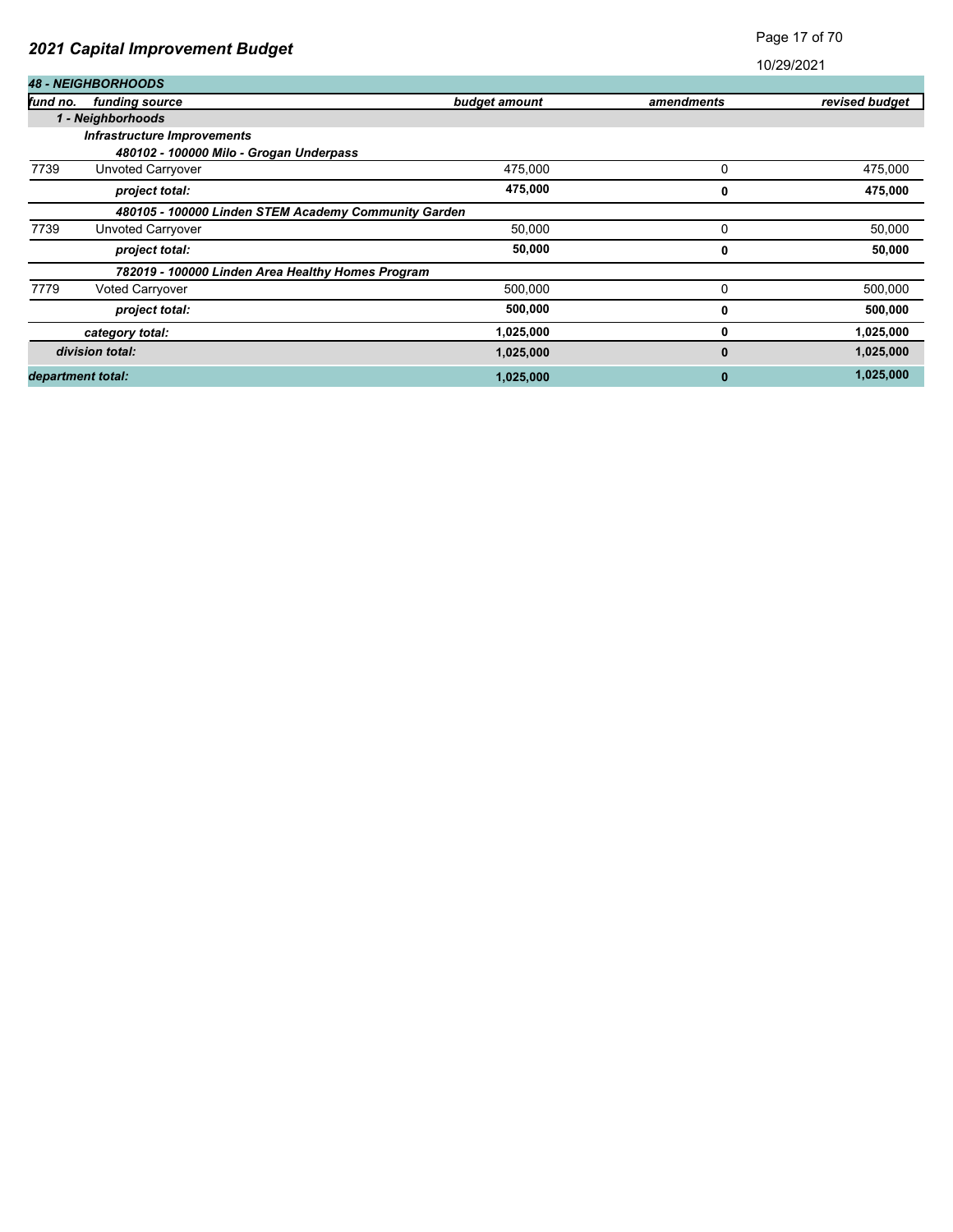| 2021 Capital Improvement Budget |                                                      |               | Page 17 of 70 |                |
|---------------------------------|------------------------------------------------------|---------------|---------------|----------------|
|                                 |                                                      |               | 10/29/2021    |                |
|                                 | <b>48 - NEIGHBORHOODS</b>                            |               |               |                |
| fund no.                        | funding source                                       | budget amount | amendments    | revised budget |
|                                 | 1 - Neighborhoods                                    |               |               |                |
|                                 | <b>Infrastructure Improvements</b>                   |               |               |                |
|                                 | 480102 - 100000 Milo - Grogan Underpass              |               |               |                |
| 7739                            | Unvoted Carryover                                    | 475,000       | 0             | 475,000        |
|                                 | project total:                                       | 475,000       | 0             | 475,000        |
|                                 | 480105 - 100000 Linden STEM Academy Community Garden |               |               |                |
| 7739                            | Unvoted Carryover                                    | 50,000        | 0             | 50,000         |
|                                 | project total:                                       | 50,000        | 0             | 50,000         |
|                                 | 782019 - 100000 Linden Area Healthy Homes Program    |               |               |                |
| 7779                            | Voted Carryover                                      | 500,000       | 0             | 500,000        |
|                                 | project total:                                       | 500,000       | 0             | 500,000        |
|                                 | category total:                                      | 1,025,000     | 0             | 1,025,000      |
|                                 | division total:                                      | 1,025,000     | 0             | 1,025,000      |
| department total:               |                                                      | 1,025,000     | 0             | 1,025,000      |

Page 17 of 70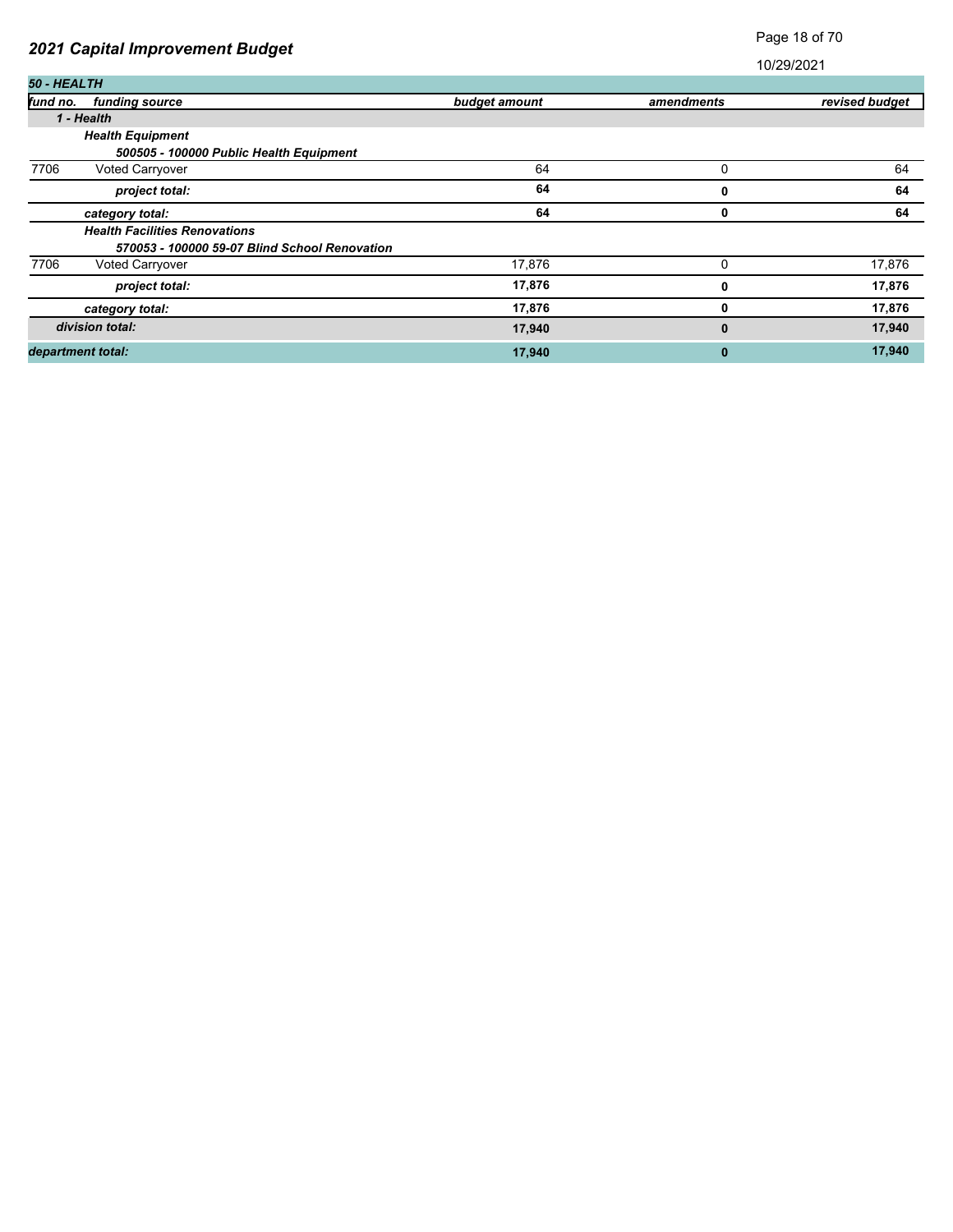### Page 18 of 70

| 50 - HEALTH       |                                               |               |            |                |
|-------------------|-----------------------------------------------|---------------|------------|----------------|
| fund no.          | funding source                                | budget amount | amendments | revised budget |
|                   | 1 - Health                                    |               |            |                |
|                   | <b>Health Equipment</b>                       |               |            |                |
|                   | 500505 - 100000 Public Health Equipment       |               |            |                |
| 7706              | Voted Carryover                               | 64            | 0          | 64             |
|                   | project total:                                | 64            | 0          | 64             |
|                   | category total:                               | 64            | 0          | 64             |
|                   | <b>Health Facilities Renovations</b>          |               |            |                |
|                   | 570053 - 100000 59-07 Blind School Renovation |               |            |                |
| 7706              | <b>Voted Carryover</b>                        | 17,876        | 0          | 17,876         |
|                   | project total:                                | 17,876        | 0          | 17,876         |
|                   | category total:                               | 17,876        | 0          | 17,876         |
|                   | division total:                               | 17,940        | $\bf{0}$   | 17,940         |
| department total: |                                               | 17,940        | 0          | 17,940         |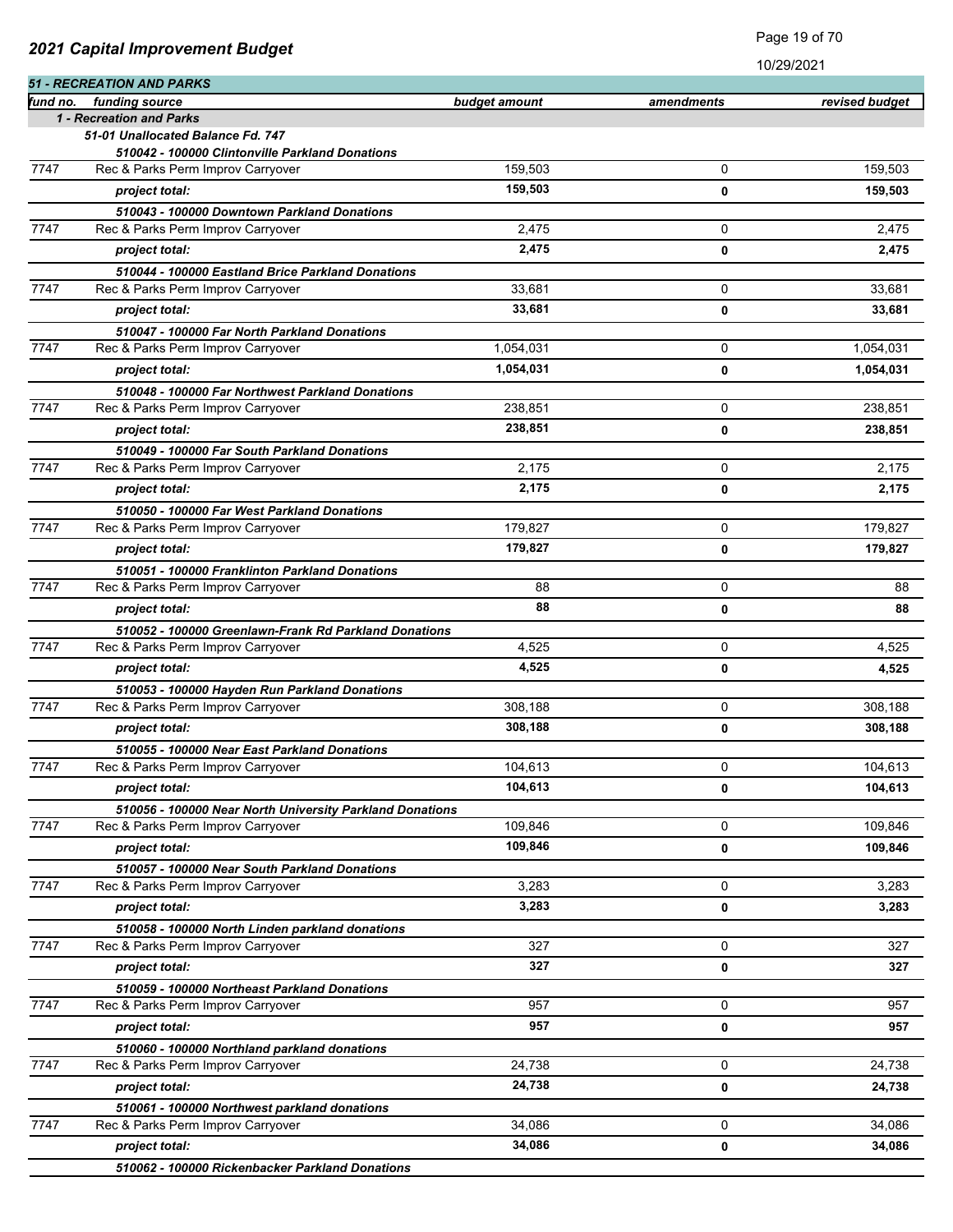|  |  | 2021 Capital Improvement Budget |  |
|--|--|---------------------------------|--|
|--|--|---------------------------------|--|

|          | <b>51 - RECREATION AND PARKS</b>                                                     |               |            |                |
|----------|--------------------------------------------------------------------------------------|---------------|------------|----------------|
| fund no. | funding source                                                                       | budget amount | amendments | revised budget |
|          | 1 - Recreation and Parks                                                             |               |            |                |
|          | 51-01 Unallocated Balance Fd. 747                                                    |               |            |                |
| 7747     | 510042 - 100000 Clintonville Parkland Donations<br>Rec & Parks Perm Improv Carryover | 159,503       | 0          | 159,503        |
|          |                                                                                      | 159,503       |            |                |
|          | project total:                                                                       |               | 0          | 159,503        |
|          | 510043 - 100000 Downtown Parkland Donations                                          |               |            |                |
| 7747     | Rec & Parks Perm Improv Carryover                                                    | 2,475         | 0          | 2,475          |
|          | project total:                                                                       | 2,475         | 0          | 2,475          |
|          | 510044 - 100000 Eastland Brice Parkland Donations                                    |               |            |                |
| 7747     | Rec & Parks Perm Improv Carryover                                                    | 33,681        | 0          | 33,681         |
|          | project total:                                                                       | 33,681        | 0          | 33,681         |
|          | 510047 - 100000 Far North Parkland Donations                                         |               |            |                |
| 7747     | Rec & Parks Perm Improv Carryover                                                    | 1,054,031     | 0          | 1,054,031      |
|          | project total:                                                                       | 1,054,031     | 0          | 1,054,031      |
|          | 510048 - 100000 Far Northwest Parkland Donations                                     |               |            |                |
| 7747     | Rec & Parks Perm Improv Carryover                                                    | 238,851       | 0          | 238,851        |
|          | project total:                                                                       | 238,851       | 0          | 238,851        |
|          | 510049 - 100000 Far South Parkland Donations                                         |               |            |                |
| 7747     | Rec & Parks Perm Improv Carryover                                                    | 2,175         | 0          | 2,175          |
|          | project total:                                                                       | 2,175         | 0          | 2,175          |
|          | 510050 - 100000 Far West Parkland Donations                                          |               |            |                |
| 7747     | Rec & Parks Perm Improv Carryover                                                    | 179,827       | 0          | 179,827        |
|          | project total:                                                                       | 179,827       | 0          | 179,827        |
|          | 510051 - 100000 Franklinton Parkland Donations                                       |               |            |                |
| 7747     | Rec & Parks Perm Improv Carryover                                                    | 88            | 0          | 88             |
|          | project total:                                                                       | 88            | 0          | 88             |
|          | 510052 - 100000 Greenlawn-Frank Rd Parkland Donations                                |               |            |                |
| 7747     | Rec & Parks Perm Improv Carryover                                                    | 4,525         | 0          | 4,525          |
|          | project total:                                                                       | 4,525         | 0          | 4,525          |
|          | 510053 - 100000 Hayden Run Parkland Donations                                        |               |            |                |
| 7747     | Rec & Parks Perm Improv Carryover                                                    | 308.188       | 0          | 308,188        |
|          | project total:                                                                       | 308,188       | 0          | 308,188        |
|          | 510055 - 100000 Near East Parkland Donations                                         |               |            |                |
| 7747     | Rec & Parks Perm Improv Carryover                                                    | 104,613       | 0          | 104.613        |
|          | project total:                                                                       | 104,613       | 0          | 104,613        |
|          | 510056 - 100000 Near North University Parkland Donations                             |               |            |                |
| 7747     | Rec & Parks Perm Improv Carryover                                                    | 109,846       | 0          | 109,846        |
|          | project total:                                                                       | 109,846       | 0          | 109.846        |
|          | 510057 - 100000 Near South Parkland Donations                                        |               |            |                |
| 7747     | Rec & Parks Perm Improv Carryover                                                    | 3,283         | 0          | 3,283          |
|          | project total:                                                                       | 3,283         | 0          | 3,283          |
|          | 510058 - 100000 North Linden parkland donations                                      |               |            |                |
| 7747     | Rec & Parks Perm Improv Carryover                                                    | 327           | 0          | 327            |
|          | project total:                                                                       | 327           | 0          | 327            |
|          | 510059 - 100000 Northeast Parkland Donations                                         |               |            |                |
| 7747     | Rec & Parks Perm Improv Carryover                                                    | 957           | 0          | 957            |
|          | project total:                                                                       | 957           | 0          | 957            |
|          | 510060 - 100000 Northland parkland donations                                         |               |            |                |
| 7747     | Rec & Parks Perm Improv Carryover                                                    | 24,738        | 0          | 24,738         |
|          | project total:                                                                       | 24,738        | 0          | 24,738         |
|          |                                                                                      |               |            |                |
| 7747     | 510061 - 100000 Northwest parkland donations<br>Rec & Parks Perm Improv Carryover    | 34,086        | 0          | 34,086         |
|          | project total:                                                                       | 34,086        | 0          | 34,086         |
|          |                                                                                      |               |            |                |
|          | 510062 - 100000 Rickenbacker Parkland Donations                                      |               |            |                |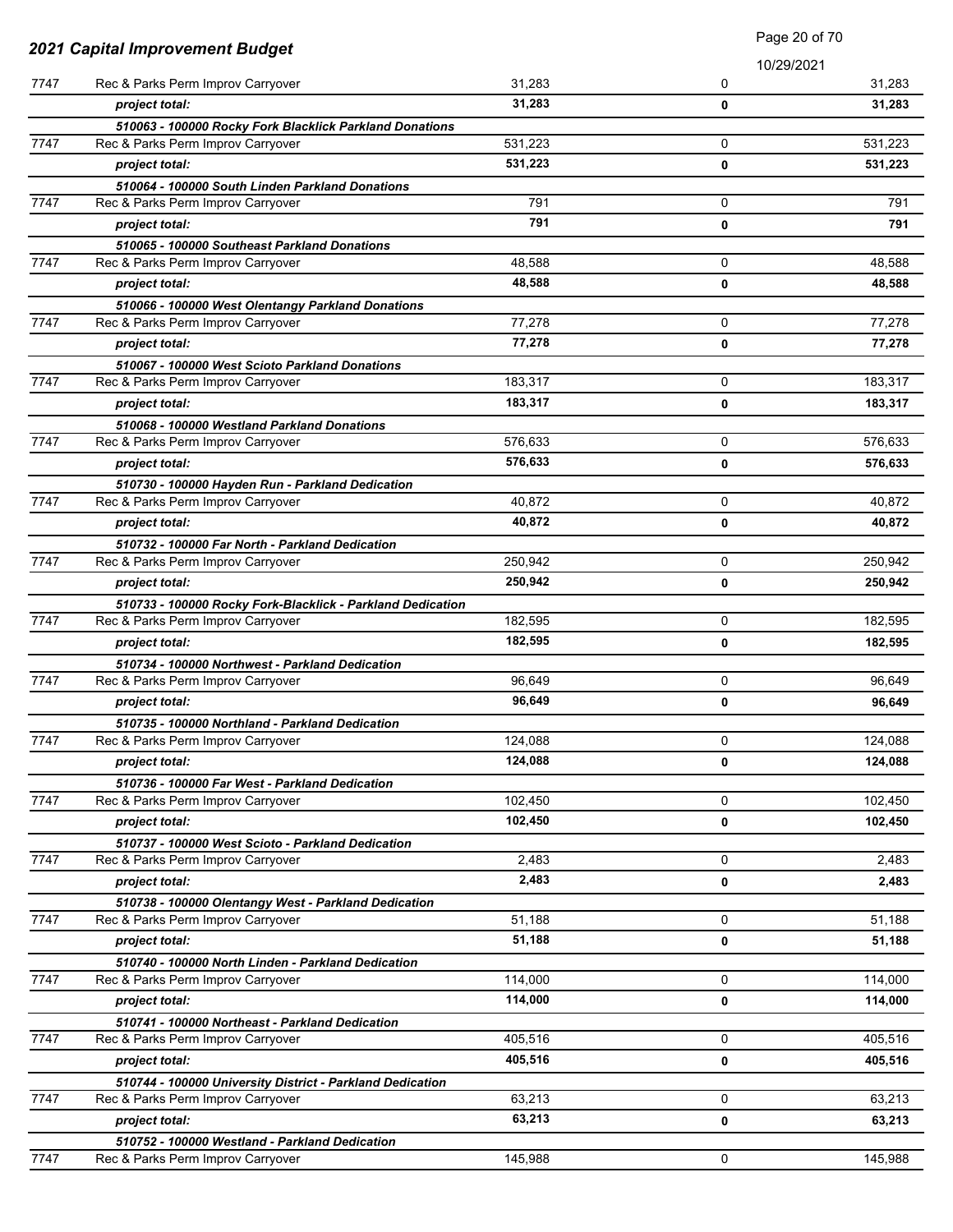|      |                                                                                      |         | Page 20 of 70 |         |
|------|--------------------------------------------------------------------------------------|---------|---------------|---------|
|      | 2021 Capital Improvement Budget                                                      |         | 10/29/2021    |         |
| 7747 | Rec & Parks Perm Improv Carryover                                                    | 31,283  | 0             | 31,283  |
|      | project total:                                                                       | 31,283  | 0             | 31,283  |
|      | 510063 - 100000 Rocky Fork Blacklick Parkland Donations                              |         |               |         |
| 7747 | Rec & Parks Perm Improv Carryover                                                    | 531,223 | 0             | 531,223 |
|      | project total:                                                                       | 531,223 | 0             | 531,223 |
|      | 510064 - 100000 South Linden Parkland Donations                                      |         |               |         |
| 7747 | Rec & Parks Perm Improv Carryover                                                    | 791     | 0             | 791     |
|      | project total:                                                                       | 791     | $\mathbf 0$   | 791     |
|      | 510065 - 100000 Southeast Parkland Donations                                         |         |               |         |
| 7747 | Rec & Parks Perm Improv Carryover                                                    | 48,588  | 0             | 48,588  |
|      | project total:                                                                       | 48,588  | 0             | 48,588  |
|      | 510066 - 100000 West Olentangy Parkland Donations                                    |         |               |         |
| 7747 | Rec & Parks Perm Improv Carryover                                                    | 77,278  | 0             | 77,278  |
|      | project total:                                                                       | 77,278  | 0             | 77,278  |
|      | 510067 - 100000 West Scioto Parkland Donations                                       |         |               |         |
| 7747 | Rec & Parks Perm Improv Carryover                                                    | 183,317 | 0             | 183,317 |
|      | project total:                                                                       | 183,317 | 0             | 183,317 |
|      | 510068 - 100000 Westland Parkland Donations                                          |         |               |         |
| 7747 | Rec & Parks Perm Improv Carryover                                                    | 576,633 | 0             | 576,633 |
|      | project total:                                                                       | 576,633 | 0             | 576,633 |
|      | 510730 - 100000 Hayden Run - Parkland Dedication                                     |         |               |         |
| 7747 | Rec & Parks Perm Improv Carryover                                                    | 40,872  | 0             | 40,872  |
|      | project total:                                                                       | 40,872  | 0             | 40,872  |
|      | 510732 - 100000 Far North - Parkland Dedication                                      |         |               |         |
| 7747 | Rec & Parks Perm Improv Carryover                                                    | 250,942 | 0             | 250,942 |
|      | project total:                                                                       | 250,942 | 0             | 250,942 |
|      | 510733 - 100000 Rocky Fork-Blacklick - Parkland Dedication                           |         |               |         |
| 7747 | Rec & Parks Perm Improv Carryover                                                    | 182,595 | 0             | 182,595 |
|      | project total:                                                                       | 182,595 | 0             | 182,595 |
|      | 510734 - 100000 Northwest - Parkland Dedication                                      |         |               |         |
| 7747 | Rec & Parks Perm Improv Carryover                                                    | 96,649  | $\mathbf 0$   | 96,649  |
|      | project total:                                                                       | 96.649  | 0             | 96,649  |
|      | 510735 - 100000 Northland - Parkland Dedication                                      |         |               |         |
| 7747 | Rec & Parks Perm Improv Carryover                                                    | 124,088 | 0             | 124,088 |
|      | project total:                                                                       | 124,088 | 0             | 124,088 |
|      | 510736 - 100000 Far West - Parkland Dedication                                       |         |               |         |
| 7747 | Rec & Parks Perm Improv Carryover                                                    | 102,450 | 0             | 102,450 |
|      | project total:                                                                       | 102,450 | 0             | 102,450 |
|      | 510737 - 100000 West Scioto - Parkland Dedication                                    |         |               |         |
| 7747 | Rec & Parks Perm Improv Carryover                                                    | 2,483   | 0             | 2,483   |
|      | project total:                                                                       | 2,483   | 0             | 2,483   |
|      | 510738 - 100000 Olentangy West - Parkland Dedication                                 |         | 0             |         |
| 7747 | Rec & Parks Perm Improv Carryover                                                    | 51,188  |               | 51,188  |
|      | project total:                                                                       | 51,188  | 0             | 51,188  |
| 7747 | 510740 - 100000 North Linden - Parkland Dedication                                   | 114,000 | 0             | 114,000 |
|      | Rec & Parks Perm Improv Carryover                                                    |         |               |         |
|      | project total:                                                                       | 114,000 | 0             | 114,000 |
| 7747 | 510741 - 100000 Northeast - Parkland Dedication<br>Rec & Parks Perm Improv Carryover | 405,516 | 0             | 405,516 |
|      |                                                                                      |         |               |         |
|      | project total:                                                                       | 405,516 | 0             | 405,516 |
|      | 510744 - 100000 University District - Parkland Dedication                            |         |               |         |
| 7747 | Rec & Parks Perm Improv Carryover                                                    | 63,213  | 0             | 63,213  |
|      | project total:                                                                       | 63,213  | 0             | 63,213  |
|      | 510752 - 100000 Westland - Parkland Dedication                                       |         |               |         |
| 7747 | Rec & Parks Perm Improv Carryover                                                    | 145,988 | 0             | 145,988 |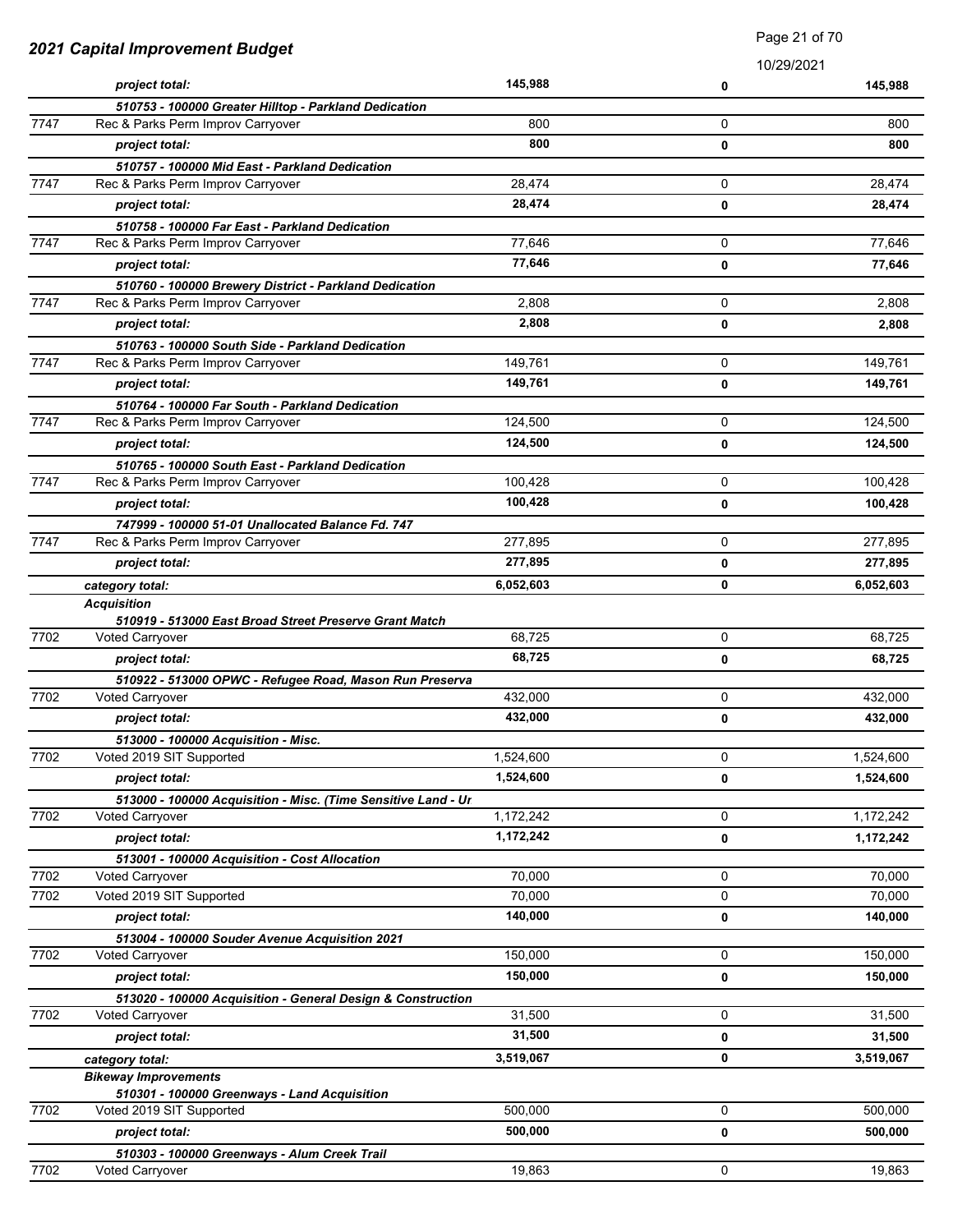| 2021 Capital Improvement Budget |                                                                           | 1 agu 2 1 01 7 0 |            |           |
|---------------------------------|---------------------------------------------------------------------------|------------------|------------|-----------|
|                                 |                                                                           |                  | 10/29/2021 |           |
|                                 | project total:                                                            | 145,988          | 0          | 145,988   |
|                                 | 510753 - 100000 Greater Hilltop - Parkland Dedication                     |                  |            |           |
| 7747                            | Rec & Parks Perm Improv Carryover                                         | 800              | 0          | 800       |
|                                 | project total:                                                            | 800              | 0          | 800       |
|                                 | 510757 - 100000 Mid East - Parkland Dedication                            |                  |            |           |
| 7747                            | Rec & Parks Perm Improv Carryover                                         | 28,474           | 0          | 28,474    |
|                                 | project total:                                                            | 28,474           | 0          | 28,474    |
|                                 | 510758 - 100000 Far East - Parkland Dedication                            |                  |            |           |
| 7747                            | Rec & Parks Perm Improv Carryover                                         | 77,646           | 0          | 77,646    |
|                                 | project total:                                                            | 77.646           | 0          | 77,646    |
|                                 | 510760 - 100000 Brewery District - Parkland Dedication                    |                  |            |           |
| 7747                            | Rec & Parks Perm Improv Carryover                                         | 2,808            | 0          | 2,808     |
|                                 | project total:                                                            | 2,808            | 0          | 2,808     |
|                                 | 510763 - 100000 South Side - Parkland Dedication                          |                  |            |           |
| 7747                            | Rec & Parks Perm Improv Carryover                                         | 149,761          | 0          | 149,761   |
|                                 | project total:                                                            | 149,761          | 0          | 149,761   |
|                                 | 510764 - 100000 Far South - Parkland Dedication                           |                  |            |           |
| 7747                            | Rec & Parks Perm Improv Carryover                                         | 124,500          | 0          | 124,500   |
|                                 | project total:                                                            | 124,500          | 0          | 124,500   |
|                                 | 510765 - 100000 South East - Parkland Dedication                          |                  |            |           |
| 7747                            | Rec & Parks Perm Improv Carryover                                         | 100,428          | 0          | 100,428   |
|                                 | project total:                                                            | 100,428          | 0          | 100,428   |
|                                 | 747999 - 100000 51-01 Unallocated Balance Fd. 747                         |                  |            |           |
| 7747                            | Rec & Parks Perm Improv Carryover                                         | 277,895          | 0          | 277,895   |
|                                 | project total:                                                            | 277,895          | 0          | 277,895   |
|                                 | category total:                                                           | 6,052,603        | 0          | 6,052,603 |
|                                 | <b>Acquisition</b>                                                        |                  |            |           |
| 7702                            | 510919 - 513000 East Broad Street Preserve Grant Match<br>Voted Carryover | 68,725           | 0          | 68,725    |
|                                 | project total:                                                            | 68,725           | 0          | 68,725    |
|                                 | 510922 - 513000 OPWC - Refugee Road, Mason Run Preserva                   |                  |            |           |
| 7702                            | Voted Carryover                                                           | 432,000          | 0          | 432,000   |
|                                 | project total:                                                            | 432,000          | 0          | 432,000   |
|                                 | 513000 - 100000 Acquisition - Misc.                                       |                  |            |           |
| 7702                            | Voted 2019 SIT Supported                                                  | 1,524,600        | 0          | 1,524,600 |
|                                 | project total:                                                            | 1,524,600        | 0          | 1,524,600 |
|                                 | 513000 - 100000 Acquisition - Misc. (Time Sensitive Land - Ur.            |                  |            |           |
| 7702                            | Voted Carryover                                                           | 1,172,242        | 0          | 1,172,242 |
|                                 | project total:                                                            | 1,172,242        | 0          | 1,172,242 |
|                                 | 513001 - 100000 Acquisition - Cost Allocation                             |                  |            |           |
| 7702                            | <b>Voted Carryover</b>                                                    | 70,000           | 0          | 70,000    |
| 7702                            | Voted 2019 SIT Supported                                                  | 70,000           | 0          | 70,000    |
|                                 | project total:                                                            | 140,000          | 0          | 140,000   |
|                                 | 513004 - 100000 Souder Avenue Acquisition 2021                            |                  |            |           |
| 7702                            | <b>Voted Carryover</b>                                                    | 150,000          | 0          | 150,000   |
|                                 | project total:                                                            | 150,000          | 0          | 150,000   |
|                                 | 513020 - 100000 Acquisition - General Design & Construction               |                  |            |           |
| 7702                            | <b>Voted Carryover</b>                                                    | 31,500           | 0          | 31,500    |
|                                 | project total:                                                            | 31,500           | 0          | 31,500    |
|                                 | category total:                                                           | 3,519,067        | 0          | 3,519,067 |
|                                 | <b>Bikeway Improvements</b>                                               |                  |            |           |
|                                 | 510301 - 100000 Greenways - Land Acquisition                              |                  |            |           |
| 7702                            | Voted 2019 SIT Supported                                                  | 500,000          | 0          | 500,000   |
|                                 | project total:                                                            | 500,000          | 0          | 500,000   |
|                                 | 510303 - 100000 Greenways - Alum Creek Trail                              |                  |            |           |
| 7702                            | Voted Carryover                                                           | 19,863           | 0          | 19,863    |

Page 21 of 70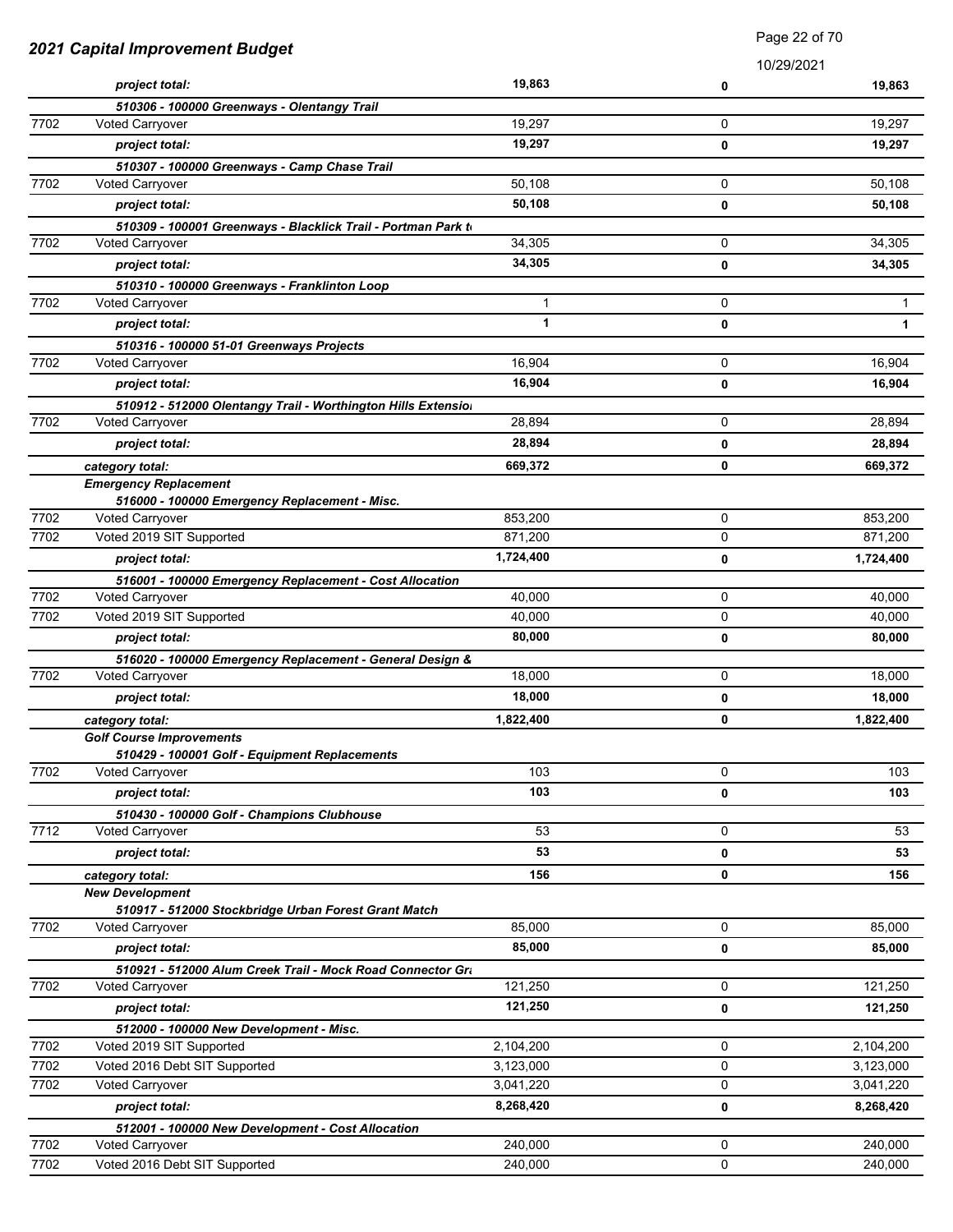| 2021 Capital Improvement Budget |                                                               | Faye 22 UI TU |            |              |
|---------------------------------|---------------------------------------------------------------|---------------|------------|--------------|
|                                 |                                                               |               | 10/29/2021 |              |
|                                 | project total:                                                | 19,863        | 0          | 19,863       |
|                                 | 510306 - 100000 Greenways - Olentangy Trail                   |               |            |              |
| 7702                            | <b>Voted Carryover</b>                                        | 19,297        | 0          | 19,297       |
|                                 | project total:                                                | 19,297        | 0          | 19,297       |
|                                 | 510307 - 100000 Greenways - Camp Chase Trail                  |               |            |              |
| 7702                            | <b>Voted Carryover</b>                                        | 50,108        | 0          | 50,108       |
|                                 | project total:                                                | 50,108        | 0          | 50,108       |
|                                 | 510309 - 100001 Greenways - Blacklick Trail - Portman Park to |               |            |              |
| 7702                            | Voted Carryover                                               | 34,305        | 0          | 34,305       |
|                                 | project total:                                                | 34,305        | 0          | 34,305       |
|                                 | 510310 - 100000 Greenways - Franklinton Loop                  |               |            |              |
| 7702                            | Voted Carryover                                               | 1             | 0          | 1            |
|                                 | project total:                                                | $\mathbf{1}$  | 0          | $\mathbf{1}$ |
|                                 | 510316 - 100000 51-01 Greenways Projects                      |               |            |              |
| 7702                            | Voted Carryover                                               | 16,904        | 0          | 16,904       |
|                                 | project total:                                                | 16,904        | 0          | 16.904       |
|                                 | 510912 - 512000 Olentangy Trail - Worthington Hills Extensiol |               |            |              |
| 7702                            | <b>Voted Carryover</b>                                        | 28,894        | 0          | 28,894       |
|                                 | project total:                                                | 28,894        | 0          | 28,894       |
|                                 | category total:                                               | 669,372       | 0          | 669,372      |
|                                 | <b>Emergency Replacement</b>                                  |               |            |              |
|                                 | 516000 - 100000 Emergency Replacement - Misc.                 |               |            |              |
| 7702                            | Voted Carryover                                               | 853,200       | 0          | 853,200      |
| 7702                            | Voted 2019 SIT Supported                                      | 871,200       | 0          | 871,200      |
|                                 | project total:                                                | 1,724,400     | 0          | 1,724,400    |
|                                 | 516001 - 100000 Emergency Replacement - Cost Allocation       |               |            |              |
| 7702                            | Voted Carryover                                               | 40,000        | 0          | 40,000       |
| 7702                            | Voted 2019 SIT Supported                                      | 40,000        | 0          | 40,000       |
|                                 | project total:                                                | 80,000        | 0          | 80,000       |
|                                 | 516020 - 100000 Emergency Replacement - General Design &      |               |            |              |
| 7702                            | Voted Carryover                                               | 18,000        | 0          | 18,000       |
|                                 | project total:                                                | 18,000        | 0          | 18,000       |
|                                 | category total:                                               | 1,822,400     | 0          | 1,822,400    |
|                                 | <b>Golf Course Improvements</b>                               |               |            |              |
|                                 | 510429 - 100001 Golf - Equipment Replacements                 |               |            |              |
| 7702                            | <b>Voted Carryover</b>                                        | 103           | 0          | 103          |
|                                 | project total:                                                | 103           | 0          | 103          |
|                                 | 510430 - 100000 Golf - Champions Clubhouse                    |               |            |              |
| 7712                            | <b>Voted Carryover</b>                                        | 53            | 0          | 53           |
|                                 | project total:                                                | 53            | 0          | 53           |
|                                 | category total:                                               | 156           | 0          | 156          |
|                                 | <b>New Development</b>                                        |               |            |              |
|                                 | 510917 - 512000 Stockbridge Urban Forest Grant Match          |               |            |              |
| 7702                            | Voted Carryover                                               | 85,000        | 0          | 85,000       |
|                                 | project total:                                                | 85,000        | 0          | 85,000       |
|                                 | 510921 - 512000 Alum Creek Trail - Mock Road Connector Gra    |               |            |              |
| 7702                            | <b>Voted Carryover</b>                                        | 121,250       | 0          | 121,250      |
|                                 | project total:                                                | 121,250       | 0          | 121,250      |
|                                 | 512000 - 100000 New Development - Misc.                       |               |            |              |
| 7702                            | Voted 2019 SIT Supported                                      | 2,104,200     | 0          | 2,104,200    |
| 7702                            | Voted 2016 Debt SIT Supported                                 | 3,123,000     | 0          | 3,123,000    |
| 7702                            | Voted Carryover                                               | 3,041,220     | 0          | 3,041,220    |
|                                 | project total:                                                | 8,268,420     | 0          | 8,268,420    |
|                                 | 512001 - 100000 New Development - Cost Allocation             |               |            |              |
| 7702                            | Voted Carryover                                               | 240,000       | 0          | 240,000      |
| 7702                            | Voted 2016 Debt SIT Supported                                 | 240,000       | 0          | 240,000      |

Page 22 of 70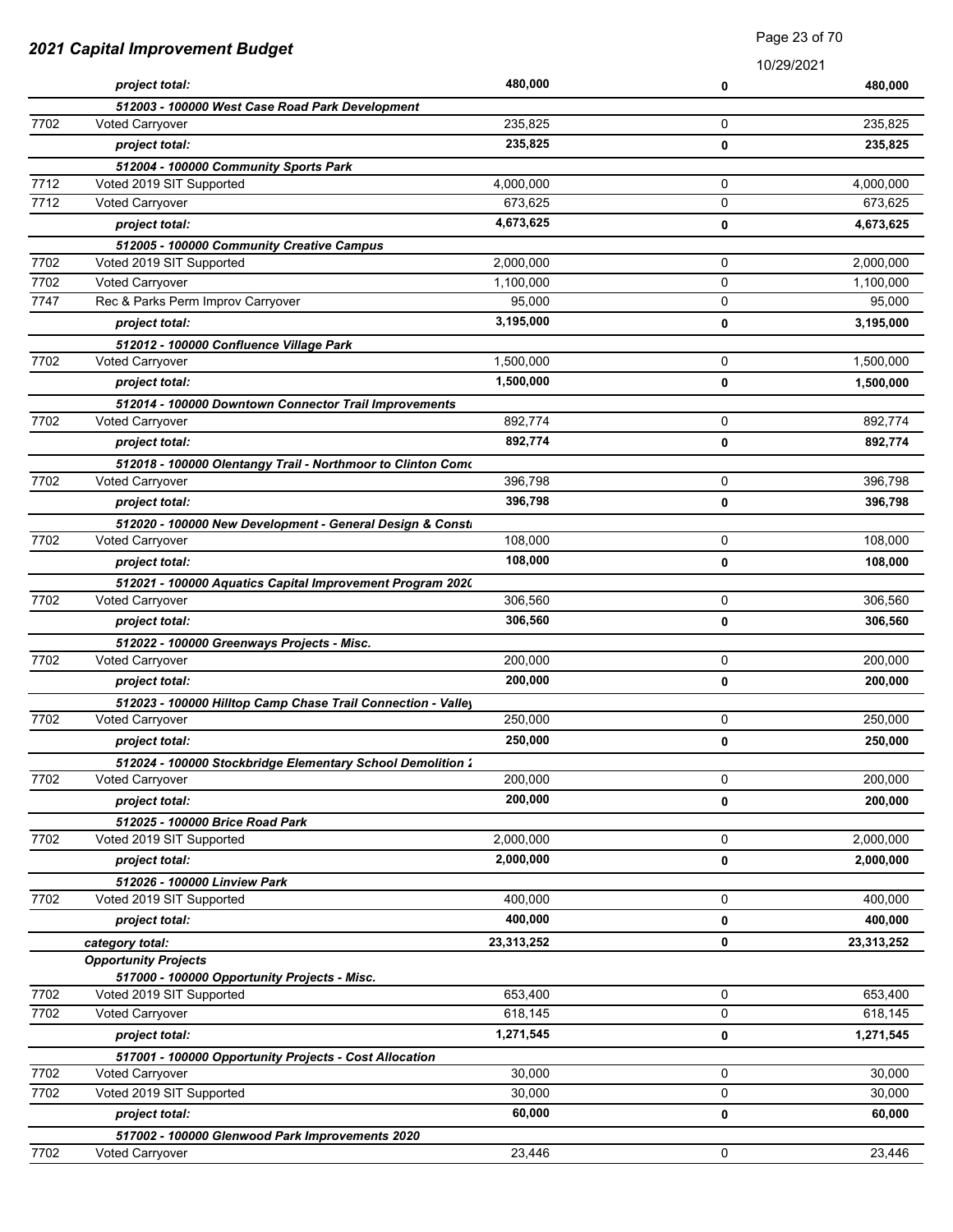| 2021 Capital Improvement Budget |                                                                           | Faye zu ui ru      |        |                    |
|---------------------------------|---------------------------------------------------------------------------|--------------------|--------|--------------------|
|                                 |                                                                           |                    |        | 10/29/2021         |
|                                 | project total:                                                            | 480,000            | 0      | 480,000            |
| 7702                            | 512003 - 100000 West Case Road Park Development<br><b>Voted Carryover</b> | 235,825            | 0      | 235,825            |
|                                 | project total:                                                            | 235,825            | 0      | 235,825            |
|                                 |                                                                           |                    |        |                    |
| 7712                            | 512004 - 100000 Community Sports Park<br>Voted 2019 SIT Supported         | 4,000,000          | 0      | 4,000,000          |
| 7712                            | Voted Carryover                                                           | 673,625            | 0      | 673,625            |
|                                 | project total:                                                            | 4,673,625          | 0      | 4,673,625          |
|                                 | 512005 - 100000 Community Creative Campus                                 |                    |        |                    |
| 7702                            | Voted 2019 SIT Supported                                                  | 2,000,000          | 0      | 2,000,000          |
| 7702                            | Voted Carryover                                                           | 1,100,000          | 0      | 1,100,000          |
| 7747                            | Rec & Parks Perm Improv Carryover                                         | 95,000             | 0      | 95,000             |
|                                 | project total:                                                            | 3,195,000          | 0      | 3,195,000          |
|                                 | 512012 - 100000 Confluence Village Park                                   |                    |        |                    |
| 7702                            | <b>Voted Carryover</b>                                                    | 1,500,000          | 0      | 1,500,000          |
|                                 | project total:                                                            | 1,500,000          | 0      | 1,500,000          |
|                                 | 512014 - 100000 Downtown Connector Trail Improvements                     |                    |        |                    |
| 7702                            | <b>Voted Carryover</b>                                                    | 892,774            | 0      | 892,774            |
|                                 | project total:                                                            | 892,774            | 0      | 892,774            |
|                                 | 512018 - 100000 Olentangy Trail - Northmoor to Clinton Como               |                    |        |                    |
| 7702                            | <b>Voted Carryover</b>                                                    | 396,798            | 0      | 396,798            |
|                                 | project total:                                                            | 396,798            | 0      | 396,798            |
|                                 | 512020 - 100000 New Development - General Design & Consti                 |                    |        |                    |
| 7702                            | Voted Carryover                                                           | 108,000            | 0      | 108,000            |
|                                 | project total:                                                            | 108,000            | 0      | 108,000            |
|                                 | 512021 - 100000 Aquatics Capital Improvement Program 2020                 |                    |        |                    |
| 7702                            | Voted Carryover                                                           | 306,560            | 0      | 306,560            |
|                                 | project total:                                                            | 306,560            | 0      | 306,560            |
|                                 | 512022 - 100000 Greenways Projects - Misc.                                |                    |        |                    |
| 7702                            | <b>Voted Carryover</b>                                                    | 200,000            | 0      | 200,000            |
|                                 | project total:                                                            | 200,000            | 0      | 200,000            |
|                                 | 512023 - 100000 Hilltop Camp Chase Trail Connection - Valley              |                    |        |                    |
| 7702                            | Voted Carryover                                                           | 250,000            | 0      | 250,000            |
|                                 | project total:                                                            | 250,000            | 0      | 250,000            |
|                                 | 512024 - 100000 Stockbridge Elementary School Demolition 1                |                    |        |                    |
| 7702                            | <b>Voted Carryover</b>                                                    | 200,000            | 0      | 200,000            |
|                                 | project total:                                                            | 200,000            | 0      | 200,000            |
|                                 | 512025 - 100000 Brice Road Park                                           |                    |        |                    |
| 7702                            | Voted 2019 SIT Supported                                                  | 2,000,000          | 0      | 2,000,000          |
|                                 | project total:                                                            | 2,000,000          | 0      | 2,000,000          |
|                                 | 512026 - 100000 Linview Park                                              |                    |        |                    |
| 7702                            | Voted 2019 SIT Supported                                                  | 400,000            | 0      | 400,000            |
|                                 | project total:                                                            | 400,000            | 0      | 400,000            |
|                                 | category total:                                                           | 23,313,252         | 0      | 23,313,252         |
|                                 | <b>Opportunity Projects</b>                                               |                    |        |                    |
|                                 | 517000 - 100000 Opportunity Projects - Misc.                              |                    |        |                    |
| 7702<br>7702                    | Voted 2019 SIT Supported<br><b>Voted Carryover</b>                        | 653,400<br>618,145 | 0<br>0 | 653,400<br>618,145 |
|                                 |                                                                           | 1,271,545          |        |                    |
|                                 | project total:                                                            |                    | 0      | 1,271,545          |
| 7702                            | 517001 - 100000 Opportunity Projects - Cost Allocation<br>Voted Carryover | 30,000             | 0      | 30,000             |
| 7702                            | Voted 2019 SIT Supported                                                  | 30,000             | 0      | 30,000             |
|                                 | project total:                                                            | 60,000             | 0      | 60,000             |
|                                 |                                                                           |                    |        |                    |
| 7702                            | 517002 - 100000 Glenwood Park Improvements 2020<br>Voted Carryover        | 23,446             | 0      | 23,446             |

Page 23 of 70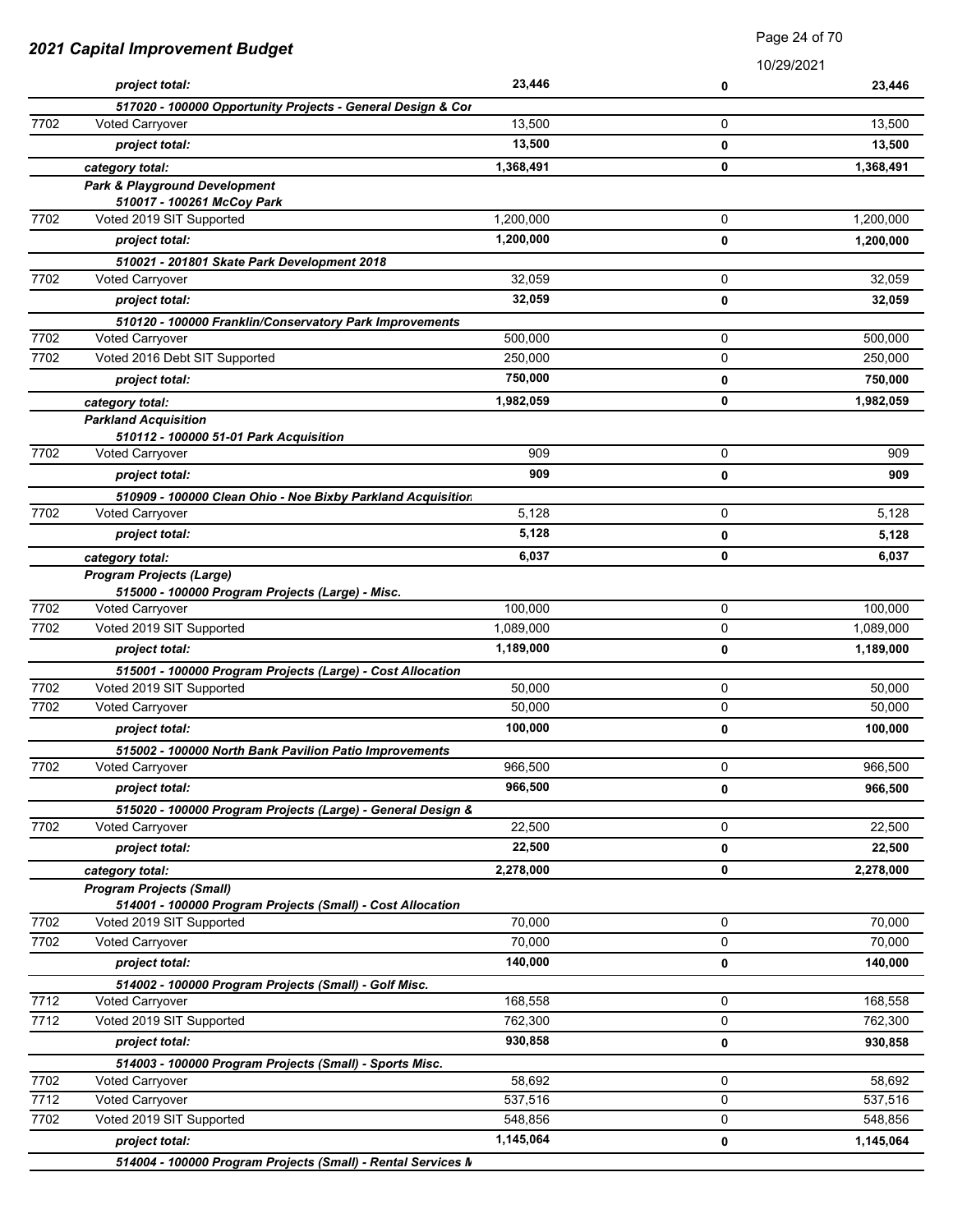| 2021 Capital Improvement Budget |                                                                                               | Faye 24 ULTU |                 |           |
|---------------------------------|-----------------------------------------------------------------------------------------------|--------------|-----------------|-----------|
|                                 | project total:                                                                                | 23,446       | 10/29/2021<br>0 | 23,446    |
|                                 | 517020 - 100000 Opportunity Projects - General Design & Cor                                   |              |                 |           |
| 7702                            | <b>Voted Carryover</b>                                                                        | 13,500       | 0               | 13,500    |
|                                 | project total:                                                                                | 13,500       | 0               | 13,500    |
|                                 | category total:                                                                               | 1,368,491    | 0               | 1,368,491 |
|                                 | <b>Park &amp; Playground Development</b>                                                      |              |                 |           |
|                                 | 510017 - 100261 McCoy Park                                                                    |              |                 |           |
| 7702                            | Voted 2019 SIT Supported                                                                      | 1,200,000    | 0               | 1,200,000 |
|                                 | project total:                                                                                | 1,200,000    | 0               | 1,200,000 |
|                                 | 510021 - 201801 Skate Park Development 2018                                                   |              |                 |           |
| 7702                            | <b>Voted Carryover</b>                                                                        | 32,059       | 0               | 32,059    |
|                                 | project total:                                                                                | 32,059       | 0               | 32,059    |
|                                 | 510120 - 100000 Franklin/Conservatory Park Improvements                                       |              |                 |           |
| 7702                            | Voted Carryover                                                                               | 500,000      | 0               | 500,000   |
| 7702                            | Voted 2016 Debt SIT Supported                                                                 | 250,000      | 0               | 250,000   |
|                                 | project total:                                                                                | 750,000      | 0               | 750,000   |
|                                 | category total:                                                                               | 1,982,059    | 0               | 1,982,059 |
|                                 | <b>Parkland Acquisition</b>                                                                   |              |                 |           |
|                                 | 510112 - 100000 51-01 Park Acquisition                                                        |              |                 |           |
| 7702                            | <b>Voted Carryover</b>                                                                        | 909          | 0               | 909       |
|                                 | project total:                                                                                | 909          | 0               | 909       |
|                                 | 510909 - 100000 Clean Ohio - Noe Bixby Parkland Acquisition                                   |              |                 |           |
| 7702                            | Voted Carryover                                                                               | 5,128        | 0               | 5,128     |
|                                 | project total:                                                                                | 5,128        | 0               | 5,128     |
|                                 |                                                                                               | 6,037        | 0               | 6,037     |
|                                 | category total:<br><b>Program Projects (Large)</b>                                            |              |                 |           |
|                                 | 515000 - 100000 Program Projects (Large) - Misc.                                              |              |                 |           |
| 7702                            | Voted Carryover                                                                               | 100,000      | 0               | 100,000   |
| 7702                            | Voted 2019 SIT Supported                                                                      | 1,089,000    | 0               | 1,089,000 |
|                                 | project total:                                                                                | 1,189,000    | 0               | 1,189,000 |
|                                 | 515001 - 100000 Program Projects (Large) - Cost Allocation                                    |              |                 |           |
| 7702                            | Voted 2019 SIT Supported                                                                      | 50,000       | 0               | 50,000    |
| 7702                            | Voted Carryover                                                                               | 50,000       | 0               | 50,000    |
|                                 | project total:                                                                                | 100,000      | 0               | 100,000   |
|                                 | 515002 - 100000 North Bank Pavilion Patio Improvements                                        |              |                 |           |
| 7702                            | Voted Carryover                                                                               | 966,500      | 0               | 966,500   |
|                                 | project total:                                                                                | 966,500      | 0               | 966,500   |
|                                 | 515020 - 100000 Program Projects (Large) - General Design &                                   |              |                 |           |
| 7702                            | <b>Voted Carryover</b>                                                                        | 22,500       | 0               | 22,500    |
|                                 | project total:                                                                                | 22,500       | 0               | 22,500    |
|                                 |                                                                                               |              |                 |           |
|                                 | category total:                                                                               | 2,278,000    | 0               | 2,278,000 |
|                                 | <b>Program Projects (Small)</b><br>514001 - 100000 Program Projects (Small) - Cost Allocation |              |                 |           |
| 7702                            | Voted 2019 SIT Supported                                                                      | 70,000       | 0               | 70,000    |
| 7702                            | Voted Carryover                                                                               | 70,000       | 0               | 70,000    |
|                                 | project total:                                                                                | 140,000      | 0               | 140,000   |
|                                 |                                                                                               |              |                 |           |
| 7712                            | 514002 - 100000 Program Projects (Small) - Golf Misc.<br>Voted Carryover                      | 168,558      | 0               | 168,558   |
| 7712                            | Voted 2019 SIT Supported                                                                      | 762,300      | 0               | 762,300   |
|                                 | project total:                                                                                | 930,858      |                 | 930,858   |
|                                 |                                                                                               |              | 0               |           |
| 7702                            | 514003 - 100000 Program Projects (Small) - Sports Misc.<br>Voted Carryover                    | 58,692       | 0               | 58,692    |
| 7712                            | Voted Carryover                                                                               | 537,516      | 0               | 537,516   |
| 7702                            | Voted 2019 SIT Supported                                                                      | 548,856      | 0               | 548,856   |
|                                 |                                                                                               | 1,145,064    |                 |           |
|                                 | project total:<br>514004 - 100000 Program Projects (Small) - Rental Services M                |              | 0               | 1,145,064 |

Page 24 of 70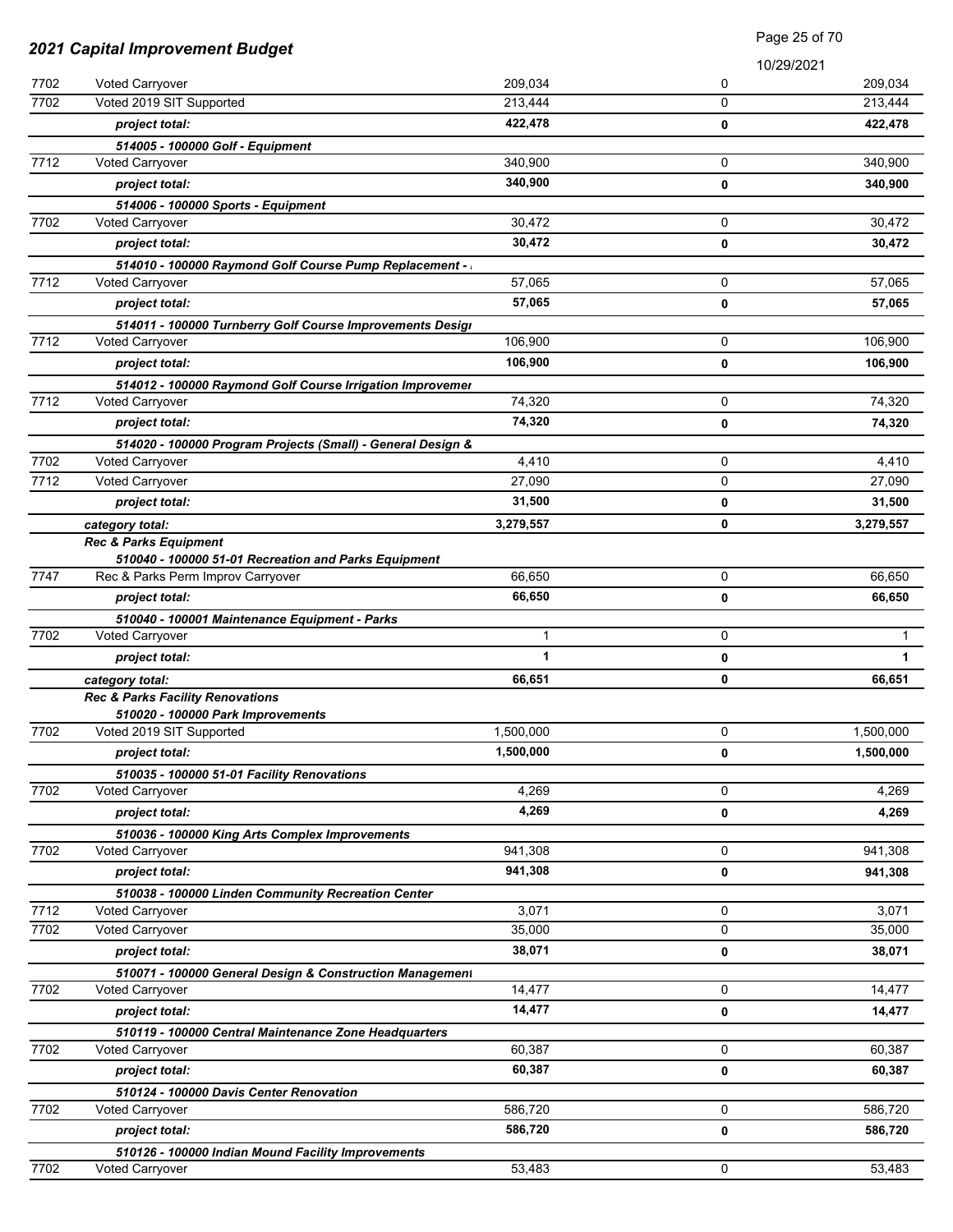|      |                                                             | Page 25 of 70 |             |              |
|------|-------------------------------------------------------------|---------------|-------------|--------------|
|      | 2021 Capital Improvement Budget                             |               | 10/29/2021  |              |
| 7702 | Voted Carryover                                             | 209,034       | 0           | 209,034      |
| 7702 | Voted 2019 SIT Supported                                    | 213,444       | 0           | 213,444      |
|      | project total:                                              | 422,478       | 0           | 422,478      |
|      | 514005 - 100000 Golf - Equipment                            |               |             |              |
| 7712 | Voted Carryover                                             | 340,900       | 0           | 340,900      |
|      | project total:                                              | 340,900       | 0           | 340,900      |
|      | 514006 - 100000 Sports - Equipment                          |               |             |              |
| 7702 | <b>Voted Carryover</b>                                      | 30,472        | 0           | 30,472       |
|      | project total:                                              | 30,472        | 0           | 30,472       |
|      | 514010 - 100000 Raymond Golf Course Pump Replacement -      |               |             |              |
| 7712 | Voted Carryover                                             | 57,065        | 0           | 57,065       |
|      | project total:                                              | 57,065        | 0           | 57,065       |
|      | 514011 - 100000 Turnberry Golf Course Improvements Desigi   |               |             |              |
| 7712 | <b>Voted Carryover</b>                                      | 106,900       | 0           | 106.900      |
|      | project total:                                              | 106,900       | 0           | 106,900      |
|      | 514012 - 100000 Raymond Golf Course Irrigation Improvemer   |               |             |              |
| 7712 | Voted Carryover                                             | 74,320        | 0           | 74,320       |
|      | project total:                                              | 74,320        | 0           | 74,320       |
|      | 514020 - 100000 Program Projects (Small) - General Design & |               |             |              |
| 7702 | Voted Carryover                                             | 4,410         | 0           | 4,410        |
| 7712 | Voted Carryover                                             | 27,090        | $\mathbf 0$ | 27,090       |
|      | project total:                                              | 31,500        | 0           | 31,500       |
|      | category total:                                             | 3,279,557     | 0           | 3,279,557    |
|      | <b>Rec &amp; Parks Equipment</b>                            |               |             |              |
|      | 510040 - 100000 51-01 Recreation and Parks Equipment        |               |             |              |
| 7747 | Rec & Parks Perm Improv Carryover                           | 66,650        | $\mathbf 0$ | 66,650       |
|      | project total:                                              | 66,650        | 0           | 66,650       |
|      | 510040 - 100001 Maintenance Equipment - Parks               |               |             |              |
| 7702 | Voted Carryover                                             | 1             | 0           | $\mathbf 1$  |
|      | project total:                                              | 1             | 0           | $\mathbf{1}$ |
|      | category total:                                             | 66,651        | 0           | 66,651       |
|      | Rec & Parks Facility Renovations                            |               |             |              |
|      | 510020 - 100000 Park Improvements                           |               |             |              |
| 7702 | Voted 2019 SIT Supported                                    | 1,500,000     | 0           | 1,500,000    |
|      | project total:                                              | 1,500,000     | 0           | 1,500,000    |
|      | 510035 - 100000 51-01 Facility Renovations                  |               |             |              |
| 7702 | Voted Carryover                                             | 4,269         | 0           | 4,269        |
|      | project total:                                              | 4,269         | 0           | 4,269        |
|      | 510036 - 100000 King Arts Complex Improvements              |               |             |              |
| 7702 | Voted Carryover                                             | 941,308       | 0           | 941,308      |
|      | project total:                                              | 941,308       | 0           | 941,308      |
|      | 510038 - 100000 Linden Community Recreation Center          |               |             |              |
| 7712 | <b>Voted Carryover</b>                                      | 3,071         | 0           | 3,071        |
| 7702 | Voted Carryover                                             | 35,000        | 0           | 35,000       |
|      | project total:                                              | 38,071        | 0           | 38,071       |
|      | 510071 - 100000 General Design & Construction Management    |               |             |              |
| 7702 | Voted Carryover                                             | 14,477        | 0           | 14,477       |
|      | project total:                                              | 14,477        | 0           | 14,477       |
|      | 510119 - 100000 Central Maintenance Zone Headquarters       |               |             |              |
| 7702 | Voted Carryover                                             | 60,387        | $\mathbf 0$ | 60,387       |
|      | project total:                                              | 60,387        | 0           | 60,387       |
|      | 510124 - 100000 Davis Center Renovation                     |               |             |              |
| 7702 | <b>Voted Carryover</b>                                      | 586,720       | 0           | 586,720      |
|      | project total:                                              | 586,720       | 0           | 586,720      |
|      | 510126 - 100000 Indian Mound Facility Improvements          |               |             |              |
| 7702 | Voted Carryover                                             | 53,483        | 0           | 53,483       |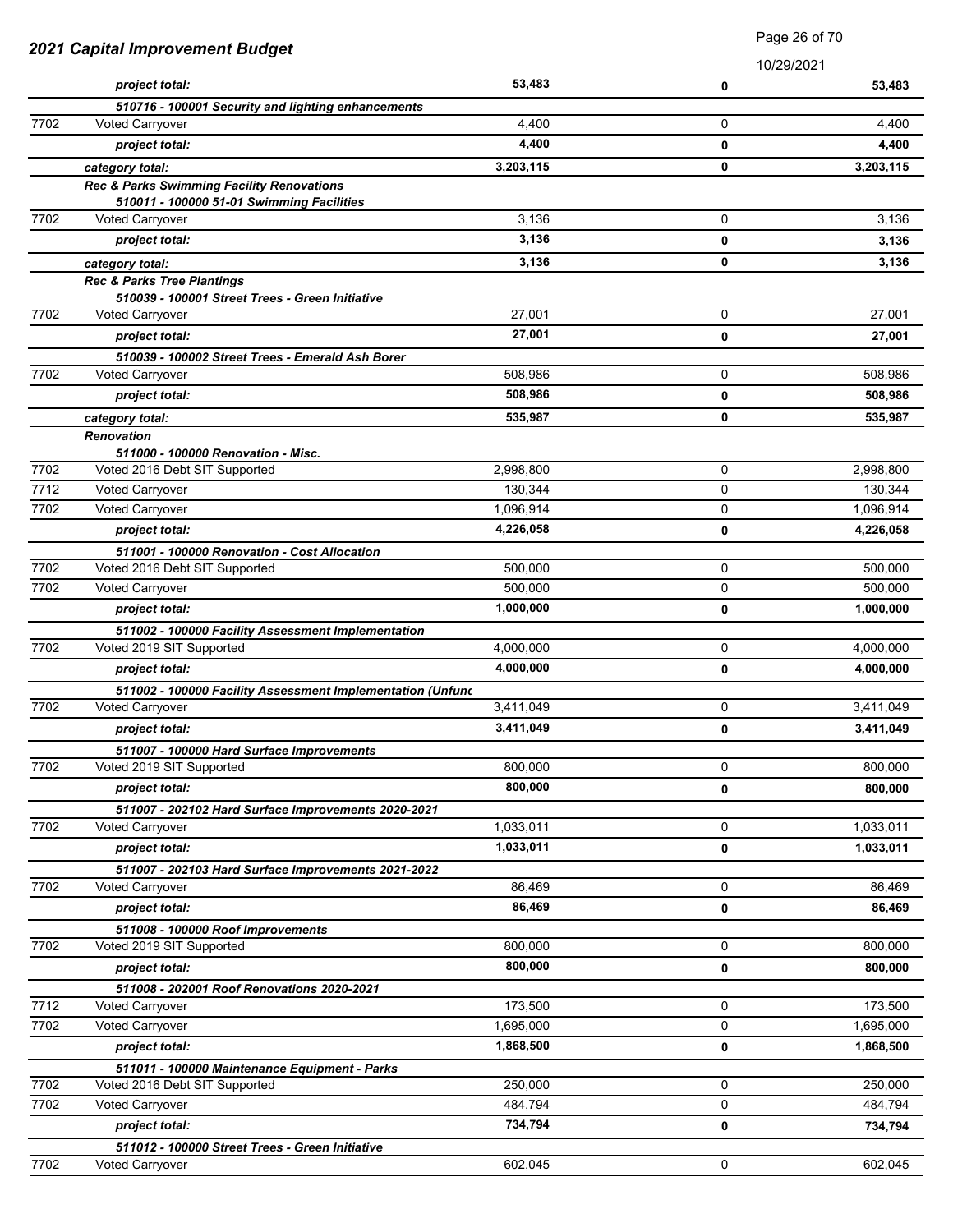|      |                                                                     | Page 26 of 70 |             |           |
|------|---------------------------------------------------------------------|---------------|-------------|-----------|
|      | 2021 Capital Improvement Budget                                     |               | 10/29/2021  |           |
|      | project total:                                                      | 53,483        | 0           | 53,483    |
|      | 510716 - 100001 Security and lighting enhancements                  |               |             |           |
| 7702 | <b>Voted Carryover</b>                                              | 4,400         | 0           | 4,400     |
|      | project total:                                                      | 4,400         | 0           | 4,400     |
|      | category total:                                                     | 3,203,115     | 0           | 3,203,115 |
|      | Rec & Parks Swimming Facility Renovations                           |               |             |           |
| 7702 | 510011 - 100000 51-01 Swimming Facilities<br><b>Voted Carryover</b> | 3,136         | 0           | 3,136     |
|      | project total:                                                      | 3,136         | 0           | 3,136     |
|      | category total:                                                     | 3,136         | 0           | 3,136     |
|      | <b>Rec &amp; Parks Tree Plantings</b>                               |               |             |           |
|      | 510039 - 100001 Street Trees - Green Initiative                     |               |             |           |
| 7702 | <b>Voted Carryover</b>                                              | 27,001        | 0           | 27,001    |
|      | project total:                                                      | 27,001        | 0           | 27,001    |
|      | 510039 - 100002 Street Trees - Emerald Ash Borer                    |               |             |           |
| 7702 | Voted Carryover                                                     | 508,986       | 0           | 508,986   |
|      | project total:                                                      | 508,986       | 0           | 508,986   |
|      | category total:                                                     | 535,987       | 0           | 535,987   |
|      | Renovation                                                          |               |             |           |
| 7702 | 511000 - 100000 Renovation - Misc.<br>Voted 2016 Debt SIT Supported | 2,998,800     | 0           | 2,998,800 |
| 7712 | <b>Voted Carryover</b>                                              | 130,344       | 0           | 130,344   |
| 7702 | <b>Voted Carryover</b>                                              | 1,096,914     | 0           | 1,096,914 |
|      | project total:                                                      | 4,226,058     | 0           | 4,226,058 |
|      | 511001 - 100000 Renovation - Cost Allocation                        |               |             |           |
| 7702 | Voted 2016 Debt SIT Supported                                       | 500,000       | 0           | 500,000   |
| 7702 | Voted Carryover                                                     | 500,000       | 0           | 500,000   |
|      | project total:                                                      | 1,000,000     | $\mathbf 0$ | 1,000,000 |
|      | 511002 - 100000 Facility Assessment Implementation                  |               |             |           |
| 7702 | Voted 2019 SIT Supported                                            | 4,000,000     | 0           | 4,000,000 |
|      | project total:                                                      | 4,000,000     | 0           | 4,000,000 |
|      | 511002 - 100000 Facility Assessment Implementation (Unfunc          |               |             |           |
| 7702 | Voted Carryover                                                     | 3,411,049     | 0           | 3,411,049 |
|      | project total:                                                      | 3,411,049     | 0           | 3,411,049 |
|      | 511007 - 100000 Hard Surface Improvements                           |               |             |           |
| 7702 | Voted 2019 SIT Supported                                            | 800,000       | 0           | 800,000   |
|      | project total:                                                      | 800,000       | 0           | 800,000   |
|      | 511007 - 202102 Hard Surface Improvements 2020-2021                 |               |             |           |
| 7702 | <b>Voted Carryover</b>                                              | 1,033,011     | 0           | 1,033,011 |
|      | project total:                                                      | 1,033,011     | 0           | 1,033,011 |
|      | 511007 - 202103 Hard Surface Improvements 2021-2022                 |               |             |           |
| 7702 | <b>Voted Carryover</b>                                              | 86,469        | 0           | 86,469    |
|      | project total:                                                      | 86,469        | 0           | 86,469    |
| 7702 | 511008 - 100000 Roof Improvements<br>Voted 2019 SIT Supported       | 800,000       | $\mathbf 0$ | 800,000   |
|      | project total:                                                      | 800,000       | 0           | 800,000   |
|      | 511008 - 202001 Roof Renovations 2020-2021                          |               |             |           |
| 7712 | Voted Carryover                                                     | 173,500       | 0           | 173,500   |
| 7702 | Voted Carryover                                                     | 1,695,000     | 0           | 1,695,000 |
|      | project total:                                                      | 1,868,500     | 0           | 1,868,500 |
|      | 511011 - 100000 Maintenance Equipment - Parks                       |               |             |           |
| 7702 | Voted 2016 Debt SIT Supported                                       | 250,000       | $\mathbf 0$ | 250,000   |
| 7702 | Voted Carryover                                                     | 484,794       | $\mathbf 0$ | 484,794   |
|      | project total:                                                      | 734,794       | 0           | 734,794   |
|      | 511012 - 100000 Street Trees - Green Initiative                     |               |             |           |
| 7702 | Voted Carryover                                                     | 602,045       | 0           | 602,045   |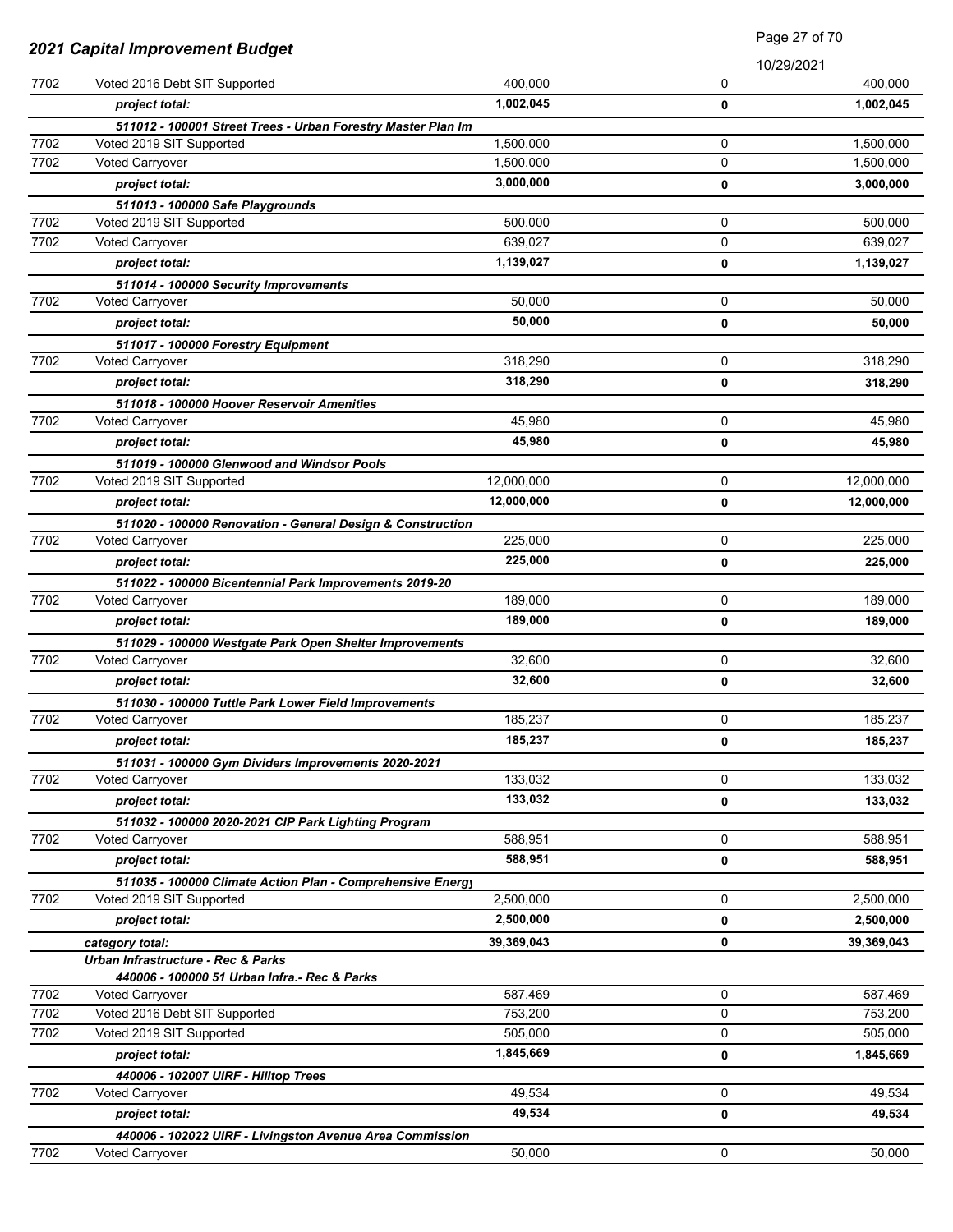|      | 2021 Capital Improvement Budget                                                          |            |              | Faye 21 UI 10 |
|------|------------------------------------------------------------------------------------------|------------|--------------|---------------|
|      |                                                                                          |            |              | 10/29/2021    |
| 7702 | Voted 2016 Debt SIT Supported                                                            | 400,000    | 0            | 400,000       |
|      | project total:                                                                           | 1,002,045  | 0            | 1,002,045     |
| 7702 | 511012 - 100001 Street Trees - Urban Forestry Master Plan Im<br>Voted 2019 SIT Supported | 1,500,000  | 0            | 1,500,000     |
| 7702 | Voted Carryover                                                                          | 1,500,000  | 0            | 1,500,000     |
|      | project total:                                                                           | 3,000,000  | 0            | 3,000,000     |
|      |                                                                                          |            |              |               |
| 7702 | 511013 - 100000 Safe Playgrounds<br>Voted 2019 SIT Supported                             | 500,000    | 0            | 500,000       |
| 7702 | Voted Carryover                                                                          | 639,027    | 0            | 639,027       |
|      | project total:                                                                           | 1,139,027  | 0            | 1,139,027     |
|      |                                                                                          |            |              |               |
| 7702 | 511014 - 100000 Security Improvements<br>Voted Carryover                                 | 50,000     | 0            | 50,000        |
|      | project total:                                                                           | 50,000     | 0            | 50,000        |
|      | 511017 - 100000 Forestry Equipment                                                       |            |              |               |
| 7702 | <b>Voted Carryover</b>                                                                   | 318,290    | 0            | 318,290       |
|      | project total:                                                                           | 318,290    | 0            | 318,290       |
|      | 511018 - 100000 Hoover Reservoir Amenities                                               |            |              |               |
| 7702 | <b>Voted Carryover</b>                                                                   | 45,980     | 0            | 45,980        |
|      | project total:                                                                           | 45,980     | 0            | 45,980        |
|      | 511019 - 100000 Glenwood and Windsor Pools                                               |            |              |               |
| 7702 | Voted 2019 SIT Supported                                                                 | 12,000,000 | 0            | 12,000,000    |
|      | project total:                                                                           | 12,000,000 | 0            | 12,000,000    |
|      | 511020 - 100000 Renovation - General Design & Construction                               |            |              |               |
| 7702 | Voted Carryover                                                                          | 225,000    | 0            | 225,000       |
|      | project total:                                                                           | 225,000    | 0            | 225,000       |
|      | 511022 - 100000 Bicentennial Park Improvements 2019-20                                   |            |              |               |
| 7702 | Voted Carryover                                                                          | 189,000    | 0            | 189,000       |
|      | project total:                                                                           | 189,000    | 0            | 189,000       |
|      | 511029 - 100000 Westgate Park Open Shelter Improvements                                  |            |              |               |
| 7702 | <b>Voted Carryover</b>                                                                   | 32,600     | 0            | 32,600        |
|      | project total:                                                                           | 32,600     | 0            | 32,600        |
|      | 511030 - 100000 Tuttle Park Lower Field Improvements                                     |            |              |               |
| 7702 | <b>Voted Carryover</b>                                                                   | 185,237    | 0            | 185,237       |
|      | project total:                                                                           | 185,237    | 0            | 185,237       |
|      | 511031 - 100000 Gym Dividers Improvements 2020-2021                                      |            |              |               |
| 7702 | <b>Voted Carryover</b>                                                                   | 133,032    | 0            | 133,032       |
|      | project total:                                                                           | 133,032    | 0            | 133,032       |
|      | 511032 - 100000 2020-2021 CIP Park Lighting Program                                      |            |              |               |
| 7702 | <b>Voted Carryover</b>                                                                   | 588,951    | 0            | 588,951       |
|      | project total:                                                                           | 588,951    | 0            | 588,951       |
|      | 511035 - 100000 Climate Action Plan - Comprehensive Energy                               |            |              |               |
| 7702 | Voted 2019 SIT Supported                                                                 | 2,500,000  | 0            | 2,500,000     |
|      | project total:                                                                           | 2,500,000  | 0            | 2,500,000     |
|      | category total:                                                                          | 39,369,043 | 0            | 39,369,043    |
|      | Urban Infrastructure - Rec & Parks                                                       |            |              |               |
|      | 440006 - 100000 51 Urban Infra.- Rec & Parks                                             |            |              |               |
| 7702 | <b>Voted Carryover</b>                                                                   | 587,469    | 0            | 587,469       |
| 7702 | Voted 2016 Debt SIT Supported                                                            | 753,200    | 0            | 753,200       |
| 7702 | Voted 2019 SIT Supported                                                                 | 505,000    | $\mathsf{O}$ | 505,000       |
|      | project total:                                                                           | 1,845,669  | 0            | 1,845,669     |
|      | 440006 - 102007 UIRF - Hilltop Trees                                                     |            |              |               |
| 7702 | Voted Carryover                                                                          | 49,534     | $\mathsf{O}$ | 49,534        |
|      | project total:                                                                           | 49,534     | 0            | 49,534        |
| 7702 | 440006 - 102022 UIRF - Livingston Avenue Area Commission<br>Voted Carryover              | 50,000     | 0            | 50,000        |
|      |                                                                                          |            |              |               |

Page 27 of 70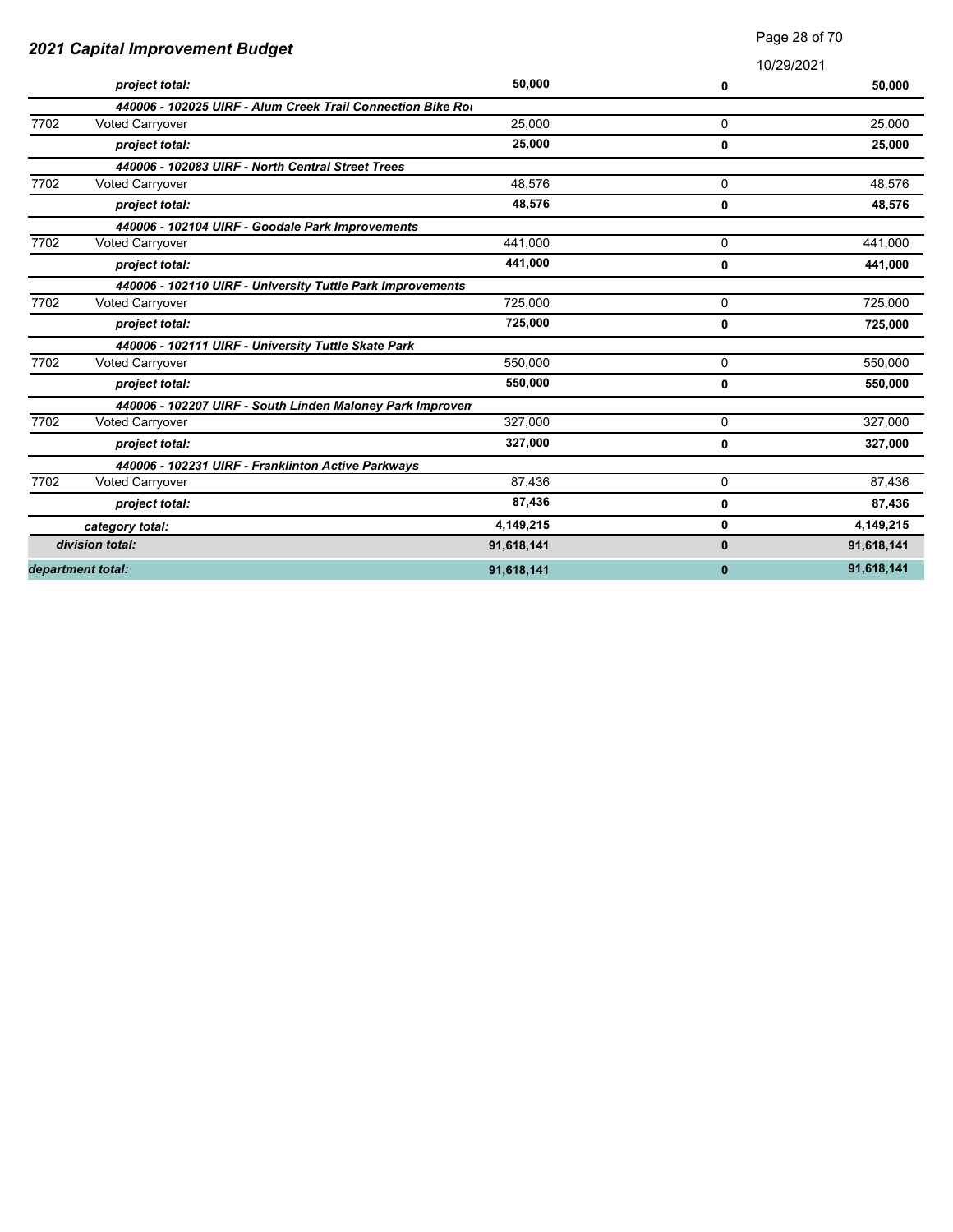| 2021 Capital Improvement Budget |                                                            |            |              |            |
|---------------------------------|------------------------------------------------------------|------------|--------------|------------|
|                                 |                                                            |            |              | 10/29/2021 |
|                                 | project total:                                             | 50,000     | 0            | 50,000     |
|                                 | 440006 - 102025 UIRF - Alum Creek Trail Connection Bike Ro |            |              |            |
| 7702                            | <b>Voted Carryover</b>                                     | 25.000     | 0            | 25.000     |
|                                 | project total:                                             | 25,000     | 0            | 25,000     |
|                                 | 440006 - 102083 UIRF - North Central Street Trees          |            |              |            |
| 7702                            | <b>Voted Carryover</b>                                     | 48,576     | 0            | 48,576     |
|                                 | project total:                                             | 48,576     | 0            | 48,576     |
|                                 | 440006 - 102104 UIRF - Goodale Park Improvements           |            |              |            |
| 7702                            | Voted Carryover                                            | 441.000    | 0            | 441,000    |
|                                 | project total:                                             | 441,000    | 0            | 441,000    |
|                                 | 440006 - 102110 UIRF - University Tuttle Park Improvements |            |              |            |
| 7702                            | Voted Carryover                                            | 725,000    | 0            | 725,000    |
|                                 | project total:                                             | 725,000    | 0            | 725,000    |
|                                 | 440006 - 102111 UIRF - University Tuttle Skate Park        |            |              |            |
| 7702                            | Voted Carryover                                            | 550,000    | 0            | 550,000    |
|                                 | project total:                                             | 550,000    | 0            | 550,000    |
|                                 | 440006 - 102207 UIRF - South Linden Maloney Park Improven  |            |              |            |
| 7702                            | Voted Carryover                                            | 327,000    | 0            | 327,000    |
|                                 | project total:                                             | 327,000    | 0            | 327,000    |
|                                 | 440006 - 102231 UIRF - Franklinton Active Parkways         |            |              |            |
| 7702                            | Voted Carryover                                            | 87,436     | 0            | 87,436     |
|                                 | project total:                                             | 87,436     | 0            | 87,436     |
|                                 | category total:                                            | 4,149,215  | 0            | 4,149,215  |
|                                 | division total:                                            | 91,618,141 | $\mathbf{0}$ | 91,618,141 |
|                                 | department total:                                          | 91,618,141 | 0            | 91,618,141 |

Page 28 of 70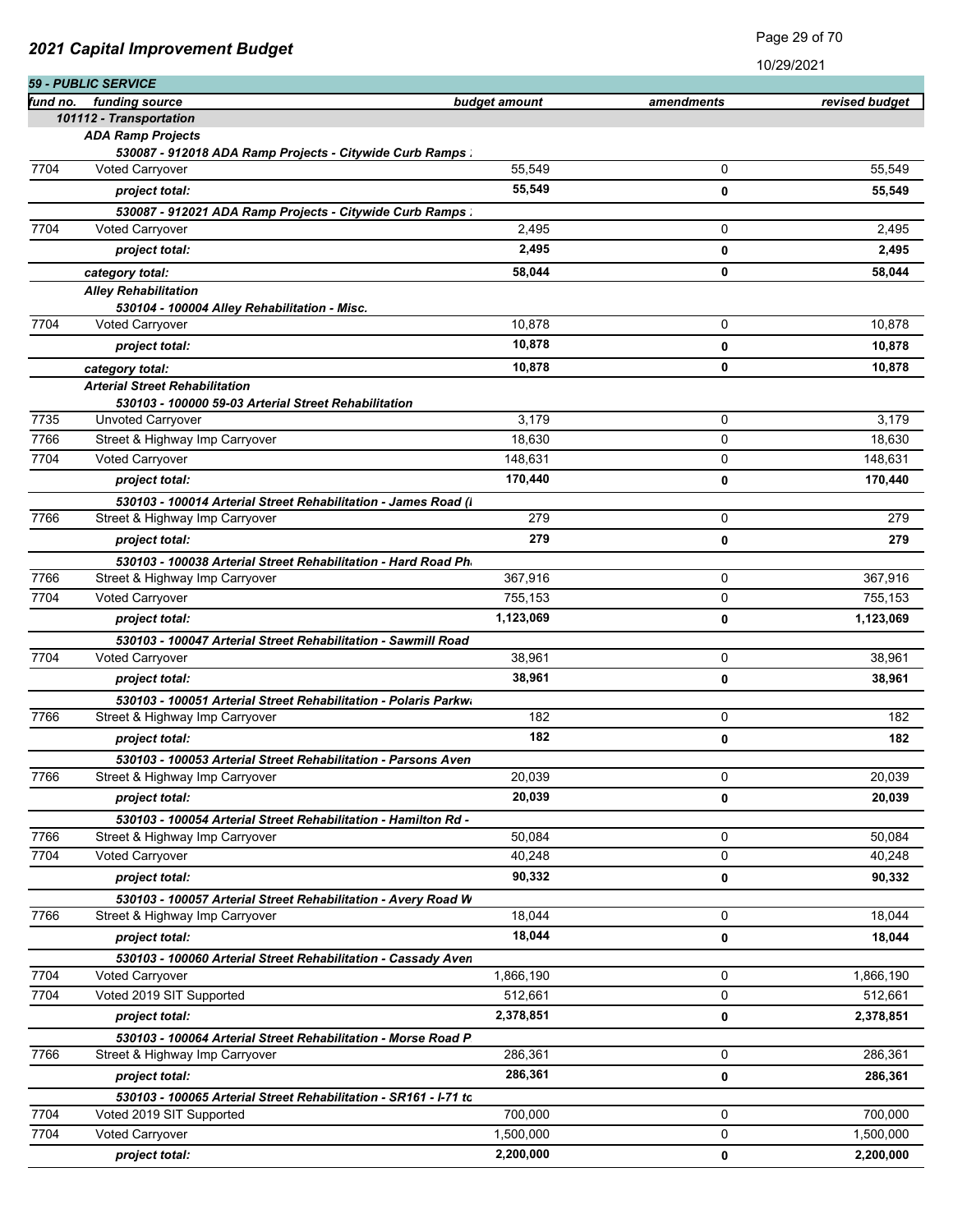|          | 59 - PUBLIC SERVICE                                                                 |               |            | 1 J L J L J L I |
|----------|-------------------------------------------------------------------------------------|---------------|------------|-----------------|
| fund no. | funding source                                                                      | budget amount | amendments | revised budget  |
|          | 101112 - Transportation                                                             |               |            |                 |
|          | <b>ADA Ramp Projects</b>                                                            |               |            |                 |
| 7704     | 530087 - 912018 ADA Ramp Projects - Citywide Curb Ramps :<br><b>Voted Carryover</b> | 55,549        | 0          | 55,549          |
|          |                                                                                     | 55,549        |            |                 |
|          | project total:                                                                      |               | 0          | 55,549          |
|          | 530087 - 912021 ADA Ramp Projects - Citywide Curb Ramps :                           |               | 0          |                 |
| 7704     | <b>Voted Carryover</b>                                                              | 2,495         |            | 2,495           |
|          | project total:                                                                      | 2,495         | 0          | 2,495           |
|          | category total:                                                                     | 58,044        | 0          | 58,044          |
|          | <b>Alley Rehabilitation</b><br>530104 - 100004 Alley Rehabilitation - Misc.         |               |            |                 |
| 7704     | <b>Voted Carryover</b>                                                              | 10,878        | 0          | 10,878          |
|          | project total:                                                                      | 10,878        | 0          | 10,878          |
|          | category total:                                                                     | 10,878        | 0          | 10,878          |
|          | <b>Arterial Street Rehabilitation</b>                                               |               |            |                 |
|          | 530103 - 100000 59-03 Arterial Street Rehabilitation                                |               |            |                 |
| 7735     | Unvoted Carryover                                                                   | 3,179         | 0          | 3,179           |
| 7766     | Street & Highway Imp Carryover                                                      | 18,630        | 0          | 18,630          |
| 7704     | Voted Carryover                                                                     | 148,631       | 0          | 148.631         |
|          | project total:                                                                      | 170,440       | 0          | 170,440         |
|          | 530103 - 100014 Arterial Street Rehabilitation - James Road (I                      |               |            |                 |
| 7766     | Street & Highway Imp Carryover                                                      | 279           | 0          | 279             |
|          | project total:                                                                      | 279           | 0          | 279             |
|          | 530103 - 100038 Arterial Street Rehabilitation - Hard Road Ph                       |               |            |                 |
| 7766     | Street & Highway Imp Carryover                                                      | 367,916       | 0          | 367,916         |
| 7704     | Voted Carryover                                                                     | 755,153       | 0          | 755,153         |
|          | project total:                                                                      | 1,123,069     | 0          | 1,123,069       |
|          | 530103 - 100047 Arterial Street Rehabilitation - Sawmill Road                       |               |            |                 |
| 7704     | <b>Voted Carryover</b>                                                              | 38,961        | 0          | 38,961          |
|          | project total:                                                                      | 38,961        | 0          | 38,961          |
|          | 530103 - 100051 Arterial Street Rehabilitation - Polaris Parkwa                     |               |            |                 |
| 7766     | Street & Highway Imp Carryover                                                      | 182           | 0          | 182             |
|          | project total:                                                                      | 182           | 0          | 182             |
|          | 530103 - 100053 Arterial Street Rehabilitation - Parsons Aven                       |               |            |                 |
| 7766     | Street & Highway Imp Carryover                                                      | 20,039        | 0          | 20,039          |
|          | project total:                                                                      | 20,039        | 0          | 20,039          |
|          | 530103 - 100054 Arterial Street Rehabilitation - Hamilton Rd -                      |               |            |                 |
| 7766     | Street & Highway Imp Carryover                                                      | 50,084        | 0          | 50,084          |
| 7704     | <b>Voted Carryover</b>                                                              | 40.248        | 0          | 40,248          |
|          | project total:                                                                      | 90,332        | 0          | 90,332          |
|          | 530103 - 100057 Arterial Street Rehabilitation - Avery Road W                       |               |            |                 |
| 7766     | Street & Highway Imp Carryover                                                      | 18,044        | 0          | 18,044          |
|          | project total:                                                                      | 18,044        | 0          | 18,044          |
|          | 530103 - 100060 Arterial Street Rehabilitation - Cassady Aven                       |               |            |                 |
| 7704     | Voted Carryover                                                                     | 1,866,190     | 0          | 1,866,190       |
| 7704     | Voted 2019 SIT Supported                                                            | 512,661       | 0          | 512,661         |
|          | project total:                                                                      | 2,378,851     | 0          | 2,378,851       |
|          | 530103 - 100064 Arterial Street Rehabilitation - Morse Road P                       |               |            |                 |
| 7766     | Street & Highway Imp Carryover                                                      | 286,361       | 0          | 286,361         |
|          | project total:                                                                      | 286,361       | 0          | 286,361         |
|          | 530103 - 100065 Arterial Street Rehabilitation - SR161 - I-71 to                    |               |            |                 |
| 7704     | Voted 2019 SIT Supported                                                            | 700,000       | 0          | 700,000         |
| 7704     | Voted Carryover                                                                     | 1,500,000     | 0          | 1,500,000       |
|          | project total:                                                                      | 2,200,000     | 0          | 2,200,000       |

Page 29 of 70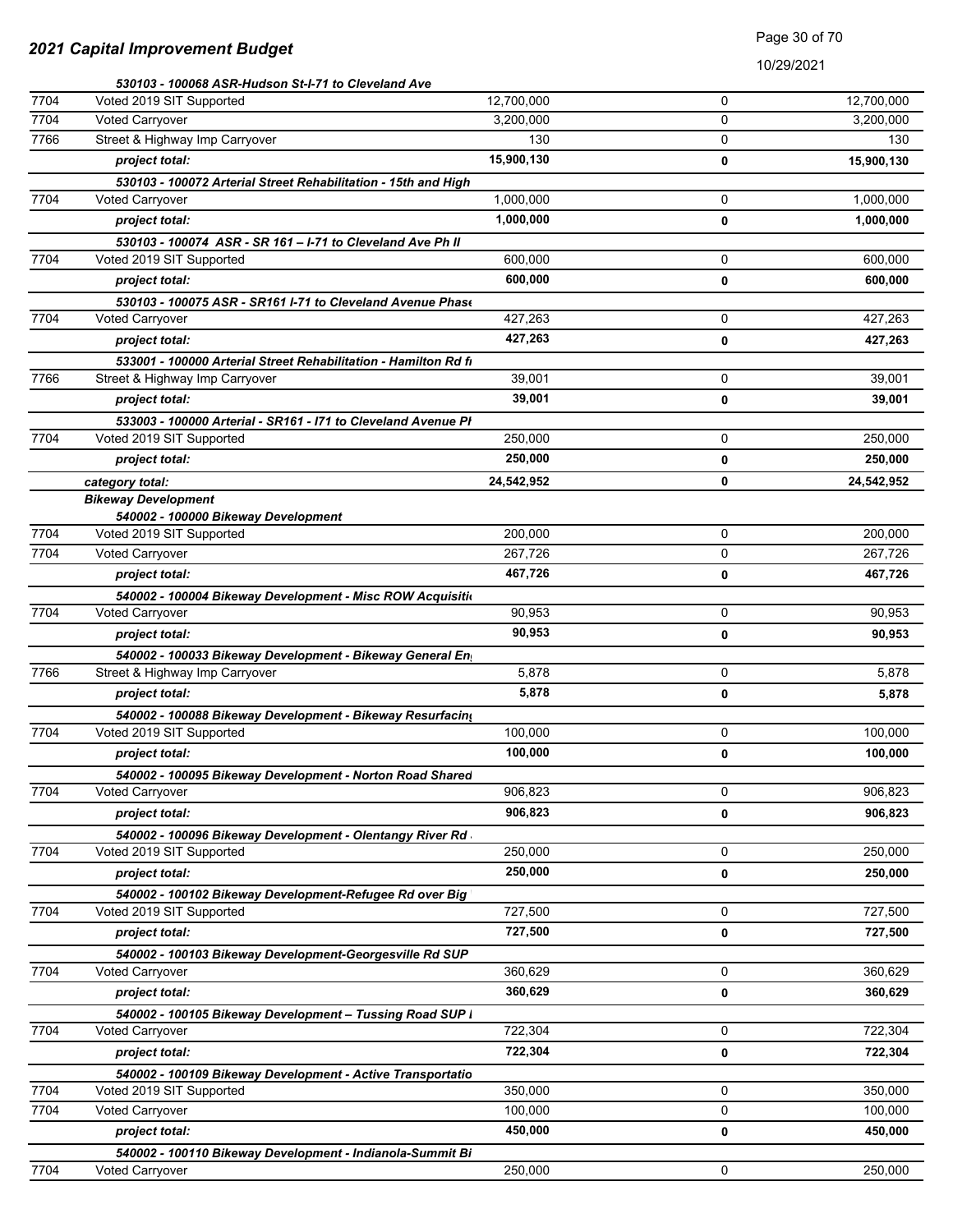|      | 530103 - 100068 ASR-Hudson St-I-71 to Cleveland Ave             |            |             |            |
|------|-----------------------------------------------------------------|------------|-------------|------------|
| 7704 | Voted 2019 SIT Supported                                        | 12,700,000 | $\Omega$    | 12,700,000 |
| 7704 | Voted Carryover                                                 | 3,200,000  | $\Omega$    | 3,200,000  |
| 7766 | Street & Highway Imp Carryover                                  | 130        | 0           | 130        |
|      | project total:                                                  | 15,900,130 | 0           | 15,900,130 |
|      | 530103 - 100072 Arterial Street Rehabilitation - 15th and High  |            |             |            |
| 7704 | <b>Voted Carryover</b>                                          | 1,000,000  | 0           | 1,000,000  |
|      | project total:                                                  | 1,000,000  | 0           | 1,000,000  |
|      | 530103 - 100074 ASR - SR 161 - I-71 to Cleveland Ave Ph II      |            |             |            |
| 7704 | Voted 2019 SIT Supported                                        | 600,000    | 0           | 600,000    |
|      | project total:                                                  | 600,000    | 0           | 600,000    |
|      | 530103 - 100075 ASR - SR161 I-71 to Cleveland Avenue Phase      |            |             |            |
| 7704 | Voted Carryover                                                 | 427,263    | $\mathbf 0$ | 427,263    |
|      | project total:                                                  | 427,263    | 0           | 427,263    |
|      | 533001 - 100000 Arterial Street Rehabilitation - Hamilton Rd fi |            |             |            |
| 7766 | Street & Highway Imp Carryover                                  | 39,001     | 0           | 39,001     |
|      | project total:                                                  | 39,001     | 0           | 39,001     |
|      | 533003 - 100000 Arterial - SR161 - I71 to Cleveland Avenue PI   |            |             |            |
| 7704 | Voted 2019 SIT Supported                                        | 250,000    | 0           | 250,000    |
|      | project total:                                                  | 250,000    | 0           | 250,000    |
|      | category total:                                                 | 24,542,952 | 0           | 24,542,952 |
|      | <b>Bikeway Development</b>                                      |            |             |            |
|      | 540002 - 100000 Bikeway Development                             |            |             |            |
| 7704 | Voted 2019 SIT Supported                                        | 200,000    | 0           | 200,000    |
| 7704 | <b>Voted Carryover</b>                                          | 267,726    | 0           | 267,726    |
|      | project total:                                                  | 467,726    | 0           | 467,726    |
|      | 540002 - 100004 Bikeway Development - Misc ROW Acquisitio       |            |             |            |
| 7704 | <b>Voted Carryover</b>                                          | 90,953     | 0           | 90,953     |
|      | project total:                                                  | 90,953     | 0           | 90,953     |
|      | 540002 - 100033 Bikeway Development - Bikeway General En        |            |             |            |
| 7766 | Street & Highway Imp Carryover                                  | 5,878      | 0           | 5,878      |
|      | project total:                                                  | 5,878      | 0           | 5,878      |
|      | 540002 - 100088 Bikeway Development - Bikeway Resurfacing       |            |             |            |
| 7704 | Voted 2019 SIT Supported                                        | 100,000    | 0           | 100,000    |
|      | project total:                                                  | 100,000    | 0           | 100,000    |
|      | 540002 - 100095 Bikeway Development - Norton Road Shared        |            |             |            |
| 7704 | <b>Voted Carryover</b>                                          | 906,823    | 0           | 906,823    |
|      | project total:                                                  | 906,823    | 0           | 906,823    |
|      | 540002 - 100096 Bikeway Development - Olentangy River Rd        |            |             |            |
| 7704 | Voted 2019 SIT Supported                                        | 250,000    | 0           | 250,000    |
|      | project total:                                                  | 250,000    | 0           | 250,000    |
|      | 540002 - 100102 Bikeway Development-Refugee Rd over Big         |            |             |            |
| 7704 | Voted 2019 SIT Supported                                        | 727,500    | 0           | 727,500    |
|      | project total:                                                  | 727,500    | 0           | 727,500    |
|      | 540002 - 100103 Bikeway Development-Georgesville Rd SUP         |            |             |            |
| 7704 | <b>Voted Carryover</b>                                          | 360,629    | 0           | 360,629    |
|      | project total:                                                  | 360,629    | 0           | 360,629    |
|      | 540002 - 100105 Bikeway Development - Tussing Road SUP I        |            |             |            |
| 7704 | <b>Voted Carryover</b>                                          | 722,304    | 0           | 722,304    |
|      | project total:                                                  | 722,304    | 0           | 722,304    |
|      | 540002 - 100109 Bikeway Development - Active Transportatio      |            |             |            |
| 7704 | Voted 2019 SIT Supported                                        | 350,000    | 0           | 350,000    |
| 7704 | <b>Voted Carryover</b>                                          | 100,000    | 0           | 100,000    |
|      | project total:                                                  | 450,000    | 0           | 450,000    |
|      | 540002 - 100110 Bikeway Development - Indianola-Summit Bi       |            |             |            |
| 7704 | <b>Voted Carryover</b>                                          | 250,000    | 0           | 250,000    |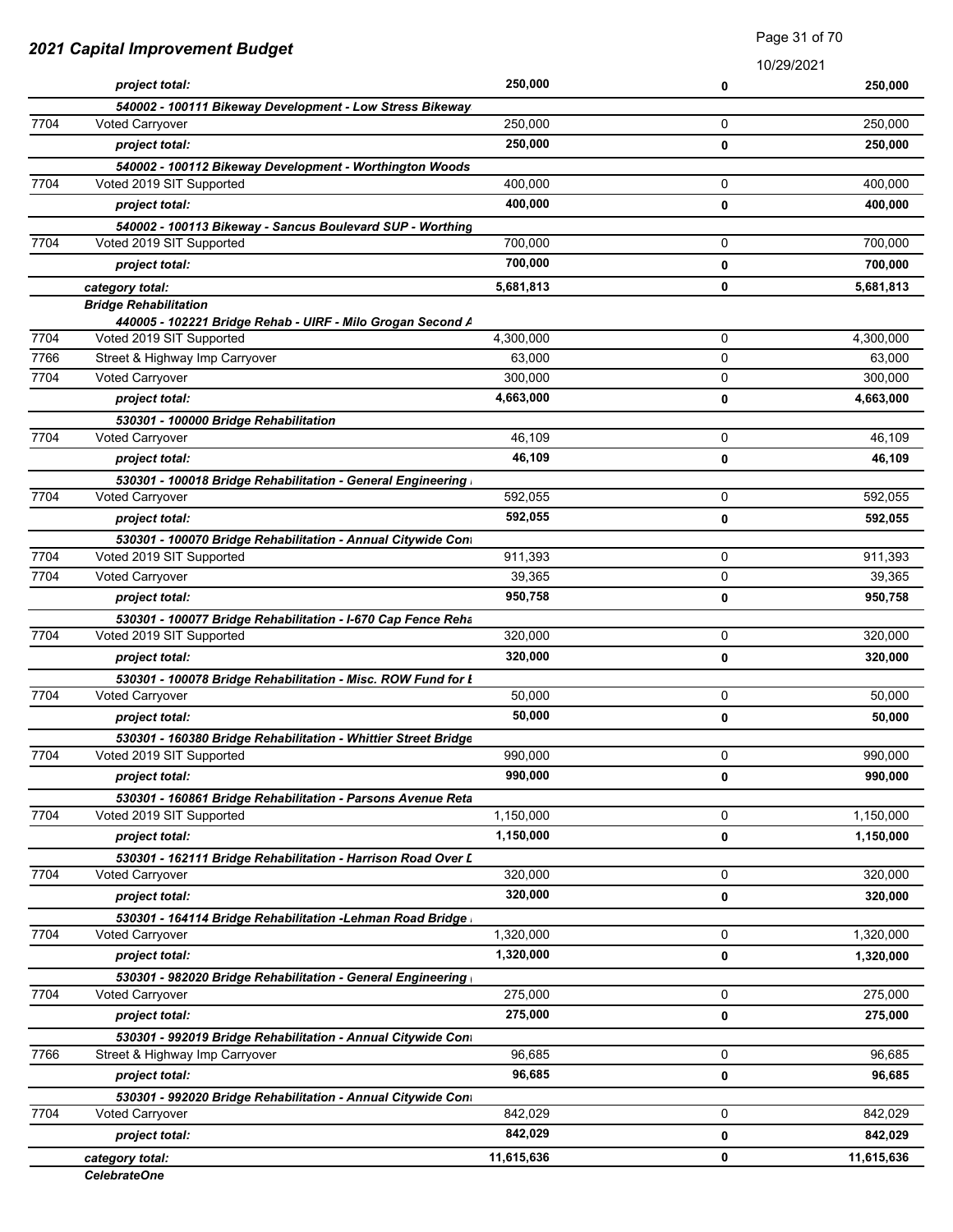| 2021 Capital Improvement Budget |                                                                                       | Faye of the re     |             |            |
|---------------------------------|---------------------------------------------------------------------------------------|--------------------|-------------|------------|
|                                 |                                                                                       |                    | 10/29/2021  |            |
|                                 | project total:                                                                        | 250,000            | 0           | 250,000    |
| 7704                            | 540002 - 100111 Bikeway Development - Low Stress Bikeway                              |                    | 0           |            |
|                                 | <b>Voted Carryover</b>                                                                | 250,000<br>250,000 |             | 250,000    |
|                                 | project total:                                                                        |                    | 0           | 250,000    |
| 7704                            | 540002 - 100112 Bikeway Development - Worthington Woods<br>Voted 2019 SIT Supported   | 400,000            | 0           | 400,000    |
|                                 | project total:                                                                        | 400,000            |             | 400,000    |
|                                 |                                                                                       |                    | $\mathbf 0$ |            |
| 7704                            | 540002 - 100113 Bikeway - Sancus Boulevard SUP - Worthing<br>Voted 2019 SIT Supported | 700,000            | 0           | 700,000    |
|                                 | project total:                                                                        | 700,000            | 0           | 700,000    |
|                                 |                                                                                       |                    |             |            |
|                                 | category total:<br><b>Bridge Rehabilitation</b>                                       | 5,681,813          | 0           | 5,681,813  |
|                                 | 440005 - 102221 Bridge Rehab - UIRF - Milo Grogan Second A                            |                    |             |            |
| 7704                            | Voted 2019 SIT Supported                                                              | 4,300,000          | 0           | 4,300,000  |
| 7766                            | Street & Highway Imp Carryover                                                        | 63,000             | 0           | 63,000     |
| 7704                            | Voted Carryover                                                                       | 300,000            | 0           | 300,000    |
|                                 | project total:                                                                        | 4,663,000          | $\mathbf 0$ | 4,663,000  |
|                                 | 530301 - 100000 Bridge Rehabilitation                                                 |                    |             |            |
| 7704                            | Voted Carryover                                                                       | 46,109             | 0           | 46,109     |
|                                 | project total:                                                                        | 46,109             | 0           | 46,109     |
|                                 | 530301 - 100018 Bridge Rehabilitation - General Engineering                           |                    |             |            |
| 7704                            | Voted Carryover                                                                       | 592,055            | 0           | 592,055    |
|                                 | project total:                                                                        | 592,055            | 0           | 592,055    |
|                                 | 530301 - 100070 Bridge Rehabilitation - Annual Citywide Cont                          |                    |             |            |
| 7704                            | Voted 2019 SIT Supported                                                              | 911,393            | 0           | 911,393    |
| 7704                            | <b>Voted Carryover</b>                                                                | 39,365             | 0           | 39,365     |
|                                 | project total:                                                                        | 950,758            | 0           | 950,758    |
|                                 | 530301 - 100077 Bridge Rehabilitation - I-670 Cap Fence Reha                          |                    |             |            |
| 7704                            | Voted 2019 SIT Supported                                                              | 320,000            | 0           | 320,000    |
|                                 | project total:                                                                        | 320,000            | 0           | 320,000    |
|                                 | 530301 - 100078 Bridge Rehabilitation - Misc. ROW Fund for L                          |                    |             |            |
| 7704                            | Voted Carryover                                                                       | 50,000             | 0           | 50.000     |
|                                 | project total:                                                                        | 50,000             | 0           | 50,000     |
|                                 | 530301 - 160380 Bridge Rehabilitation - Whittier Street Bridge                        |                    |             |            |
| 7704                            | Voted 2019 SIT Supported                                                              | 990,000            | 0           | 990,000    |
|                                 | project total:                                                                        | 990,000            | 0           | 990,000    |
|                                 | 530301 - 160861 Bridge Rehabilitation - Parsons Avenue Reta                           |                    |             |            |
| 7704                            | Voted 2019 SIT Supported                                                              | 1,150,000          | 0           | 1,150,000  |
|                                 | project total:                                                                        | 1,150,000          | 0           | 1,150,000  |
|                                 | 530301 - 162111 Bridge Rehabilitation - Harrison Road Over L                          |                    |             |            |
| 7704                            | <b>Voted Carryover</b>                                                                | 320,000            | $\mathbf 0$ | 320,000    |
|                                 | project total:                                                                        | 320,000            | 0           | 320,000    |
|                                 | 530301 - 164114 Bridge Rehabilitation -Lehman Road Bridge                             |                    |             |            |
| 7704                            | <b>Voted Carryover</b>                                                                | 1,320,000          | 0           | 1,320,000  |
|                                 | project total:                                                                        | 1,320,000          | 0           | 1,320,000  |
|                                 | 530301 - 982020 Bridge Rehabilitation - General Engineering                           |                    |             |            |
| 7704                            | <b>Voted Carryover</b>                                                                | 275,000            | 0           | 275,000    |
|                                 | project total:                                                                        | 275,000            | 0           | 275,000    |
|                                 | 530301 - 992019 Bridge Rehabilitation - Annual Citywide Cont                          |                    |             |            |
| 7766                            | Street & Highway Imp Carryover                                                        | 96,685             | 0           | 96,685     |
|                                 | project total:                                                                        | 96,685             | 0           | 96,685     |
|                                 | 530301 - 992020 Bridge Rehabilitation - Annual Citywide Cont                          |                    |             |            |
| 7704                            | Voted Carryover                                                                       | 842,029            | 0           | 842,029    |
|                                 | project total:                                                                        | 842,029            | 0           | 842,029    |
|                                 | category total:                                                                       | 11,615,636         | 0           | 11,615,636 |
|                                 | <b>CelebrateOne</b>                                                                   |                    |             |            |

Page 31 of 70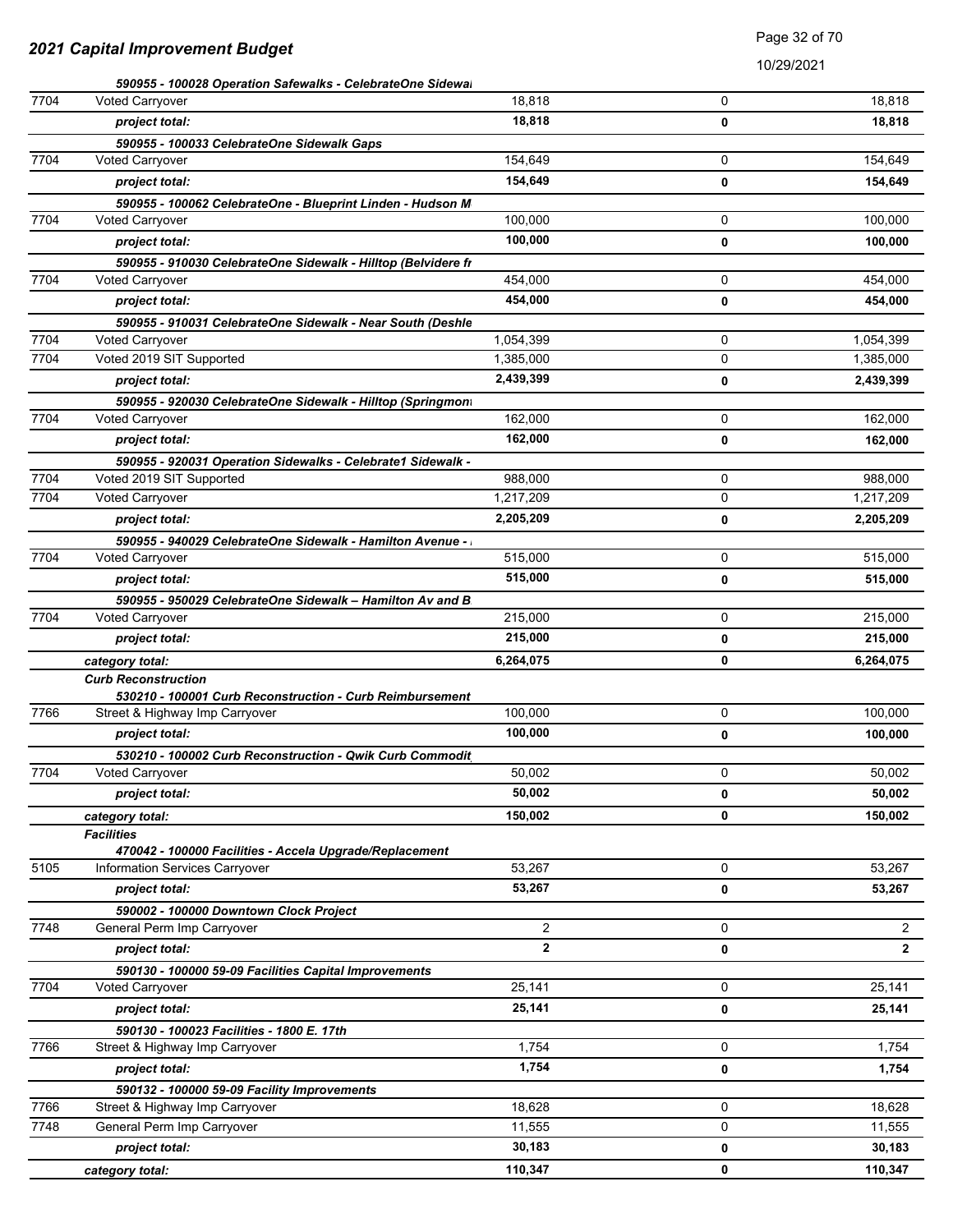### Page 32 of 70

|      | 590955 - 100028 Operation Safewalks - CelebrateOne Sidewal    |                |   |              |
|------|---------------------------------------------------------------|----------------|---|--------------|
| 7704 | <b>Voted Carryover</b>                                        | 18,818         | 0 | 18,818       |
|      | project total:                                                | 18,818         | 0 | 18,818       |
|      | 590955 - 100033 CelebrateOne Sidewalk Gaps                    |                |   |              |
| 7704 | Voted Carryover                                               | 154,649        | 0 | 154,649      |
|      | project total:                                                | 154,649        | 0 | 154,649      |
|      | 590955 - 100062 CelebrateOne - Blueprint Linden - Hudson M    |                |   |              |
| 7704 | <b>Voted Carryover</b>                                        | 100,000        | 0 | 100,000      |
|      | project total:                                                | 100,000        | 0 | 100,000      |
|      | 590955 - 910030 CelebrateOne Sidewalk - Hilltop (Belvidere fr |                |   |              |
| 7704 | Voted Carryover                                               | 454,000        | 0 | 454,000      |
|      | project total:                                                | 454,000        | 0 | 454,000      |
|      | 590955 - 910031 CelebrateOne Sidewalk - Near South (Deshle    |                |   |              |
| 7704 | Voted Carryover                                               | 1,054,399      | 0 | 1,054,399    |
| 7704 | Voted 2019 SIT Supported                                      | 1,385,000      | 0 | 1,385,000    |
|      | project total:                                                | 2,439,399      | 0 | 2,439,399    |
|      | 590955 - 920030 CelebrateOne Sidewalk - Hilltop (Springmont   |                |   |              |
| 7704 | Voted Carryover                                               | 162,000        | 0 | 162,000      |
|      | project total:                                                | 162,000        | 0 | 162,000      |
|      | 590955 - 920031 Operation Sidewalks - Celebrate1 Sidewalk -   |                |   |              |
| 7704 | Voted 2019 SIT Supported                                      | 988,000        | 0 | 988,000      |
| 7704 | Voted Carryover                                               | 1,217,209      | 0 | 1,217,209    |
|      | project total:                                                | 2,205,209      | 0 | 2,205,209    |
|      | 590955 - 940029 CelebrateOne Sidewalk - Hamilton Avenue -     |                |   |              |
| 7704 | Voted Carryover                                               | 515,000        | 0 | 515,000      |
|      | project total:                                                | 515,000        | 0 | 515,000      |
|      | 590955 - 950029 CelebrateOne Sidewalk - Hamilton Av and B     |                |   |              |
| 7704 | Voted Carryover                                               | 215,000        | 0 | 215,000      |
|      | project total:                                                | 215,000        | 0 | 215,000      |
|      | category total:                                               | 6,264,075      | 0 | 6,264,075    |
|      | <b>Curb Reconstruction</b>                                    |                |   |              |
|      | 530210 - 100001 Curb Reconstruction - Curb Reimbursement      |                |   |              |
| 7766 | Street & Highway Imp Carryover                                | 100,000        | 0 | 100,000      |
|      | project total:                                                | 100,000        | 0 | 100,000      |
|      | 530210 - 100002 Curb Reconstruction - Qwik Curb Commodit      |                |   |              |
| 7704 | Voted Carryover                                               | 50,002         | 0 | 50,002       |
|      | project total:                                                | 50,002         | 0 | 50,002       |
|      | category total:                                               | 150,002        | 0 | 150,002      |
|      | <b>Facilities</b>                                             |                |   |              |
|      | 470042 - 100000 Facilities - Accela Upgrade/Replacement       |                |   |              |
| 5105 | Information Services Carryover                                | 53,267         | 0 | 53,267       |
|      | project total:                                                | 53,267         | 0 | 53,267       |
|      | 590002 - 100000 Downtown Clock Project                        |                |   |              |
| 7748 | General Perm Imp Carryover                                    | $\overline{2}$ | 0 | $\mathbf{2}$ |
|      | project total:                                                | $\mathbf{2}$   | 0 | $\mathbf{2}$ |
|      | 590130 - 100000 59-09 Facilities Capital Improvements         |                |   |              |
| 7704 | <b>Voted Carryover</b>                                        | 25,141         | 0 | 25,141       |
|      | project total:                                                | 25,141         | 0 | 25,141       |
|      | 590130 - 100023 Facilities - 1800 E. 17th                     |                |   |              |
| 7766 | Street & Highway Imp Carryover                                | 1,754          | 0 | 1,754        |
|      | project total:                                                | 1,754          | 0 | 1,754        |
|      | 590132 - 100000 59-09 Facility Improvements                   |                |   |              |
| 7766 | Street & Highway Imp Carryover                                | 18,628         | 0 | 18,628       |
| 7748 | General Perm Imp Carryover                                    | 11,555         | 0 | 11,555       |
|      | project total:                                                | 30,183         | 0 | 30,183       |
|      | category total:                                               | 110,347        | 0 | 110,347      |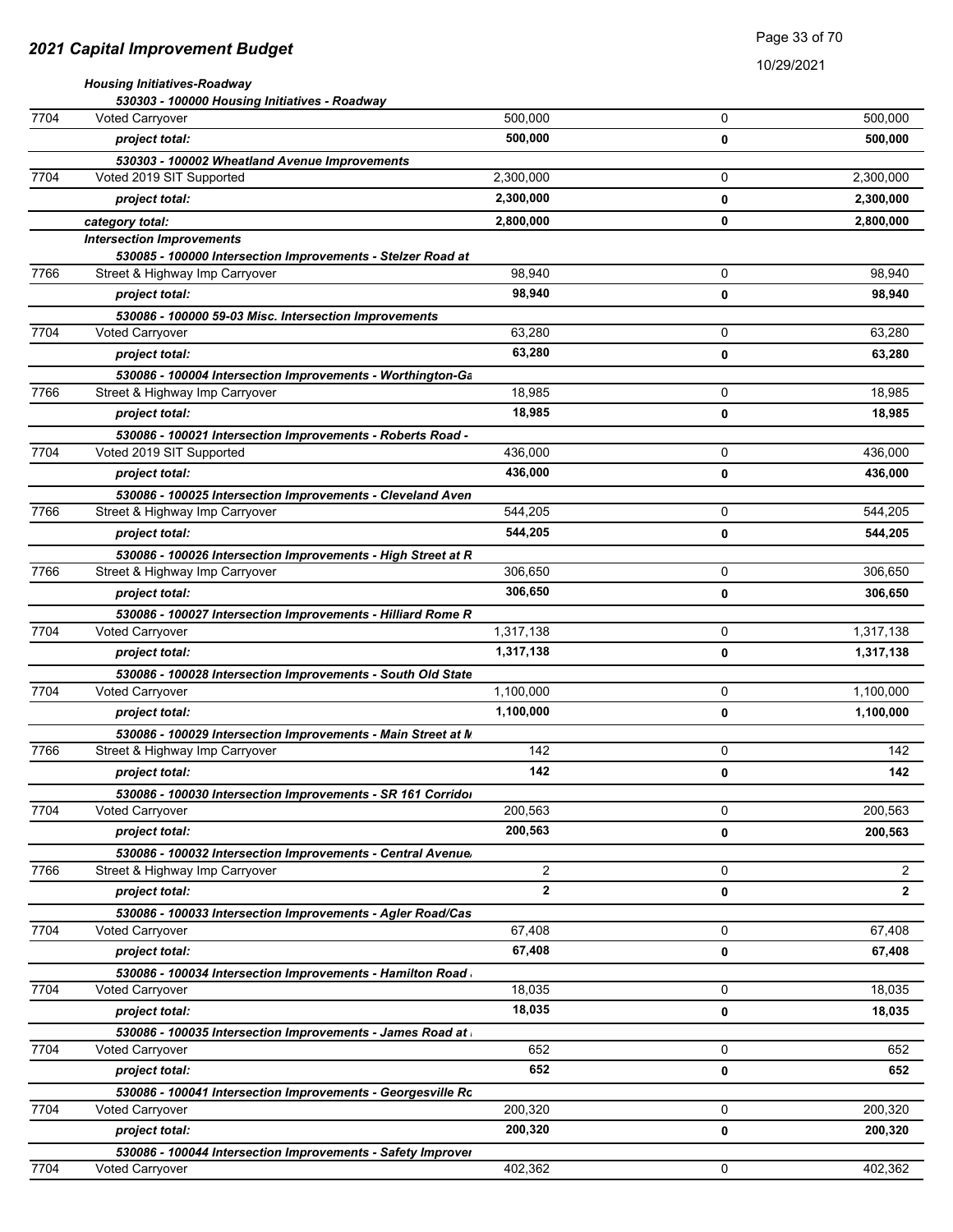10/29/2021

|      | <b>Housing Initiatives-Roadway</b>                                                              |                |   |                |
|------|-------------------------------------------------------------------------------------------------|----------------|---|----------------|
|      | 530303 - 100000 Housing Initiatives - Roadway                                                   |                |   |                |
| 7704 | <b>Voted Carryover</b>                                                                          | 500,000        | 0 | 500,000        |
|      | project total:                                                                                  | 500,000        | 0 | 500,000        |
| 7704 | 530303 - 100002 Wheatland Avenue Improvements<br>Voted 2019 SIT Supported                       | 2,300,000      | 0 | 2,300,000      |
|      |                                                                                                 | 2,300,000      |   |                |
|      | project total:                                                                                  |                | 0 | 2,300,000      |
|      | category total:                                                                                 | 2,800,000      | 0 | 2,800,000      |
|      | <b>Intersection Improvements</b><br>530085 - 100000 Intersection Improvements - Stelzer Road at |                |   |                |
| 7766 | Street & Highway Imp Carryover                                                                  | 98,940         | 0 | 98,940         |
|      | project total:                                                                                  | 98,940         | 0 | 98,940         |
|      | 530086 - 100000 59-03 Misc. Intersection Improvements                                           |                |   |                |
| 7704 | <b>Voted Carryover</b>                                                                          | 63,280         | 0 | 63,280         |
|      | project total:                                                                                  | 63,280         | 0 | 63,280         |
|      | 530086 - 100004 Intersection Improvements - Worthington-Ga                                      |                |   |                |
| 7766 | Street & Highway Imp Carryover                                                                  | 18,985         | 0 | 18,985         |
|      | project total:                                                                                  | 18,985         | 0 | 18,985         |
|      | 530086 - 100021 Intersection Improvements - Roberts Road -                                      |                |   |                |
| 7704 | Voted 2019 SIT Supported                                                                        | 436,000        | 0 | 436,000        |
|      | project total:                                                                                  | 436,000        | 0 | 436,000        |
|      | 530086 - 100025 Intersection Improvements - Cleveland Aven                                      |                |   |                |
| 7766 | Street & Highway Imp Carryover                                                                  | 544,205        | 0 | 544,205        |
|      | project total:                                                                                  | 544,205        | 0 | 544,205        |
|      | 530086 - 100026 Intersection Improvements - High Street at R                                    |                |   |                |
| 7766 | Street & Highway Imp Carryover                                                                  | 306,650        | 0 | 306,650        |
|      | project total:                                                                                  | 306,650        | 0 | 306,650        |
|      | 530086 - 100027 Intersection Improvements - Hilliard Rome R                                     |                |   |                |
| 7704 | <b>Voted Carryover</b>                                                                          | 1,317,138      | 0 | 1,317,138      |
|      | project total:                                                                                  | 1,317,138      | 0 | 1,317,138      |
|      | 530086 - 100028 Intersection Improvements - South Old State                                     |                |   |                |
| 7704 | Voted Carryover                                                                                 | 1,100,000      | 0 | 1,100,000      |
|      | project total:                                                                                  | 1,100,000      | 0 | 1,100,000      |
|      | 530086 - 100029 Intersection Improvements - Main Street at N                                    |                |   |                |
| 7766 | Street & Highway Imp Carryover                                                                  | 142            | 0 | 142            |
|      | project total:                                                                                  | 142            | 0 | 142            |
|      | 530086 - 100030 Intersection Improvements - SR 161 Corridor                                     |                |   |                |
| 7704 | <b>Voted Carryover</b>                                                                          | 200,563        | 0 | 200,563        |
|      | project total:                                                                                  | 200,563        | 0 | 200,563        |
|      | 530086 - 100032 Intersection Improvements - Central Avenue/                                     |                |   |                |
| 7766 | Street & Highway Imp Carryover                                                                  | $\overline{2}$ | 0 | $\overline{c}$ |
|      | project total:                                                                                  | $\overline{2}$ | 0 | 2              |
|      | 530086 - 100033 Intersection Improvements - Agler Road/Cas                                      |                |   |                |
| 7704 | Voted Carryover                                                                                 | 67,408         | 0 | 67,408         |
|      | project total:                                                                                  | 67,408         | 0 | 67,408         |
|      | 530086 - 100034 Intersection Improvements - Hamilton Road                                       |                |   |                |
| 7704 | <b>Voted Carryover</b>                                                                          | 18,035         | 0 | 18,035         |
|      | project total:                                                                                  | 18,035         | 0 | 18,035         |
|      | 530086 - 100035 Intersection Improvements - James Road at                                       |                |   |                |
| 7704 | <b>Voted Carryover</b>                                                                          | 652            | 0 | 652            |
|      | project total:                                                                                  | 652            | 0 | 652            |
|      | 530086 - 100041 Intersection Improvements - Georgesville Ro                                     |                |   |                |
| 7704 | <b>Voted Carryover</b>                                                                          | 200,320        | 0 | 200,320        |
|      | project total:                                                                                  | 200,320        | 0 | 200,320        |

7704 Voted Carryover 402,362 0 402,362

530086 - 100044 Intersection Improvements - Safety Improver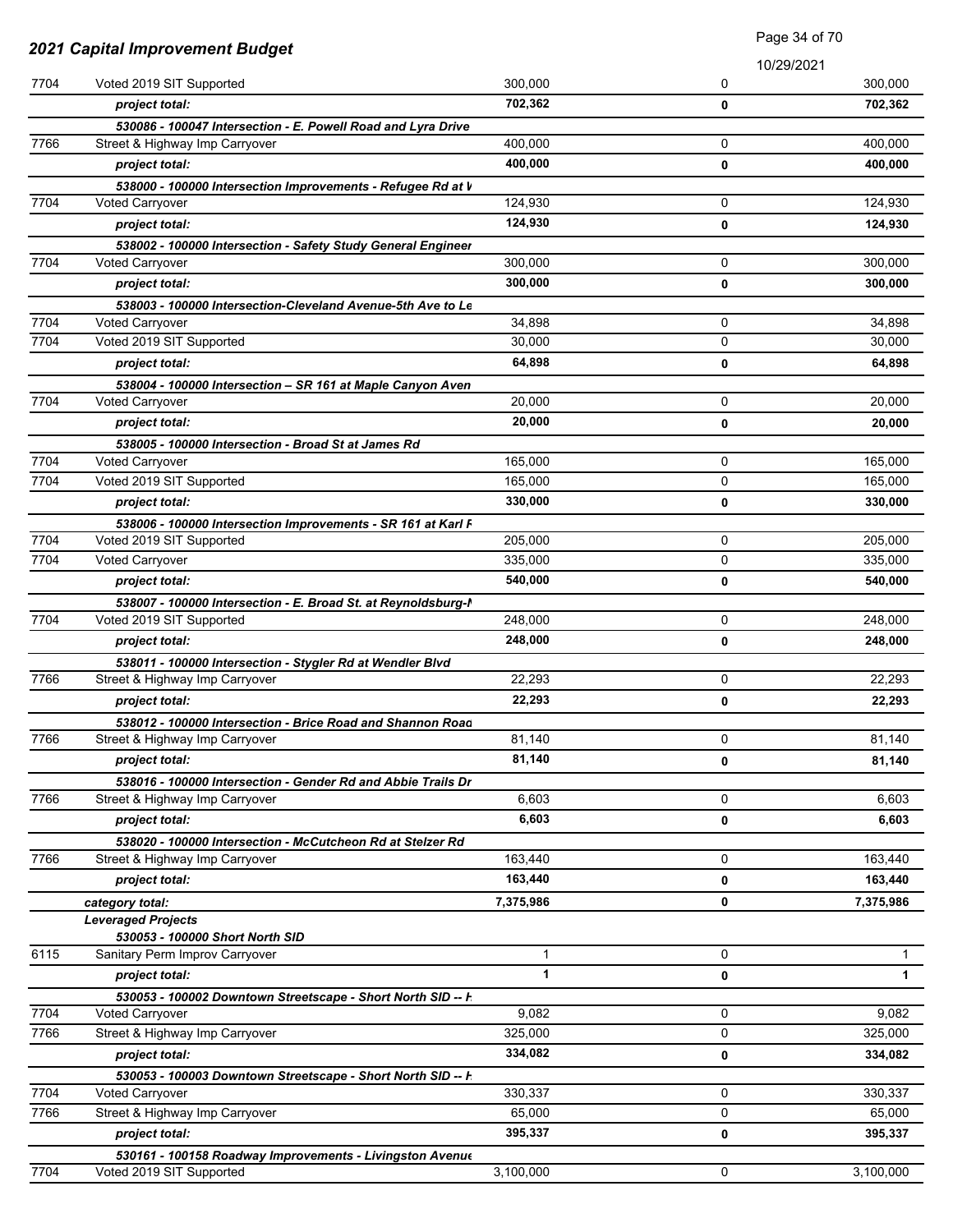|              |                                                                                          |                  | Page 34 of 70 |                  |
|--------------|------------------------------------------------------------------------------------------|------------------|---------------|------------------|
|              | <b>2021 Capital Improvement Budget</b>                                                   |                  | 10/29/2021    |                  |
| 7704         | Voted 2019 SIT Supported                                                                 | 300,000          | 0             | 300,000          |
|              | project total:                                                                           | 702,362          | 0             | 702,362          |
|              | 530086 - 100047 Intersection - E. Powell Road and Lyra Drive                             |                  |               |                  |
| 7766         | Street & Highway Imp Carryover                                                           | 400,000          | 0             | 400,000          |
|              | project total:                                                                           | 400,000          | 0             | 400,000          |
|              | 538000 - 100000 Intersection Improvements - Refugee Rd at V                              |                  |               |                  |
| 7704         | <b>Voted Carryover</b>                                                                   | 124.930          | 0             | 124,930          |
|              | project total:                                                                           | 124,930          | 0             | 124,930          |
|              | 538002 - 100000 Intersection - Safety Study General Engineer                             |                  |               |                  |
| 7704         | <b>Voted Carryover</b>                                                                   | 300,000          | 0             | 300,000          |
|              | project total:                                                                           | 300,000          | 0             | 300,000          |
|              | 538003 - 100000 Intersection-Cleveland Avenue-5th Ave to Le                              |                  |               |                  |
| 7704         | Voted Carryover                                                                          | 34,898           | 0             | 34,898           |
| 7704         | Voted 2019 SIT Supported                                                                 | 30,000           | 0             | 30,000           |
|              | project total:                                                                           | 64,898           | 0             | 64,898           |
| 7704         | 538004 - 100000 Intersection - SR 161 at Maple Canyon Aven                               | 20,000           |               | 20,000           |
|              | Voted Carryover                                                                          |                  | 0             |                  |
|              | project total:                                                                           | 20,000           | 0             | 20.000           |
| 7704         | 538005 - 100000 Intersection - Broad St at James Rd<br><b>Voted Carryover</b>            | 165,000          | 0             | 165,000          |
| 7704         | Voted 2019 SIT Supported                                                                 | 165,000          | 0             | 165,000          |
|              | project total:                                                                           | 330,000          | 0             | 330,000          |
|              |                                                                                          |                  |               |                  |
| 7704         | 538006 - 100000 Intersection Improvements - SR 161 at Karl F<br>Voted 2019 SIT Supported | 205,000          | 0             | 205,000          |
| 7704         | Voted Carryover                                                                          | 335,000          | 0             | 335,000          |
|              | project total:                                                                           | 540,000          | 0             | 540,000          |
|              | 538007 - 100000 Intersection - E. Broad St. at Reynoldsburg-I                            |                  |               |                  |
| 7704         | Voted 2019 SIT Supported                                                                 | 248,000          | 0             | 248,000          |
|              | project total:                                                                           | 248,000          | 0             | 248,000          |
|              | 538011 - 100000 Intersection - Stygler Rd at Wendler Blvd                                |                  |               |                  |
| 7766         | Street & Highway Imp Carryover                                                           | 22,293           | 0             | 22,293           |
|              | project total:                                                                           | 22,293           | 0             | 22,293           |
|              | 538012 - 100000 Intersection - Brice Road and Shannon Road                               |                  |               |                  |
| 7766         | Street & Highway Imp Carryover                                                           | 81,140           | 0             | 81,140           |
|              | project total:                                                                           | 81,140           | 0             | 81,140           |
|              | 538016 - 100000 Intersection - Gender Rd and Abbie Trails Dr                             |                  |               |                  |
| 7766         | Street & Highway Imp Carryover                                                           | 6,603            | 0             | 6,603            |
|              | project total:                                                                           | 6,603            | 0             | 6,603            |
|              | 538020 - 100000 Intersection - McCutcheon Rd at Stelzer Rd                               |                  |               |                  |
| 7766         | Street & Highway Imp Carryover                                                           | 163,440          | 0             | 163,440          |
|              | project total:                                                                           | 163,440          | 0             | 163,440          |
|              | category total:                                                                          | 7,375,986        | 0             | 7,375,986        |
|              | <b>Leveraged Projects</b>                                                                |                  |               |                  |
|              | 530053 - 100000 Short North SID                                                          |                  |               |                  |
| 6115         | Sanitary Perm Improv Carryover                                                           | $\mathbf{1}$     | 0             | $\mathbf 1$      |
|              | project total:                                                                           | $\mathbf{1}$     | 0             | $\mathbf{1}$     |
|              | 530053 - 100002 Downtown Streetscape - Short North SID -- F                              |                  | 0             |                  |
| 7704<br>7766 | <b>Voted Carryover</b><br>Street & Highway Imp Carryover                                 | 9,082<br>325,000 | 0             | 9,082<br>325,000 |
|              |                                                                                          | 334,082          |               |                  |
|              | project total:                                                                           |                  | 0             | 334,082          |
|              | 530053 - 100003 Downtown Streetscape - Short North SID -- F                              | 330,337          | 0             | 330,337          |
| 7704         | Voted Carryover<br>Street & Highway Imp Carryover                                        | 65,000           | 0             | 65,000           |
| 7766         | project total:                                                                           | 395,337          | 0             | 395,337          |
|              |                                                                                          |                  |               |                  |
| 7704         | 530161 - 100158 Roadway Improvements - Livingston Avenue<br>Voted 2019 SIT Supported     | 3,100,000        | 0             | 3,100,000        |
|              |                                                                                          |                  |               |                  |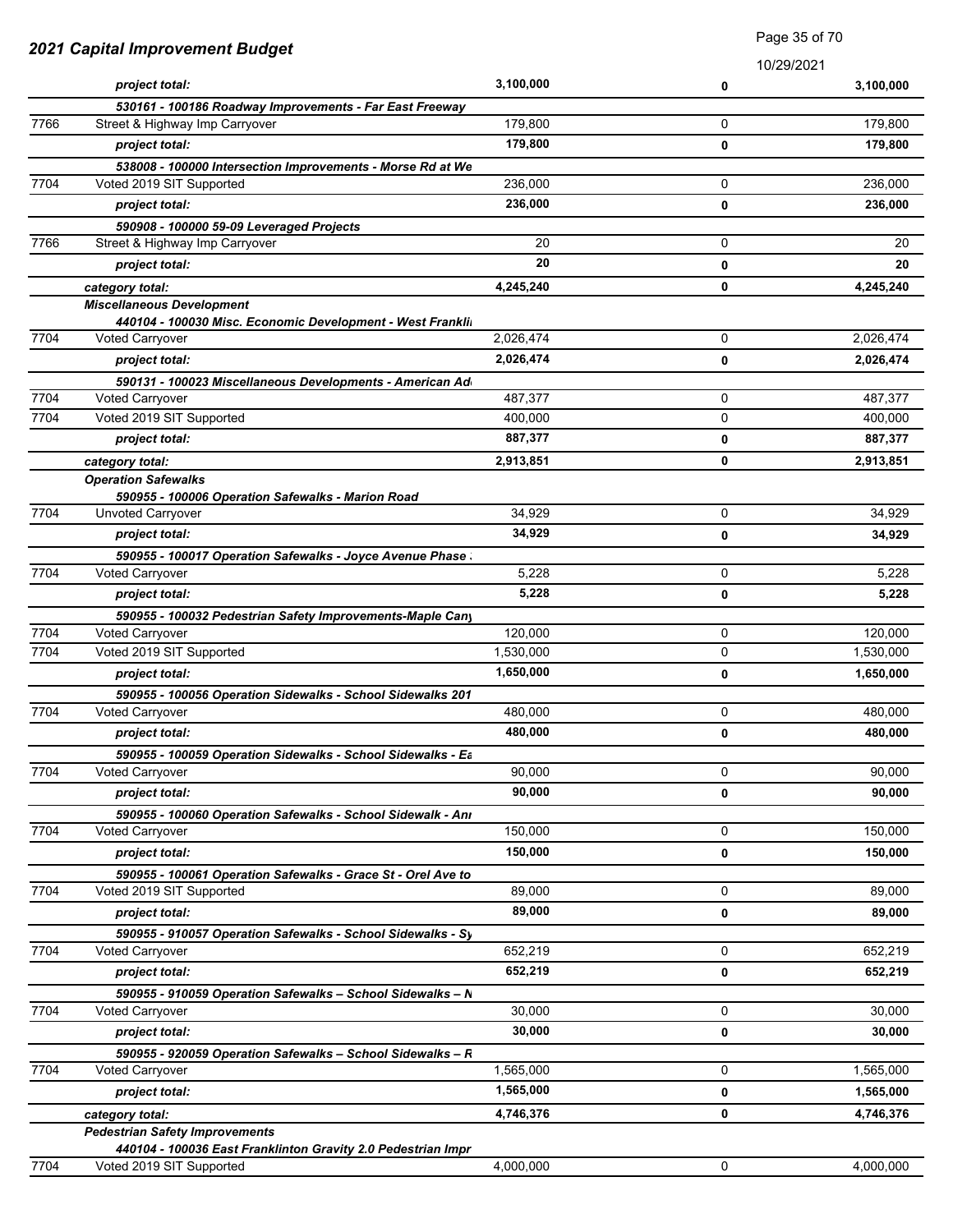|      | 2021 Capital Improvement Budget                                                               |           | raye JJ UI TU |            |
|------|-----------------------------------------------------------------------------------------------|-----------|---------------|------------|
|      |                                                                                               |           |               | 10/29/2021 |
|      | project total:                                                                                | 3,100,000 | 0             | 3,100,000  |
|      | 530161 - 100186 Roadway Improvements - Far East Freeway                                       |           |               |            |
| 7766 | Street & Highway Imp Carryover                                                                | 179,800   | 0             | 179,800    |
|      | project total:                                                                                | 179,800   | 0             | 179,800    |
| 7704 | 538008 - 100000 Intersection Improvements - Morse Rd at We<br>Voted 2019 SIT Supported        | 236,000   | 0             | 236,000    |
|      |                                                                                               |           |               |            |
|      | project total:                                                                                | 236,000   | 0             | 236,000    |
| 7766 | 590908 - 100000 59-09 Leveraged Projects<br>Street & Highway Imp Carryover                    | 20        | 0             | 20         |
|      |                                                                                               | 20        |               |            |
|      | project total:                                                                                |           | 0             | 20         |
|      | category total:                                                                               | 4,245,240 | 0             | 4,245,240  |
|      | <b>Miscellaneous Development</b><br>440104 - 100030 Misc. Economic Development - West Frankli |           |               |            |
| 7704 | <b>Voted Carryover</b>                                                                        | 2,026,474 | 0             | 2,026,474  |
|      | project total:                                                                                | 2,026,474 | 0             | 2,026,474  |
|      | 590131 - 100023 Miscellaneous Developments - American Ad                                      |           |               |            |
| 7704 | Voted Carryover                                                                               | 487,377   | 0             | 487,377    |
| 7704 | Voted 2019 SIT Supported                                                                      | 400,000   | $\mathbf 0$   | 400,000    |
|      | project total:                                                                                | 887,377   | 0             | 887,377    |
|      |                                                                                               |           | 0             |            |
|      | category total:<br><b>Operation Safewalks</b>                                                 | 2,913,851 |               | 2,913,851  |
|      | 590955 - 100006 Operation Safewalks - Marion Road                                             |           |               |            |
| 7704 | Unvoted Carryover                                                                             | 34,929    | $\mathbf 0$   | 34,929     |
|      | project total:                                                                                | 34,929    | 0             | 34,929     |
|      | 590955 - 100017 Operation Safewalks - Joyce Avenue Phase                                      |           |               |            |
| 7704 | Voted Carryover                                                                               | 5,228     | 0             | 5,228      |
|      | project total:                                                                                | 5,228     | 0             | 5,228      |
|      | 590955 - 100032 Pedestrian Safety Improvements-Maple Cany                                     |           |               |            |
| 7704 | Voted Carryover                                                                               | 120,000   | 0             | 120,000    |
| 7704 | Voted 2019 SIT Supported                                                                      | 1,530,000 | 0             | 1,530,000  |
|      | project total:                                                                                | 1,650,000 | 0             | 1,650,000  |
|      | 590955 - 100056 Operation Sidewalks - School Sidewalks 201                                    |           |               |            |
| 7704 | Voted Carryover                                                                               | 480,000   | 0             | 480,000    |
|      | project total:                                                                                | 480,000   | 0             | 480,000    |
|      | 590955 - 100059 Operation Sidewalks - School Sidewalks - Ea                                   |           |               |            |
| 7704 | <b>Voted Carryover</b>                                                                        | 90.000    | 0             | 90,000     |
|      | project total:                                                                                | 90,000    | 0             | 90,000     |
|      | 590955 - 100060 Operation Safewalks - School Sidewalk - Ani                                   |           |               |            |
| 7704 | <b>Voted Carryover</b>                                                                        | 150,000   | 0             | 150,000    |
|      | project total:                                                                                | 150,000   | 0             | 150,000    |
|      | 590955 - 100061 Operation Safewalks - Grace St - Orel Ave to                                  |           |               |            |
| 7704 | Voted 2019 SIT Supported                                                                      | 89,000    | 0             | 89,000     |
|      | project total:                                                                                | 89,000    | 0             | 89,000     |
|      | 590955 - 910057 Operation Safewalks - School Sidewalks - Sy                                   |           |               |            |
| 7704 | <b>Voted Carryover</b>                                                                        | 652,219   | 0             | 652,219    |
|      | project total:                                                                                | 652,219   | 0             | 652,219    |
|      | 590955 - 910059 Operation Safewalks - School Sidewalks - N                                    |           |               |            |
| 7704 | <b>Voted Carryover</b>                                                                        | 30,000    | 0             | 30,000     |
|      | project total:                                                                                | 30,000    | 0             | 30,000     |
|      | 590955 - 920059 Operation Safewalks - School Sidewalks - R                                    |           |               |            |
| 7704 | <b>Voted Carryover</b>                                                                        | 1,565,000 | 0             | 1,565,000  |
|      | project total:                                                                                | 1,565,000 | 0             | 1,565,000  |
|      | category total:                                                                               | 4,746,376 | 0             | 4,746,376  |
|      | <b>Pedestrian Safety Improvements</b>                                                         |           |               |            |
|      | 440104 - 100036 East Franklinton Gravity 2.0 Pedestrian Impr                                  |           |               |            |
| 7704 | Voted 2019 SIT Supported                                                                      | 4,000,000 | 0             | 4,000,000  |

Page 35 of 70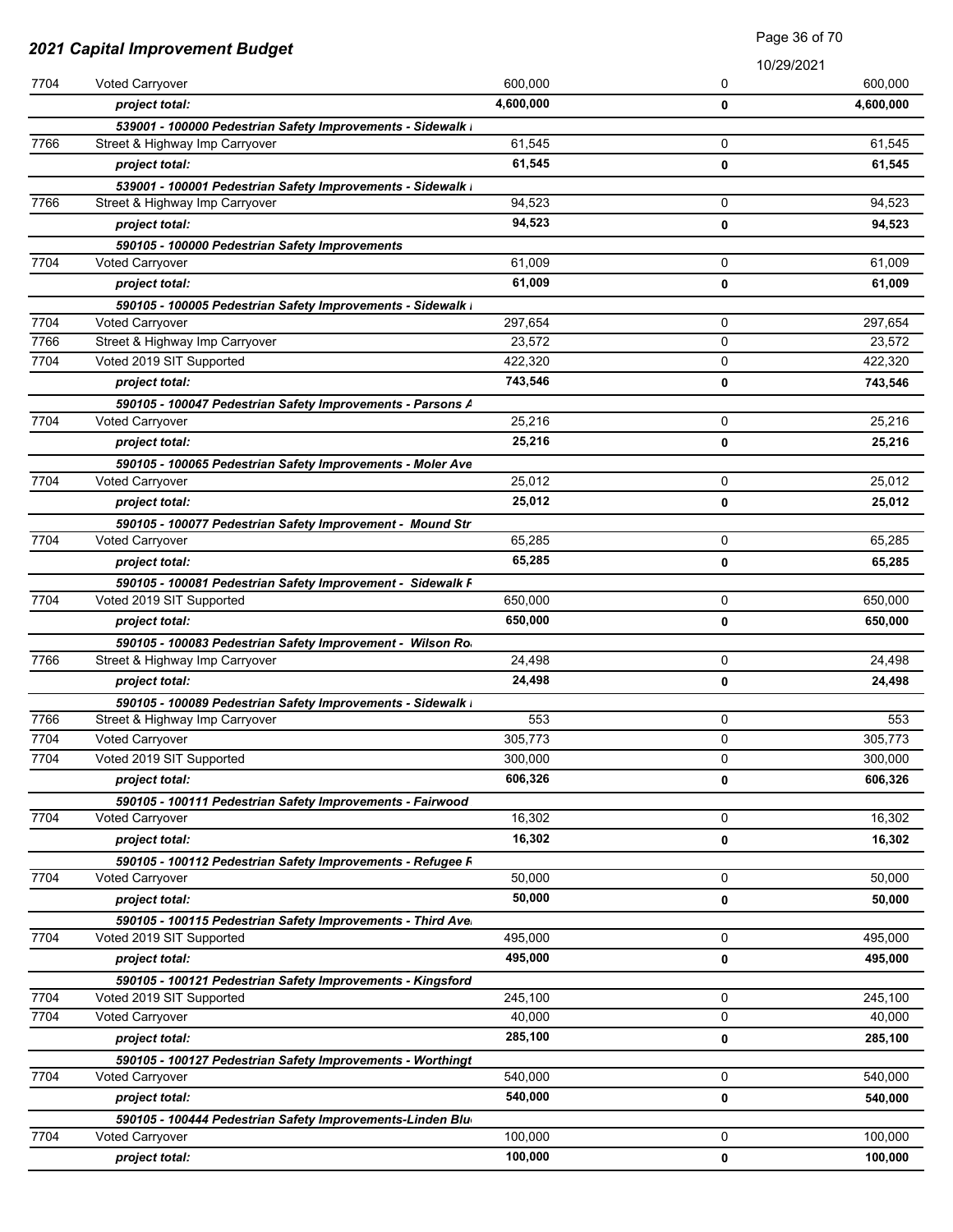|              |                                                                                     |                   | Page 36 of 70<br>10/29/2021 |                   |
|--------------|-------------------------------------------------------------------------------------|-------------------|-----------------------------|-------------------|
|              | 2021 Capital Improvement Budget                                                     |                   |                             |                   |
| 7704         | Voted Carryover                                                                     | 600.000           | 0                           | 600.000           |
|              | project total:                                                                      | 4,600,000         | 0                           | 4,600,000         |
|              | 539001 - 100000 Pedestrian Safety Improvements - Sidewalk I                         |                   |                             |                   |
| 7766         | Street & Highway Imp Carryover                                                      | 61,545            | 0                           | 61,545            |
|              | project total:                                                                      | 61,545            | 0                           | 61,545            |
|              | 539001 - 100001 Pedestrian Safety Improvements - Sidewalk I                         |                   |                             |                   |
| 7766         | Street & Highway Imp Carryover                                                      | 94,523            | 0                           | 94,523            |
|              | project total:                                                                      | 94,523            | 0                           | 94,523            |
|              | 590105 - 100000 Pedestrian Safety Improvements                                      |                   |                             |                   |
| 7704         | Voted Carryover                                                                     | 61,009            | 0                           | 61,009            |
|              | project total:                                                                      | 61,009            | 0                           | 61,009            |
|              | 590105 - 100005 Pedestrian Safety Improvements - Sidewalk I                         |                   |                             |                   |
| 7704<br>7766 | <b>Voted Carryover</b><br>Street & Highway Imp Carryover                            | 297,654<br>23,572 | 0<br>0                      | 297,654<br>23,572 |
| 7704         | Voted 2019 SIT Supported                                                            | 422,320           | 0                           | 422,320           |
|              | project total:                                                                      | 743,546           | 0                           | 743,546           |
|              |                                                                                     |                   |                             |                   |
| 7704         | 590105 - 100047 Pedestrian Safety Improvements - Parsons A<br>Voted Carryover       | 25,216            | 0                           | 25,216            |
|              | project total:                                                                      | 25,216            | 0                           | 25,216            |
|              | 590105 - 100065 Pedestrian Safety Improvements - Moler Ave                          |                   |                             |                   |
| 7704         | <b>Voted Carryover</b>                                                              | 25,012            | 0                           | 25,012            |
|              | project total:                                                                      | 25,012            | 0                           | 25,012            |
|              | 590105 - 100077 Pedestrian Safety Improvement - Mound Str                           |                   |                             |                   |
| 7704         | Voted Carryover                                                                     | 65,285            | 0                           | 65,285            |
|              | project total:                                                                      | 65,285            | 0                           | 65,285            |
|              | 590105 - 100081 Pedestrian Safety Improvement - Sidewalk F                          |                   |                             |                   |
| 7704         | Voted 2019 SIT Supported                                                            | 650,000           | 0                           | 650,000           |
|              | project total:                                                                      | 650,000           | 0                           | 650,000           |
|              | 590105 - 100083 Pedestrian Safety Improvement - Wilson Ro                           |                   |                             |                   |
| 7766         | Street & Highway Imp Carryover                                                      | 24,498            | 0                           | 24,498            |
|              | project total:                                                                      | 24,498            | 0                           | 24,498            |
|              | 590105 - 100089 Pedestrian Safety Improvements - Sidewalk I                         |                   |                             |                   |
| 7766         | Street & Highway Imp Carryover                                                      | 553               | 0                           | 553               |
| 7704         | Voted Carryover                                                                     | 305,773           | 0                           | 305,773           |
| 7704         | Voted 2019 SIT Supported                                                            | 300,000           | 0                           | 300,000           |
|              | project total:                                                                      | 606,326           | 0                           | 606,326           |
|              | 590105 - 100111 Pedestrian Safety Improvements - Fairwood                           |                   |                             |                   |
| 7704         | <b>Voted Carryover</b>                                                              | 16,302            | 0                           | 16,302            |
|              | project total:                                                                      | 16,302            | 0                           | 16,302            |
|              | 590105 - 100112 Pedestrian Safety Improvements - Refugee F                          |                   |                             |                   |
| 7704         | <b>Voted Carryover</b>                                                              | 50,000            | 0                           | 50,000            |
|              | project total:                                                                      | 50,000            | 0                           | 50,000            |
|              | 590105 - 100115 Pedestrian Safety Improvements - Third Ave                          |                   |                             |                   |
| 7704         | Voted 2019 SIT Supported                                                            | 495,000           | 0                           | 495,000           |
|              | project total:                                                                      | 495,000           | 0                           | 495,000           |
|              | 590105 - 100121 Pedestrian Safety Improvements - Kingsford                          |                   |                             |                   |
| 7704         | Voted 2019 SIT Supported                                                            | 245,100           | 0                           | 245,100           |
| 7704         | Voted Carryover                                                                     | 40,000            | 0                           | 40,000            |
|              | project total:                                                                      | 285,100           | 0                           | 285,100           |
|              | 590105 - 100127 Pedestrian Safety Improvements - Worthingt                          |                   |                             |                   |
| 7704         | <b>Voted Carryover</b>                                                              | 540,000           | 0                           | 540,000           |
|              | project total:                                                                      | 540,000           | 0                           | 540,000           |
| 7704         | 590105 - 100444 Pedestrian Safety Improvements-Linden Blu<br><b>Voted Carryover</b> | 100,000           | 0                           | 100,000           |
|              |                                                                                     | 100,000           |                             | 100,000           |
|              | project total:                                                                      |                   | 0                           |                   |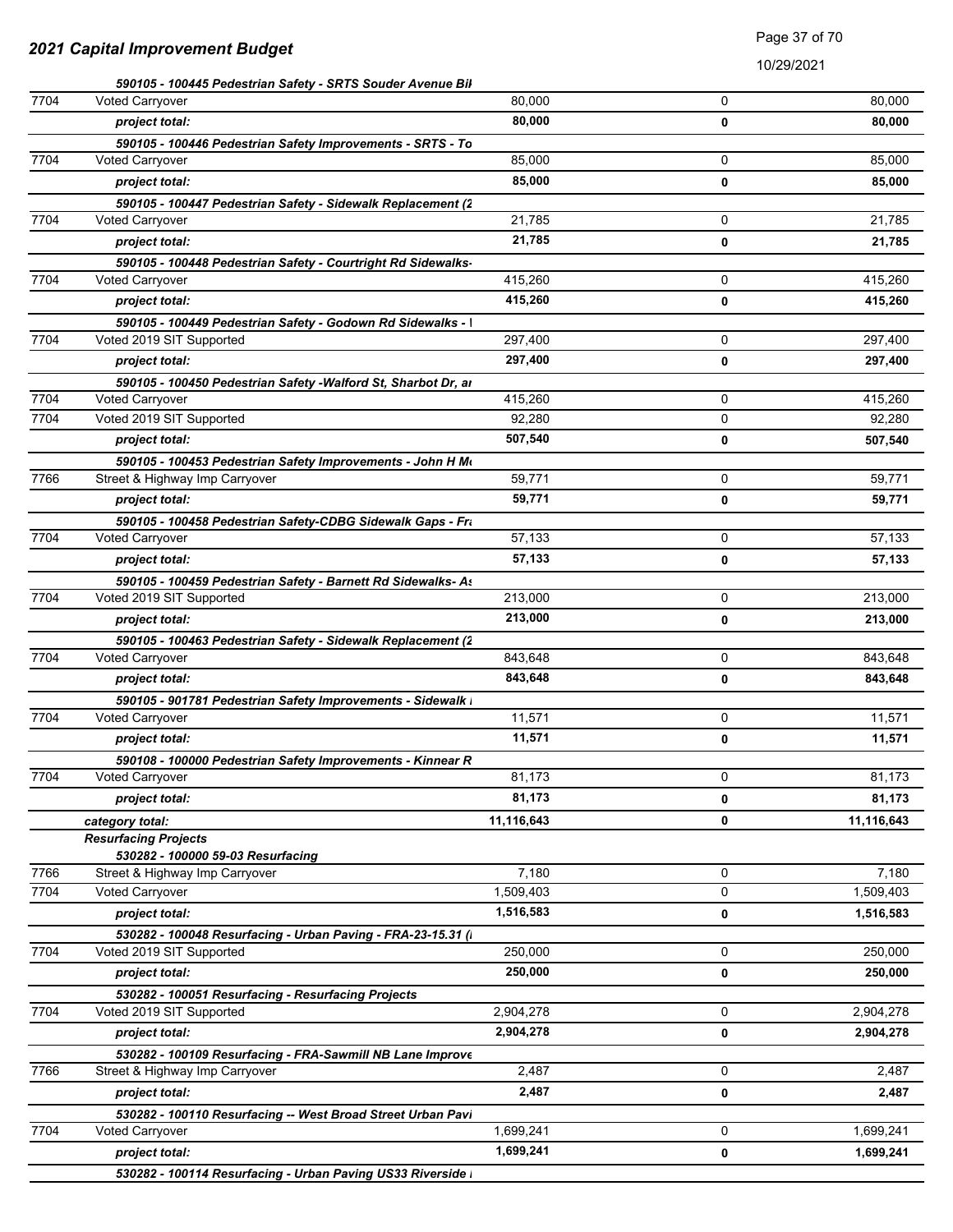|      | 590105 - 100445 Pedestrian Safety - SRTS Souder Avenue Bil    |            |          |            |
|------|---------------------------------------------------------------|------------|----------|------------|
| 7704 | <b>Voted Carryover</b>                                        | 80,000     | $\Omega$ | 80,000     |
|      | project total:                                                | 80.000     | 0        | 80,000     |
|      | 590105 - 100446 Pedestrian Safety Improvements - SRTS - To    |            |          |            |
| 7704 | <b>Voted Carryover</b>                                        | 85,000     | 0        | 85,000     |
|      | project total:                                                | 85,000     | 0        | 85.000     |
|      | 590105 - 100447 Pedestrian Safety - Sidewalk Replacement (2   |            |          |            |
| 7704 | <b>Voted Carryover</b>                                        | 21,785     | 0        | 21,785     |
|      | project total:                                                | 21,785     | 0        | 21,785     |
|      | 590105 - 100448 Pedestrian Safety - Courtright Rd Sidewalks-  |            |          |            |
| 7704 | Voted Carryover                                               | 415,260    | 0        | 415,260    |
|      | project total:                                                | 415,260    | 0        | 415,260    |
|      | 590105 - 100449 Pedestrian Safety - Godown Rd Sidewalks - I   |            |          |            |
| 7704 | Voted 2019 SIT Supported                                      | 297,400    | 0        | 297,400    |
|      | project total:                                                | 297,400    | 0        | 297,400    |
|      | 590105 - 100450 Pedestrian Safety -Walford St, Sharbot Dr, ar |            |          |            |
| 7704 | <b>Voted Carryover</b>                                        | 415,260    | 0        | 415,260    |
| 7704 | Voted 2019 SIT Supported                                      | 92,280     | 0        | 92,280     |
|      | project total:                                                | 507,540    | 0        | 507,540    |
|      | 590105 - 100453 Pedestrian Safety Improvements - John H Mo    |            |          |            |
| 7766 | Street & Highway Imp Carryover                                | 59,771     | 0        | 59,771     |
|      | project total:                                                | 59,771     | 0        | 59,771     |
|      | 590105 - 100458 Pedestrian Safety-CDBG Sidewalk Gaps - Fra    |            |          |            |
| 7704 | Voted Carryover                                               | 57,133     | 0        | 57,133     |
|      | project total:                                                | 57,133     | 0        | 57,133     |
|      | 590105 - 100459 Pedestrian Safety - Barnett Rd Sidewalks- As  |            |          |            |
| 7704 | Voted 2019 SIT Supported                                      | 213,000    | 0        | 213,000    |
|      | project total:                                                | 213,000    | 0        | 213,000    |
|      | 590105 - 100463 Pedestrian Safety - Sidewalk Replacement (2   |            |          |            |
| 7704 | <b>Voted Carryover</b>                                        | 843,648    | 0        | 843,648    |
|      | project total:                                                | 843,648    | 0        | 843,648    |
|      | 590105 - 901781 Pedestrian Safety Improvements - Sidewalk I   |            |          |            |
| 7704 | Voted Carryover                                               | 11,571     | 0        | 11,571     |
|      | project total:                                                | 11,571     | 0        | 11,571     |
|      | 590108 - 100000 Pedestrian Safety Improvements - Kinnear R    |            |          |            |
| 7704 | <b>Voted Carryover</b>                                        | 81,173     | 0        | 81,173     |
|      | project total:                                                | 81,173     | 0        | 81,173     |
|      | category total:                                               | 11,116,643 | 0        | 11,116,643 |
|      | <b>Resurfacing Projects</b>                                   |            |          |            |
|      | 530282 - 100000 59-03 Resurfacing                             |            |          |            |
| 7766 | Street & Highway Imp Carryover                                | 7,180      | 0        | 7,180      |
| 7704 | Voted Carryover                                               | 1,509,403  | 0        | 1,509,403  |
|      | project total:                                                | 1,516,583  | 0        | 1,516,583  |
|      | 530282 - 100048 Resurfacing - Urban Paving - FRA-23-15.31 (I  |            |          |            |
| 7704 | Voted 2019 SIT Supported                                      | 250,000    | 0        | 250,000    |
|      | project total:                                                | 250,000    | 0        | 250,000    |
|      | 530282 - 100051 Resurfacing - Resurfacing Projects            |            |          |            |
| 7704 | Voted 2019 SIT Supported                                      | 2,904,278  | 0        | 2,904,278  |
|      | project total:                                                | 2,904,278  | 0        | 2,904,278  |
|      | 530282 - 100109 Resurfacing - FRA-Sawmill NB Lane Improve     |            |          |            |
| 7766 | Street & Highway Imp Carryover                                | 2,487      | 0        | 2,487      |
|      | project total:                                                | 2,487      | 0        | 2,487      |
|      | 530282 - 100110 Resurfacing -- West Broad Street Urban Pavi   |            |          |            |
| 7704 | Voted Carryover                                               | 1,699,241  | 0        | 1,699,241  |
|      | project total:                                                | 1,699,241  | 0        | 1,699,241  |
|      | 530282 - 100114 Resurfacing - Urban Paving US33 Riverside I   |            |          |            |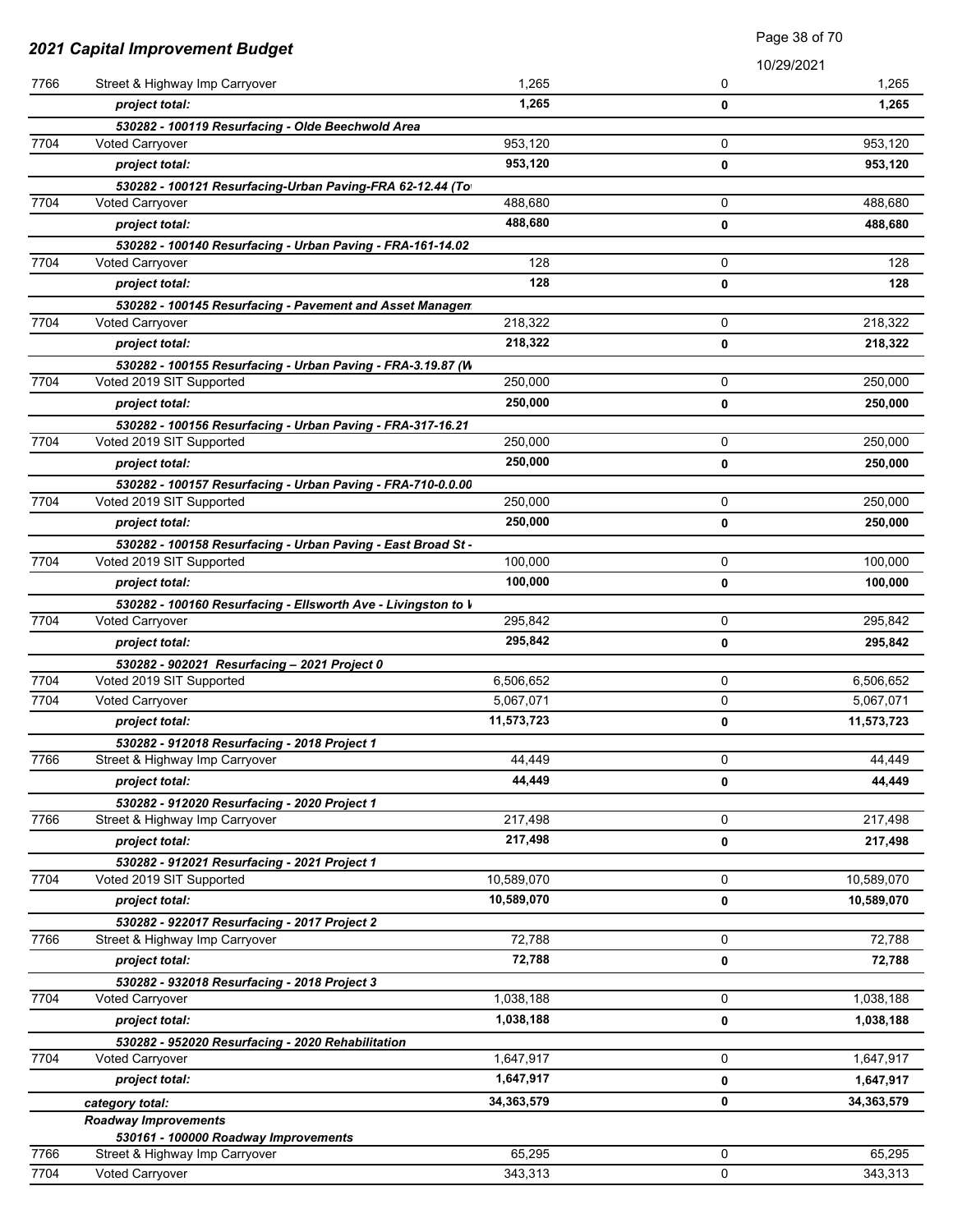|              | 2021 Capital Improvement Budget                                                |                        | Page 38 of 70 |            |
|--------------|--------------------------------------------------------------------------------|------------------------|---------------|------------|
|              |                                                                                |                        |               | 10/29/2021 |
| 7766         | Street & Highway Imp Carryover                                                 | 1,265                  | 0             | 1,265      |
|              | project total:                                                                 | 1,265                  | 0             | 1,265      |
|              | 530282 - 100119 Resurfacing - Olde Beechwold Area                              |                        |               |            |
| 7704         | <b>Voted Carryover</b>                                                         | 953,120                | 0             | 953,120    |
|              | project total:                                                                 | 953,120                | 0             | 953,120    |
|              | 530282 - 100121 Resurfacing-Urban Paving-FRA 62-12.44 (To                      |                        |               |            |
| 7704         | Voted Carryover                                                                | 488,680                | 0             | 488,680    |
|              | project total:                                                                 | 488,680                | 0             | 488,680    |
|              | 530282 - 100140 Resurfacing - Urban Paving - FRA-161-14.02                     |                        |               |            |
| 7704         | <b>Voted Carryover</b>                                                         | 128                    | 0             | 128        |
|              | project total:                                                                 | 128                    | 0             | 128        |
|              | 530282 - 100145 Resurfacing - Pavement and Asset Managen                       |                        |               |            |
| 7704         | <b>Voted Carryover</b>                                                         | 218,322                | 0             | 218,322    |
|              | project total:                                                                 | 218,322                | 0             | 218,322    |
|              | 530282 - 100155 Resurfacing - Urban Paving - FRA-3.19.87 (W                    |                        |               |            |
| 7704         | Voted 2019 SIT Supported                                                       | 250,000                | 0             | 250,000    |
|              | project total:                                                                 | 250,000                | 0             | 250,000    |
|              | 530282 - 100156 Resurfacing - Urban Paving - FRA-317-16.21                     |                        |               |            |
| 7704         | Voted 2019 SIT Supported                                                       | 250,000                | 0             | 250,000    |
|              | project total:                                                                 | 250,000                | 0             | 250,000    |
|              | 530282 - 100157 Resurfacing - Urban Paving - FRA-710-0.0.00                    |                        |               |            |
| 7704         | Voted 2019 SIT Supported                                                       | 250,000                | 0             | 250,000    |
|              | project total:                                                                 | 250,000                | 0             | 250,000    |
|              | 530282 - 100158 Resurfacing - Urban Paving - East Broad St -                   |                        |               |            |
| 7704         | Voted 2019 SIT Supported                                                       | 100,000                | 0             | 100,000    |
|              | project total:                                                                 | 100,000                | 0             | 100,000    |
|              | 530282 - 100160 Resurfacing - Ellsworth Ave - Livingston to V                  |                        |               |            |
| 7704         | Voted Carryover                                                                | 295,842                | 0             | 295,842    |
|              | project total:                                                                 | 295,842                | 0             | 295,842    |
|              | 530282 - 902021 Resurfacing - 2021 Project 0                                   |                        |               |            |
| 7704<br>7704 | Voted 2019 SIT Supported                                                       | 6,506,652<br>5,067,071 | 0             | 6,506,652  |
|              | Voted Carryover                                                                |                        | 0             | 5,067,071  |
|              | project total:                                                                 | 11,573,723             | 0             | 11,573,723 |
| 7766         | 530282 - 912018 Resurfacing - 2018 Project 1<br>Street & Highway Imp Carryover | 44,449                 | 0             | 44,449     |
|              |                                                                                | 44.449                 |               |            |
|              | project total:                                                                 |                        | 0             | 44,449     |
| 7766         | 530282 - 912020 Resurfacing - 2020 Project 1<br>Street & Highway Imp Carryover | 217,498                | 0             | 217,498    |
|              | project total:                                                                 | 217,498                |               |            |
|              |                                                                                |                        | 0             | 217,498    |
| 7704         | 530282 - 912021 Resurfacing - 2021 Project 1<br>Voted 2019 SIT Supported       | 10,589,070             | 0             | 10,589,070 |
|              | project total:                                                                 | 10,589,070             |               | 10,589,070 |
|              |                                                                                |                        | 0             |            |
| 7766         | 530282 - 922017 Resurfacing - 2017 Project 2<br>Street & Highway Imp Carryover | 72,788                 | 0             | 72,788     |
|              | project total:                                                                 | 72,788                 | 0             | 72,788     |
|              |                                                                                |                        |               |            |
| 7704         | 530282 - 932018 Resurfacing - 2018 Project 3<br>Voted Carryover                | 1,038,188              | 0             | 1,038,188  |
|              | project total:                                                                 | 1,038,188              | 0             | 1,038,188  |
|              | 530282 - 952020 Resurfacing - 2020 Rehabilitation                              |                        |               |            |
| 7704         | <b>Voted Carryover</b>                                                         | 1,647,917              | 0             | 1,647,917  |
|              | project total:                                                                 | 1,647,917              | 0             | 1,647,917  |
|              |                                                                                | 34,363,579             | 0             | 34,363,579 |
|              | category total:<br><b>Roadway Improvements</b>                                 |                        |               |            |
|              | 530161 - 100000 Roadway Improvements                                           |                        |               |            |
| 7766         | Street & Highway Imp Carryover                                                 | 65,295                 | $\mathbf 0$   | 65,295     |
| 7704         | Voted Carryover                                                                | 343,313                | 0             | 343,313    |

Page 38 of 70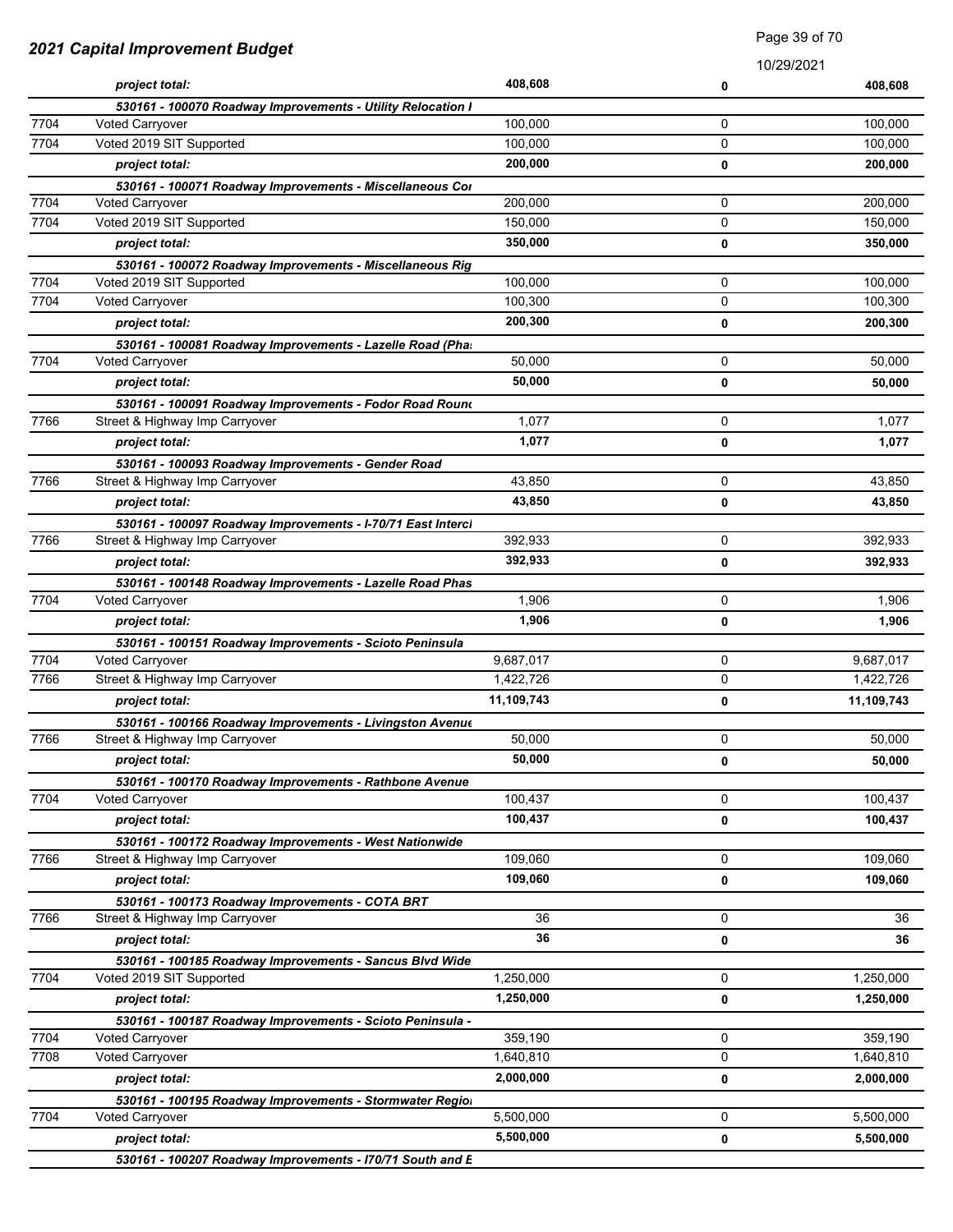| 10/29/2021<br>408,608<br>project total:<br>408,608<br>0<br>530161 - 100070 Roadway Improvements - Utility Relocation I<br>7704<br><b>Voted Carryover</b><br>100,000<br>0<br>100,000<br>7704<br>Voted 2019 SIT Supported<br>100,000<br>0<br>100,000<br>200,000<br>project total:<br>200,000<br>0<br>530161 - 100071 Roadway Improvements - Miscellaneous Cor<br>7704<br>200,000<br>0<br>200,000<br><b>Voted Carryover</b><br>7704<br>Voted 2019 SIT Supported<br>0<br>150,000<br>150,000<br>350,000<br>project total:<br>0<br>350,000<br>530161 - 100072 Roadway Improvements - Miscellaneous Rig<br>7704<br>100,000<br>0<br>100,000<br>Voted 2019 SIT Supported<br>7704<br>0<br>Voted Carryover<br>100,300<br>100,300<br>200,300<br>project total:<br>200,300<br>0<br>530161 - 100081 Roadway Improvements - Lazelle Road (Pha.<br>7704<br>0<br>50,000<br>Voted Carryover<br>50,000<br>50,000<br>50,000<br>project total:<br>0<br>530161 - 100091 Roadway Improvements - Fodor Road Round<br>7766<br>1,077<br>0<br>Street & Highway Imp Carryover<br>1,077<br>1,077<br>project total:<br>1,077<br>0<br>530161 - 100093 Roadway Improvements - Gender Road<br>7766<br>43,850<br>0<br>43,850<br>Street & Highway Imp Carryover<br>43,850<br>project total:<br>0<br>43,850<br>530161 - 100097 Roadway Improvements - I-70/71 East Interci<br>392,933<br>392,933<br>7766<br>Street & Highway Imp Carryover<br>0<br>392,933<br>392,933<br>project total:<br>0<br>530161 - 100148 Roadway Improvements - Lazelle Road Phas<br>7704<br>1,906<br>0<br>Voted Carryover<br>1,906<br>1,906<br>1,906<br>project total:<br>0<br>530161 - 100151 Roadway Improvements - Scioto Peninsula<br>7704<br>Voted Carryover<br>0<br>9,687,017<br>9,687,017<br>Street & Highway Imp Carryover<br>0<br>7766<br>1,422,726<br>1,422,726<br>11,109,743<br>project total:<br>0<br>11,109,743<br>530161 - 100166 Roadway Improvements - Livingston Avenue<br>50,000<br>7766<br>50,000<br>0<br>Street & Highway Imp Carryover<br>50,000<br>project total:<br>50,000<br>0<br>530161 - 100170 Roadway Improvements - Rathbone Avenue<br>7704<br>0<br>100,437<br>100,437<br><b>Voted Carryover</b><br>100,437<br>100,437<br>project total:<br>0<br>530161 - 100172 Roadway Improvements - West Nationwide<br>7766<br>Street & Highway Imp Carryover<br>109,060<br>0<br>109,060<br>109,060<br>0<br>109,060<br>project total:<br>530161 - 100173 Roadway Improvements - COTA BRT<br>7766<br>0<br>Street & Highway Imp Carryover<br>36<br>36<br>36<br>project total:<br>36<br>0<br>530161 - 100185 Roadway Improvements - Sancus Blvd Wide<br>7704<br>0<br>Voted 2019 SIT Supported<br>1,250,000<br>1,250,000<br>1,250,000<br>project total:<br>0<br>1,250,000<br>530161 - 100187 Roadway Improvements - Scioto Peninsula -<br>7704<br>0<br>359,190<br>Voted Carryover<br>359,190<br>7708<br>Voted Carryover<br>0<br>1,640,810<br>1,640,810<br>2,000,000<br>project total:<br>2,000,000<br>0<br>530161 - 100195 Roadway Improvements - Stormwater Regior<br>7704<br>0<br>Voted Carryover<br>5,500,000<br>5,500,000<br>5,500,000<br>0<br>5,500,000<br>project total: | 2021 Capital Improvement Budget |                                                           | raye Journu |  |  |
|---------------------------------------------------------------------------------------------------------------------------------------------------------------------------------------------------------------------------------------------------------------------------------------------------------------------------------------------------------------------------------------------------------------------------------------------------------------------------------------------------------------------------------------------------------------------------------------------------------------------------------------------------------------------------------------------------------------------------------------------------------------------------------------------------------------------------------------------------------------------------------------------------------------------------------------------------------------------------------------------------------------------------------------------------------------------------------------------------------------------------------------------------------------------------------------------------------------------------------------------------------------------------------------------------------------------------------------------------------------------------------------------------------------------------------------------------------------------------------------------------------------------------------------------------------------------------------------------------------------------------------------------------------------------------------------------------------------------------------------------------------------------------------------------------------------------------------------------------------------------------------------------------------------------------------------------------------------------------------------------------------------------------------------------------------------------------------------------------------------------------------------------------------------------------------------------------------------------------------------------------------------------------------------------------------------------------------------------------------------------------------------------------------------------------------------------------------------------------------------------------------------------------------------------------------------------------------------------------------------------------------------------------------------------------------------------------------------------------------------------------------------------------------------------------------------------------------------------------------------------------------------------------------------------------------------------------------------------------------------------------------------------------------------------------------------------------------------------------------------------------------|---------------------------------|-----------------------------------------------------------|-------------|--|--|
|                                                                                                                                                                                                                                                                                                                                                                                                                                                                                                                                                                                                                                                                                                                                                                                                                                                                                                                                                                                                                                                                                                                                                                                                                                                                                                                                                                                                                                                                                                                                                                                                                                                                                                                                                                                                                                                                                                                                                                                                                                                                                                                                                                                                                                                                                                                                                                                                                                                                                                                                                                                                                                                                                                                                                                                                                                                                                                                                                                                                                                                                                                                                 |                                 |                                                           |             |  |  |
|                                                                                                                                                                                                                                                                                                                                                                                                                                                                                                                                                                                                                                                                                                                                                                                                                                                                                                                                                                                                                                                                                                                                                                                                                                                                                                                                                                                                                                                                                                                                                                                                                                                                                                                                                                                                                                                                                                                                                                                                                                                                                                                                                                                                                                                                                                                                                                                                                                                                                                                                                                                                                                                                                                                                                                                                                                                                                                                                                                                                                                                                                                                                 |                                 |                                                           |             |  |  |
|                                                                                                                                                                                                                                                                                                                                                                                                                                                                                                                                                                                                                                                                                                                                                                                                                                                                                                                                                                                                                                                                                                                                                                                                                                                                                                                                                                                                                                                                                                                                                                                                                                                                                                                                                                                                                                                                                                                                                                                                                                                                                                                                                                                                                                                                                                                                                                                                                                                                                                                                                                                                                                                                                                                                                                                                                                                                                                                                                                                                                                                                                                                                 |                                 |                                                           |             |  |  |
|                                                                                                                                                                                                                                                                                                                                                                                                                                                                                                                                                                                                                                                                                                                                                                                                                                                                                                                                                                                                                                                                                                                                                                                                                                                                                                                                                                                                                                                                                                                                                                                                                                                                                                                                                                                                                                                                                                                                                                                                                                                                                                                                                                                                                                                                                                                                                                                                                                                                                                                                                                                                                                                                                                                                                                                                                                                                                                                                                                                                                                                                                                                                 |                                 |                                                           |             |  |  |
|                                                                                                                                                                                                                                                                                                                                                                                                                                                                                                                                                                                                                                                                                                                                                                                                                                                                                                                                                                                                                                                                                                                                                                                                                                                                                                                                                                                                                                                                                                                                                                                                                                                                                                                                                                                                                                                                                                                                                                                                                                                                                                                                                                                                                                                                                                                                                                                                                                                                                                                                                                                                                                                                                                                                                                                                                                                                                                                                                                                                                                                                                                                                 |                                 |                                                           |             |  |  |
|                                                                                                                                                                                                                                                                                                                                                                                                                                                                                                                                                                                                                                                                                                                                                                                                                                                                                                                                                                                                                                                                                                                                                                                                                                                                                                                                                                                                                                                                                                                                                                                                                                                                                                                                                                                                                                                                                                                                                                                                                                                                                                                                                                                                                                                                                                                                                                                                                                                                                                                                                                                                                                                                                                                                                                                                                                                                                                                                                                                                                                                                                                                                 |                                 |                                                           |             |  |  |
|                                                                                                                                                                                                                                                                                                                                                                                                                                                                                                                                                                                                                                                                                                                                                                                                                                                                                                                                                                                                                                                                                                                                                                                                                                                                                                                                                                                                                                                                                                                                                                                                                                                                                                                                                                                                                                                                                                                                                                                                                                                                                                                                                                                                                                                                                                                                                                                                                                                                                                                                                                                                                                                                                                                                                                                                                                                                                                                                                                                                                                                                                                                                 |                                 |                                                           |             |  |  |
|                                                                                                                                                                                                                                                                                                                                                                                                                                                                                                                                                                                                                                                                                                                                                                                                                                                                                                                                                                                                                                                                                                                                                                                                                                                                                                                                                                                                                                                                                                                                                                                                                                                                                                                                                                                                                                                                                                                                                                                                                                                                                                                                                                                                                                                                                                                                                                                                                                                                                                                                                                                                                                                                                                                                                                                                                                                                                                                                                                                                                                                                                                                                 |                                 |                                                           |             |  |  |
|                                                                                                                                                                                                                                                                                                                                                                                                                                                                                                                                                                                                                                                                                                                                                                                                                                                                                                                                                                                                                                                                                                                                                                                                                                                                                                                                                                                                                                                                                                                                                                                                                                                                                                                                                                                                                                                                                                                                                                                                                                                                                                                                                                                                                                                                                                                                                                                                                                                                                                                                                                                                                                                                                                                                                                                                                                                                                                                                                                                                                                                                                                                                 |                                 |                                                           |             |  |  |
|                                                                                                                                                                                                                                                                                                                                                                                                                                                                                                                                                                                                                                                                                                                                                                                                                                                                                                                                                                                                                                                                                                                                                                                                                                                                                                                                                                                                                                                                                                                                                                                                                                                                                                                                                                                                                                                                                                                                                                                                                                                                                                                                                                                                                                                                                                                                                                                                                                                                                                                                                                                                                                                                                                                                                                                                                                                                                                                                                                                                                                                                                                                                 |                                 |                                                           |             |  |  |
|                                                                                                                                                                                                                                                                                                                                                                                                                                                                                                                                                                                                                                                                                                                                                                                                                                                                                                                                                                                                                                                                                                                                                                                                                                                                                                                                                                                                                                                                                                                                                                                                                                                                                                                                                                                                                                                                                                                                                                                                                                                                                                                                                                                                                                                                                                                                                                                                                                                                                                                                                                                                                                                                                                                                                                                                                                                                                                                                                                                                                                                                                                                                 |                                 |                                                           |             |  |  |
|                                                                                                                                                                                                                                                                                                                                                                                                                                                                                                                                                                                                                                                                                                                                                                                                                                                                                                                                                                                                                                                                                                                                                                                                                                                                                                                                                                                                                                                                                                                                                                                                                                                                                                                                                                                                                                                                                                                                                                                                                                                                                                                                                                                                                                                                                                                                                                                                                                                                                                                                                                                                                                                                                                                                                                                                                                                                                                                                                                                                                                                                                                                                 |                                 |                                                           |             |  |  |
|                                                                                                                                                                                                                                                                                                                                                                                                                                                                                                                                                                                                                                                                                                                                                                                                                                                                                                                                                                                                                                                                                                                                                                                                                                                                                                                                                                                                                                                                                                                                                                                                                                                                                                                                                                                                                                                                                                                                                                                                                                                                                                                                                                                                                                                                                                                                                                                                                                                                                                                                                                                                                                                                                                                                                                                                                                                                                                                                                                                                                                                                                                                                 |                                 |                                                           |             |  |  |
|                                                                                                                                                                                                                                                                                                                                                                                                                                                                                                                                                                                                                                                                                                                                                                                                                                                                                                                                                                                                                                                                                                                                                                                                                                                                                                                                                                                                                                                                                                                                                                                                                                                                                                                                                                                                                                                                                                                                                                                                                                                                                                                                                                                                                                                                                                                                                                                                                                                                                                                                                                                                                                                                                                                                                                                                                                                                                                                                                                                                                                                                                                                                 |                                 |                                                           |             |  |  |
|                                                                                                                                                                                                                                                                                                                                                                                                                                                                                                                                                                                                                                                                                                                                                                                                                                                                                                                                                                                                                                                                                                                                                                                                                                                                                                                                                                                                                                                                                                                                                                                                                                                                                                                                                                                                                                                                                                                                                                                                                                                                                                                                                                                                                                                                                                                                                                                                                                                                                                                                                                                                                                                                                                                                                                                                                                                                                                                                                                                                                                                                                                                                 |                                 |                                                           |             |  |  |
|                                                                                                                                                                                                                                                                                                                                                                                                                                                                                                                                                                                                                                                                                                                                                                                                                                                                                                                                                                                                                                                                                                                                                                                                                                                                                                                                                                                                                                                                                                                                                                                                                                                                                                                                                                                                                                                                                                                                                                                                                                                                                                                                                                                                                                                                                                                                                                                                                                                                                                                                                                                                                                                                                                                                                                                                                                                                                                                                                                                                                                                                                                                                 |                                 |                                                           |             |  |  |
|                                                                                                                                                                                                                                                                                                                                                                                                                                                                                                                                                                                                                                                                                                                                                                                                                                                                                                                                                                                                                                                                                                                                                                                                                                                                                                                                                                                                                                                                                                                                                                                                                                                                                                                                                                                                                                                                                                                                                                                                                                                                                                                                                                                                                                                                                                                                                                                                                                                                                                                                                                                                                                                                                                                                                                                                                                                                                                                                                                                                                                                                                                                                 |                                 |                                                           |             |  |  |
|                                                                                                                                                                                                                                                                                                                                                                                                                                                                                                                                                                                                                                                                                                                                                                                                                                                                                                                                                                                                                                                                                                                                                                                                                                                                                                                                                                                                                                                                                                                                                                                                                                                                                                                                                                                                                                                                                                                                                                                                                                                                                                                                                                                                                                                                                                                                                                                                                                                                                                                                                                                                                                                                                                                                                                                                                                                                                                                                                                                                                                                                                                                                 |                                 |                                                           |             |  |  |
|                                                                                                                                                                                                                                                                                                                                                                                                                                                                                                                                                                                                                                                                                                                                                                                                                                                                                                                                                                                                                                                                                                                                                                                                                                                                                                                                                                                                                                                                                                                                                                                                                                                                                                                                                                                                                                                                                                                                                                                                                                                                                                                                                                                                                                                                                                                                                                                                                                                                                                                                                                                                                                                                                                                                                                                                                                                                                                                                                                                                                                                                                                                                 |                                 |                                                           |             |  |  |
|                                                                                                                                                                                                                                                                                                                                                                                                                                                                                                                                                                                                                                                                                                                                                                                                                                                                                                                                                                                                                                                                                                                                                                                                                                                                                                                                                                                                                                                                                                                                                                                                                                                                                                                                                                                                                                                                                                                                                                                                                                                                                                                                                                                                                                                                                                                                                                                                                                                                                                                                                                                                                                                                                                                                                                                                                                                                                                                                                                                                                                                                                                                                 |                                 |                                                           |             |  |  |
|                                                                                                                                                                                                                                                                                                                                                                                                                                                                                                                                                                                                                                                                                                                                                                                                                                                                                                                                                                                                                                                                                                                                                                                                                                                                                                                                                                                                                                                                                                                                                                                                                                                                                                                                                                                                                                                                                                                                                                                                                                                                                                                                                                                                                                                                                                                                                                                                                                                                                                                                                                                                                                                                                                                                                                                                                                                                                                                                                                                                                                                                                                                                 |                                 |                                                           |             |  |  |
|                                                                                                                                                                                                                                                                                                                                                                                                                                                                                                                                                                                                                                                                                                                                                                                                                                                                                                                                                                                                                                                                                                                                                                                                                                                                                                                                                                                                                                                                                                                                                                                                                                                                                                                                                                                                                                                                                                                                                                                                                                                                                                                                                                                                                                                                                                                                                                                                                                                                                                                                                                                                                                                                                                                                                                                                                                                                                                                                                                                                                                                                                                                                 |                                 |                                                           |             |  |  |
|                                                                                                                                                                                                                                                                                                                                                                                                                                                                                                                                                                                                                                                                                                                                                                                                                                                                                                                                                                                                                                                                                                                                                                                                                                                                                                                                                                                                                                                                                                                                                                                                                                                                                                                                                                                                                                                                                                                                                                                                                                                                                                                                                                                                                                                                                                                                                                                                                                                                                                                                                                                                                                                                                                                                                                                                                                                                                                                                                                                                                                                                                                                                 |                                 |                                                           |             |  |  |
|                                                                                                                                                                                                                                                                                                                                                                                                                                                                                                                                                                                                                                                                                                                                                                                                                                                                                                                                                                                                                                                                                                                                                                                                                                                                                                                                                                                                                                                                                                                                                                                                                                                                                                                                                                                                                                                                                                                                                                                                                                                                                                                                                                                                                                                                                                                                                                                                                                                                                                                                                                                                                                                                                                                                                                                                                                                                                                                                                                                                                                                                                                                                 |                                 |                                                           |             |  |  |
|                                                                                                                                                                                                                                                                                                                                                                                                                                                                                                                                                                                                                                                                                                                                                                                                                                                                                                                                                                                                                                                                                                                                                                                                                                                                                                                                                                                                                                                                                                                                                                                                                                                                                                                                                                                                                                                                                                                                                                                                                                                                                                                                                                                                                                                                                                                                                                                                                                                                                                                                                                                                                                                                                                                                                                                                                                                                                                                                                                                                                                                                                                                                 |                                 |                                                           |             |  |  |
|                                                                                                                                                                                                                                                                                                                                                                                                                                                                                                                                                                                                                                                                                                                                                                                                                                                                                                                                                                                                                                                                                                                                                                                                                                                                                                                                                                                                                                                                                                                                                                                                                                                                                                                                                                                                                                                                                                                                                                                                                                                                                                                                                                                                                                                                                                                                                                                                                                                                                                                                                                                                                                                                                                                                                                                                                                                                                                                                                                                                                                                                                                                                 |                                 |                                                           |             |  |  |
|                                                                                                                                                                                                                                                                                                                                                                                                                                                                                                                                                                                                                                                                                                                                                                                                                                                                                                                                                                                                                                                                                                                                                                                                                                                                                                                                                                                                                                                                                                                                                                                                                                                                                                                                                                                                                                                                                                                                                                                                                                                                                                                                                                                                                                                                                                                                                                                                                                                                                                                                                                                                                                                                                                                                                                                                                                                                                                                                                                                                                                                                                                                                 |                                 |                                                           |             |  |  |
|                                                                                                                                                                                                                                                                                                                                                                                                                                                                                                                                                                                                                                                                                                                                                                                                                                                                                                                                                                                                                                                                                                                                                                                                                                                                                                                                                                                                                                                                                                                                                                                                                                                                                                                                                                                                                                                                                                                                                                                                                                                                                                                                                                                                                                                                                                                                                                                                                                                                                                                                                                                                                                                                                                                                                                                                                                                                                                                                                                                                                                                                                                                                 |                                 |                                                           |             |  |  |
|                                                                                                                                                                                                                                                                                                                                                                                                                                                                                                                                                                                                                                                                                                                                                                                                                                                                                                                                                                                                                                                                                                                                                                                                                                                                                                                                                                                                                                                                                                                                                                                                                                                                                                                                                                                                                                                                                                                                                                                                                                                                                                                                                                                                                                                                                                                                                                                                                                                                                                                                                                                                                                                                                                                                                                                                                                                                                                                                                                                                                                                                                                                                 |                                 |                                                           |             |  |  |
|                                                                                                                                                                                                                                                                                                                                                                                                                                                                                                                                                                                                                                                                                                                                                                                                                                                                                                                                                                                                                                                                                                                                                                                                                                                                                                                                                                                                                                                                                                                                                                                                                                                                                                                                                                                                                                                                                                                                                                                                                                                                                                                                                                                                                                                                                                                                                                                                                                                                                                                                                                                                                                                                                                                                                                                                                                                                                                                                                                                                                                                                                                                                 |                                 |                                                           |             |  |  |
|                                                                                                                                                                                                                                                                                                                                                                                                                                                                                                                                                                                                                                                                                                                                                                                                                                                                                                                                                                                                                                                                                                                                                                                                                                                                                                                                                                                                                                                                                                                                                                                                                                                                                                                                                                                                                                                                                                                                                                                                                                                                                                                                                                                                                                                                                                                                                                                                                                                                                                                                                                                                                                                                                                                                                                                                                                                                                                                                                                                                                                                                                                                                 |                                 |                                                           |             |  |  |
|                                                                                                                                                                                                                                                                                                                                                                                                                                                                                                                                                                                                                                                                                                                                                                                                                                                                                                                                                                                                                                                                                                                                                                                                                                                                                                                                                                                                                                                                                                                                                                                                                                                                                                                                                                                                                                                                                                                                                                                                                                                                                                                                                                                                                                                                                                                                                                                                                                                                                                                                                                                                                                                                                                                                                                                                                                                                                                                                                                                                                                                                                                                                 |                                 |                                                           |             |  |  |
|                                                                                                                                                                                                                                                                                                                                                                                                                                                                                                                                                                                                                                                                                                                                                                                                                                                                                                                                                                                                                                                                                                                                                                                                                                                                                                                                                                                                                                                                                                                                                                                                                                                                                                                                                                                                                                                                                                                                                                                                                                                                                                                                                                                                                                                                                                                                                                                                                                                                                                                                                                                                                                                                                                                                                                                                                                                                                                                                                                                                                                                                                                                                 |                                 |                                                           |             |  |  |
|                                                                                                                                                                                                                                                                                                                                                                                                                                                                                                                                                                                                                                                                                                                                                                                                                                                                                                                                                                                                                                                                                                                                                                                                                                                                                                                                                                                                                                                                                                                                                                                                                                                                                                                                                                                                                                                                                                                                                                                                                                                                                                                                                                                                                                                                                                                                                                                                                                                                                                                                                                                                                                                                                                                                                                                                                                                                                                                                                                                                                                                                                                                                 |                                 |                                                           |             |  |  |
|                                                                                                                                                                                                                                                                                                                                                                                                                                                                                                                                                                                                                                                                                                                                                                                                                                                                                                                                                                                                                                                                                                                                                                                                                                                                                                                                                                                                                                                                                                                                                                                                                                                                                                                                                                                                                                                                                                                                                                                                                                                                                                                                                                                                                                                                                                                                                                                                                                                                                                                                                                                                                                                                                                                                                                                                                                                                                                                                                                                                                                                                                                                                 |                                 |                                                           |             |  |  |
|                                                                                                                                                                                                                                                                                                                                                                                                                                                                                                                                                                                                                                                                                                                                                                                                                                                                                                                                                                                                                                                                                                                                                                                                                                                                                                                                                                                                                                                                                                                                                                                                                                                                                                                                                                                                                                                                                                                                                                                                                                                                                                                                                                                                                                                                                                                                                                                                                                                                                                                                                                                                                                                                                                                                                                                                                                                                                                                                                                                                                                                                                                                                 |                                 |                                                           |             |  |  |
|                                                                                                                                                                                                                                                                                                                                                                                                                                                                                                                                                                                                                                                                                                                                                                                                                                                                                                                                                                                                                                                                                                                                                                                                                                                                                                                                                                                                                                                                                                                                                                                                                                                                                                                                                                                                                                                                                                                                                                                                                                                                                                                                                                                                                                                                                                                                                                                                                                                                                                                                                                                                                                                                                                                                                                                                                                                                                                                                                                                                                                                                                                                                 |                                 |                                                           |             |  |  |
|                                                                                                                                                                                                                                                                                                                                                                                                                                                                                                                                                                                                                                                                                                                                                                                                                                                                                                                                                                                                                                                                                                                                                                                                                                                                                                                                                                                                                                                                                                                                                                                                                                                                                                                                                                                                                                                                                                                                                                                                                                                                                                                                                                                                                                                                                                                                                                                                                                                                                                                                                                                                                                                                                                                                                                                                                                                                                                                                                                                                                                                                                                                                 |                                 |                                                           |             |  |  |
|                                                                                                                                                                                                                                                                                                                                                                                                                                                                                                                                                                                                                                                                                                                                                                                                                                                                                                                                                                                                                                                                                                                                                                                                                                                                                                                                                                                                                                                                                                                                                                                                                                                                                                                                                                                                                                                                                                                                                                                                                                                                                                                                                                                                                                                                                                                                                                                                                                                                                                                                                                                                                                                                                                                                                                                                                                                                                                                                                                                                                                                                                                                                 |                                 |                                                           |             |  |  |
|                                                                                                                                                                                                                                                                                                                                                                                                                                                                                                                                                                                                                                                                                                                                                                                                                                                                                                                                                                                                                                                                                                                                                                                                                                                                                                                                                                                                                                                                                                                                                                                                                                                                                                                                                                                                                                                                                                                                                                                                                                                                                                                                                                                                                                                                                                                                                                                                                                                                                                                                                                                                                                                                                                                                                                                                                                                                                                                                                                                                                                                                                                                                 |                                 |                                                           |             |  |  |
|                                                                                                                                                                                                                                                                                                                                                                                                                                                                                                                                                                                                                                                                                                                                                                                                                                                                                                                                                                                                                                                                                                                                                                                                                                                                                                                                                                                                                                                                                                                                                                                                                                                                                                                                                                                                                                                                                                                                                                                                                                                                                                                                                                                                                                                                                                                                                                                                                                                                                                                                                                                                                                                                                                                                                                                                                                                                                                                                                                                                                                                                                                                                 |                                 |                                                           |             |  |  |
|                                                                                                                                                                                                                                                                                                                                                                                                                                                                                                                                                                                                                                                                                                                                                                                                                                                                                                                                                                                                                                                                                                                                                                                                                                                                                                                                                                                                                                                                                                                                                                                                                                                                                                                                                                                                                                                                                                                                                                                                                                                                                                                                                                                                                                                                                                                                                                                                                                                                                                                                                                                                                                                                                                                                                                                                                                                                                                                                                                                                                                                                                                                                 |                                 |                                                           |             |  |  |
|                                                                                                                                                                                                                                                                                                                                                                                                                                                                                                                                                                                                                                                                                                                                                                                                                                                                                                                                                                                                                                                                                                                                                                                                                                                                                                                                                                                                                                                                                                                                                                                                                                                                                                                                                                                                                                                                                                                                                                                                                                                                                                                                                                                                                                                                                                                                                                                                                                                                                                                                                                                                                                                                                                                                                                                                                                                                                                                                                                                                                                                                                                                                 |                                 |                                                           |             |  |  |
|                                                                                                                                                                                                                                                                                                                                                                                                                                                                                                                                                                                                                                                                                                                                                                                                                                                                                                                                                                                                                                                                                                                                                                                                                                                                                                                                                                                                                                                                                                                                                                                                                                                                                                                                                                                                                                                                                                                                                                                                                                                                                                                                                                                                                                                                                                                                                                                                                                                                                                                                                                                                                                                                                                                                                                                                                                                                                                                                                                                                                                                                                                                                 |                                 |                                                           |             |  |  |
|                                                                                                                                                                                                                                                                                                                                                                                                                                                                                                                                                                                                                                                                                                                                                                                                                                                                                                                                                                                                                                                                                                                                                                                                                                                                                                                                                                                                                                                                                                                                                                                                                                                                                                                                                                                                                                                                                                                                                                                                                                                                                                                                                                                                                                                                                                                                                                                                                                                                                                                                                                                                                                                                                                                                                                                                                                                                                                                                                                                                                                                                                                                                 |                                 |                                                           |             |  |  |
|                                                                                                                                                                                                                                                                                                                                                                                                                                                                                                                                                                                                                                                                                                                                                                                                                                                                                                                                                                                                                                                                                                                                                                                                                                                                                                                                                                                                                                                                                                                                                                                                                                                                                                                                                                                                                                                                                                                                                                                                                                                                                                                                                                                                                                                                                                                                                                                                                                                                                                                                                                                                                                                                                                                                                                                                                                                                                                                                                                                                                                                                                                                                 |                                 |                                                           |             |  |  |
|                                                                                                                                                                                                                                                                                                                                                                                                                                                                                                                                                                                                                                                                                                                                                                                                                                                                                                                                                                                                                                                                                                                                                                                                                                                                                                                                                                                                                                                                                                                                                                                                                                                                                                                                                                                                                                                                                                                                                                                                                                                                                                                                                                                                                                                                                                                                                                                                                                                                                                                                                                                                                                                                                                                                                                                                                                                                                                                                                                                                                                                                                                                                 |                                 |                                                           |             |  |  |
|                                                                                                                                                                                                                                                                                                                                                                                                                                                                                                                                                                                                                                                                                                                                                                                                                                                                                                                                                                                                                                                                                                                                                                                                                                                                                                                                                                                                                                                                                                                                                                                                                                                                                                                                                                                                                                                                                                                                                                                                                                                                                                                                                                                                                                                                                                                                                                                                                                                                                                                                                                                                                                                                                                                                                                                                                                                                                                                                                                                                                                                                                                                                 |                                 |                                                           |             |  |  |
|                                                                                                                                                                                                                                                                                                                                                                                                                                                                                                                                                                                                                                                                                                                                                                                                                                                                                                                                                                                                                                                                                                                                                                                                                                                                                                                                                                                                                                                                                                                                                                                                                                                                                                                                                                                                                                                                                                                                                                                                                                                                                                                                                                                                                                                                                                                                                                                                                                                                                                                                                                                                                                                                                                                                                                                                                                                                                                                                                                                                                                                                                                                                 |                                 |                                                           |             |  |  |
|                                                                                                                                                                                                                                                                                                                                                                                                                                                                                                                                                                                                                                                                                                                                                                                                                                                                                                                                                                                                                                                                                                                                                                                                                                                                                                                                                                                                                                                                                                                                                                                                                                                                                                                                                                                                                                                                                                                                                                                                                                                                                                                                                                                                                                                                                                                                                                                                                                                                                                                                                                                                                                                                                                                                                                                                                                                                                                                                                                                                                                                                                                                                 |                                 |                                                           |             |  |  |
|                                                                                                                                                                                                                                                                                                                                                                                                                                                                                                                                                                                                                                                                                                                                                                                                                                                                                                                                                                                                                                                                                                                                                                                                                                                                                                                                                                                                                                                                                                                                                                                                                                                                                                                                                                                                                                                                                                                                                                                                                                                                                                                                                                                                                                                                                                                                                                                                                                                                                                                                                                                                                                                                                                                                                                                                                                                                                                                                                                                                                                                                                                                                 |                                 |                                                           |             |  |  |
|                                                                                                                                                                                                                                                                                                                                                                                                                                                                                                                                                                                                                                                                                                                                                                                                                                                                                                                                                                                                                                                                                                                                                                                                                                                                                                                                                                                                                                                                                                                                                                                                                                                                                                                                                                                                                                                                                                                                                                                                                                                                                                                                                                                                                                                                                                                                                                                                                                                                                                                                                                                                                                                                                                                                                                                                                                                                                                                                                                                                                                                                                                                                 |                                 |                                                           |             |  |  |
|                                                                                                                                                                                                                                                                                                                                                                                                                                                                                                                                                                                                                                                                                                                                                                                                                                                                                                                                                                                                                                                                                                                                                                                                                                                                                                                                                                                                                                                                                                                                                                                                                                                                                                                                                                                                                                                                                                                                                                                                                                                                                                                                                                                                                                                                                                                                                                                                                                                                                                                                                                                                                                                                                                                                                                                                                                                                                                                                                                                                                                                                                                                                 |                                 |                                                           |             |  |  |
|                                                                                                                                                                                                                                                                                                                                                                                                                                                                                                                                                                                                                                                                                                                                                                                                                                                                                                                                                                                                                                                                                                                                                                                                                                                                                                                                                                                                                                                                                                                                                                                                                                                                                                                                                                                                                                                                                                                                                                                                                                                                                                                                                                                                                                                                                                                                                                                                                                                                                                                                                                                                                                                                                                                                                                                                                                                                                                                                                                                                                                                                                                                                 |                                 | 530161 - 100207 Roadway Improvements - I70/71 South and E |             |  |  |

Page 39 of 70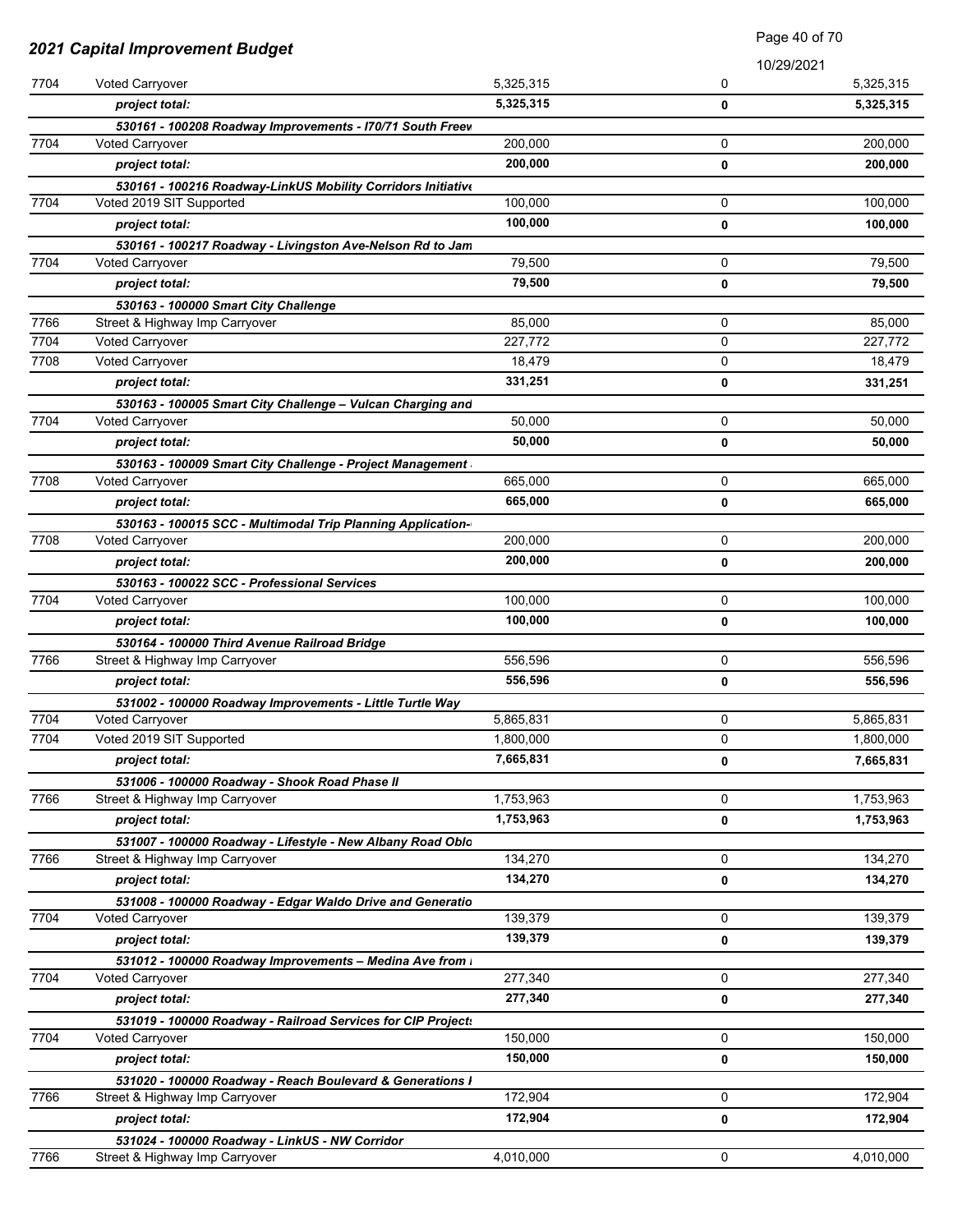|              |                                                                                  | Page 40 of 70     |             |                   |
|--------------|----------------------------------------------------------------------------------|-------------------|-------------|-------------------|
|              | <b>2021 Capital Improvement Budget</b>                                           |                   | 10/29/2021  |                   |
| 7704         | Voted Carryover                                                                  | 5,325,315         | 0           | 5,325,315         |
|              | project total:                                                                   | 5,325,315         | 0           | 5,325,315         |
|              | 530161 - 100208 Roadway Improvements - I70/71 South Freev                        |                   |             |                   |
| 7704         | <b>Voted Carryover</b>                                                           | 200,000           | 0           | 200,000           |
|              | project total:                                                                   | 200,000           | 0           | 200,000           |
|              | 530161 - 100216 Roadway-LinkUS Mobility Corridors Initiative                     |                   |             |                   |
| 7704         | Voted 2019 SIT Supported                                                         | 100,000           | 0           | 100,000           |
|              | project total:                                                                   | 100,000           | 0           | 100,000           |
|              | 530161 - 100217 Roadway - Livingston Ave-Nelson Rd to Jam                        |                   |             |                   |
| 7704         | Voted Carryover                                                                  | 79,500            | 0           | 79,500            |
|              | project total:                                                                   | 79,500            | 0           | 79,500            |
|              | 530163 - 100000 Smart City Challenge                                             |                   |             |                   |
| 7766         | Street & Highway Imp Carryover                                                   | 85,000            | 0           | 85,000            |
| 7704<br>7708 | <b>Voted Carryover</b>                                                           | 227,772<br>18,479 | 0<br>0      | 227,772<br>18,479 |
|              | Voted Carryover                                                                  | 331,251           |             |                   |
|              | project total:                                                                   |                   | 0           | 331,251           |
| 7704         | 530163 - 100005 Smart City Challenge - Vulcan Charging and<br>Voted Carryover    | 50,000            | 0           | 50,000            |
|              | project total:                                                                   | 50,000            |             | 50,000            |
|              |                                                                                  |                   | 0           |                   |
| 7708         | 530163 - 100009 Smart City Challenge - Project Management<br>Voted Carryover     | 665,000           | $\mathbf 0$ | 665,000           |
|              | project total:                                                                   | 665,000           | 0           | 665,000           |
|              | 530163 - 100015 SCC - Multimodal Trip Planning Application-                      |                   |             |                   |
| 7708         | Voted Carryover                                                                  | 200,000           | 0           | 200,000           |
|              | project total:                                                                   | 200,000           | 0           | 200,000           |
|              | 530163 - 100022 SCC - Professional Services                                      |                   |             |                   |
| 7704         | Voted Carryover                                                                  | 100,000           | 0           | 100,000           |
|              | project total:                                                                   | 100,000           | 0           | 100,000           |
|              | 530164 - 100000 Third Avenue Railroad Bridge                                     |                   |             |                   |
| 7766         | Street & Highway Imp Carryover                                                   | 556,596           | 0           | 556,596           |
|              | project total:                                                                   | 556,596           | 0           | 556,596           |
|              | 531002 - 100000 Roadway Improvements - Little Turtle Way                         |                   |             |                   |
| 7704         | <b>Voted Carryover</b>                                                           | 5,865,831         | 0           | 5,865,831         |
| 7704         | Voted 2019 SIT Supported                                                         | 1,800,000         | 0           | 1,800,000         |
|              | project total:                                                                   | 7,665,831         | 0           | 7,665,831         |
|              | 531006 - 100000 Roadway - Shook Road Phase II                                    |                   |             |                   |
| 7766         | Street & Highway Imp Carryover                                                   | 1,753,963         | 0           | 1,753,963         |
|              | project total:                                                                   | 1,753,963         | 0           | 1,753,963         |
|              | 531007 - 100000 Roadway - Lifestyle - New Albany Road Oblo                       |                   |             |                   |
| 7766         | Street & Highway Imp Carryover                                                   | 134,270           | 0           | 134,270           |
|              | project total:                                                                   | 134,270           | 0           | 134,270           |
|              | 531008 - 100000 Roadway - Edgar Waldo Drive and Generatio                        |                   |             |                   |
| 7704         | <b>Voted Carryover</b>                                                           | 139,379           | 0           | 139,379           |
|              | project total:                                                                   | 139,379           | $\mathbf 0$ | 139,379           |
|              | 531012 - 100000 Roadway Improvements - Medina Ave from                           |                   |             |                   |
| 7704         | <b>Voted Carryover</b>                                                           | 277,340           | 0           | 277,340           |
|              | project total:                                                                   | 277,340           | 0           | 277,340           |
|              | 531019 - 100000 Roadway - Railroad Services for CIP Project:                     |                   |             |                   |
| 7704         | Voted Carryover                                                                  | 150,000           | 0           | 150,000           |
|              | project total:                                                                   | 150,000           | 0           | 150,000           |
| 7766         | 531020 - 100000 Roadway - Reach Boulevard & Generations I                        | 172,904           | 0           | 172,904           |
|              | Street & Highway Imp Carryover                                                   | 172,904           |             |                   |
|              | project total:                                                                   |                   | 0           | 172,904           |
| 7766         | 531024 - 100000 Roadway - LinkUS - NW Corridor<br>Street & Highway Imp Carryover | 4,010,000         | 0           | 4,010,000         |
|              |                                                                                  |                   |             |                   |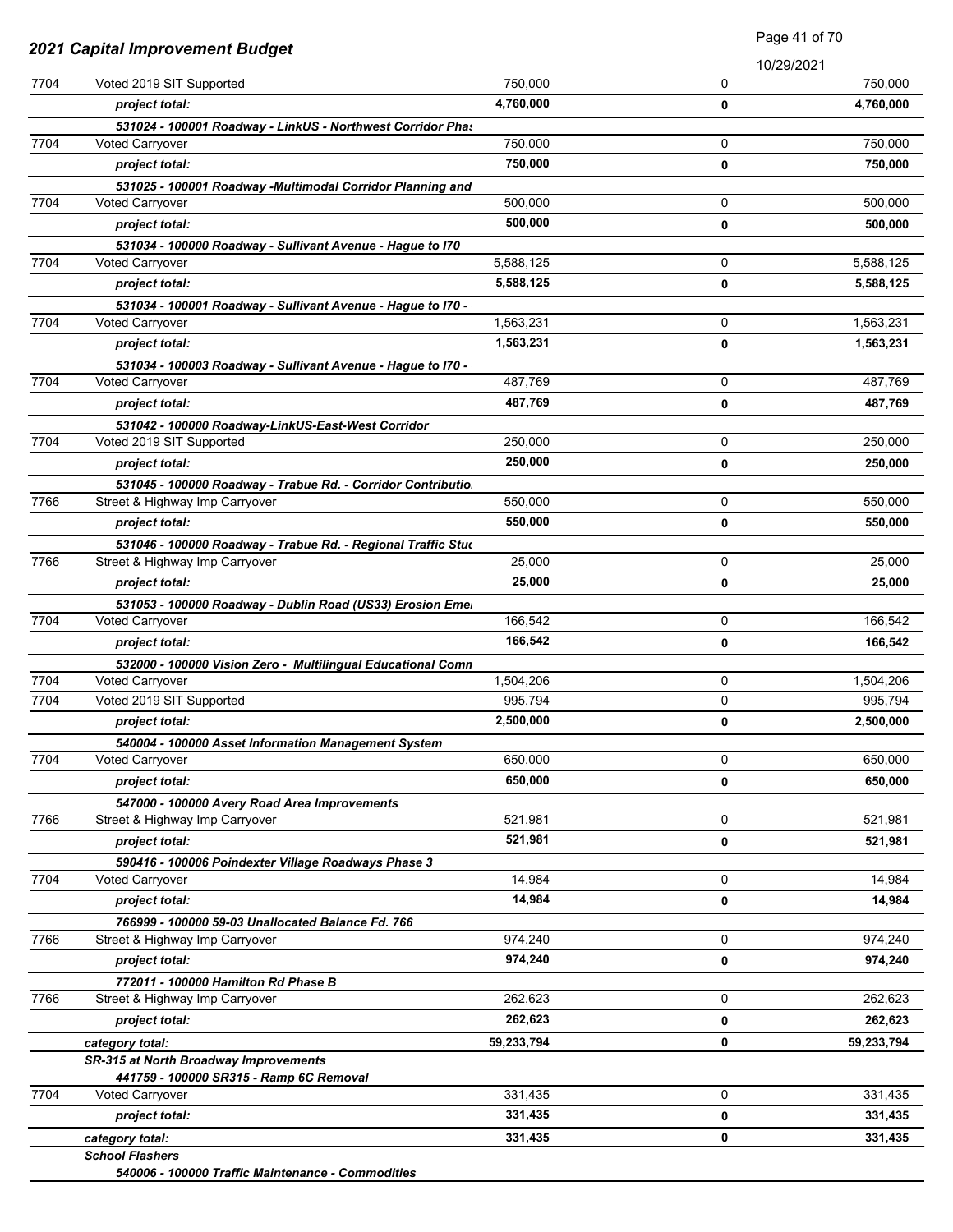| 10/29/2021<br>750,000<br>750.000<br>7704<br>Voted 2019 SIT Supported<br>0<br>4,760,000<br>$\mathbf 0$<br>4,760,000<br>project total:<br>531024 - 100001 Roadway - LinkUS - Northwest Corridor Phas<br>0<br><b>Voted Carryover</b><br>750,000<br>750,000<br>project total:<br>0<br>531025 - 100001 Roadway -Multimodal Corridor Planning and<br>500.000<br>0<br><b>Voted Carryover</b><br>500,000<br>0<br>project total:<br>500,000<br>531034 - 100000 Roadway - Sullivant Avenue - Hague to I70<br>0<br>Voted Carryover<br>5,588,125<br>5,588,125<br>project total:<br>0<br>531034 - 100001 Roadway - Sullivant Avenue - Hague to I70 -<br>1,563,231<br>0<br><b>Voted Carryover</b><br>1,563,231<br>project total:<br>0<br>531034 - 100003 Roadway - Sullivant Avenue - Hague to I70 -<br>0<br><b>Voted Carryover</b><br>487,769<br>487,769<br>0<br>project total:<br>531042 - 100000 Roadway-LinkUS-East-West Corridor<br>0<br>Voted 2019 SIT Supported<br>250,000<br>250,000<br>project total:<br>0<br>531045 - 100000 Roadway - Trabue Rd. - Corridor Contributio<br>550,000<br>0<br>Street & Highway Imp Carryover<br>550,000<br>project total:<br>0<br>531046 - 100000 Roadway - Trabue Rd. - Regional Traffic Stud<br>25,000<br>0<br>Street & Highway Imp Carryover<br>25,000<br>project total:<br>0<br>531053 - 100000 Roadway - Dublin Road (US33) Erosion Eme<br>166,542<br>0<br><b>Voted Carryover</b><br>166,542<br>project total:<br>0<br>532000 - 100000 Vision Zero - Multilingual Educational Comn<br>Voted Carryover<br>1,504,206<br>0<br>0<br>Voted 2019 SIT Supported<br>995,794<br>2,500,000<br>project total:<br>0<br>540004 - 100000 Asset Information Management System<br>650,000<br>0<br>Voted Carryover<br>650,000<br>project total:<br>0<br>547000 - 100000 Avery Road Area Improvements<br>$\mathbf 0$<br>Street & Highway Imp Carryover<br>521,981<br>521,981<br>project total:<br>0<br>590416 - 100006 Poindexter Village Roadways Phase 3<br>14,984<br>0<br><b>Voted Carryover</b><br>14,984<br>project total:<br>0<br>766999 - 100000 59-03 Unallocated Balance Fd. 766<br>974,240<br>0<br>Street & Highway Imp Carryover<br>974,240<br>project total:<br>0<br>772011 - 100000 Hamilton Rd Phase B<br>0<br>Street & Highway Imp Carryover<br>262,623<br>262,623<br>project total:<br>0<br>59,233,794<br>0<br>category total:<br>SR-315 at North Broadway Improvements<br>441759 - 100000 SR315 - Ramp 6C Removal<br>331,435<br>0<br>Voted Carryover<br>331,435<br>project total:<br>0 | 2021 Capital Improvement Budget |  | $\Gamma$ ayc $\leftrightarrow$ l VIIV |            |
|----------------------------------------------------------------------------------------------------------------------------------------------------------------------------------------------------------------------------------------------------------------------------------------------------------------------------------------------------------------------------------------------------------------------------------------------------------------------------------------------------------------------------------------------------------------------------------------------------------------------------------------------------------------------------------------------------------------------------------------------------------------------------------------------------------------------------------------------------------------------------------------------------------------------------------------------------------------------------------------------------------------------------------------------------------------------------------------------------------------------------------------------------------------------------------------------------------------------------------------------------------------------------------------------------------------------------------------------------------------------------------------------------------------------------------------------------------------------------------------------------------------------------------------------------------------------------------------------------------------------------------------------------------------------------------------------------------------------------------------------------------------------------------------------------------------------------------------------------------------------------------------------------------------------------------------------------------------------------------------------------------------------------------------------------------------------------------------------------------------------------------------------------------------------------------------------------------------------------------------------------------------------------------------------------------------------------------------------------------------------------------------------------------------------------------------------------------------------------------------------------------------------|---------------------------------|--|---------------------------------------|------------|
| 7704<br>7704<br>7704<br>7704<br>7704<br>7704<br>7766<br>7766<br>7704<br>7704<br>7704<br>7704<br>7766<br>7704<br>7766<br>7766<br>7704                                                                                                                                                                                                                                                                                                                                                                                                                                                                                                                                                                                                                                                                                                                                                                                                                                                                                                                                                                                                                                                                                                                                                                                                                                                                                                                                                                                                                                                                                                                                                                                                                                                                                                                                                                                                                                                                                                                                                                                                                                                                                                                                                                                                                                                                                                                                                                                 |                                 |  |                                       |            |
|                                                                                                                                                                                                                                                                                                                                                                                                                                                                                                                                                                                                                                                                                                                                                                                                                                                                                                                                                                                                                                                                                                                                                                                                                                                                                                                                                                                                                                                                                                                                                                                                                                                                                                                                                                                                                                                                                                                                                                                                                                                                                                                                                                                                                                                                                                                                                                                                                                                                                                                      |                                 |  |                                       |            |
|                                                                                                                                                                                                                                                                                                                                                                                                                                                                                                                                                                                                                                                                                                                                                                                                                                                                                                                                                                                                                                                                                                                                                                                                                                                                                                                                                                                                                                                                                                                                                                                                                                                                                                                                                                                                                                                                                                                                                                                                                                                                                                                                                                                                                                                                                                                                                                                                                                                                                                                      |                                 |  |                                       |            |
|                                                                                                                                                                                                                                                                                                                                                                                                                                                                                                                                                                                                                                                                                                                                                                                                                                                                                                                                                                                                                                                                                                                                                                                                                                                                                                                                                                                                                                                                                                                                                                                                                                                                                                                                                                                                                                                                                                                                                                                                                                                                                                                                                                                                                                                                                                                                                                                                                                                                                                                      |                                 |  |                                       | 750,000    |
|                                                                                                                                                                                                                                                                                                                                                                                                                                                                                                                                                                                                                                                                                                                                                                                                                                                                                                                                                                                                                                                                                                                                                                                                                                                                                                                                                                                                                                                                                                                                                                                                                                                                                                                                                                                                                                                                                                                                                                                                                                                                                                                                                                                                                                                                                                                                                                                                                                                                                                                      |                                 |  |                                       | 750,000    |
|                                                                                                                                                                                                                                                                                                                                                                                                                                                                                                                                                                                                                                                                                                                                                                                                                                                                                                                                                                                                                                                                                                                                                                                                                                                                                                                                                                                                                                                                                                                                                                                                                                                                                                                                                                                                                                                                                                                                                                                                                                                                                                                                                                                                                                                                                                                                                                                                                                                                                                                      |                                 |  |                                       |            |
|                                                                                                                                                                                                                                                                                                                                                                                                                                                                                                                                                                                                                                                                                                                                                                                                                                                                                                                                                                                                                                                                                                                                                                                                                                                                                                                                                                                                                                                                                                                                                                                                                                                                                                                                                                                                                                                                                                                                                                                                                                                                                                                                                                                                                                                                                                                                                                                                                                                                                                                      |                                 |  |                                       | 500,000    |
|                                                                                                                                                                                                                                                                                                                                                                                                                                                                                                                                                                                                                                                                                                                                                                                                                                                                                                                                                                                                                                                                                                                                                                                                                                                                                                                                                                                                                                                                                                                                                                                                                                                                                                                                                                                                                                                                                                                                                                                                                                                                                                                                                                                                                                                                                                                                                                                                                                                                                                                      |                                 |  |                                       |            |
|                                                                                                                                                                                                                                                                                                                                                                                                                                                                                                                                                                                                                                                                                                                                                                                                                                                                                                                                                                                                                                                                                                                                                                                                                                                                                                                                                                                                                                                                                                                                                                                                                                                                                                                                                                                                                                                                                                                                                                                                                                                                                                                                                                                                                                                                                                                                                                                                                                                                                                                      |                                 |  |                                       |            |
|                                                                                                                                                                                                                                                                                                                                                                                                                                                                                                                                                                                                                                                                                                                                                                                                                                                                                                                                                                                                                                                                                                                                                                                                                                                                                                                                                                                                                                                                                                                                                                                                                                                                                                                                                                                                                                                                                                                                                                                                                                                                                                                                                                                                                                                                                                                                                                                                                                                                                                                      |                                 |  |                                       | 5,588,125  |
|                                                                                                                                                                                                                                                                                                                                                                                                                                                                                                                                                                                                                                                                                                                                                                                                                                                                                                                                                                                                                                                                                                                                                                                                                                                                                                                                                                                                                                                                                                                                                                                                                                                                                                                                                                                                                                                                                                                                                                                                                                                                                                                                                                                                                                                                                                                                                                                                                                                                                                                      |                                 |  |                                       | 5,588,125  |
|                                                                                                                                                                                                                                                                                                                                                                                                                                                                                                                                                                                                                                                                                                                                                                                                                                                                                                                                                                                                                                                                                                                                                                                                                                                                                                                                                                                                                                                                                                                                                                                                                                                                                                                                                                                                                                                                                                                                                                                                                                                                                                                                                                                                                                                                                                                                                                                                                                                                                                                      |                                 |  |                                       |            |
|                                                                                                                                                                                                                                                                                                                                                                                                                                                                                                                                                                                                                                                                                                                                                                                                                                                                                                                                                                                                                                                                                                                                                                                                                                                                                                                                                                                                                                                                                                                                                                                                                                                                                                                                                                                                                                                                                                                                                                                                                                                                                                                                                                                                                                                                                                                                                                                                                                                                                                                      |                                 |  |                                       | 1,563,231  |
|                                                                                                                                                                                                                                                                                                                                                                                                                                                                                                                                                                                                                                                                                                                                                                                                                                                                                                                                                                                                                                                                                                                                                                                                                                                                                                                                                                                                                                                                                                                                                                                                                                                                                                                                                                                                                                                                                                                                                                                                                                                                                                                                                                                                                                                                                                                                                                                                                                                                                                                      |                                 |  |                                       | 1,563,231  |
|                                                                                                                                                                                                                                                                                                                                                                                                                                                                                                                                                                                                                                                                                                                                                                                                                                                                                                                                                                                                                                                                                                                                                                                                                                                                                                                                                                                                                                                                                                                                                                                                                                                                                                                                                                                                                                                                                                                                                                                                                                                                                                                                                                                                                                                                                                                                                                                                                                                                                                                      |                                 |  |                                       |            |
|                                                                                                                                                                                                                                                                                                                                                                                                                                                                                                                                                                                                                                                                                                                                                                                                                                                                                                                                                                                                                                                                                                                                                                                                                                                                                                                                                                                                                                                                                                                                                                                                                                                                                                                                                                                                                                                                                                                                                                                                                                                                                                                                                                                                                                                                                                                                                                                                                                                                                                                      |                                 |  |                                       | 487,769    |
|                                                                                                                                                                                                                                                                                                                                                                                                                                                                                                                                                                                                                                                                                                                                                                                                                                                                                                                                                                                                                                                                                                                                                                                                                                                                                                                                                                                                                                                                                                                                                                                                                                                                                                                                                                                                                                                                                                                                                                                                                                                                                                                                                                                                                                                                                                                                                                                                                                                                                                                      |                                 |  |                                       | 487,769    |
|                                                                                                                                                                                                                                                                                                                                                                                                                                                                                                                                                                                                                                                                                                                                                                                                                                                                                                                                                                                                                                                                                                                                                                                                                                                                                                                                                                                                                                                                                                                                                                                                                                                                                                                                                                                                                                                                                                                                                                                                                                                                                                                                                                                                                                                                                                                                                                                                                                                                                                                      |                                 |  |                                       |            |
|                                                                                                                                                                                                                                                                                                                                                                                                                                                                                                                                                                                                                                                                                                                                                                                                                                                                                                                                                                                                                                                                                                                                                                                                                                                                                                                                                                                                                                                                                                                                                                                                                                                                                                                                                                                                                                                                                                                                                                                                                                                                                                                                                                                                                                                                                                                                                                                                                                                                                                                      |                                 |  |                                       | 250,000    |
|                                                                                                                                                                                                                                                                                                                                                                                                                                                                                                                                                                                                                                                                                                                                                                                                                                                                                                                                                                                                                                                                                                                                                                                                                                                                                                                                                                                                                                                                                                                                                                                                                                                                                                                                                                                                                                                                                                                                                                                                                                                                                                                                                                                                                                                                                                                                                                                                                                                                                                                      |                                 |  |                                       | 250,000    |
|                                                                                                                                                                                                                                                                                                                                                                                                                                                                                                                                                                                                                                                                                                                                                                                                                                                                                                                                                                                                                                                                                                                                                                                                                                                                                                                                                                                                                                                                                                                                                                                                                                                                                                                                                                                                                                                                                                                                                                                                                                                                                                                                                                                                                                                                                                                                                                                                                                                                                                                      |                                 |  |                                       |            |
|                                                                                                                                                                                                                                                                                                                                                                                                                                                                                                                                                                                                                                                                                                                                                                                                                                                                                                                                                                                                                                                                                                                                                                                                                                                                                                                                                                                                                                                                                                                                                                                                                                                                                                                                                                                                                                                                                                                                                                                                                                                                                                                                                                                                                                                                                                                                                                                                                                                                                                                      |                                 |  |                                       | 550,000    |
|                                                                                                                                                                                                                                                                                                                                                                                                                                                                                                                                                                                                                                                                                                                                                                                                                                                                                                                                                                                                                                                                                                                                                                                                                                                                                                                                                                                                                                                                                                                                                                                                                                                                                                                                                                                                                                                                                                                                                                                                                                                                                                                                                                                                                                                                                                                                                                                                                                                                                                                      |                                 |  |                                       | 550,000    |
|                                                                                                                                                                                                                                                                                                                                                                                                                                                                                                                                                                                                                                                                                                                                                                                                                                                                                                                                                                                                                                                                                                                                                                                                                                                                                                                                                                                                                                                                                                                                                                                                                                                                                                                                                                                                                                                                                                                                                                                                                                                                                                                                                                                                                                                                                                                                                                                                                                                                                                                      |                                 |  |                                       |            |
|                                                                                                                                                                                                                                                                                                                                                                                                                                                                                                                                                                                                                                                                                                                                                                                                                                                                                                                                                                                                                                                                                                                                                                                                                                                                                                                                                                                                                                                                                                                                                                                                                                                                                                                                                                                                                                                                                                                                                                                                                                                                                                                                                                                                                                                                                                                                                                                                                                                                                                                      |                                 |  |                                       | 25,000     |
|                                                                                                                                                                                                                                                                                                                                                                                                                                                                                                                                                                                                                                                                                                                                                                                                                                                                                                                                                                                                                                                                                                                                                                                                                                                                                                                                                                                                                                                                                                                                                                                                                                                                                                                                                                                                                                                                                                                                                                                                                                                                                                                                                                                                                                                                                                                                                                                                                                                                                                                      |                                 |  |                                       | 25,000     |
|                                                                                                                                                                                                                                                                                                                                                                                                                                                                                                                                                                                                                                                                                                                                                                                                                                                                                                                                                                                                                                                                                                                                                                                                                                                                                                                                                                                                                                                                                                                                                                                                                                                                                                                                                                                                                                                                                                                                                                                                                                                                                                                                                                                                                                                                                                                                                                                                                                                                                                                      |                                 |  |                                       |            |
|                                                                                                                                                                                                                                                                                                                                                                                                                                                                                                                                                                                                                                                                                                                                                                                                                                                                                                                                                                                                                                                                                                                                                                                                                                                                                                                                                                                                                                                                                                                                                                                                                                                                                                                                                                                                                                                                                                                                                                                                                                                                                                                                                                                                                                                                                                                                                                                                                                                                                                                      |                                 |  |                                       | 166,542    |
|                                                                                                                                                                                                                                                                                                                                                                                                                                                                                                                                                                                                                                                                                                                                                                                                                                                                                                                                                                                                                                                                                                                                                                                                                                                                                                                                                                                                                                                                                                                                                                                                                                                                                                                                                                                                                                                                                                                                                                                                                                                                                                                                                                                                                                                                                                                                                                                                                                                                                                                      |                                 |  |                                       | 166,542    |
|                                                                                                                                                                                                                                                                                                                                                                                                                                                                                                                                                                                                                                                                                                                                                                                                                                                                                                                                                                                                                                                                                                                                                                                                                                                                                                                                                                                                                                                                                                                                                                                                                                                                                                                                                                                                                                                                                                                                                                                                                                                                                                                                                                                                                                                                                                                                                                                                                                                                                                                      |                                 |  |                                       |            |
|                                                                                                                                                                                                                                                                                                                                                                                                                                                                                                                                                                                                                                                                                                                                                                                                                                                                                                                                                                                                                                                                                                                                                                                                                                                                                                                                                                                                                                                                                                                                                                                                                                                                                                                                                                                                                                                                                                                                                                                                                                                                                                                                                                                                                                                                                                                                                                                                                                                                                                                      |                                 |  |                                       | 1,504,206  |
|                                                                                                                                                                                                                                                                                                                                                                                                                                                                                                                                                                                                                                                                                                                                                                                                                                                                                                                                                                                                                                                                                                                                                                                                                                                                                                                                                                                                                                                                                                                                                                                                                                                                                                                                                                                                                                                                                                                                                                                                                                                                                                                                                                                                                                                                                                                                                                                                                                                                                                                      |                                 |  |                                       | 995,794    |
|                                                                                                                                                                                                                                                                                                                                                                                                                                                                                                                                                                                                                                                                                                                                                                                                                                                                                                                                                                                                                                                                                                                                                                                                                                                                                                                                                                                                                                                                                                                                                                                                                                                                                                                                                                                                                                                                                                                                                                                                                                                                                                                                                                                                                                                                                                                                                                                                                                                                                                                      |                                 |  |                                       | 2,500,000  |
|                                                                                                                                                                                                                                                                                                                                                                                                                                                                                                                                                                                                                                                                                                                                                                                                                                                                                                                                                                                                                                                                                                                                                                                                                                                                                                                                                                                                                                                                                                                                                                                                                                                                                                                                                                                                                                                                                                                                                                                                                                                                                                                                                                                                                                                                                                                                                                                                                                                                                                                      |                                 |  |                                       |            |
|                                                                                                                                                                                                                                                                                                                                                                                                                                                                                                                                                                                                                                                                                                                                                                                                                                                                                                                                                                                                                                                                                                                                                                                                                                                                                                                                                                                                                                                                                                                                                                                                                                                                                                                                                                                                                                                                                                                                                                                                                                                                                                                                                                                                                                                                                                                                                                                                                                                                                                                      |                                 |  |                                       | 650,000    |
|                                                                                                                                                                                                                                                                                                                                                                                                                                                                                                                                                                                                                                                                                                                                                                                                                                                                                                                                                                                                                                                                                                                                                                                                                                                                                                                                                                                                                                                                                                                                                                                                                                                                                                                                                                                                                                                                                                                                                                                                                                                                                                                                                                                                                                                                                                                                                                                                                                                                                                                      |                                 |  |                                       | 650,000    |
|                                                                                                                                                                                                                                                                                                                                                                                                                                                                                                                                                                                                                                                                                                                                                                                                                                                                                                                                                                                                                                                                                                                                                                                                                                                                                                                                                                                                                                                                                                                                                                                                                                                                                                                                                                                                                                                                                                                                                                                                                                                                                                                                                                                                                                                                                                                                                                                                                                                                                                                      |                                 |  |                                       |            |
|                                                                                                                                                                                                                                                                                                                                                                                                                                                                                                                                                                                                                                                                                                                                                                                                                                                                                                                                                                                                                                                                                                                                                                                                                                                                                                                                                                                                                                                                                                                                                                                                                                                                                                                                                                                                                                                                                                                                                                                                                                                                                                                                                                                                                                                                                                                                                                                                                                                                                                                      |                                 |  |                                       | 521,981    |
|                                                                                                                                                                                                                                                                                                                                                                                                                                                                                                                                                                                                                                                                                                                                                                                                                                                                                                                                                                                                                                                                                                                                                                                                                                                                                                                                                                                                                                                                                                                                                                                                                                                                                                                                                                                                                                                                                                                                                                                                                                                                                                                                                                                                                                                                                                                                                                                                                                                                                                                      |                                 |  |                                       | 521,981    |
|                                                                                                                                                                                                                                                                                                                                                                                                                                                                                                                                                                                                                                                                                                                                                                                                                                                                                                                                                                                                                                                                                                                                                                                                                                                                                                                                                                                                                                                                                                                                                                                                                                                                                                                                                                                                                                                                                                                                                                                                                                                                                                                                                                                                                                                                                                                                                                                                                                                                                                                      |                                 |  |                                       |            |
|                                                                                                                                                                                                                                                                                                                                                                                                                                                                                                                                                                                                                                                                                                                                                                                                                                                                                                                                                                                                                                                                                                                                                                                                                                                                                                                                                                                                                                                                                                                                                                                                                                                                                                                                                                                                                                                                                                                                                                                                                                                                                                                                                                                                                                                                                                                                                                                                                                                                                                                      |                                 |  |                                       | 14,984     |
|                                                                                                                                                                                                                                                                                                                                                                                                                                                                                                                                                                                                                                                                                                                                                                                                                                                                                                                                                                                                                                                                                                                                                                                                                                                                                                                                                                                                                                                                                                                                                                                                                                                                                                                                                                                                                                                                                                                                                                                                                                                                                                                                                                                                                                                                                                                                                                                                                                                                                                                      |                                 |  |                                       | 14,984     |
|                                                                                                                                                                                                                                                                                                                                                                                                                                                                                                                                                                                                                                                                                                                                                                                                                                                                                                                                                                                                                                                                                                                                                                                                                                                                                                                                                                                                                                                                                                                                                                                                                                                                                                                                                                                                                                                                                                                                                                                                                                                                                                                                                                                                                                                                                                                                                                                                                                                                                                                      |                                 |  |                                       |            |
|                                                                                                                                                                                                                                                                                                                                                                                                                                                                                                                                                                                                                                                                                                                                                                                                                                                                                                                                                                                                                                                                                                                                                                                                                                                                                                                                                                                                                                                                                                                                                                                                                                                                                                                                                                                                                                                                                                                                                                                                                                                                                                                                                                                                                                                                                                                                                                                                                                                                                                                      |                                 |  |                                       | 974,240    |
|                                                                                                                                                                                                                                                                                                                                                                                                                                                                                                                                                                                                                                                                                                                                                                                                                                                                                                                                                                                                                                                                                                                                                                                                                                                                                                                                                                                                                                                                                                                                                                                                                                                                                                                                                                                                                                                                                                                                                                                                                                                                                                                                                                                                                                                                                                                                                                                                                                                                                                                      |                                 |  |                                       | 974,240    |
|                                                                                                                                                                                                                                                                                                                                                                                                                                                                                                                                                                                                                                                                                                                                                                                                                                                                                                                                                                                                                                                                                                                                                                                                                                                                                                                                                                                                                                                                                                                                                                                                                                                                                                                                                                                                                                                                                                                                                                                                                                                                                                                                                                                                                                                                                                                                                                                                                                                                                                                      |                                 |  |                                       |            |
|                                                                                                                                                                                                                                                                                                                                                                                                                                                                                                                                                                                                                                                                                                                                                                                                                                                                                                                                                                                                                                                                                                                                                                                                                                                                                                                                                                                                                                                                                                                                                                                                                                                                                                                                                                                                                                                                                                                                                                                                                                                                                                                                                                                                                                                                                                                                                                                                                                                                                                                      |                                 |  |                                       | 262,623    |
|                                                                                                                                                                                                                                                                                                                                                                                                                                                                                                                                                                                                                                                                                                                                                                                                                                                                                                                                                                                                                                                                                                                                                                                                                                                                                                                                                                                                                                                                                                                                                                                                                                                                                                                                                                                                                                                                                                                                                                                                                                                                                                                                                                                                                                                                                                                                                                                                                                                                                                                      |                                 |  |                                       | 262,623    |
|                                                                                                                                                                                                                                                                                                                                                                                                                                                                                                                                                                                                                                                                                                                                                                                                                                                                                                                                                                                                                                                                                                                                                                                                                                                                                                                                                                                                                                                                                                                                                                                                                                                                                                                                                                                                                                                                                                                                                                                                                                                                                                                                                                                                                                                                                                                                                                                                                                                                                                                      |                                 |  |                                       | 59,233,794 |
|                                                                                                                                                                                                                                                                                                                                                                                                                                                                                                                                                                                                                                                                                                                                                                                                                                                                                                                                                                                                                                                                                                                                                                                                                                                                                                                                                                                                                                                                                                                                                                                                                                                                                                                                                                                                                                                                                                                                                                                                                                                                                                                                                                                                                                                                                                                                                                                                                                                                                                                      |                                 |  |                                       |            |
|                                                                                                                                                                                                                                                                                                                                                                                                                                                                                                                                                                                                                                                                                                                                                                                                                                                                                                                                                                                                                                                                                                                                                                                                                                                                                                                                                                                                                                                                                                                                                                                                                                                                                                                                                                                                                                                                                                                                                                                                                                                                                                                                                                                                                                                                                                                                                                                                                                                                                                                      |                                 |  |                                       |            |
|                                                                                                                                                                                                                                                                                                                                                                                                                                                                                                                                                                                                                                                                                                                                                                                                                                                                                                                                                                                                                                                                                                                                                                                                                                                                                                                                                                                                                                                                                                                                                                                                                                                                                                                                                                                                                                                                                                                                                                                                                                                                                                                                                                                                                                                                                                                                                                                                                                                                                                                      |                                 |  |                                       | 331,435    |
|                                                                                                                                                                                                                                                                                                                                                                                                                                                                                                                                                                                                                                                                                                                                                                                                                                                                                                                                                                                                                                                                                                                                                                                                                                                                                                                                                                                                                                                                                                                                                                                                                                                                                                                                                                                                                                                                                                                                                                                                                                                                                                                                                                                                                                                                                                                                                                                                                                                                                                                      |                                 |  |                                       | 331,435    |
| 331,435<br>0<br>category total:                                                                                                                                                                                                                                                                                                                                                                                                                                                                                                                                                                                                                                                                                                                                                                                                                                                                                                                                                                                                                                                                                                                                                                                                                                                                                                                                                                                                                                                                                                                                                                                                                                                                                                                                                                                                                                                                                                                                                                                                                                                                                                                                                                                                                                                                                                                                                                                                                                                                                      |                                 |  |                                       | 331,435    |
| <b>School Flashers</b><br>540006 - 100000 Traffic Maintenance - Commodities                                                                                                                                                                                                                                                                                                                                                                                                                                                                                                                                                                                                                                                                                                                                                                                                                                                                                                                                                                                                                                                                                                                                                                                                                                                                                                                                                                                                                                                                                                                                                                                                                                                                                                                                                                                                                                                                                                                                                                                                                                                                                                                                                                                                                                                                                                                                                                                                                                          |                                 |  |                                       |            |

Page 41 of 70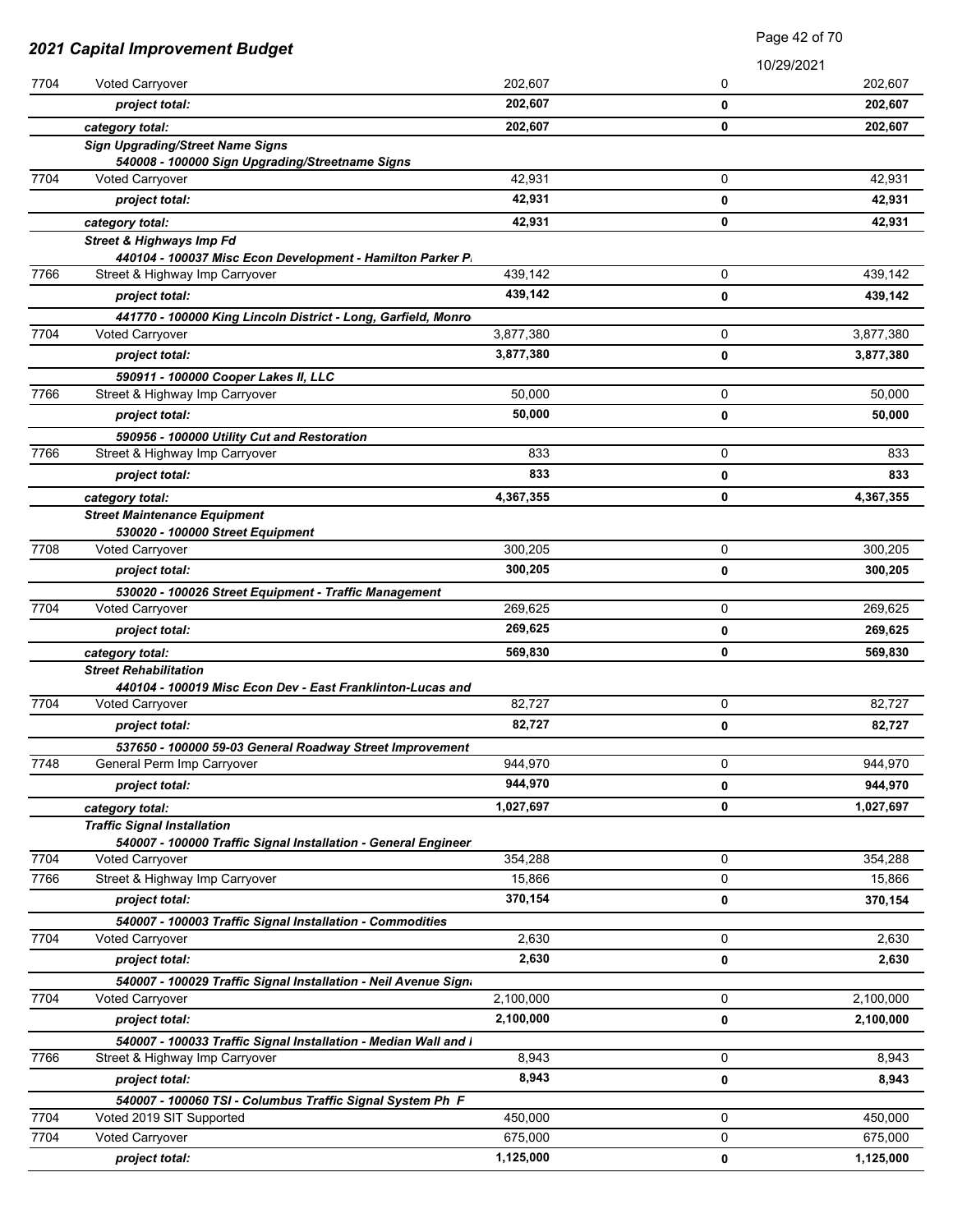| 2021 Capital Improvement Budget |                                                                                                   | Page 42 of 70 |            |           |
|---------------------------------|---------------------------------------------------------------------------------------------------|---------------|------------|-----------|
|                                 |                                                                                                   |               | 10/29/2021 |           |
| 7704                            | Voted Carryover                                                                                   | 202,607       | 0          | 202,607   |
|                                 | project total:                                                                                    | 202,607       | 0          | 202,607   |
|                                 | category total:                                                                                   | 202,607       | 0          | 202,607   |
|                                 | <b>Sign Upgrading/Street Name Signs</b>                                                           |               |            |           |
|                                 | 540008 - 100000 Sign Upgrading/Streetname Signs                                                   |               |            |           |
| 7704                            | Voted Carryover                                                                                   | 42,931        | 0          | 42,931    |
|                                 | project total:                                                                                    | 42,931        | 0          | 42,931    |
|                                 | category total:                                                                                   | 42,931        | 0          | 42,931    |
|                                 | <b>Street &amp; Highways Imp Fd</b>                                                               |               |            |           |
| 7766                            | 440104 - 100037 Misc Econ Development - Hamilton Parker P.<br>Street & Highway Imp Carryover      | 439,142       | 0          | 439,142   |
|                                 | project total:                                                                                    | 439,142       | 0          | 439,142   |
|                                 |                                                                                                   |               |            |           |
| 7704                            | 441770 - 100000 King Lincoln District - Long, Garfield, Monro<br>Voted Carryover                  | 3,877,380     | 0          | 3,877,380 |
|                                 | project total:                                                                                    | 3,877,380     | 0          | 3,877,380 |
|                                 | 590911 - 100000 Cooper Lakes II, LLC                                                              |               |            |           |
| 7766                            | Street & Highway Imp Carryover                                                                    | 50,000        | 0          | 50,000    |
|                                 | project total:                                                                                    | 50.000        | 0          | 50,000    |
|                                 |                                                                                                   |               |            |           |
| 7766                            | 590956 - 100000 Utility Cut and Restoration<br>Street & Highway Imp Carryover                     | 833           | 0          | 833       |
|                                 | project total:                                                                                    | 833           | 0          | 833       |
|                                 |                                                                                                   | 4,367,355     | 0          | 4,367,355 |
|                                 | category total:<br><b>Street Maintenance Equipment</b>                                            |               |            |           |
|                                 | 530020 - 100000 Street Equipment                                                                  |               |            |           |
| 7708                            | Voted Carryover                                                                                   | 300,205       | 0          | 300,205   |
|                                 | project total:                                                                                    | 300,205       | 0          | 300,205   |
|                                 | 530020 - 100026 Street Equipment - Traffic Management                                             |               |            |           |
| 7704                            | Voted Carryover                                                                                   | 269,625       | 0          | 269,625   |
|                                 | project total:                                                                                    | 269,625       | 0          | 269,625   |
|                                 | category total:                                                                                   | 569,830       | 0          | 569,830   |
|                                 | <b>Street Rehabilitation</b>                                                                      |               |            |           |
|                                 | 440104 - 100019 Misc Econ Dev - East Franklinton-Lucas and                                        |               |            |           |
| 7704                            | Voted Carryover                                                                                   | 82,727        | 0          | 82,727    |
|                                 | project total:                                                                                    | 82,727        | 0          | 82,727    |
|                                 | 537650 - 100000 59-03 General Roadway Street Improvement                                          |               |            |           |
| 7748                            | General Perm Imp Carryover                                                                        | 944,970       | 0          | 944,970   |
|                                 | project total:                                                                                    | 944,970       | 0          | 944,970   |
|                                 | category total:                                                                                   | 1,027,697     | 0          | 1,027,697 |
|                                 | <b>Traffic Signal Installation</b>                                                                |               |            |           |
| 7704                            | 540007 - 100000 Traffic Signal Installation - General Engineer<br><b>Voted Carryover</b>          | 354,288       | 0          | 354,288   |
| 7766                            | Street & Highway Imp Carryover                                                                    | 15,866        | 0          | 15,866    |
|                                 | project total:                                                                                    | 370,154       | 0          | 370,154   |
|                                 |                                                                                                   |               |            |           |
| 7704                            | 540007 - 100003 Traffic Signal Installation - Commodities<br><b>Voted Carryover</b>               | 2,630         | 0          | 2,630     |
|                                 | project total:                                                                                    | 2,630         | 0          | 2,630     |
|                                 |                                                                                                   |               |            |           |
| 7704                            | 540007 - 100029 Traffic Signal Installation - Neil Avenue Sign.<br><b>Voted Carryover</b>         | 2,100,000     | 0          | 2,100,000 |
|                                 | project total:                                                                                    | 2,100,000     | 0          | 2,100,000 |
|                                 |                                                                                                   |               |            |           |
| 7766                            | 540007 - 100033 Traffic Signal Installation - Median Wall and I<br>Street & Highway Imp Carryover | 8,943         | 0          | 8,943     |
|                                 | project total:                                                                                    | 8,943         | 0          | 8,943     |
|                                 |                                                                                                   |               |            |           |
| 7704                            | 540007 - 100060 TSI - Columbus Traffic Signal System Ph F<br>Voted 2019 SIT Supported             | 450,000       | 0          | 450,000   |
| 7704                            | <b>Voted Carryover</b>                                                                            | 675,000       | 0          | 675,000   |
|                                 | project total:                                                                                    | 1,125,000     | 0          | 1,125,000 |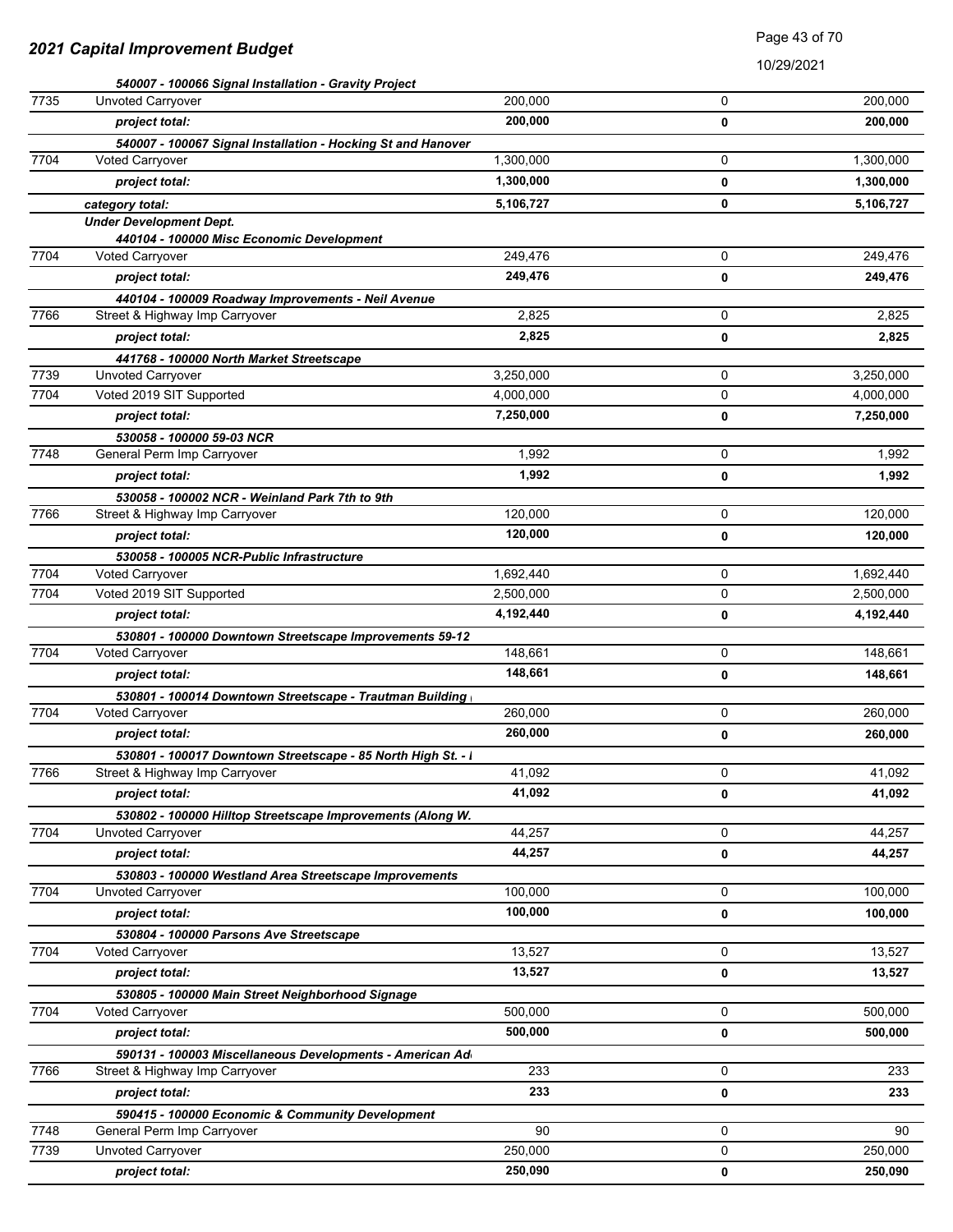|      | 540007 - 100066 Signal Installation - Gravity Project        |           |   |           |
|------|--------------------------------------------------------------|-----------|---|-----------|
| 7735 | Unvoted Carryover                                            | 200,000   | 0 | 200,000   |
|      | project total:                                               | 200,000   | 0 | 200,000   |
|      | 540007 - 100067 Signal Installation - Hocking St and Hanover |           |   |           |
| 7704 | <b>Voted Carryover</b>                                       | 1,300,000 | 0 | 1,300,000 |
|      | project total:                                               | 1,300,000 | 0 | 1,300,000 |
|      | category total:                                              | 5,106,727 | 0 | 5,106,727 |
|      | <b>Under Development Dept.</b>                               |           |   |           |
|      | 440104 - 100000 Misc Economic Development                    |           |   |           |
| 7704 | <b>Voted Carryover</b>                                       | 249,476   | 0 | 249,476   |
|      | project total:                                               | 249,476   | 0 | 249,476   |
|      | 440104 - 100009 Roadway Improvements - Neil Avenue           |           |   |           |
| 7766 | Street & Highway Imp Carryover                               | 2,825     | 0 | 2,825     |
|      | project total:                                               | 2,825     | 0 | 2,825     |
|      | 441768 - 100000 North Market Streetscape                     |           |   |           |
| 7739 | <b>Unvoted Carryover</b>                                     | 3,250,000 | 0 | 3,250,000 |
| 7704 | Voted 2019 SIT Supported                                     | 4,000,000 | 0 | 4,000,000 |
|      | project total:                                               | 7,250,000 | 0 | 7,250,000 |
|      | 530058 - 100000 59-03 NCR                                    |           |   |           |
| 7748 | General Perm Imp Carryover                                   | 1,992     | 0 | 1,992     |
|      | project total:                                               | 1,992     | 0 | 1,992     |
|      | 530058 - 100002 NCR - Weinland Park 7th to 9th               |           |   |           |
| 7766 | Street & Highway Imp Carryover                               | 120,000   | 0 | 120,000   |
|      | project total:                                               | 120,000   | 0 | 120,000   |
|      | 530058 - 100005 NCR-Public Infrastructure                    |           |   |           |
| 7704 | Voted Carryover                                              | 1,692,440 | 0 | 1,692,440 |
| 7704 | Voted 2019 SIT Supported                                     | 2,500,000 | 0 | 2,500,000 |
|      | project total:                                               | 4,192,440 | 0 | 4,192,440 |
|      | 530801 - 100000 Downtown Streetscape Improvements 59-12      |           |   |           |
| 7704 | Voted Carryover                                              | 148,661   | 0 | 148,661   |
|      | project total:                                               | 148,661   | 0 | 148,661   |
|      | 530801 - 100014 Downtown Streetscape - Trautman Building     |           |   |           |
| 7704 | Voted Carryover                                              | 260,000   | 0 | 260,000   |
|      | project total:                                               | 260,000   | 0 | 260,000   |
|      | 530801 - 100017 Downtown Streetscape - 85 North High St. - I |           |   |           |
| 7766 | Street & Highway Imp Carryover                               | 41,092    | 0 | 41,092    |
|      | project total:                                               | 41,092    | 0 | 41,092    |
|      | 530802 - 100000 Hilltop Streetscape Improvements (Along W.   |           |   |           |
| 7704 | Unvoted Carryover                                            | 44,257    | 0 | 44,257    |
|      | project total:                                               | 44,257    | 0 | 44,257    |
|      | 530803 - 100000 Westland Area Streetscape Improvements       |           |   |           |
| 7704 | Unvoted Carryover                                            | 100,000   | 0 | 100,000   |
|      | project total:                                               | 100,000   | 0 | 100,000   |
|      | 530804 - 100000 Parsons Ave Streetscape                      |           |   |           |
| 7704 | Voted Carryover                                              | 13,527    | 0 | 13,527    |
|      | project total:                                               | 13,527    | 0 | 13,527    |
|      | 530805 - 100000 Main Street Neighborhood Signage             |           |   |           |
| 7704 | <b>Voted Carryover</b>                                       | 500,000   | 0 | 500,000   |
|      | project total:                                               | 500,000   | 0 | 500,000   |
|      | 590131 - 100003 Miscellaneous Developments - American Ad     |           |   |           |
| 7766 | Street & Highway Imp Carryover                               | 233       | 0 | 233       |
|      | project total:                                               | 233       | 0 | 233       |
|      | 590415 - 100000 Economic & Community Development             |           |   |           |
| 7748 | General Perm Imp Carryover                                   | 90        | 0 | 90        |
| 7739 | Unvoted Carryover                                            | 250,000   | 0 | 250,000   |
|      | project total:                                               | 250,090   | 0 | 250,090   |
|      |                                                              |           |   |           |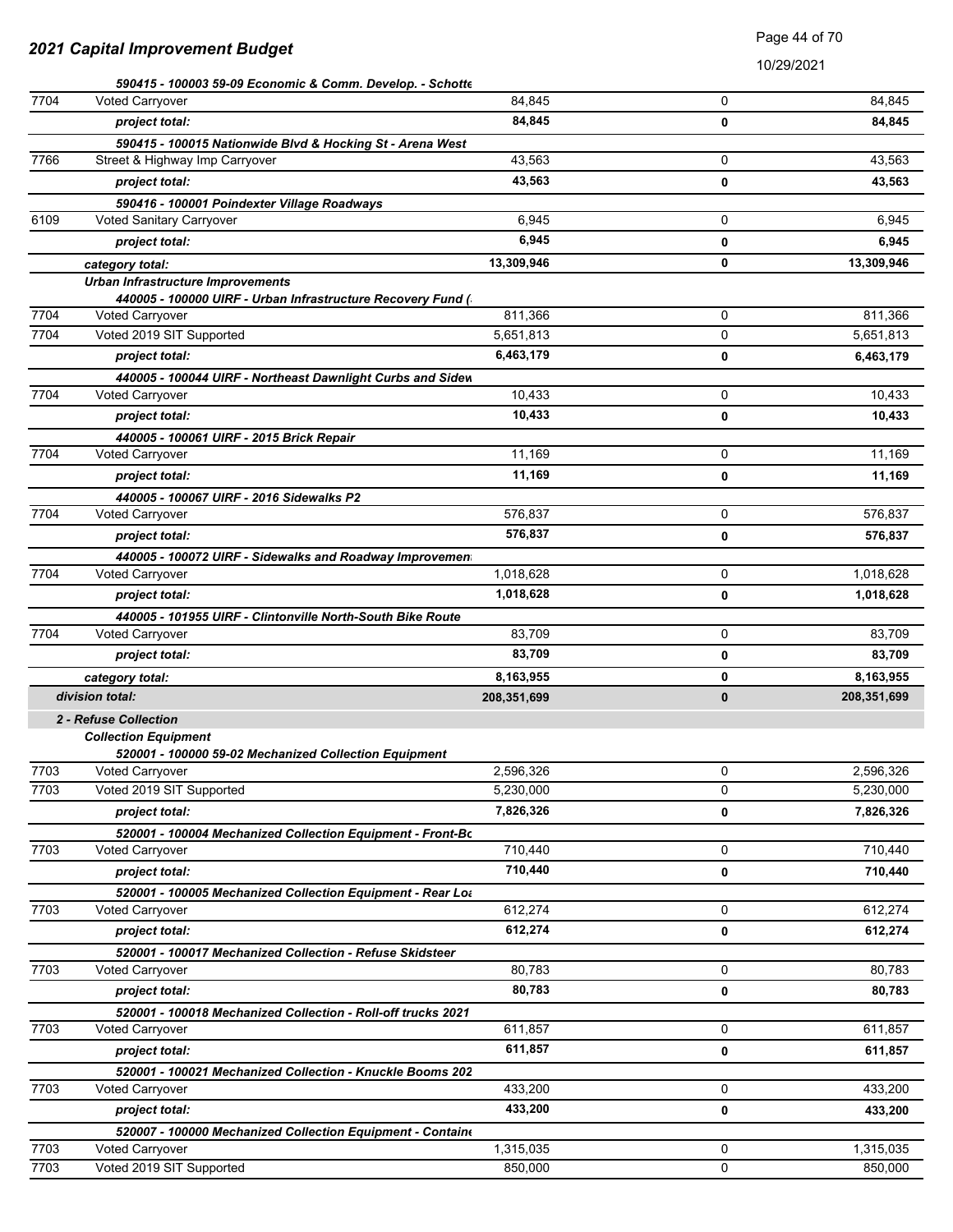|      | 590415 - 100003 59-09 Economic & Comm. Develop. - Schotte                            |             |   |             |
|------|--------------------------------------------------------------------------------------|-------------|---|-------------|
| 7704 | <b>Voted Carryover</b>                                                               | 84.845      | 0 | 84,845      |
|      | project total:                                                                       | 84,845      | 0 | 84,845      |
|      | 590415 - 100015 Nationwide Blvd & Hocking St - Arena West                            |             |   |             |
| 7766 | Street & Highway Imp Carryover                                                       | 43,563      | 0 | 43,563      |
|      | project total:                                                                       | 43,563      | 0 | 43,563      |
|      | 590416 - 100001 Poindexter Village Roadways                                          |             |   |             |
| 6109 | Voted Sanitary Carryover                                                             | 6,945       | 0 | 6,945       |
|      | project total:                                                                       | 6,945       | 0 | 6,945       |
|      | category total:                                                                      | 13,309,946  | 0 | 13,309,946  |
|      | Urban Infrastructure Improvements                                                    |             |   |             |
|      | 440005 - 100000 UIRF - Urban Infrastructure Recovery Fund (                          |             |   |             |
| 7704 | <b>Voted Carryover</b>                                                               | 811,366     | 0 | 811,366     |
| 7704 | Voted 2019 SIT Supported                                                             | 5,651,813   | 0 | 5,651,813   |
|      | project total:                                                                       | 6,463,179   | 0 | 6,463,179   |
|      | 440005 - 100044 UIRF - Northeast Dawnlight Curbs and Sidew                           |             |   |             |
| 7704 | Voted Carryover                                                                      | 10,433      | 0 | 10,433      |
|      | project total:                                                                       | 10,433      | 0 | 10,433      |
|      | 440005 - 100061 UIRF - 2015 Brick Repair                                             |             |   |             |
| 7704 | Voted Carryover                                                                      | 11,169      | 0 | 11,169      |
|      | project total:                                                                       | 11,169      | 0 | 11,169      |
|      | 440005 - 100067 UIRF - 2016 Sidewalks P2                                             |             |   |             |
| 7704 | <b>Voted Carryover</b>                                                               | 576,837     | 0 | 576,837     |
|      | project total:                                                                       | 576,837     | 0 | 576,837     |
|      | 440005 - 100072 UIRF - Sidewalks and Roadway Improvemen                              |             |   |             |
| 7704 | Voted Carryover                                                                      | 1,018,628   | 0 | 1,018,628   |
|      | project total:                                                                       | 1,018,628   | 0 | 1,018,628   |
|      | 440005 - 101955 UIRF - Clintonville North-South Bike Route                           |             |   |             |
| 7704 | Voted Carryover                                                                      | 83,709      | 0 | 83,709      |
|      | project total:                                                                       | 83,709      | 0 | 83,709      |
|      | category total:                                                                      | 8,163,955   | 0 | 8,163,955   |
|      | division total:                                                                      | 208,351,699 | 0 | 208,351,699 |
|      | 2 - Refuse Collection                                                                |             |   |             |
|      | <b>Collection Equipment</b><br>520001 - 100000 59-02 Mechanized Collection Equipment |             |   |             |
| 7703 | Voted Carryover                                                                      | 2,596,326   | 0 | 2,596,326   |
| 7703 | Voted 2019 SIT Supported                                                             | 5,230,000   | 0 | 5,230,000   |
|      | project total:                                                                       | 7,826,326   | 0 | 7,826,326   |
|      | 520001 - 100004 Mechanized Collection Equipment - Front-Bo                           |             |   |             |
| 7703 | <b>Voted Carryover</b>                                                               | 710,440     | 0 | 710,440     |
|      | project total:                                                                       | 710,440     | 0 | 710,440     |
|      | 520001 - 100005 Mechanized Collection Equipment - Rear Lot                           |             |   |             |
| 7703 | <b>Voted Carryover</b>                                                               | 612,274     | 0 | 612,274     |
|      | project total:                                                                       | 612,274     | 0 | 612,274     |
|      | 520001 - 100017 Mechanized Collection - Refuse Skidsteer                             |             |   |             |
| 7703 | Voted Carryover                                                                      | 80.783      | 0 | 80,783      |
|      | project total:                                                                       | 80,783      | 0 | 80,783      |
|      | 520001 - 100018 Mechanized Collection - Roll-off trucks 2021                         |             |   |             |
| 7703 | Voted Carryover                                                                      | 611,857     | 0 | 611,857     |
|      | project total:                                                                       | 611,857     | 0 | 611,857     |
|      | 520001 - 100021 Mechanized Collection - Knuckle Booms 202                            |             |   |             |
| 7703 | Voted Carryover                                                                      | 433,200     | 0 | 433,200     |
|      | project total:                                                                       | 433,200     | 0 | 433,200     |
|      | 520007 - 100000 Mechanized Collection Equipment - Containe                           |             |   |             |
| 7703 | <b>Voted Carryover</b>                                                               | 1,315,035   | 0 | 1,315,035   |
| 7703 | Voted 2019 SIT Supported                                                             | 850,000     | 0 | 850,000     |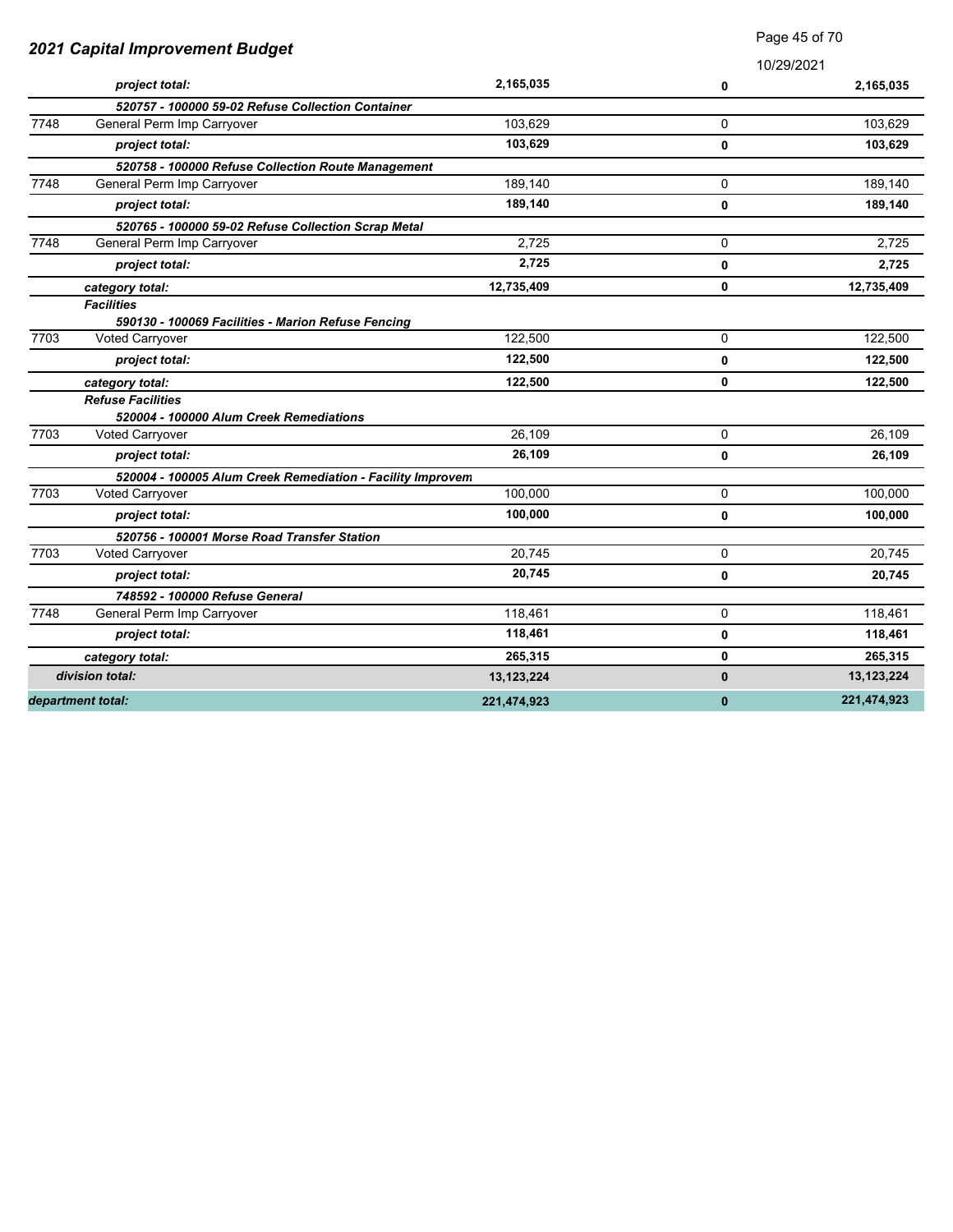|      | 2021 Capital Improvement Budget                            |             | 10/29/2021 |              |
|------|------------------------------------------------------------|-------------|------------|--------------|
|      | project total:                                             | 2,165,035   | 0          | 2,165,035    |
|      | 520757 - 100000 59-02 Refuse Collection Container          |             |            |              |
| 7748 | General Perm Imp Carryover                                 | 103,629     | 0          | 103.629      |
|      | project total:                                             | 103,629     | 0          | 103,629      |
|      | 520758 - 100000 Refuse Collection Route Management         |             |            |              |
| 7748 | General Perm Imp Carryover                                 | 189,140     | 0          | 189,140      |
|      | project total:                                             | 189,140     | 0          | 189,140      |
|      | 520765 - 100000 59-02 Refuse Collection Scrap Metal        |             |            |              |
| 7748 | General Perm Imp Carryover                                 | 2,725       | 0          | 2,725        |
|      | project total:                                             | 2,725       | 0          | 2,725        |
|      | category total:                                            | 12,735,409  | 0          | 12,735,409   |
|      | <b>Facilities</b>                                          |             |            |              |
|      | 590130 - 100069 Facilities - Marion Refuse Fencing         |             |            |              |
| 7703 | Voted Carryover                                            | 122,500     | 0          | 122,500      |
|      | project total:                                             | 122,500     | 0          | 122,500      |
|      | category total:                                            | 122,500     | 0          | 122,500      |
|      | <b>Refuse Facilities</b>                                   |             |            |              |
|      | 520004 - 100000 Alum Creek Remediations                    |             |            |              |
| 7703 | Voted Carryover                                            | 26.109      | 0          | 26.109       |
|      | project total:                                             | 26,109      | 0          | 26,109       |
|      | 520004 - 100005 Alum Creek Remediation - Facility Improvem |             |            |              |
| 7703 | Voted Carryover                                            | 100,000     | 0          | 100,000      |
|      | project total:                                             | 100,000     | 0          | 100,000      |
|      | 520756 - 100001 Morse Road Transfer Station                |             |            |              |
| 7703 | Voted Carryover                                            | 20,745      | 0          | 20,745       |
|      | project total:                                             | 20,745      | 0          | 20,745       |
|      | 748592 - 100000 Refuse General                             |             |            |              |
| 7748 | General Perm Imp Carryover                                 | 118,461     | 0          | 118,461      |
|      | project total:                                             | 118,461     | 0          | 118,461      |
|      | category total:                                            | 265,315     | 0          | 265,315      |
|      | division total:                                            | 13,123,224  | 0          | 13, 123, 224 |
|      | department total:                                          | 221,474,923 | $\bf{0}$   | 221,474,923  |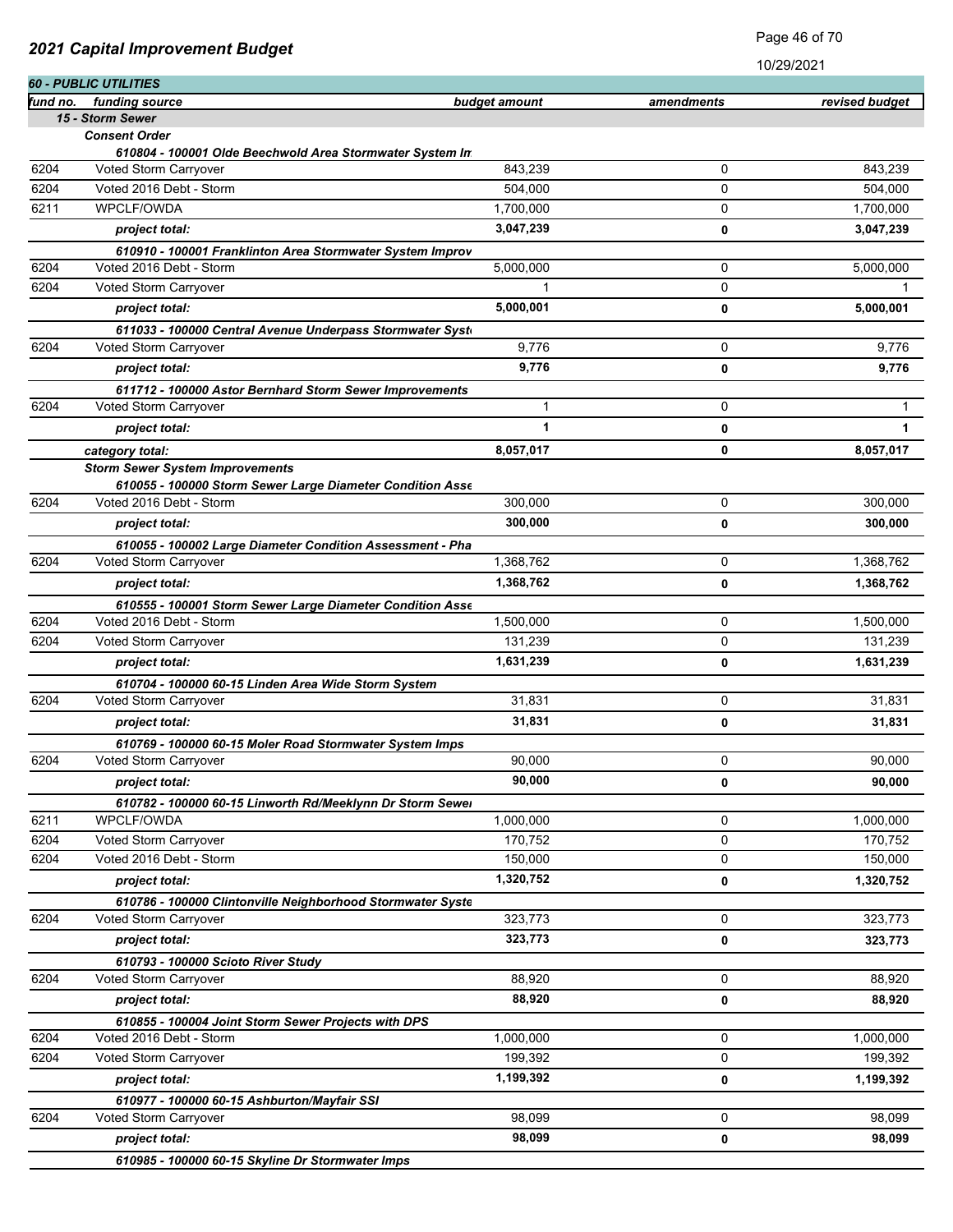|          | <b>60 - PUBLIC UTILITIES</b>                                                     |               |            |                |
|----------|----------------------------------------------------------------------------------|---------------|------------|----------------|
| fund no. | funding source                                                                   | budget amount | amendments | revised budget |
|          | 15 - Storm Sewer                                                                 |               |            |                |
|          | <b>Consent Order</b><br>610804 - 100001 Olde Beechwold Area Stormwater System In |               |            |                |
| 6204     | Voted Storm Carryover                                                            | 843,239       | 0          | 843,239        |
| 6204     | Voted 2016 Debt - Storm                                                          | 504,000       | 0          | 504,000        |
| 6211     | WPCLF/OWDA                                                                       | 1,700,000     | 0          | 1,700,000      |
|          | project total:                                                                   | 3,047,239     | 0          | 3,047,239      |
|          | 610910 - 100001 Franklinton Area Stormwater System Improv                        |               |            |                |
| 6204     | Voted 2016 Debt - Storm                                                          | 5,000,000     | 0          | 5,000,000      |
| 6204     | Voted Storm Carryover                                                            | 1             | 0          |                |
|          | project total:                                                                   | 5,000,001     | 0          | 5,000,001      |
|          | 611033 - 100000 Central Avenue Underpass Stormwater Syst                         |               |            |                |
| 6204     | Voted Storm Carryover                                                            | 9,776         | 0          | 9.776          |
|          | project total:                                                                   | 9,776         | 0          | 9,776          |
|          | 611712 - 100000 Astor Bernhard Storm Sewer Improvements                          |               |            |                |
| 6204     | Voted Storm Carryover                                                            | 1             | 0          |                |
|          | project total:                                                                   | 1             | 0          | $\mathbf{1}$   |
|          | category total:                                                                  | 8,057,017     | 0          | 8,057,017      |
|          | <b>Storm Sewer System Improvements</b>                                           |               |            |                |
|          | 610055 - 100000 Storm Sewer Large Diameter Condition Asse                        |               |            |                |
| 6204     | Voted 2016 Debt - Storm                                                          | 300,000       | 0          | 300,000        |
|          | project total:                                                                   | 300,000       | 0          | 300,000        |
|          | 610055 - 100002 Large Diameter Condition Assessment - Pha                        |               |            |                |
| 6204     | Voted Storm Carryover                                                            | 1,368,762     | 0          | 1,368,762      |
|          | project total:                                                                   | 1,368,762     | 0          | 1,368,762      |
|          | 610555 - 100001 Storm Sewer Large Diameter Condition Asse                        |               |            |                |
| 6204     | Voted 2016 Debt - Storm                                                          | 1,500,000     | 0          | 1,500,000      |
| 6204     | Voted Storm Carryover                                                            | 131,239       | 0          | 131,239        |
|          | project total:                                                                   | 1,631,239     | 0          | 1,631,239      |
|          | 610704 - 100000 60-15 Linden Area Wide Storm System                              |               |            |                |
| 6204     | Voted Storm Carryover                                                            | 31,831        | 0          | 31,831         |
|          | project total:                                                                   | 31,831        | 0          | 31,831         |
|          | 610769 - 100000 60-15 Moler Road Stormwater System Imps                          |               |            |                |
| 6204     | Voted Storm Carryover                                                            | 90,000        | 0          | 90.000         |
|          | project total:                                                                   | 90,000        | 0          | 90,000         |
|          | 610782 - 100000 60-15 Linworth Rd/Meeklynn Dr Storm Sewer                        |               |            |                |
| 6211     | WPCLF/OWDA                                                                       | 1,000,000     | 0          | 1,000,000      |
| 6204     | Voted Storm Carryover                                                            | 170,752       | 0          | 170,752        |
| 6204     | Voted 2016 Debt - Storm                                                          | 150,000       | 0          | 150,000        |
|          | project total:                                                                   | 1,320,752     | 0          | 1,320,752      |
|          | 610786 - 100000 Clintonville Neighborhood Stormwater Syste                       |               |            |                |
| 6204     | Voted Storm Carryover                                                            | 323,773       | 0          | 323,773        |
|          | project total:                                                                   | 323,773       | 0          | 323,773        |
|          | 610793 - 100000 Scioto River Study                                               |               |            |                |
| 6204     | Voted Storm Carryover                                                            | 88,920        | 0          | 88,920         |
|          | project total:                                                                   | 88,920        | 0          | 88,920         |
|          | 610855 - 100004 Joint Storm Sewer Projects with DPS                              |               |            |                |
| 6204     | Voted 2016 Debt - Storm                                                          | 1,000,000     | 0          | 1,000,000      |
| 6204     | Voted Storm Carryover                                                            | 199,392       | 0          | 199,392        |
|          | project total:                                                                   | 1,199,392     | 0          | 1,199,392      |
|          | 610977 - 100000 60-15 Ashburton/Mayfair SSI                                      |               |            |                |
| 6204     | Voted Storm Carryover                                                            | 98,099        | 0          | 98,099         |
|          | project total:                                                                   | 98,099        | 0          | 98,099         |
|          | 610985 - 100000 60-15 Skyline Dr Stormwater Imps                                 |               |            |                |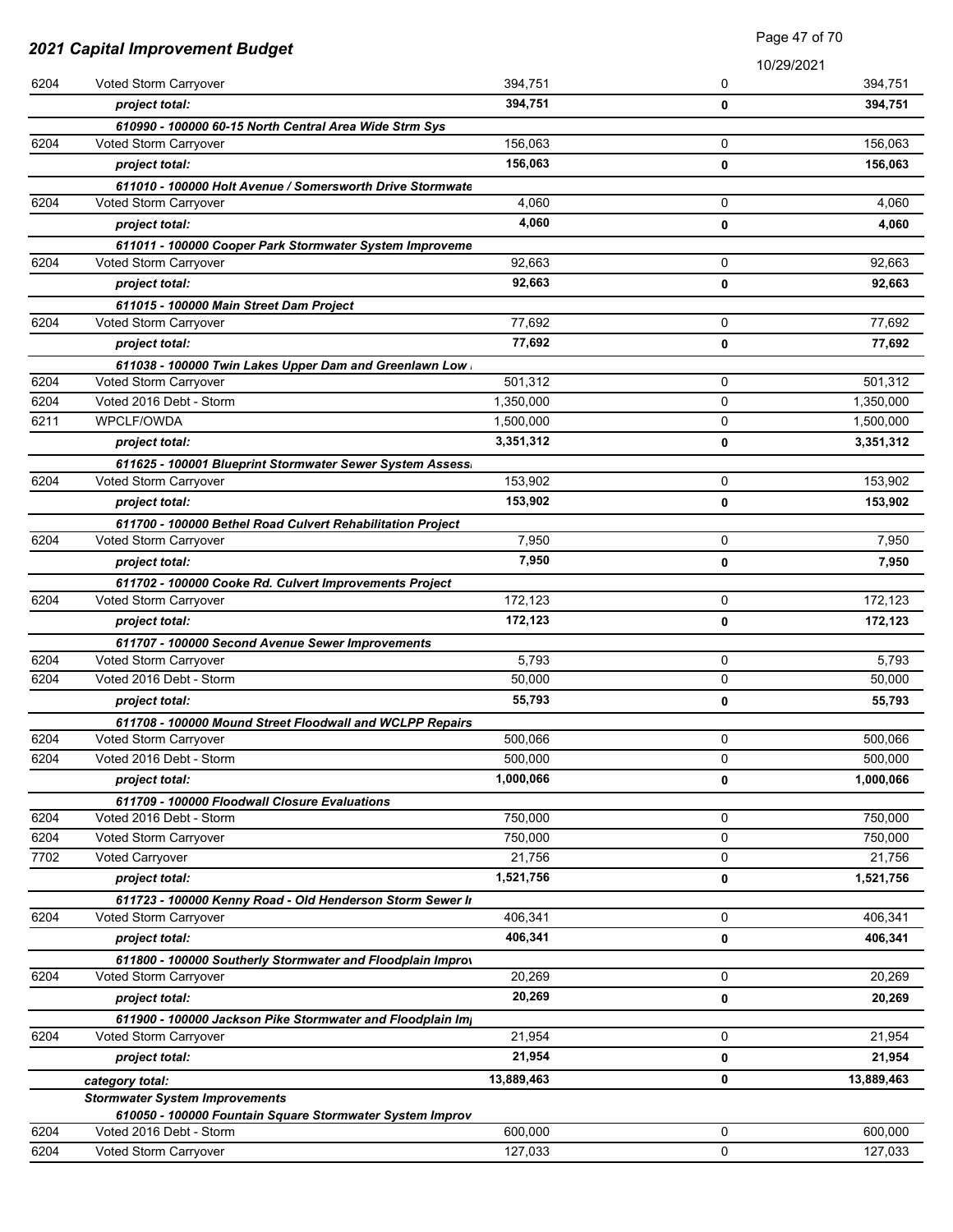|      |                                                                                                   | Page 47 of 70 |             |            |
|------|---------------------------------------------------------------------------------------------------|---------------|-------------|------------|
|      | <b>2021 Capital Improvement Budget</b>                                                            |               | 10/29/2021  |            |
| 6204 | Voted Storm Carryover                                                                             | 394,751       | 0           | 394,751    |
|      | project total:                                                                                    | 394,751       | 0           | 394,751    |
|      | 610990 - 100000 60-15 North Central Area Wide Strm Sys                                            |               |             |            |
| 6204 | Voted Storm Carryover                                                                             | 156,063       | 0           | 156,063    |
|      | project total:                                                                                    | 156,063       | 0           | 156,063    |
|      | 611010 - 100000 Holt Avenue / Somersworth Drive Stormwate                                         |               |             |            |
| 6204 | Voted Storm Carryover                                                                             | 4,060         | 0           | 4,060      |
|      | project total:                                                                                    | 4,060         | 0           | 4,060      |
|      | 611011 - 100000 Cooper Park Stormwater System Improveme                                           |               |             |            |
| 6204 | Voted Storm Carryover                                                                             | 92,663        | 0           | 92,663     |
|      | project total:                                                                                    | 92,663        | 0           | 92,663     |
|      | 611015 - 100000 Main Street Dam Project                                                           |               |             |            |
| 6204 | Voted Storm Carryover                                                                             | 77,692        | 0           | 77,692     |
|      | project total:                                                                                    | 77,692        | 0           | 77,692     |
|      | 611038 - 100000 Twin Lakes Upper Dam and Greenlawn Low                                            |               |             |            |
| 6204 | Voted Storm Carryover                                                                             | 501,312       | 0           | 501,312    |
| 6204 | Voted 2016 Debt - Storm                                                                           | 1,350,000     | 0           | 1,350,000  |
| 6211 | WPCLF/OWDA                                                                                        | 1,500,000     | 0           | 1,500,000  |
|      | project total:                                                                                    | 3,351,312     | 0           | 3,351,312  |
| 6204 | 611625 - 100001 Blueprint Stormwater Sewer System Assess<br>Voted Storm Carryover                 | 153,902       | $\mathbf 0$ | 153,902    |
|      |                                                                                                   | 153,902       |             |            |
|      | project total:                                                                                    |               | 0           | 153,902    |
| 6204 | 611700 - 100000 Bethel Road Culvert Rehabilitation Project<br>Voted Storm Carryover               | 7,950         | 0           | 7,950      |
|      | project total:                                                                                    | 7,950         | 0           | 7,950      |
|      |                                                                                                   |               |             |            |
| 6204 | 611702 - 100000 Cooke Rd. Culvert Improvements Project<br>Voted Storm Carryover                   | 172,123       | 0           | 172,123    |
|      | project total:                                                                                    | 172,123       | 0           | 172,123    |
|      | 611707 - 100000 Second Avenue Sewer Improvements                                                  |               |             |            |
| 6204 | Voted Storm Carryover                                                                             | 5,793         | 0           | 5,793      |
| 6204 | Voted 2016 Debt - Storm                                                                           | 50,000        | 0           | 50,000     |
|      | project total:                                                                                    | 55,793        | 0           | 55,793     |
|      | 611708 - 100000 Mound Street Floodwall and WCLPP Repairs                                          |               |             |            |
| 6204 | Voted Storm Carryover                                                                             | 500,066       | 0           | 500,066    |
| 6204 | Voted 2016 Debt - Storm                                                                           | 500,000       | 0           | 500,000    |
|      | project total:                                                                                    | 1,000,066     | 0           | 1,000,066  |
|      | 611709 - 100000 Floodwall Closure Evaluations                                                     |               |             |            |
| 6204 | Voted 2016 Debt - Storm                                                                           | 750,000       | 0           | 750,000    |
| 6204 | Voted Storm Carryover                                                                             | 750,000       | $\mathbf 0$ | 750,000    |
| 7702 | <b>Voted Carryover</b>                                                                            | 21,756        | 0           | 21,756     |
|      | project total:                                                                                    | 1,521,756     | 0           | 1,521,756  |
|      | 611723 - 100000 Kenny Road - Old Henderson Storm Sewer In                                         |               |             |            |
| 6204 | Voted Storm Carryover                                                                             | 406,341       | 0           | 406,341    |
|      | project total:                                                                                    | 406,341       | 0           | 406,341    |
|      | 611800 - 100000 Southerly Stormwater and Floodplain Improv                                        |               |             |            |
| 6204 | Voted Storm Carryover                                                                             | 20,269        | 0           | 20,269     |
|      | project total:                                                                                    | 20,269        | 0           | 20,269     |
|      | 611900 - 100000 Jackson Pike Stormwater and Floodplain Im                                         |               |             |            |
| 6204 | Voted Storm Carryover                                                                             | 21,954        | 0           | 21,954     |
|      | project total:                                                                                    | 21,954        | 0           | 21,954     |
|      | category total:                                                                                   | 13,889,463    | 0           | 13,889,463 |
|      | <b>Stormwater System Improvements</b><br>610050 - 100000 Fountain Square Stormwater System Improv |               |             |            |
| 6204 | Voted 2016 Debt - Storm                                                                           | 600,000       | 0           | 600,000    |
| 6204 | Voted Storm Carryover                                                                             | 127,033       | 0           | 127,033    |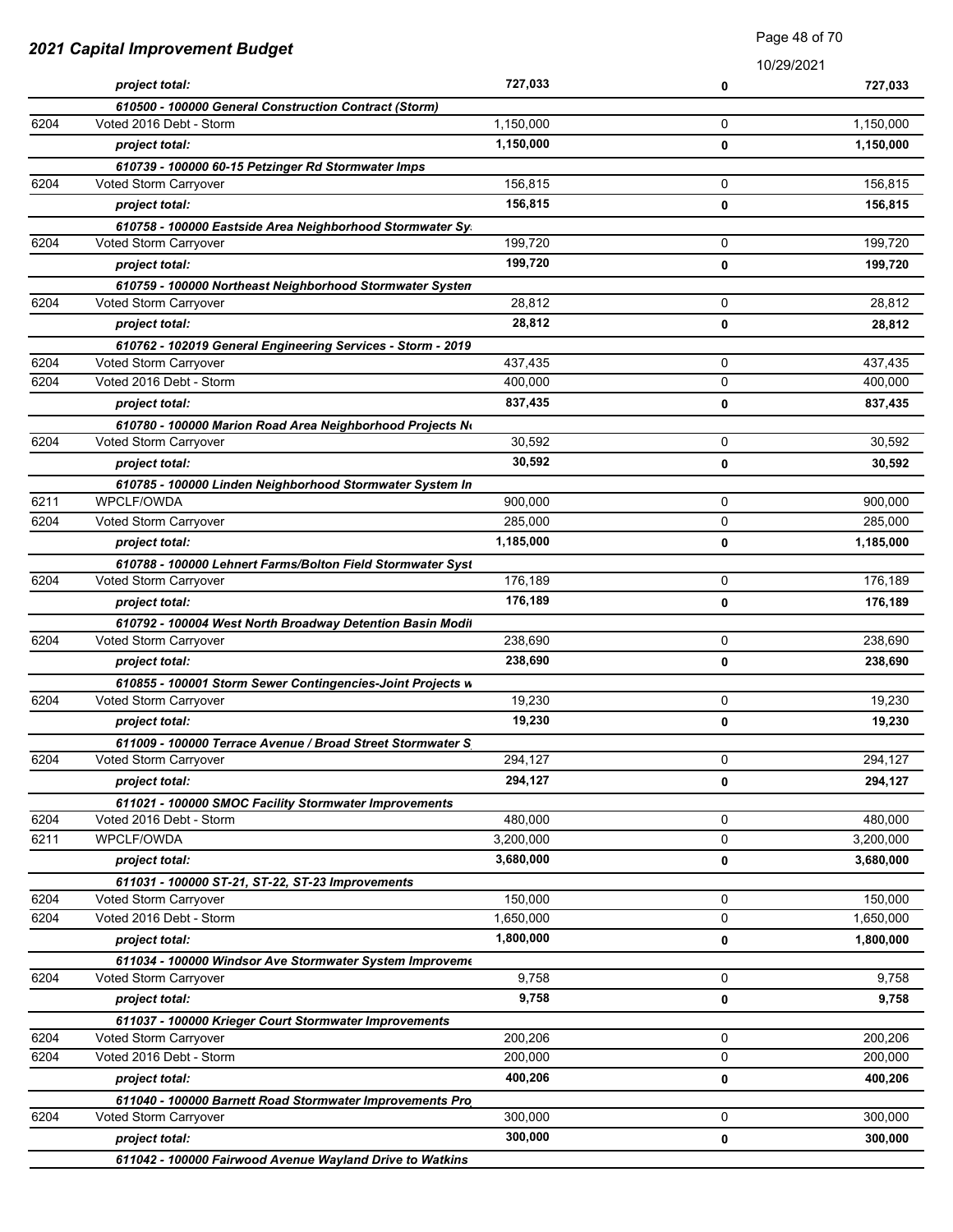| 2021 Capital Improvement Budget |                                                                                      | Faye 40 UI TU |             |           |
|---------------------------------|--------------------------------------------------------------------------------------|---------------|-------------|-----------|
|                                 |                                                                                      |               | 10/29/2021  |           |
|                                 | project total:                                                                       | 727,033       | 0           | 727,033   |
|                                 | 610500 - 100000 General Construction Contract (Storm)                                |               |             |           |
| 6204                            | Voted 2016 Debt - Storm                                                              | 1,150,000     | 0           | 1,150,000 |
|                                 | project total:                                                                       | 1,150,000     | 0           | 1,150,000 |
| 6204                            | 610739 - 100000 60-15 Petzinger Rd Stormwater Imps<br>Voted Storm Carryover          | 156,815       | 0           | 156,815   |
|                                 |                                                                                      | 156,815       |             |           |
|                                 | project total:                                                                       |               | 0           | 156,815   |
| 6204                            | 610758 - 100000 Eastside Area Neighborhood Stormwater Sy.<br>Voted Storm Carryover   | 199,720       | 0           | 199,720   |
|                                 |                                                                                      | 199,720       |             |           |
|                                 | project total:                                                                       |               | 0           | 199,720   |
| 6204                            | 610759 - 100000 Northeast Neighborhood Stormwater Systen<br>Voted Storm Carryover    | 28,812        | 0           | 28,812    |
|                                 | project total:                                                                       | 28,812        | 0           | 28,812    |
|                                 |                                                                                      |               |             |           |
| 6204                            | 610762 - 102019 General Engineering Services - Storm - 2019<br>Voted Storm Carryover | 437,435       | 0           | 437,435   |
| 6204                            | Voted 2016 Debt - Storm                                                              | 400,000       | 0           | 400,000   |
|                                 | project total:                                                                       | 837,435       | 0           | 837,435   |
|                                 |                                                                                      |               |             |           |
| 6204                            | 610780 - 100000 Marion Road Area Neighborhood Projects No<br>Voted Storm Carryover   | 30,592        | 0           | 30,592    |
|                                 | project total:                                                                       | 30,592        | 0           | 30,592    |
|                                 |                                                                                      |               |             |           |
| 6211                            | 610785 - 100000 Linden Neighborhood Stormwater System In<br>WPCLF/OWDA               | 900,000       | 0           | 900,000   |
| 6204                            | Voted Storm Carryover                                                                | 285,000       | 0           | 285,000   |
|                                 | project total:                                                                       | 1,185,000     | 0           | 1,185,000 |
|                                 |                                                                                      |               |             |           |
| 6204                            | 610788 - 100000 Lehnert Farms/Bolton Field Stormwater Syst<br>Voted Storm Carryover  | 176,189       | 0           | 176,189   |
|                                 | project total:                                                                       | 176,189       | 0           | 176,189   |
|                                 | 610792 - 100004 West North Broadway Detention Basin Modil                            |               |             |           |
| 6204                            | Voted Storm Carryover                                                                | 238,690       | 0           | 238,690   |
|                                 | project total:                                                                       | 238,690       | 0           | 238,690   |
|                                 | 610855 - 100001 Storm Sewer Contingencies-Joint Projects w                           |               |             |           |
| 6204                            | Voted Storm Carryover                                                                | 19,230        | 0           | 19,230    |
|                                 | project total:                                                                       | 19,230        | 0           | 19,230    |
|                                 | 611009 - 100000 Terrace Avenue / Broad Street Stormwater S                           |               |             |           |
| 6204                            | Voted Storm Carryover                                                                | 294,127       | 0           | 294,127   |
|                                 | project total:                                                                       | 294,127       | 0           | 294,127   |
|                                 | 611021 - 100000 SMOC Facility Stormwater Improvements                                |               |             |           |
| 6204                            | Voted 2016 Debt - Storm                                                              | 480,000       | 0           | 480,000   |
| 6211                            | WPCLF/OWDA                                                                           | 3,200,000     | 0           | 3,200,000 |
|                                 | project total:                                                                       | 3,680,000     | 0           | 3,680,000 |
|                                 | 611031 - 100000 ST-21, ST-22, ST-23 Improvements                                     |               |             |           |
| 6204                            | Voted Storm Carryover                                                                | 150,000       | 0           | 150,000   |
| 6204                            | Voted 2016 Debt - Storm                                                              | 1,650,000     | 0           | 1,650,000 |
|                                 | project total:                                                                       | 1,800,000     | 0           | 1,800,000 |
|                                 | 611034 - 100000 Windsor Ave Stormwater System Improveme                              |               |             |           |
| 6204                            | Voted Storm Carryover                                                                | 9,758         | 0           | 9,758     |
|                                 | project total:                                                                       | 9,758         | 0           | 9,758     |
|                                 | 611037 - 100000 Krieger Court Stormwater Improvements                                |               |             |           |
| 6204                            | Voted Storm Carryover                                                                | 200,206       | 0           | 200,206   |
| 6204                            | Voted 2016 Debt - Storm                                                              | 200,000       | $\mathbf 0$ | 200,000   |
|                                 | project total:                                                                       | 400,206       | 0           | 400,206   |
|                                 | 611040 - 100000 Barnett Road Stormwater Improvements Pro                             |               |             |           |
| 6204                            | Voted Storm Carryover                                                                | 300,000       | 0           | 300,000   |
|                                 | project total:                                                                       | 300,000       | 0           | 300,000   |
|                                 | 611042 - 100000 Fairwood Avenue Wayland Drive to Watkins                             |               |             |           |

Page 48 of 70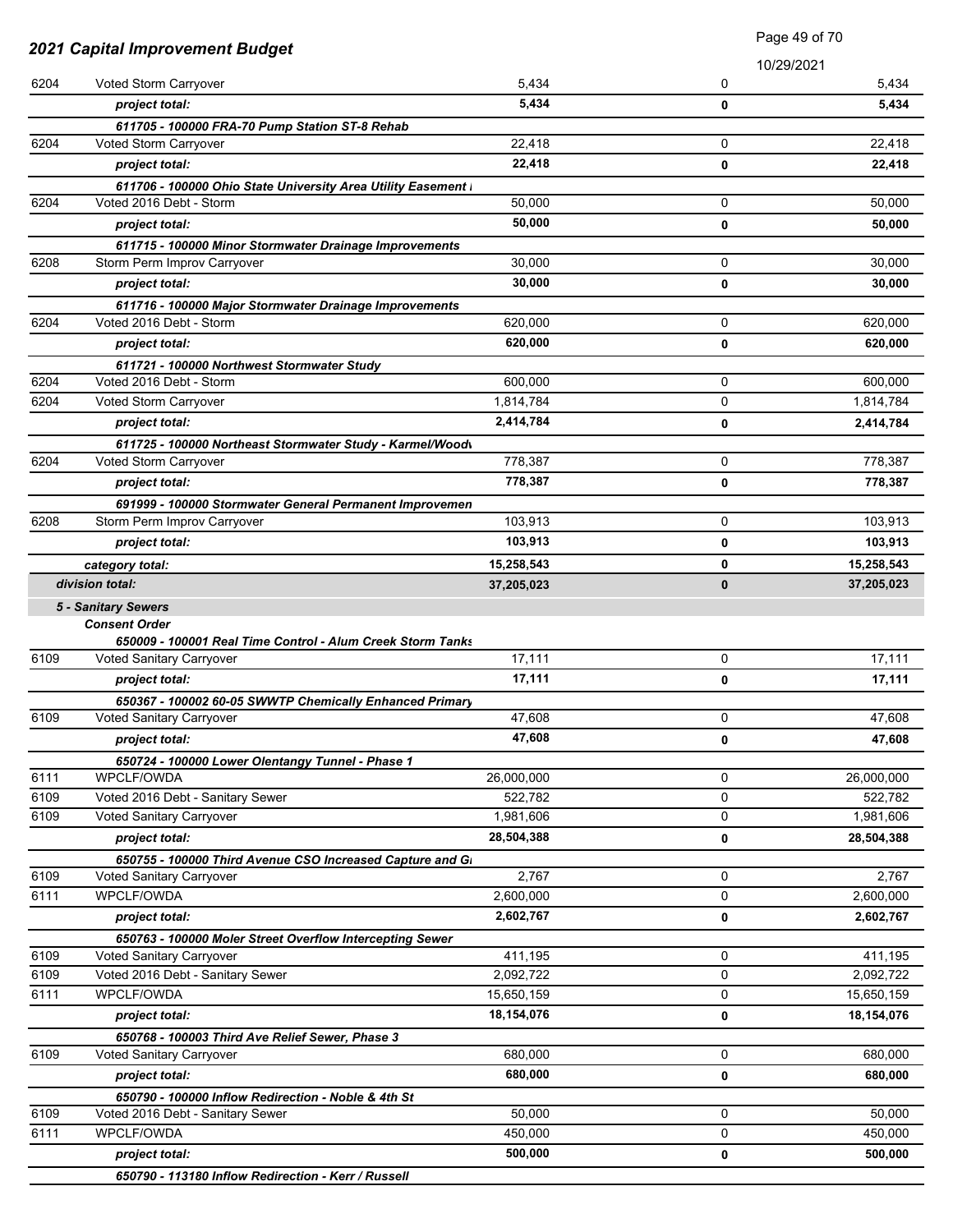| <b>2021 Capital Improvement Budget</b> |                                                                                        | Page 49 of 70 |             |            |
|----------------------------------------|----------------------------------------------------------------------------------------|---------------|-------------|------------|
|                                        |                                                                                        |               |             | 10/29/2021 |
| 6204                                   | Voted Storm Carryover                                                                  | 5,434         | 0           | 5,434      |
|                                        | project total:                                                                         | 5,434         | 0           | 5,434      |
|                                        | 611705 - 100000 FRA-70 Pump Station ST-8 Rehab                                         |               |             |            |
| 6204                                   | Voted Storm Carryover                                                                  | 22,418        | 0           | 22,418     |
|                                        | project total:                                                                         | 22,418        | 0           | 22,418     |
|                                        | 611706 - 100000 Ohio State University Area Utility Easement I                          |               |             |            |
| 6204                                   | Voted 2016 Debt - Storm                                                                | 50,000        | 0           | 50,000     |
|                                        | project total:                                                                         | 50.000        | 0           | 50,000     |
|                                        | 611715 - 100000 Minor Stormwater Drainage Improvements                                 |               |             |            |
| 6208                                   | Storm Perm Improv Carryover                                                            | 30,000        | 0           | 30,000     |
|                                        | project total:                                                                         | 30,000        | 0           | 30,000     |
|                                        | 611716 - 100000 Major Stormwater Drainage Improvements                                 |               |             |            |
| 6204                                   | Voted 2016 Debt - Storm                                                                | 620,000       | 0           | 620,000    |
|                                        | project total:                                                                         | 620,000       | 0           | 620,000    |
|                                        | 611721 - 100000 Northwest Stormwater Study                                             |               |             |            |
| 6204                                   | Voted 2016 Debt - Storm                                                                | 600,000       | 0           | 600,000    |
| 6204                                   | Voted Storm Carryover                                                                  | 1,814,784     | 0           | 1,814,784  |
|                                        | project total:                                                                         | 2,414,784     | 0           | 2,414,784  |
| 6204                                   | 611725 - 100000 Northeast Stormwater Study - Karmel/Woodv                              | 778,387       | 0           |            |
|                                        | Voted Storm Carryover                                                                  | 778,387       |             | 778,387    |
|                                        | project total:                                                                         |               | 0           | 778,387    |
| 6208                                   | 691999 - 100000 Stormwater General Permanent Improvemen<br>Storm Perm Improv Carryover | 103,913       | 0           | 103,913    |
|                                        | project total:                                                                         | 103,913       | 0           | 103,913    |
|                                        |                                                                                        |               |             |            |
|                                        | category total:<br>division total:                                                     | 15,258,543    | 0           | 15,258,543 |
|                                        |                                                                                        | 37,205,023    | $\bf{0}$    | 37,205,023 |
|                                        | <b>5 - Sanitary Sewers</b><br><b>Consent Order</b>                                     |               |             |            |
|                                        | 650009 - 100001 Real Time Control - Alum Creek Storm Tanks                             |               |             |            |
| 6109                                   | <b>Voted Sanitary Carryover</b>                                                        | 17,111        | $\mathbf 0$ | 17,111     |
|                                        | project total:                                                                         | 17,111        | 0           | 17,111     |
|                                        | 650367 - 100002 60-05 SWWTP Chemically Enhanced Primary                                |               |             |            |
| 6109                                   | Voted Sanitary Carryover                                                               | 47,608        | 0           | 47.608     |
|                                        | project total:                                                                         | 47,608        | $\mathbf 0$ | 47,608     |
|                                        | 650724 - 100000 Lower Olentangy Tunnel - Phase 1                                       |               |             |            |
| 6111                                   | WPCLF/OWDA                                                                             | 26,000,000    | 0           | 26,000,000 |
| 6109                                   | Voted 2016 Debt - Sanitary Sewer                                                       | 522,782       | 0           | 522,782    |
| 6109                                   | Voted Sanitary Carryover                                                               | 1,981,606     | 0           | 1,981,606  |
|                                        | project total:                                                                         | 28,504,388    | 0           | 28,504,388 |
|                                        | 650755 - 100000 Third Avenue CSO Increased Capture and Gi                              |               |             |            |
| 6109                                   | Voted Sanitary Carryover                                                               | 2,767         | 0           | 2,767      |
| 6111                                   | WPCLF/OWDA                                                                             | 2,600,000     | 0           | 2,600,000  |
|                                        | project total:                                                                         | 2,602,767     | 0           | 2,602,767  |
|                                        | 650763 - 100000 Moler Street Overflow Intercepting Sewer                               |               |             |            |
| 6109                                   | Voted Sanitary Carryover                                                               | 411,195       | 0           | 411,195    |
| 6109                                   | Voted 2016 Debt - Sanitary Sewer                                                       | 2,092,722     | 0           | 2,092,722  |
| 6111                                   | WPCLF/OWDA                                                                             | 15,650,159    | 0           | 15,650,159 |
|                                        | project total:                                                                         | 18,154,076    | 0           | 18,154,076 |
|                                        | 650768 - 100003 Third Ave Relief Sewer, Phase 3                                        |               |             |            |
| 6109                                   | Voted Sanitary Carryover                                                               | 680,000       | 0           | 680,000    |
|                                        | project total:                                                                         | 680,000       | 0           | 680,000    |
|                                        | 650790 - 100000 Inflow Redirection - Noble & 4th St                                    |               |             |            |
| 6109                                   | Voted 2016 Debt - Sanitary Sewer                                                       | 50,000        | 0           | 50,000     |
| 6111                                   | WPCLF/OWDA                                                                             | 450,000       | 0           | 450,000    |
|                                        | project total:                                                                         | 500,000       | 0           | 500,000    |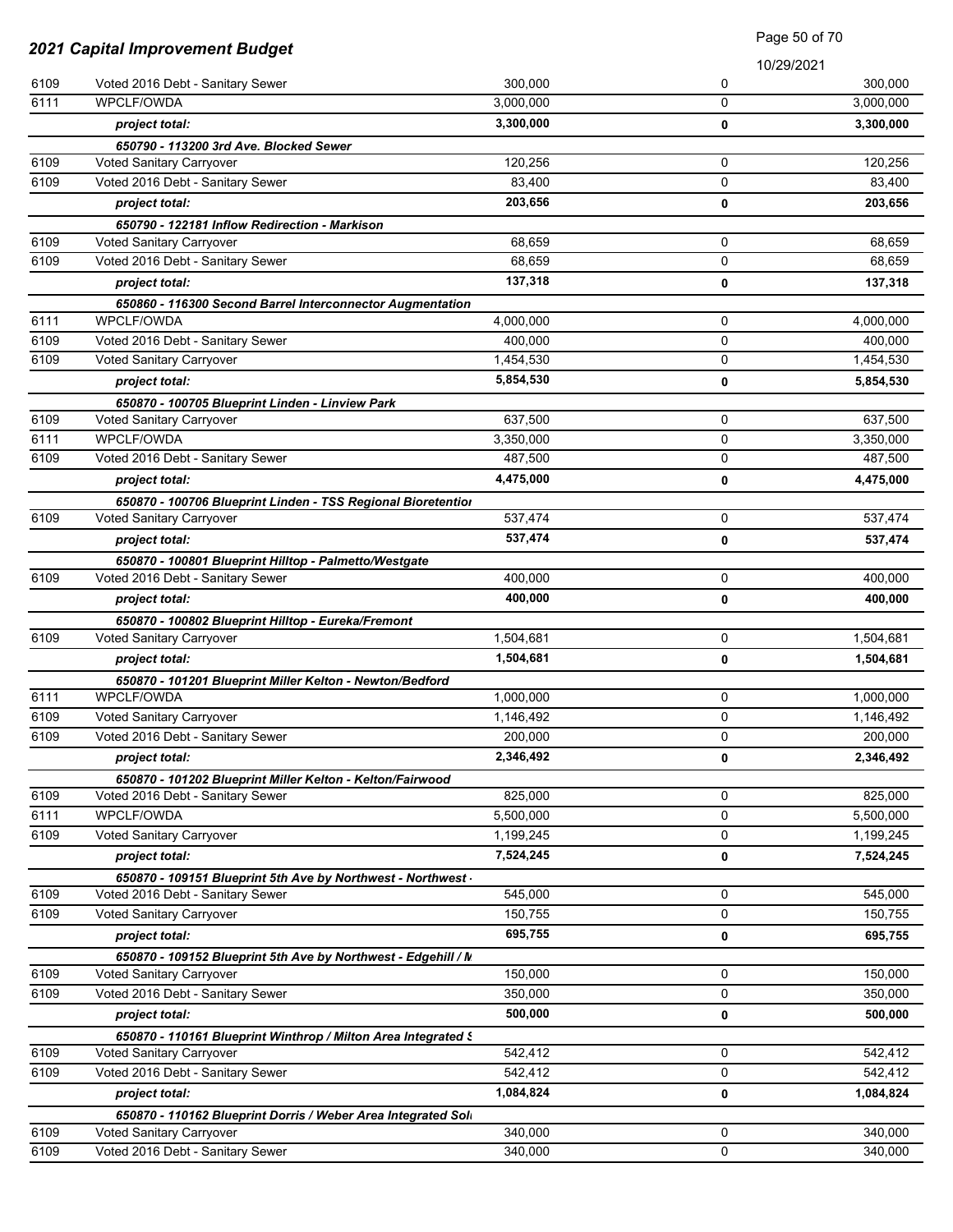|      | 2021 Capital Improvement Budget                                                                  |           | <b>Faye</b> 50 OF 70 |           |
|------|--------------------------------------------------------------------------------------------------|-----------|----------------------|-----------|
|      |                                                                                                  |           | 10/29/2021           |           |
| 6109 | Voted 2016 Debt - Sanitary Sewer                                                                 | 300.000   | 0                    | 300,000   |
| 6111 | WPCLF/OWDA                                                                                       | 3,000,000 | $\Omega$             | 3,000,000 |
|      | project total:                                                                                   | 3,300,000 | 0                    | 3,300,000 |
|      | 650790 - 113200 3rd Ave. Blocked Sewer                                                           |           |                      |           |
| 6109 | Voted Sanitary Carryover                                                                         | 120,256   | 0                    | 120,256   |
| 6109 | Voted 2016 Debt - Sanitary Sewer                                                                 | 83,400    | 0                    | 83,400    |
|      | project total:                                                                                   | 203,656   | 0                    | 203,656   |
|      | 650790 - 122181 Inflow Redirection - Markison                                                    |           |                      |           |
| 6109 | Voted Sanitary Carryover                                                                         | 68,659    | 0                    | 68,659    |
| 6109 | Voted 2016 Debt - Sanitary Sewer                                                                 | 68,659    | 0                    | 68,659    |
|      | project total:                                                                                   | 137,318   | 0                    | 137,318   |
|      | 650860 - 116300 Second Barrel Interconnector Augmentation                                        |           |                      |           |
| 6111 | WPCLF/OWDA                                                                                       | 4,000,000 | 0                    | 4,000,000 |
| 6109 | Voted 2016 Debt - Sanitary Sewer                                                                 | 400,000   | 0                    | 400,000   |
| 6109 | Voted Sanitary Carryover                                                                         | 1,454,530 | 0                    | 1,454,530 |
|      | project total:                                                                                   | 5,854,530 | 0                    | 5,854,530 |
|      | 650870 - 100705 Blueprint Linden - Linview Park                                                  |           |                      |           |
| 6109 | Voted Sanitary Carryover                                                                         | 637,500   | 0                    | 637,500   |
| 6111 | WPCLF/OWDA                                                                                       | 3,350,000 | 0                    | 3,350,000 |
| 6109 | Voted 2016 Debt - Sanitary Sewer                                                                 | 487,500   | 0                    | 487,500   |
|      | project total:                                                                                   | 4,475,000 | 0                    | 4,475,000 |
|      | 650870 - 100706 Blueprint Linden - TSS Regional Bioretentior                                     |           |                      |           |
| 6109 | Voted Sanitary Carryover                                                                         | 537,474   | 0                    | 537,474   |
|      | project total:                                                                                   | 537,474   | 0                    | 537,474   |
|      | 650870 - 100801 Blueprint Hilltop - Palmetto/Westgate                                            |           |                      |           |
| 6109 | Voted 2016 Debt - Sanitary Sewer                                                                 | 400,000   | 0                    | 400,000   |
|      | project total:                                                                                   | 400,000   | 0                    | 400,000   |
| 6109 | 650870 - 100802 Blueprint Hilltop - Eureka/Fremont                                               | 1,504,681 | 0                    | 1,504,681 |
|      | Voted Sanitary Carryover                                                                         | 1,504,681 |                      |           |
|      | project total:                                                                                   |           | 0                    | 1,504,681 |
| 6111 | 650870 - 101201 Blueprint Miller Kelton - Newton/Bedford<br>WPCLF/OWDA                           | 1,000,000 | 0                    | 1,000,000 |
| 6109 | Voted Sanitary Carryover                                                                         | 1,146,492 | 0                    | 1,146,492 |
| 6109 | Voted 2016 Debt - Sanitary Sewer                                                                 | 200,000   | 0                    | 200,000   |
|      |                                                                                                  | 2,346,492 | 0                    | 2,346,492 |
|      | project total:                                                                                   |           |                      |           |
| 6109 | 650870 - 101202 Blueprint Miller Kelton - Kelton/Fairwood<br>Voted 2016 Debt - Sanitary Sewer    | 825,000   | 0                    | 825,000   |
| 6111 | WPCLF/OWDA                                                                                       | 5,500,000 | 0                    | 5,500,000 |
| 6109 | Voted Sanitary Carryover                                                                         | 1,199,245 | 0                    | 1,199,245 |
|      | project total:                                                                                   | 7,524,245 | 0                    | 7,524,245 |
|      |                                                                                                  |           |                      |           |
| 6109 | 650870 - 109151 Blueprint 5th Ave by Northwest - Northwest -<br>Voted 2016 Debt - Sanitary Sewer | 545,000   | 0                    | 545,000   |
| 6109 | Voted Sanitary Carryover                                                                         | 150,755   | 0                    | 150,755   |
|      | project total:                                                                                   | 695,755   | 0                    | 695,755   |
|      | 650870 - 109152 Blueprint 5th Ave by Northwest - Edgehill / N                                    |           |                      |           |
| 6109 | Voted Sanitary Carryover                                                                         | 150,000   | 0                    | 150,000   |
| 6109 | Voted 2016 Debt - Sanitary Sewer                                                                 | 350,000   | 0                    | 350,000   |
|      | project total:                                                                                   | 500,000   | 0                    | 500,000   |
|      | 650870 - 110161 Blueprint Winthrop / Milton Area Integrated S                                    |           |                      |           |
| 6109 | <b>Voted Sanitary Carryover</b>                                                                  | 542,412   | 0                    | 542,412   |
| 6109 | Voted 2016 Debt - Sanitary Sewer                                                                 | 542,412   | 0                    | 542,412   |
|      | project total:                                                                                   | 1,084,824 | 0                    | 1,084,824 |
|      | 650870 - 110162 Blueprint Dorris / Weber Area Integrated Soli                                    |           |                      |           |
| 6109 | <b>Voted Sanitary Carryover</b>                                                                  | 340,000   | 0                    | 340,000   |
| 6109 | Voted 2016 Debt - Sanitary Sewer                                                                 | 340,000   | 0                    | 340,000   |

Page 50 of 70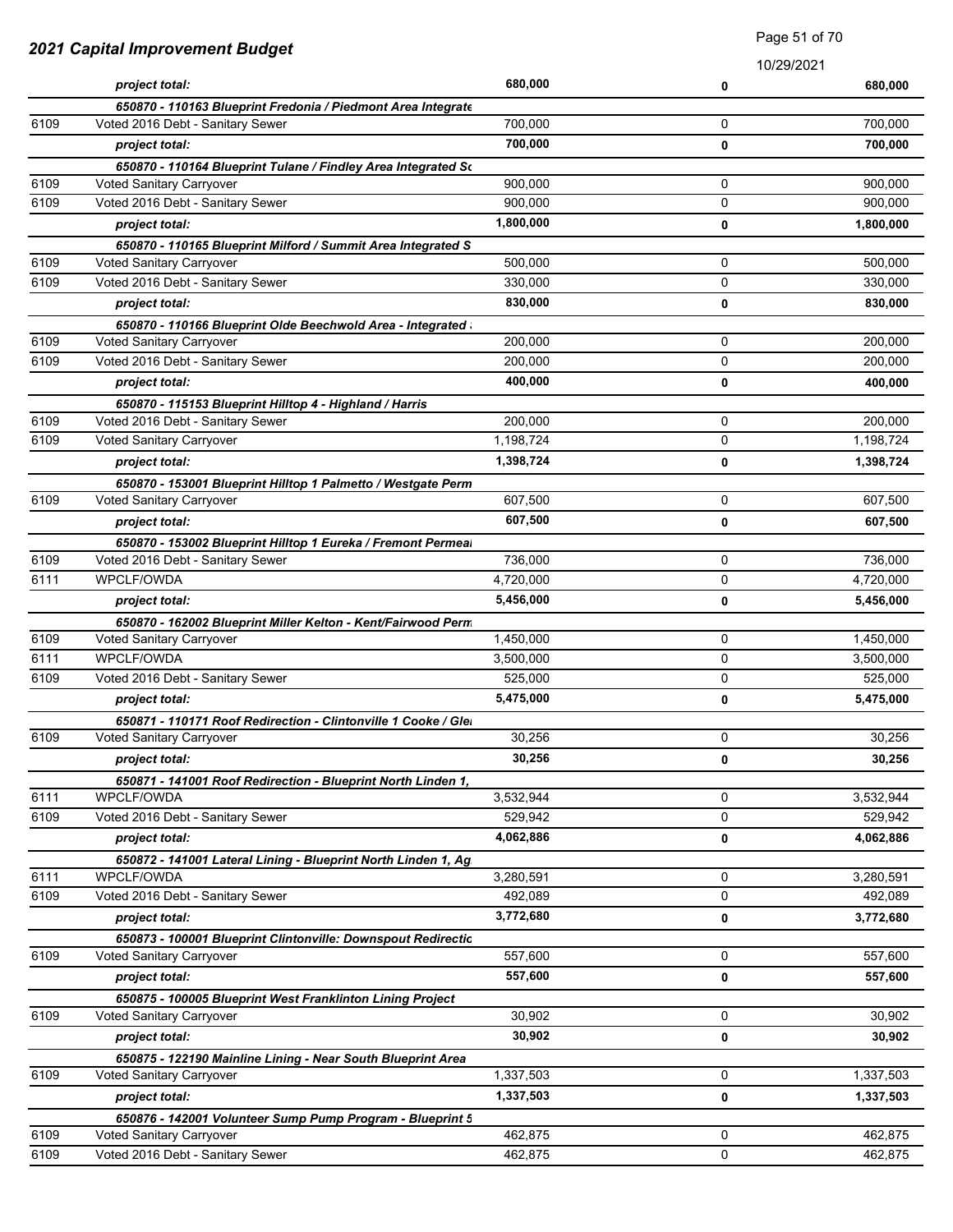|      |                                                                |           | 10/29/2021 |           |
|------|----------------------------------------------------------------|-----------|------------|-----------|
|      | project total:                                                 | 680,000   | 0          | 680,000   |
|      | 650870 - 110163 Blueprint Fredonia / Piedmont Area Integrate   |           |            |           |
| 6109 | Voted 2016 Debt - Sanitary Sewer                               | 700,000   | 0          | 700,000   |
|      | project total:                                                 | 700,000   | 0          | 700,000   |
|      | 650870 - 110164 Blueprint Tulane / Findley Area Integrated So  |           |            |           |
| 6109 | Voted Sanitary Carryover                                       | 900,000   | 0          | 900,000   |
| 6109 | Voted 2016 Debt - Sanitary Sewer                               | 900,000   | 0          | 900,000   |
|      | project total:                                                 | 1,800,000 | 0          | 1,800,000 |
|      | 650870 - 110165 Blueprint Milford / Summit Area Integrated S   |           |            |           |
| 6109 | Voted Sanitary Carryover                                       | 500,000   | 0          | 500,000   |
| 6109 | Voted 2016 Debt - Sanitary Sewer                               | 330,000   | 0          | 330,000   |
|      | project total:                                                 | 830,000   | 0          | 830,000   |
|      | 650870 - 110166 Blueprint Olde Beechwold Area - Integrated     |           |            |           |
| 6109 | Voted Sanitary Carryover                                       | 200,000   | 0          | 200,000   |
| 6109 | Voted 2016 Debt - Sanitary Sewer                               | 200,000   | 0          | 200,000   |
|      | project total:                                                 | 400,000   | 0          | 400,000   |
|      | 650870 - 115153 Blueprint Hilltop 4 - Highland / Harris        |           |            |           |
| 6109 | Voted 2016 Debt - Sanitary Sewer                               | 200,000   | 0          | 200,000   |
| 6109 | Voted Sanitary Carryover                                       | 1,198,724 | 0          | 1,198,724 |
|      | project total:                                                 | 1,398,724 | 0          | 1,398,724 |
|      | 650870 - 153001 Blueprint Hilltop 1 Palmetto / Westgate Perm   |           |            |           |
| 6109 | Voted Sanitary Carryover                                       | 607,500   | 0          | 607,500   |
|      | project total:                                                 | 607,500   | 0          | 607,500   |
|      | 650870 - 153002 Blueprint Hilltop 1 Eureka / Fremont Permeal   |           |            |           |
| 6109 | Voted 2016 Debt - Sanitary Sewer                               | 736,000   | 0          | 736,000   |
| 6111 | <b>WPCLF/OWDA</b>                                              | 4,720,000 | 0          | 4,720,000 |
|      | project total:                                                 | 5,456,000 | 0          | 5,456,000 |
|      | 650870 - 162002 Blueprint Miller Kelton - Kent/Fairwood Perm   |           |            |           |
| 6109 | Voted Sanitary Carryover                                       | 1,450,000 | 0          | 1,450,000 |
| 6111 | <b>WPCLF/OWDA</b>                                              | 3,500,000 | 0          | 3,500,000 |
| 6109 | Voted 2016 Debt - Sanitary Sewer                               | 525,000   | 0          | 525,000   |
|      | project total:                                                 | 5,475,000 | 0          | 5,475,000 |
|      | 650871 - 110171 Roof Redirection - Clintonville 1 Cooke / Glei |           |            |           |
| 6109 | Voted Sanitary Carryover                                       | 30,256    | 0          | 30,256    |
|      | project total:                                                 | 30,256    | 0          | 30,256    |
|      | 650871 - 141001 Roof Redirection - Blueprint North Linden 1,   |           |            |           |
| 6111 | WPCLF/OWDA                                                     | 3,532,944 | 0          | 3,532,944 |
| 6109 | Voted 2016 Debt - Sanitary Sewer                               | 529,942   | 0          | 529,942   |
|      | project total:                                                 | 4,062,886 | 0          | 4,062,886 |
|      | 650872 - 141001 Lateral Lining - Blueprint North Linden 1, Ag  |           |            |           |
| 6111 | WPCLF/OWDA                                                     | 3,280,591 | 0          | 3,280,591 |
| 6109 | Voted 2016 Debt - Sanitary Sewer                               | 492,089   | 0          | 492,089   |
|      | project total:                                                 | 3,772,680 | 0          | 3,772,680 |
|      | 650873 - 100001 Blueprint Clintonville: Downspout Redirectic   |           |            |           |
| 6109 | Voted Sanitary Carryover                                       | 557,600   | 0          | 557,600   |
|      | project total:                                                 | 557,600   | 0          | 557,600   |
|      | 650875 - 100005 Blueprint West Franklinton Lining Project      |           |            |           |
| 6109 | Voted Sanitary Carryover                                       | 30,902    | 0          | 30,902    |
|      | project total:                                                 | 30,902    | 0          | 30,902    |
|      | 650875 - 122190 Mainline Lining - Near South Blueprint Area    |           |            |           |
| 6109 | Voted Sanitary Carryover                                       | 1,337,503 | 0          | 1,337,503 |
|      | project total:                                                 | 1,337,503 | 0          | 1,337,503 |
|      | 650876 - 142001 Volunteer Sump Pump Program - Blueprint 5      |           |            |           |
| 6109 | Voted Sanitary Carryover                                       | 462,875   | 0          | 462,875   |
| 6109 | Voted 2016 Debt - Sanitary Sewer                               | 462,875   | 0          | 462,875   |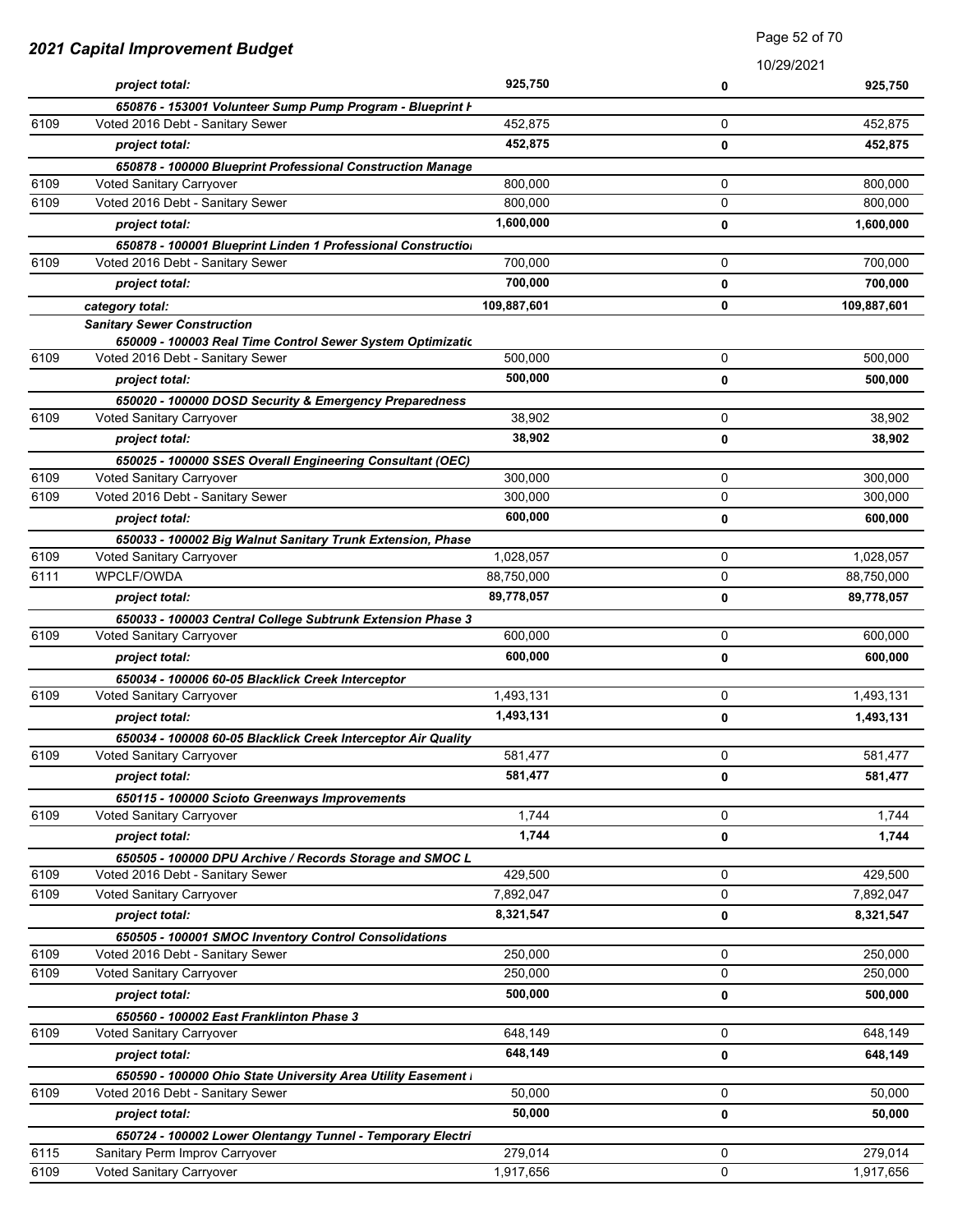| 2021 Capital Improvement Budget |                                                                                                |             | <b>Faye</b> UZ UI TU |             |
|---------------------------------|------------------------------------------------------------------------------------------------|-------------|----------------------|-------------|
|                                 |                                                                                                |             |                      | 10/29/2021  |
|                                 | project total:                                                                                 | 925,750     | 0                    | 925,750     |
|                                 | 650876 - 153001 Volunteer Sump Pump Program - Blueprint F                                      |             |                      |             |
| 6109                            | Voted 2016 Debt - Sanitary Sewer                                                               | 452,875     | 0                    | 452,875     |
|                                 | project total:                                                                                 | 452,875     | 0                    | 452,875     |
|                                 | 650878 - 100000 Blueprint Professional Construction Manage                                     |             |                      |             |
| 6109                            | Voted Sanitary Carryover                                                                       | 800,000     | 0                    | 800,000     |
| 6109                            | Voted 2016 Debt - Sanitary Sewer                                                               | 800,000     | 0                    | 800,000     |
|                                 | project total:                                                                                 | 1,600,000   | 0                    | 1,600,000   |
|                                 | 650878 - 100001 Blueprint Linden 1 Professional Construction                                   |             |                      |             |
| 6109                            | Voted 2016 Debt - Sanitary Sewer                                                               | 700,000     | 0                    | 700,000     |
|                                 | project total:                                                                                 | 700,000     | 0                    | 700,000     |
|                                 | category total:                                                                                | 109,887,601 | 0                    | 109,887,601 |
|                                 | <b>Sanitary Sewer Construction</b>                                                             |             |                      |             |
| 6109                            | 650009 - 100003 Real Time Control Sewer System Optimizatic<br>Voted 2016 Debt - Sanitary Sewer | 500,000     | 0                    | 500,000     |
|                                 |                                                                                                | 500,000     |                      |             |
|                                 | project total:                                                                                 |             | 0                    | 500,000     |
| 6109                            | 650020 - 100000 DOSD Security & Emergency Preparedness<br>Voted Sanitary Carryover             | 38,902      | 0                    | 38,902      |
|                                 |                                                                                                | 38,902      | 0                    | 38,902      |
|                                 | project total:                                                                                 |             |                      |             |
| 6109                            | 650025 - 100000 SSES Overall Engineering Consultant (OEC)<br>Voted Sanitary Carryover          | 300,000     | 0                    | 300,000     |
| 6109                            | Voted 2016 Debt - Sanitary Sewer                                                               | 300,000     | 0                    | 300,000     |
|                                 | project total:                                                                                 | 600,000     | 0                    | 600,000     |
|                                 |                                                                                                |             |                      |             |
| 6109                            | 650033 - 100002 Big Walnut Sanitary Trunk Extension, Phase<br>Voted Sanitary Carryover         | 1,028,057   | 0                    | 1,028,057   |
| 6111                            | WPCLF/OWDA                                                                                     | 88,750,000  | 0                    | 88,750,000  |
|                                 | project total:                                                                                 | 89,778,057  | 0                    | 89,778,057  |
|                                 | 650033 - 100003 Central College Subtrunk Extension Phase 3                                     |             |                      |             |
| 6109                            | Voted Sanitary Carryover                                                                       | 600,000     | 0                    | 600,000     |
|                                 | project total:                                                                                 | 600,000     | 0                    | 600,000     |
|                                 | 650034 - 100006 60-05 Blacklick Creek Interceptor                                              |             |                      |             |
| 6109                            | Voted Sanitary Carryover                                                                       | 1,493,131   | 0                    | 1,493,131   |
|                                 | project total:                                                                                 | 1,493,131   | 0                    | 1,493,131   |
|                                 | 650034 - 100008 60-05 Blacklick Creek Interceptor Air Quality                                  |             |                      |             |
| 6109                            | Voted Sanitary Carryover                                                                       | 581,477     | 0                    | 581,477     |
|                                 | project total:                                                                                 | 581,477     | 0                    | 581,477     |
|                                 | 650115 - 100000 Scioto Greenways Improvements                                                  |             |                      |             |
| 6109                            | Voted Sanitary Carryover                                                                       | 1,744       | 0                    | 1,744       |
|                                 | project total:                                                                                 | 1,744       | 0                    | 1,744       |
|                                 | 650505 - 100000 DPU Archive / Records Storage and SMOC L                                       |             |                      |             |
| 6109                            | Voted 2016 Debt - Sanitary Sewer                                                               | 429,500     | 0                    | 429,500     |
| 6109                            | Voted Sanitary Carryover                                                                       | 7,892,047   | 0                    | 7,892,047   |
|                                 | project total:                                                                                 | 8,321,547   | 0                    | 8,321,547   |
|                                 | 650505 - 100001 SMOC Inventory Control Consolidations                                          |             |                      |             |
| 6109                            | Voted 2016 Debt - Sanitary Sewer                                                               | 250,000     | 0                    | 250,000     |
| 6109                            | Voted Sanitary Carryover                                                                       | 250,000     | 0                    | 250,000     |
|                                 | project total:                                                                                 | 500,000     | 0                    | 500,000     |
|                                 | 650560 - 100002 East Franklinton Phase 3                                                       |             |                      |             |
| 6109                            | Voted Sanitary Carryover                                                                       | 648,149     | 0                    | 648,149     |
|                                 | project total:                                                                                 | 648,149     | 0                    | 648,149     |
|                                 | 650590 - 100000 Ohio State University Area Utility Easement I                                  |             |                      |             |
| 6109                            | Voted 2016 Debt - Sanitary Sewer                                                               | 50,000      | 0                    | 50,000      |
|                                 | project total:                                                                                 | 50,000      | 0                    | 50,000      |
|                                 | 650724 - 100002 Lower Olentangy Tunnel - Temporary Electri                                     |             |                      |             |
| 6115                            | Sanitary Perm Improv Carryover                                                                 | 279,014     | 0                    | 279,014     |
| 6109                            | Voted Sanitary Carryover                                                                       | 1,917,656   | 0                    | 1,917,656   |

Page 52 of 70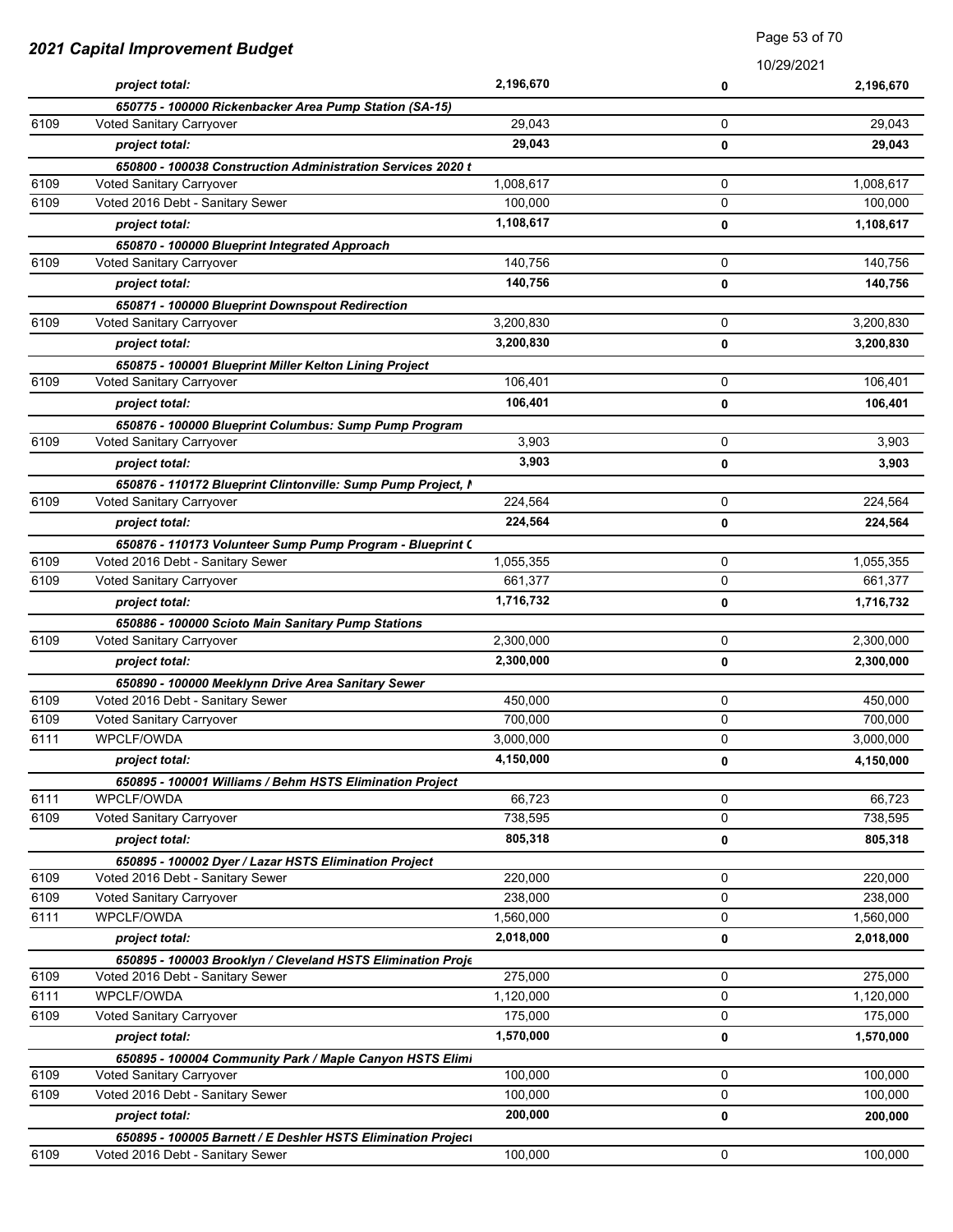|      |                                                                                                 |           | 10/29/2021  |           |
|------|-------------------------------------------------------------------------------------------------|-----------|-------------|-----------|
|      | project total:                                                                                  | 2,196,670 | 0           | 2,196,670 |
|      | 650775 - 100000 Rickenbacker Area Pump Station (SA-15)                                          |           |             |           |
| 6109 | Voted Sanitary Carryover                                                                        | 29,043    | 0           | 29,043    |
|      | project total:                                                                                  | 29,043    | 0           | 29,043    |
|      | 650800 - 100038 Construction Administration Services 2020 t                                     |           |             |           |
| 6109 | Voted Sanitary Carryover                                                                        | 1,008,617 | 0           | 1,008,617 |
| 6109 | Voted 2016 Debt - Sanitary Sewer                                                                | 100,000   | 0           | 100,000   |
|      | project total:                                                                                  | 1,108,617 | 0           | 1,108,617 |
|      | 650870 - 100000 Blueprint Integrated Approach                                                   |           |             |           |
| 6109 | Voted Sanitary Carryover                                                                        | 140,756   | 0           | 140.756   |
|      | project total:                                                                                  | 140,756   | 0           | 140,756   |
|      | 650871 - 100000 Blueprint Downspout Redirection                                                 |           |             |           |
| 6109 | Voted Sanitary Carryover                                                                        | 3,200,830 | 0           | 3,200,830 |
|      | project total:                                                                                  | 3,200,830 | 0           | 3,200,830 |
|      | 650875 - 100001 Blueprint Miller Kelton Lining Project                                          |           |             |           |
| 6109 | Voted Sanitary Carryover                                                                        | 106,401   | 0           | 106,401   |
|      | project total:                                                                                  | 106,401   | 0           | 106,401   |
|      | 650876 - 100000 Blueprint Columbus: Sump Pump Program                                           |           |             |           |
| 6109 | Voted Sanitary Carryover                                                                        | 3,903     | 0           | 3,903     |
|      | project total:                                                                                  | 3,903     | 0           | 3,903     |
|      | 650876 - 110172 Blueprint Clintonville: Sump Pump Project, I                                    |           |             |           |
| 6109 | Voted Sanitary Carryover                                                                        | 224,564   | 0           | 224,564   |
|      | project total:                                                                                  | 224,564   | 0           | 224,564   |
|      | 650876 - 110173 Volunteer Sump Pump Program - Blueprint (                                       |           |             |           |
| 6109 | Voted 2016 Debt - Sanitary Sewer                                                                | 1,055,355 | 0           | 1,055,355 |
| 6109 | Voted Sanitary Carryover                                                                        | 661,377   | 0           | 661,377   |
|      | project total:                                                                                  | 1,716,732 | 0           | 1,716,732 |
|      | 650886 - 100000 Scioto Main Sanitary Pump Stations                                              |           |             |           |
| 6109 | Voted Sanitary Carryover                                                                        | 2,300,000 | 0           | 2,300,000 |
|      | project total:                                                                                  | 2,300,000 | 0           | 2,300,000 |
|      | 650890 - 100000 Meeklynn Drive Area Sanitary Sewer                                              |           |             |           |
| 6109 | Voted 2016 Debt - Sanitary Sewer                                                                | 450,000   | 0           | 450,000   |
| 6109 | Voted Sanitary Carryover                                                                        | 700,000   | 0           | 700,000   |
| 6111 | WPCLF/OWDA                                                                                      | 3,000,000 | 0           | 3,000,000 |
|      | project total:                                                                                  | 4,150,000 | 0           | 4,150,000 |
|      |                                                                                                 |           |             |           |
| 6111 | 650895 - 100001 Williams / Behm HSTS Elimination Project<br>WPCLF/OWDA                          | 66,723    | $\mathbf 0$ | 66,723    |
| 6109 | Voted Sanitary Carryover                                                                        | 738,595   | 0           | 738,595   |
|      | project total:                                                                                  | 805,318   | 0           | 805,318   |
|      |                                                                                                 |           |             |           |
| 6109 | 650895 - 100002 Dyer / Lazar HSTS Elimination Project<br>Voted 2016 Debt - Sanitary Sewer       | 220,000   | 0           | 220,000   |
| 6109 | Voted Sanitary Carryover                                                                        | 238,000   | 0           | 238,000   |
| 6111 | WPCLF/OWDA                                                                                      | 1,560,000 | 0           | 1,560,000 |
|      | project total:                                                                                  | 2,018,000 | 0           | 2,018,000 |
|      |                                                                                                 |           |             |           |
| 6109 | 650895 - 100003 Brooklyn / Cleveland HSTS Elimination Proje<br>Voted 2016 Debt - Sanitary Sewer | 275,000   | 0           | 275,000   |
| 6111 | WPCLF/OWDA                                                                                      | 1,120,000 | 0           | 1,120,000 |
| 6109 | Voted Sanitary Carryover                                                                        | 175,000   | $\mathbf 0$ | 175,000   |
|      |                                                                                                 | 1,570,000 |             |           |
|      | project total:                                                                                  |           | 0           | 1,570,000 |
| 6109 | 650895 - 100004 Community Park / Maple Canyon HSTS Elimi<br>Voted Sanitary Carryover            | 100,000   | 0           | 100,000   |
| 6109 | Voted 2016 Debt - Sanitary Sewer                                                                | 100,000   | 0           | 100,000   |
|      |                                                                                                 |           |             |           |
|      | project total:                                                                                  | 200,000   | 0           | 200,000   |
|      | 650895 - 100005 Barnett / E Deshler HSTS Elimination Project                                    |           |             |           |
| 6109 | Voted 2016 Debt - Sanitary Sewer                                                                | 100,000   | 0           | 100,000   |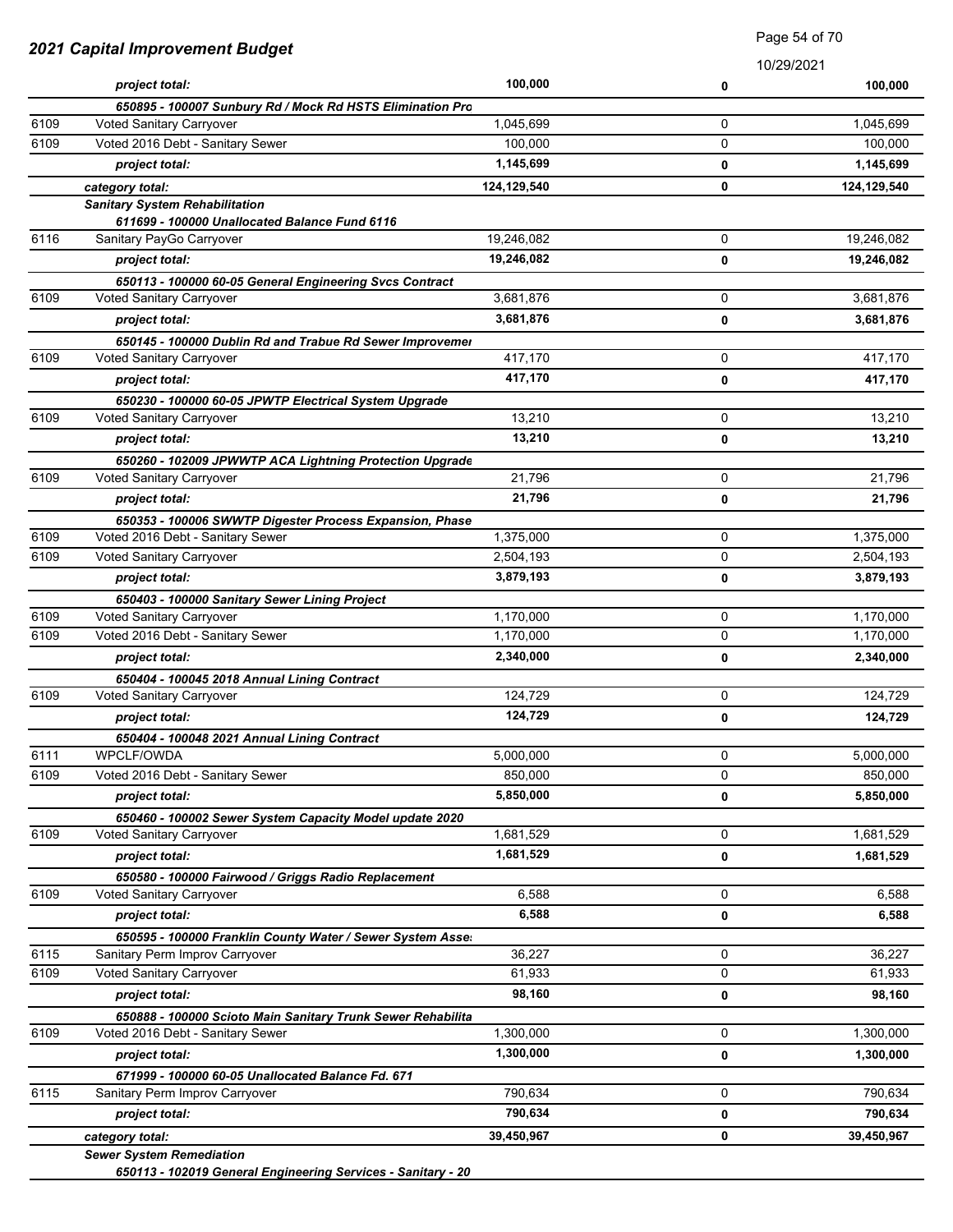| 2021 Capital Improvement Budget |                                                                           | raye 04 01 70          |   |                        |
|---------------------------------|---------------------------------------------------------------------------|------------------------|---|------------------------|
|                                 | project total:                                                            | 100,000                | 0 | 10/29/2021<br>100,000  |
|                                 | 650895 - 100007 Sunbury Rd / Mock Rd HSTS Elimination Pro                 |                        |   |                        |
| 6109                            | Voted Sanitary Carryover                                                  | 1,045,699              | 0 | 1,045,699              |
| 6109                            | Voted 2016 Debt - Sanitary Sewer                                          | 100,000                | 0 | 100,000                |
|                                 | project total:                                                            | 1,145,699              | 0 | 1,145,699              |
|                                 | category total:                                                           | 124,129,540            | 0 | 124,129,540            |
|                                 | <b>Sanitary System Rehabilitation</b>                                     |                        |   |                        |
|                                 | 611699 - 100000 Unallocated Balance Fund 6116                             |                        |   |                        |
| 6116                            | Sanitary PayGo Carryover                                                  | 19,246,082             | 0 | 19,246,082             |
|                                 | project total:                                                            | 19,246,082             | 0 | 19,246,082             |
|                                 | 650113 - 100000 60-05 General Engineering Svcs Contract                   |                        |   |                        |
| 6109                            | Voted Sanitary Carryover                                                  | 3,681,876              | 0 | 3,681,876              |
|                                 | project total:                                                            | 3,681,876              | 0 | 3,681,876              |
|                                 | 650145 - 100000 Dublin Rd and Trabue Rd Sewer Improvemer                  |                        |   |                        |
| 6109                            | Voted Sanitary Carryover                                                  | 417,170                | 0 | 417,170                |
|                                 | project total:                                                            | 417,170                | 0 | 417,170                |
|                                 | 650230 - 100000 60-05 JPWTP Electrical System Upgrade                     |                        |   |                        |
| 6109                            | Voted Sanitary Carryover                                                  | 13,210                 | 0 | 13,210                 |
|                                 | project total:                                                            | 13,210                 | 0 | 13,210                 |
|                                 | 650260 - 102009 JPWWTP ACA Lightning Protection Upgrade                   |                        |   |                        |
| 6109                            | Voted Sanitary Carryover                                                  | 21,796                 | 0 | 21,796                 |
|                                 | project total:                                                            | 21,796                 | 0 | 21,796                 |
| 6109                            | 650353 - 100006 SWWTP Digester Process Expansion, Phase                   |                        | 0 |                        |
| 6109                            | Voted 2016 Debt - Sanitary Sewer<br>Voted Sanitary Carryover              | 1,375,000<br>2,504,193 | 0 | 1,375,000<br>2,504,193 |
|                                 |                                                                           | 3,879,193              |   |                        |
|                                 | project total:                                                            |                        | 0 | 3,879,193              |
| 6109                            | 650403 - 100000 Sanitary Sewer Lining Project<br>Voted Sanitary Carryover | 1,170,000              | 0 | 1,170,000              |
| 6109                            | Voted 2016 Debt - Sanitary Sewer                                          | 1,170,000              | 0 | 1,170,000              |
|                                 | project total:                                                            | 2,340,000              | 0 | 2,340,000              |
|                                 |                                                                           |                        |   |                        |
| 6109                            | 650404 - 100045 2018 Annual Lining Contract<br>Voted Sanitary Carryover   | 124,729                | 0 | 124,729                |
|                                 | project total:                                                            | 124,729                | 0 | 124,729                |
|                                 | 650404 - 100048 2021 Annual Lining Contract                               |                        |   |                        |
| 6111                            | WPCLF/OWDA                                                                | 5,000,000              | 0 | 5,000,000              |
| 6109                            | Voted 2016 Debt - Sanitary Sewer                                          | 850,000                | 0 | 850,000                |
|                                 | project total:                                                            | 5,850,000              | 0 | 5,850,000              |
|                                 | 650460 - 100002 Sewer System Capacity Model update 2020                   |                        |   |                        |
| 6109                            | Voted Sanitary Carryover                                                  | 1,681,529              | 0 | 1,681,529              |
|                                 | project total:                                                            | 1,681,529              | 0 | 1,681,529              |
|                                 | 650580 - 100000 Fairwood / Griggs Radio Replacement                       |                        |   |                        |
| 6109                            | Voted Sanitary Carryover                                                  | 6,588                  | 0 | 6,588                  |
|                                 | project total:                                                            | 6,588                  | 0 | 6,588                  |
|                                 | 650595 - 100000 Franklin County Water / Sewer System Asse.                |                        |   |                        |
| 6115                            | Sanitary Perm Improv Carryover                                            | 36,227                 | 0 | 36,227                 |
| 6109                            | Voted Sanitary Carryover                                                  | 61,933                 | 0 | 61,933                 |
|                                 | project total:                                                            | 98,160                 | 0 | 98,160                 |
|                                 | 650888 - 100000 Scioto Main Sanitary Trunk Sewer Rehabilita               |                        |   |                        |
| 6109                            | Voted 2016 Debt - Sanitary Sewer                                          | 1,300,000              | 0 | 1,300,000              |
|                                 | project total:                                                            | 1,300,000              | 0 | 1,300,000              |
|                                 | 671999 - 100000 60-05 Unallocated Balance Fd. 671                         |                        |   |                        |
| 6115                            | Sanitary Perm Improv Carryover                                            | 790,634                | 0 | 790,634                |
|                                 | project total:                                                            | 790,634                | 0 | 790,634                |
|                                 | category total:                                                           | 39,450,967             | 0 | 39,450,967             |
|                                 | <b>Sewer System Remediation</b>                                           |                        |   |                        |
|                                 | 650113 - 102019 General Engineering Services - Sanitary - 20              |                        |   |                        |

Page 54 of 70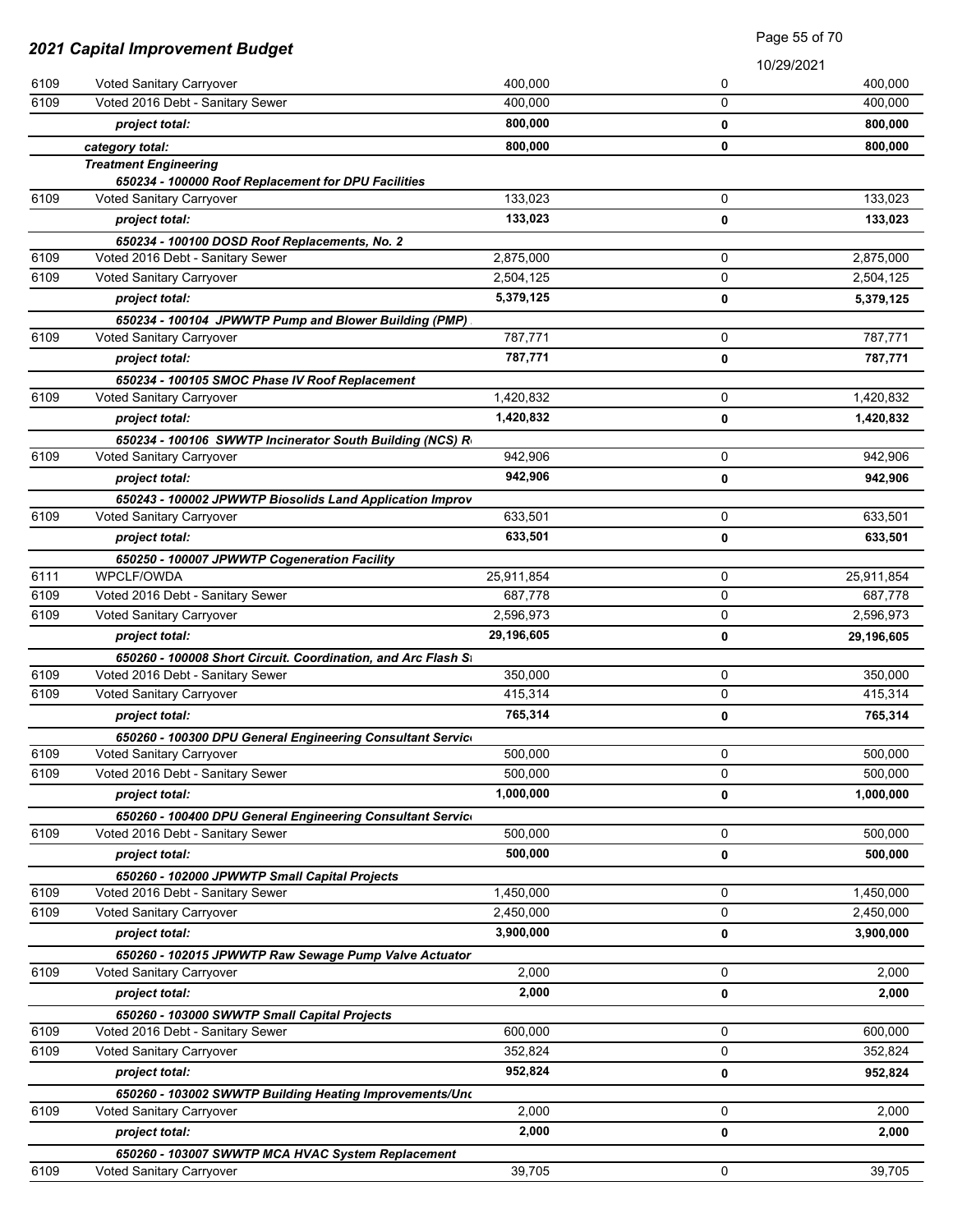| 2021 Capital Improvement Budget |                                                               |            | Page 55 of 70 |            |
|---------------------------------|---------------------------------------------------------------|------------|---------------|------------|
|                                 |                                                               |            |               | 10/29/2021 |
| 6109                            | Voted Sanitary Carryover                                      | 400,000    | 0             | 400,000    |
| 6109                            | Voted 2016 Debt - Sanitary Sewer                              | 400,000    | 0             | 400,000    |
|                                 | project total:                                                | 800,000    | 0             | 800,000    |
|                                 | category total:                                               | 800,000    | 0             | 800,000    |
|                                 | <b>Treatment Engineering</b>                                  |            |               |            |
|                                 | 650234 - 100000 Roof Replacement for DPU Facilities           |            |               |            |
| 6109                            | Voted Sanitary Carryover                                      | 133,023    | 0             | 133,023    |
|                                 | project total:                                                | 133,023    | 0             | 133,023    |
|                                 | 650234 - 100100 DOSD Roof Replacements, No. 2                 |            |               |            |
| 6109                            | Voted 2016 Debt - Sanitary Sewer                              | 2,875,000  | 0             | 2,875,000  |
| 6109                            | Voted Sanitary Carryover                                      | 2,504,125  | 0             | 2,504,125  |
|                                 | project total:                                                | 5,379,125  | 0             | 5,379,125  |
|                                 | 650234 - 100104 JPWWTP Pump and Blower Building (PMP)         |            |               |            |
| 6109                            | Voted Sanitary Carryover                                      | 787,771    | 0             | 787,771    |
|                                 | project total:                                                | 787,771    | 0             | 787,771    |
|                                 | 650234 - 100105 SMOC Phase IV Roof Replacement                |            |               |            |
| 6109                            | Voted Sanitary Carryover                                      | 1,420,832  | 0             | 1,420,832  |
|                                 | project total:                                                | 1,420,832  | 0             | 1,420,832  |
|                                 | 650234 - 100106 SWWTP Incinerator South Building (NCS) R      |            |               |            |
| 6109                            | Voted Sanitary Carryover                                      | 942,906    | 0             | 942,906    |
|                                 | project total:                                                | 942,906    | 0             | 942,906    |
|                                 | 650243 - 100002 JPWWTP Biosolids Land Application Improv      |            |               |            |
| 6109                            | Voted Sanitary Carryover                                      | 633,501    | 0             | 633,501    |
|                                 | project total:                                                | 633,501    | 0             | 633,501    |
|                                 | 650250 - 100007 JPWWTP Cogeneration Facility                  |            |               |            |
| 6111                            | WPCLF/OWDA                                                    | 25,911,854 | 0             | 25,911,854 |
| 6109                            | Voted 2016 Debt - Sanitary Sewer                              | 687,778    | 0             | 687,778    |
| 6109                            | Voted Sanitary Carryover                                      | 2,596,973  | 0             | 2,596,973  |
|                                 | project total:                                                | 29,196,605 | 0             | 29,196,605 |
|                                 | 650260 - 100008 Short Circuit. Coordination, and Arc Flash St |            |               |            |
| 6109                            | Voted 2016 Debt - Sanitary Sewer                              | 350,000    | 0             | 350,000    |
| 6109                            | Voted Sanitary Carryover                                      | 415,314    | 0             | 415,314    |
|                                 | project total:                                                | 765,314    | 0             | 765,314    |
|                                 | 650260 - 100300 DPU General Engineering Consultant Service    |            |               |            |
| 6109                            | Voted Sanitary Carryover                                      | 500,000    | 0             | 500,000    |
| 6109                            | Voted 2016 Debt - Sanitary Sewer                              | 500,000    | 0             | 500,000    |
|                                 | project total:                                                | 1,000,000  | 0             | 1,000,000  |
|                                 | 650260 - 100400 DPU General Engineering Consultant Service    |            |               |            |
| 6109                            | Voted 2016 Debt - Sanitary Sewer                              | 500,000    | 0             | 500,000    |
|                                 | project total:                                                | 500,000    | 0             | 500,000    |
|                                 | 650260 - 102000 JPWWTP Small Capital Projects                 |            |               |            |
| 6109                            | Voted 2016 Debt - Sanitary Sewer                              | 1,450,000  | 0             | 1,450,000  |
| 6109                            | Voted Sanitary Carryover                                      | 2,450,000  | 0             | 2,450,000  |
|                                 | project total:                                                | 3,900,000  | 0             | 3,900,000  |
| 6109                            | 650260 - 102015 JPWWTP Raw Sewage Pump Valve Actuator         | 2,000      | 0             | 2,000      |
|                                 | Voted Sanitary Carryover                                      |            |               |            |
|                                 | project total:                                                | 2,000      | 0             | 2,000      |
|                                 | 650260 - 103000 SWWTP Small Capital Projects                  |            |               |            |
| 6109                            | Voted 2016 Debt - Sanitary Sewer                              | 600,000    | 0<br>0        | 600,000    |
| 6109                            | Voted Sanitary Carryover                                      | 352,824    |               | 352,824    |
|                                 | project total:                                                | 952,824    | 0             | 952,824    |
|                                 | 650260 - 103002 SWWTP Building Heating Improvements/Unc       |            |               |            |
| 6109                            | Voted Sanitary Carryover                                      | 2,000      | 0             | 2,000      |
|                                 | project total:                                                | 2,000      | 0             | 2,000      |
|                                 | 650260 - 103007 SWWTP MCA HVAC System Replacement             |            |               |            |
| 6109                            | Voted Sanitary Carryover                                      | 39,705     | 0             | 39,705     |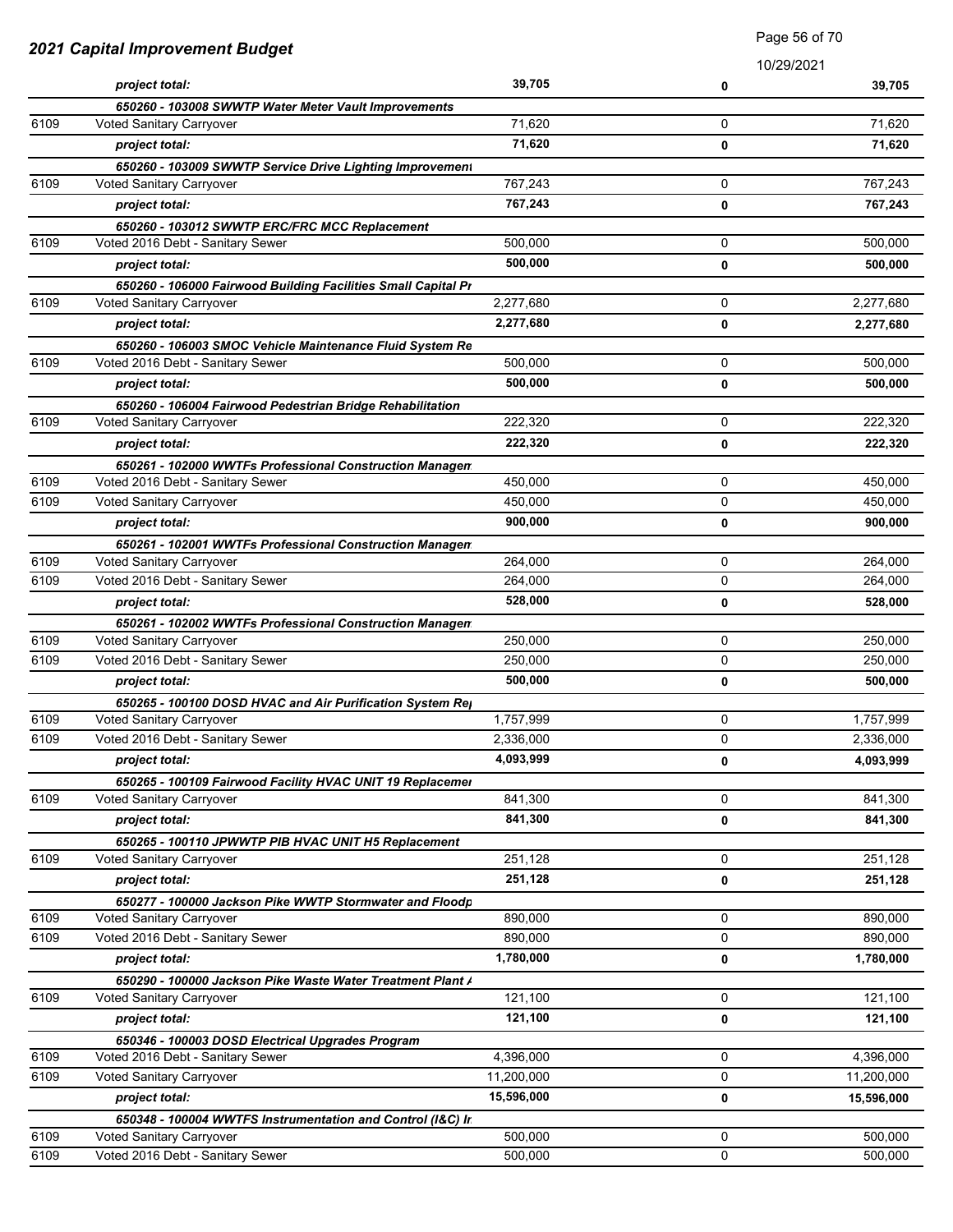| 2021 Capital Improvement Budget |                                                               | <b>Faye</b> 00 01 7 0 |            |            |
|---------------------------------|---------------------------------------------------------------|-----------------------|------------|------------|
|                                 |                                                               |                       | 10/29/2021 |            |
|                                 | project total:                                                | 39,705                | 0          | 39,705     |
|                                 | 650260 - 103008 SWWTP Water Meter Vault Improvements          |                       |            |            |
| 6109                            | Voted Sanitary Carryover                                      | 71,620                | 0          | 71,620     |
|                                 | project total:                                                | 71,620                | 0          | 71,620     |
|                                 | 650260 - 103009 SWWTP Service Drive Lighting Improvement      |                       |            |            |
| 6109                            | Voted Sanitary Carryover                                      | 767,243               | 0          | 767,243    |
|                                 | project total:                                                | 767,243               | 0          | 767,243    |
|                                 | 650260 - 103012 SWWTP ERC/FRC MCC Replacement                 |                       |            |            |
| 6109                            | Voted 2016 Debt - Sanitary Sewer                              | 500,000               | 0          | 500.000    |
|                                 | project total:                                                | 500,000               | 0          | 500,000    |
|                                 | 650260 - 106000 Fairwood Building Facilities Small Capital Pr |                       |            |            |
| 6109                            | Voted Sanitary Carryover                                      | 2,277,680             | 0          | 2,277,680  |
|                                 | project total:                                                | 2,277,680             | 0          | 2,277,680  |
|                                 | 650260 - 106003 SMOC Vehicle Maintenance Fluid System Re      |                       |            |            |
| 6109                            | Voted 2016 Debt - Sanitary Sewer                              | 500,000               | 0          | 500,000    |
|                                 | project total:                                                | 500,000               | 0          | 500,000    |
|                                 | 650260 - 106004 Fairwood Pedestrian Bridge Rehabilitation     |                       |            |            |
| 6109                            | Voted Sanitary Carryover                                      | 222,320               | 0          | 222,320    |
|                                 | project total:                                                | 222,320               | 0          | 222,320    |
|                                 | 650261 - 102000 WWTFs Professional Construction Managen       |                       |            |            |
| 6109                            | Voted 2016 Debt - Sanitary Sewer                              | 450,000               | 0          | 450,000    |
| 6109                            | Voted Sanitary Carryover                                      | 450,000               | 0          | 450,000    |
|                                 | project total:                                                | 900,000               | 0          | 900,000    |
|                                 | 650261 - 102001 WWTFs Professional Construction Managen       |                       |            |            |
| 6109                            | Voted Sanitary Carryover                                      | 264,000               | 0          | 264,000    |
| 6109                            | Voted 2016 Debt - Sanitary Sewer                              | 264,000               | 0          | 264,000    |
|                                 | project total:                                                | 528,000               | 0          | 528,000    |
|                                 | 650261 - 102002 WWTFs Professional Construction Managen       |                       |            |            |
| 6109                            | Voted Sanitary Carryover                                      | 250,000               | 0          | 250,000    |
| 6109                            | Voted 2016 Debt - Sanitary Sewer                              | 250,000               | 0          | 250,000    |
|                                 | project total:                                                | 500,000               | 0          | 500,000    |
|                                 | 650265 - 100100 DOSD HVAC and Air Purification System Rej     |                       |            |            |
| 6109                            | Voted Sanitary Carryover                                      | 1,757,999             | 0          | 1,757,999  |
| 6109                            | Voted 2016 Debt - Sanitary Sewer                              | 2,336,000             | 0          | 2,336,000  |
|                                 | project total:                                                | 4,093,999             | 0          | 4,093,999  |
|                                 | 650265 - 100109 Fairwood Facility HVAC UNIT 19 Replacemer     |                       |            |            |
| 6109                            | Voted Sanitary Carryover                                      | 841,300               | 0          | 841,300    |
|                                 | project total:                                                | 841,300               | 0          | 841,300    |
|                                 | 650265 - 100110 JPWWTP PIB HVAC UNIT H5 Replacement           |                       |            |            |
| 6109                            | Voted Sanitary Carryover                                      | 251,128               | 0          | 251,128    |
|                                 | project total:                                                | 251,128               | 0          | 251,128    |
|                                 | 650277 - 100000 Jackson Pike WWTP Stormwater and Floodp       |                       |            |            |
| 6109                            | Voted Sanitary Carryover                                      | 890,000               | 0          | 890,000    |
| 6109                            | Voted 2016 Debt - Sanitary Sewer                              | 890,000               | 0          | 890,000    |
|                                 | project total:                                                | 1,780,000             | 0          | 1,780,000  |
|                                 | 650290 - 100000 Jackson Pike Waste Water Treatment Plant /    |                       |            |            |
| 6109                            | Voted Sanitary Carryover                                      | 121,100               | 0          | 121,100    |
|                                 | project total:                                                | 121,100               | 0          | 121,100    |
|                                 | 650346 - 100003 DOSD Electrical Upgrades Program              |                       |            |            |
| 6109                            | Voted 2016 Debt - Sanitary Sewer                              | 4,396,000             | 0          | 4,396,000  |
| 6109                            | Voted Sanitary Carryover                                      | 11,200,000            | 0          | 11,200,000 |
|                                 | project total:                                                | 15,596,000            | 0          | 15,596,000 |
|                                 | 650348 - 100004 WWTFS Instrumentation and Control (I&C) Ir.   |                       |            |            |
| 6109                            | Voted Sanitary Carryover                                      | 500,000               | 0          | 500,000    |
| 6109                            | Voted 2016 Debt - Sanitary Sewer                              | 500,000               | 0          | 500,000    |

Page 56 of 70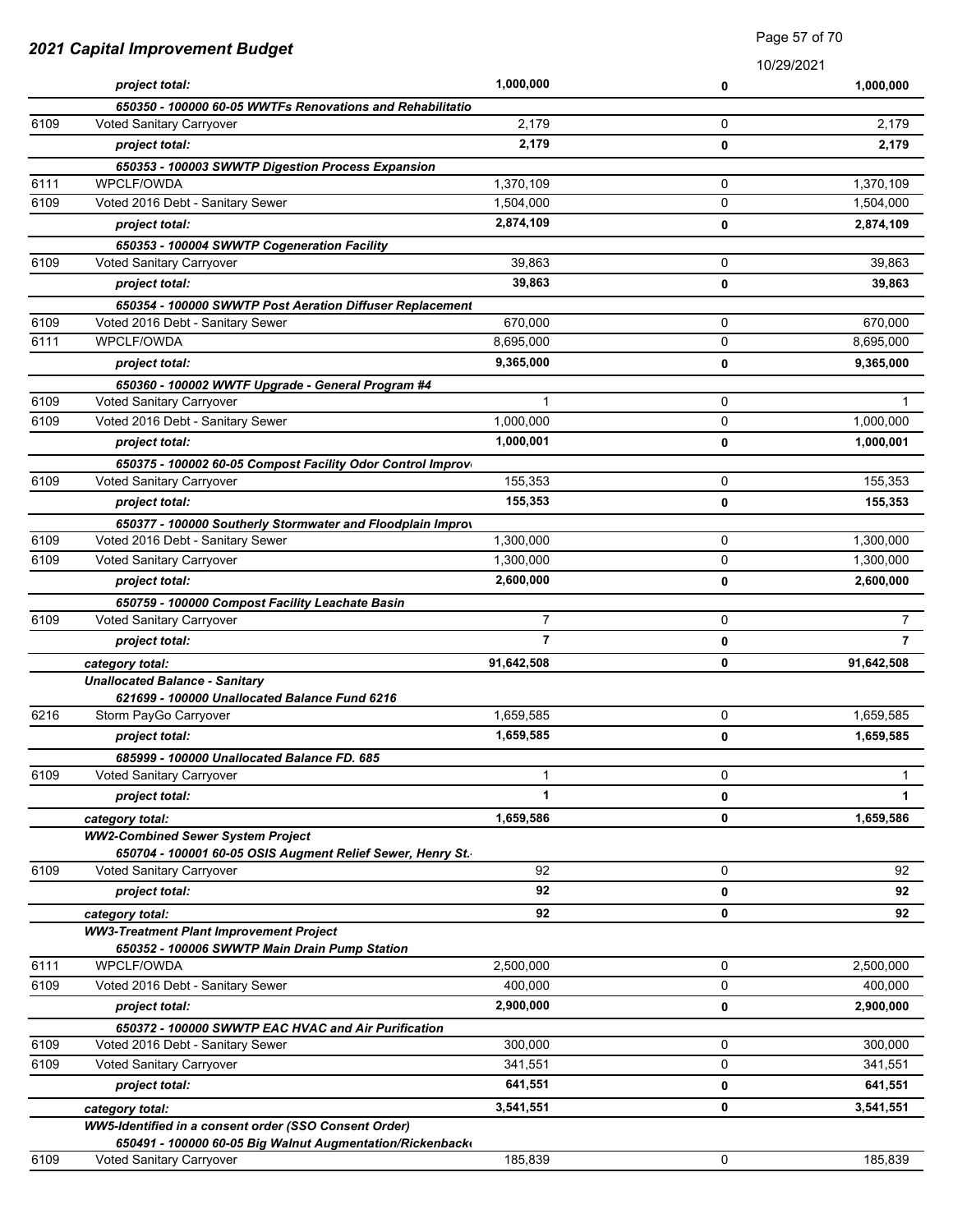| 2021 Capital Improvement Budget |                                                                                        | raye or or ru  |   |                |
|---------------------------------|----------------------------------------------------------------------------------------|----------------|---|----------------|
|                                 |                                                                                        | 1,000,000      |   | 10/29/2021     |
|                                 | project total:                                                                         |                | 0 | 1,000,000      |
| 6109                            | 650350 - 100000 60-05 WWTFs Renovations and Rehabilitatio<br>Voted Sanitary Carryover  | 2,179          | 0 | 2,179          |
|                                 | project total:                                                                         | 2,179          | 0 | 2,179          |
|                                 | 650353 - 100003 SWWTP Digestion Process Expansion                                      |                |   |                |
| 6111                            | WPCLF/OWDA                                                                             | 1,370,109      | 0 | 1,370,109      |
| 6109                            | Voted 2016 Debt - Sanitary Sewer                                                       | 1,504,000      | 0 | 1,504,000      |
|                                 | project total:                                                                         | 2,874,109      | 0 | 2,874,109      |
|                                 | 650353 - 100004 SWWTP Cogeneration Facility                                            |                |   |                |
| 6109                            | Voted Sanitary Carryover                                                               | 39,863         | 0 | 39,863         |
|                                 | project total:                                                                         | 39,863         | 0 | 39,863         |
|                                 | 650354 - 100000 SWWTP Post Aeration Diffuser Replacement                               |                |   |                |
| 6109                            | Voted 2016 Debt - Sanitary Sewer                                                       | 670,000        | 0 | 670,000        |
| 6111                            | <b>WPCLF/OWDA</b>                                                                      | 8,695,000      | 0 | 8,695,000      |
|                                 | project total:                                                                         | 9,365,000      | 0 | 9,365,000      |
|                                 | 650360 - 100002 WWTF Upgrade - General Program #4                                      |                |   |                |
| 6109                            | Voted Sanitary Carryover                                                               | 1              | 0 |                |
| 6109                            | Voted 2016 Debt - Sanitary Sewer                                                       | 1,000,000      | 0 | 1,000,000      |
|                                 | project total:                                                                         | 1,000,001      | 0 | 1,000,001      |
|                                 | 650375 - 100002 60-05 Compost Facility Odor Control Improv                             |                |   |                |
| 6109                            | Voted Sanitary Carryover                                                               | 155,353        | 0 | 155,353        |
|                                 | project total:                                                                         | 155,353        | 0 | 155,353        |
|                                 | 650377 - 100000 Southerly Stormwater and Floodplain Improv                             |                |   |                |
| 6109                            | Voted 2016 Debt - Sanitary Sewer                                                       | 1,300,000      | 0 | 1,300,000      |
| 6109                            | Voted Sanitary Carryover                                                               | 1,300,000      | 0 | 1,300,000      |
|                                 | project total:                                                                         | 2,600,000      | 0 | 2,600,000      |
|                                 | 650759 - 100000 Compost Facility Leachate Basin                                        |                |   |                |
| 6109                            | Voted Sanitary Carryover                                                               | $\overline{7}$ | 0 | $\mathbf{7}$   |
|                                 | project total:                                                                         | $\overline{7}$ | 0 | $\overline{7}$ |
|                                 | category total:                                                                        | 91,642,508     | 0 | 91,642,508     |
|                                 | <b>Unallocated Balance - Sanitary</b>                                                  |                |   |                |
|                                 | 621699 - 100000 Unallocated Balance Fund 6216                                          |                |   |                |
| 6216                            | Storm PayGo Carryover                                                                  | 1,659,585      | 0 | 1,659,585      |
|                                 | project total:                                                                         | 1,659,585      | 0 | 1,659,585      |
|                                 | 685999 - 100000 Unallocated Balance FD. 685                                            |                |   |                |
| 6109                            | Voted Sanitary Carryover                                                               | 1              | 0 | $\mathbf{1}$   |
|                                 | project total:                                                                         | 1              | 0 | 1              |
|                                 | category total:                                                                        | 1,659,586      | 0 | 1,659,586      |
|                                 | <b>WW2-Combined Sewer System Project</b>                                               |                |   |                |
| 6109                            | 650704 - 100001 60-05 OSIS Augment Relief Sewer, Henry St.<br>Voted Sanitary Carryover | 92             | 0 | 92             |
|                                 | project total:                                                                         | 92             | 0 | 92             |
|                                 |                                                                                        | 92             | 0 | 92             |
|                                 | category total:<br><b>WW3-Treatment Plant Improvement Project</b>                      |                |   |                |
|                                 | 650352 - 100006 SWWTP Main Drain Pump Station                                          |                |   |                |
| 6111                            | WPCLF/OWDA                                                                             | 2,500,000      | 0 | 2,500,000      |
| 6109                            | Voted 2016 Debt - Sanitary Sewer                                                       | 400,000        | 0 | 400,000        |
|                                 | project total:                                                                         | 2,900,000      | 0 | 2,900,000      |
|                                 | 650372 - 100000 SWWTP EAC HVAC and Air Purification                                    |                |   |                |
| 6109                            | Voted 2016 Debt - Sanitary Sewer                                                       | 300,000        | 0 | 300,000        |
| 6109                            | Voted Sanitary Carryover                                                               | 341,551        | 0 | 341,551        |
|                                 | project total:                                                                         | 641,551        | 0 | 641,551        |
|                                 | category total:                                                                        | 3,541,551      | 0 | 3,541,551      |
|                                 | WW5-Identified in a consent order (SSO Consent Order)                                  |                |   |                |
|                                 | 650491 - 100000 60-05 Big Walnut Augmentation/Rickenback                               |                |   |                |
| 6109                            | Voted Sanitary Carryover                                                               | 185,839        | 0 | 185,839        |

Page 57 of 70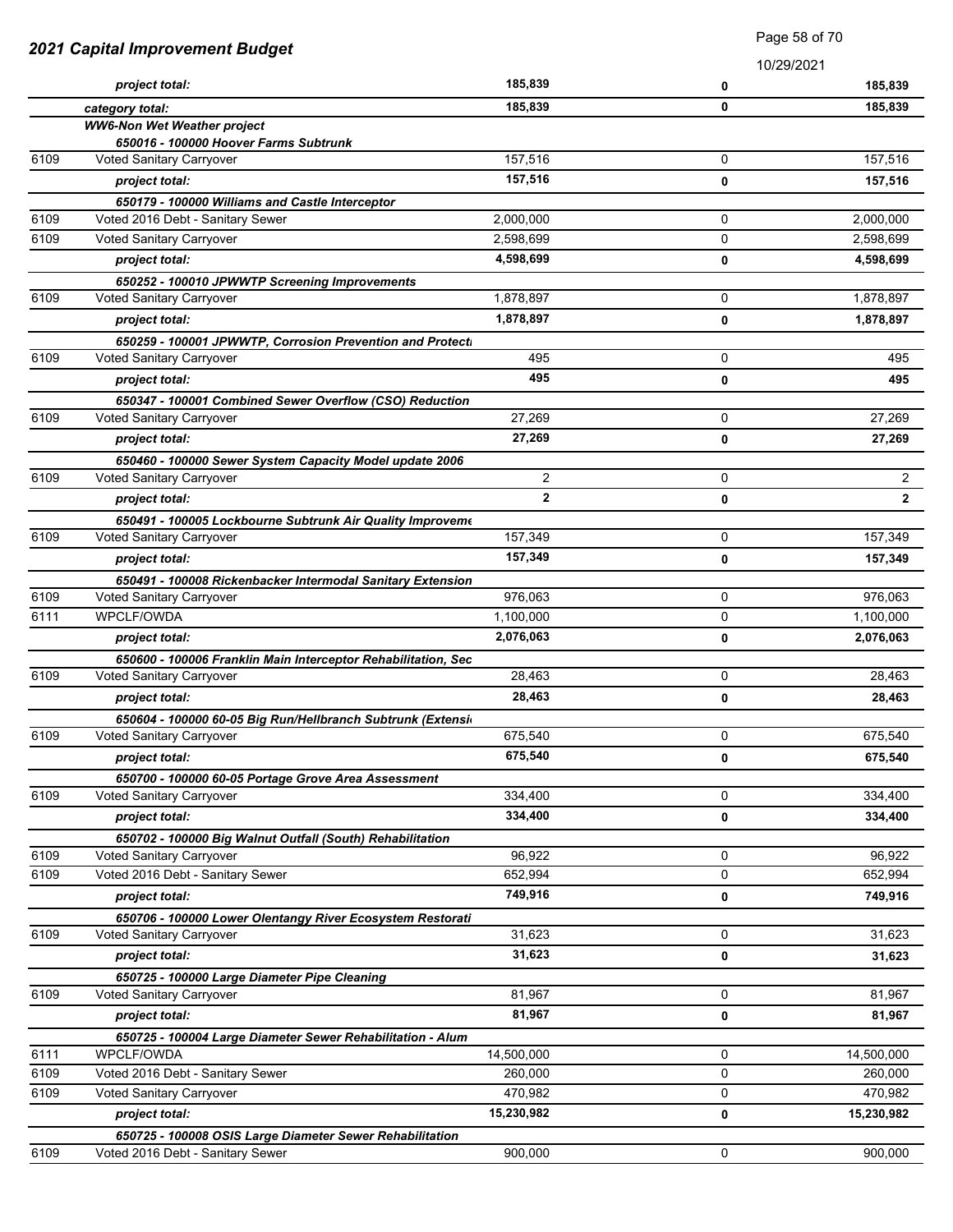|      | <b>2021 Capital Improvement Budget</b>                                   |                | Page 58 of 70 |                |  |
|------|--------------------------------------------------------------------------|----------------|---------------|----------------|--|
|      |                                                                          |                |               | 10/29/2021     |  |
|      | project total:                                                           | 185,839        | 0             | 185,839        |  |
|      | category total:                                                          | 185,839        | 0             | 185,839        |  |
|      | <b>WW6-Non Wet Weather project</b>                                       |                |               |                |  |
|      | 650016 - 100000 Hoover Farms Subtrunk                                    |                |               |                |  |
| 6109 | Voted Sanitary Carryover                                                 | 157,516        | 0             | 157,516        |  |
|      | project total:                                                           | 157,516        | 0             | 157,516        |  |
|      | 650179 - 100000 Williams and Castle Interceptor                          |                |               |                |  |
| 6109 | Voted 2016 Debt - Sanitary Sewer                                         | 2,000,000      | 0             | 2,000,000      |  |
| 6109 | Voted Sanitary Carryover                                                 | 2,598,699      | 0             | 2,598,699      |  |
|      | project total:                                                           | 4,598,699      | 0             | 4,598,699      |  |
|      | 650252 - 100010 JPWWTP Screening Improvements                            |                |               |                |  |
| 6109 | Voted Sanitary Carryover                                                 | 1,878,897      | 0             | 1,878,897      |  |
|      | project total:                                                           | 1,878,897      | 0             | 1,878,897      |  |
|      | 650259 - 100001 JPWWTP, Corrosion Prevention and Protecti                |                |               |                |  |
| 6109 | <b>Voted Sanitary Carryover</b>                                          | 495            | 0             | 495            |  |
|      | project total:                                                           | 495            | 0             | 495            |  |
|      | 650347 - 100001 Combined Sewer Overflow (CSO) Reduction                  |                |               |                |  |
| 6109 | Voted Sanitary Carryover                                                 | 27,269         | 0             | 27,269         |  |
|      | project total:                                                           | 27,269         | 0             | 27,269         |  |
|      | 650460 - 100000 Sewer System Capacity Model update 2006                  |                |               |                |  |
| 6109 | Voted Sanitary Carryover                                                 | $\overline{c}$ | 0             | $\overline{2}$ |  |
|      | project total:                                                           | $\overline{2}$ | 0             | $\mathbf{2}$   |  |
|      | 650491 - 100005 Lockbourne Subtrunk Air Quality Improveme                |                |               |                |  |
| 6109 | Voted Sanitary Carryover                                                 | 157,349        | 0             | 157,349        |  |
|      | project total:                                                           | 157,349        | 0             | 157,349        |  |
|      | 650491 - 100008 Rickenbacker Intermodal Sanitary Extension               |                |               |                |  |
| 6109 | <b>Voted Sanitary Carryover</b>                                          | 976,063        | 0             | 976,063        |  |
| 6111 | <b>WPCLF/OWDA</b>                                                        | 1,100,000      | 0             | 1,100,000      |  |
|      | project total:                                                           | 2,076,063      | 0             | 2,076,063      |  |
|      | 650600 - 100006 Franklin Main Interceptor Rehabilitation, Sec            |                |               |                |  |
| 6109 | <b>Voted Sanitary Carryover</b>                                          | 28,463         | 0             | 28,463         |  |
|      | project total:                                                           | 28,463         | 0             | 28,463         |  |
|      | 650604 - 100000 60-05 Big Run/Hellbranch Subtrunk (Extension             |                |               |                |  |
| 6109 | Voted Sanitary Carryover                                                 | 675,540        | 0             | 675,540        |  |
|      | project total:                                                           | 675,540        | 0             | 675,540        |  |
|      | 650700 - 100000 60-05 Portage Grove Area Assessment                      |                |               |                |  |
| 6109 | Voted Sanitary Carryover                                                 | 334,400        | 0             | 334,400        |  |
|      | project total:                                                           | 334,400        | 0             | 334,400        |  |
|      | 650702 - 100000 Big Walnut Outfall (South) Rehabilitation                |                |               |                |  |
| 6109 | Voted Sanitary Carryover                                                 | 96,922         | 0             | 96,922         |  |
| 6109 | Voted 2016 Debt - Sanitary Sewer                                         | 652,994        | 0             | 652,994        |  |
|      | project total:                                                           | 749,916        | 0             | 749,916        |  |
|      | 650706 - 100000 Lower Olentangy River Ecosystem Restorati                |                |               |                |  |
| 6109 | Voted Sanitary Carryover                                                 | 31,623         | 0             | 31,623         |  |
|      | project total:                                                           | 31,623         | 0             | 31,623         |  |
|      | 650725 - 100000 Large Diameter Pipe Cleaning                             |                |               |                |  |
| 6109 | Voted Sanitary Carryover                                                 | 81,967         | 0             | 81,967         |  |
|      | project total:                                                           | 81,967         | 0             | 81,967         |  |
|      |                                                                          |                |               |                |  |
| 6111 | 650725 - 100004 Large Diameter Sewer Rehabilitation - Alum<br>WPCLF/OWDA | 14,500,000     | 0             | 14,500,000     |  |
| 6109 | Voted 2016 Debt - Sanitary Sewer                                         | 260,000        | 0             | 260,000        |  |
| 6109 | Voted Sanitary Carryover                                                 | 470,982        | 0             | 470,982        |  |
|      |                                                                          | 15,230,982     |               |                |  |
|      | project total:                                                           |                | 0             | 15,230,982     |  |
|      | 650725 - 100008 OSIS Large Diameter Sewer Rehabilitation                 |                |               |                |  |
| 6109 | Voted 2016 Debt - Sanitary Sewer                                         | 900,000        | 0             | 900,000        |  |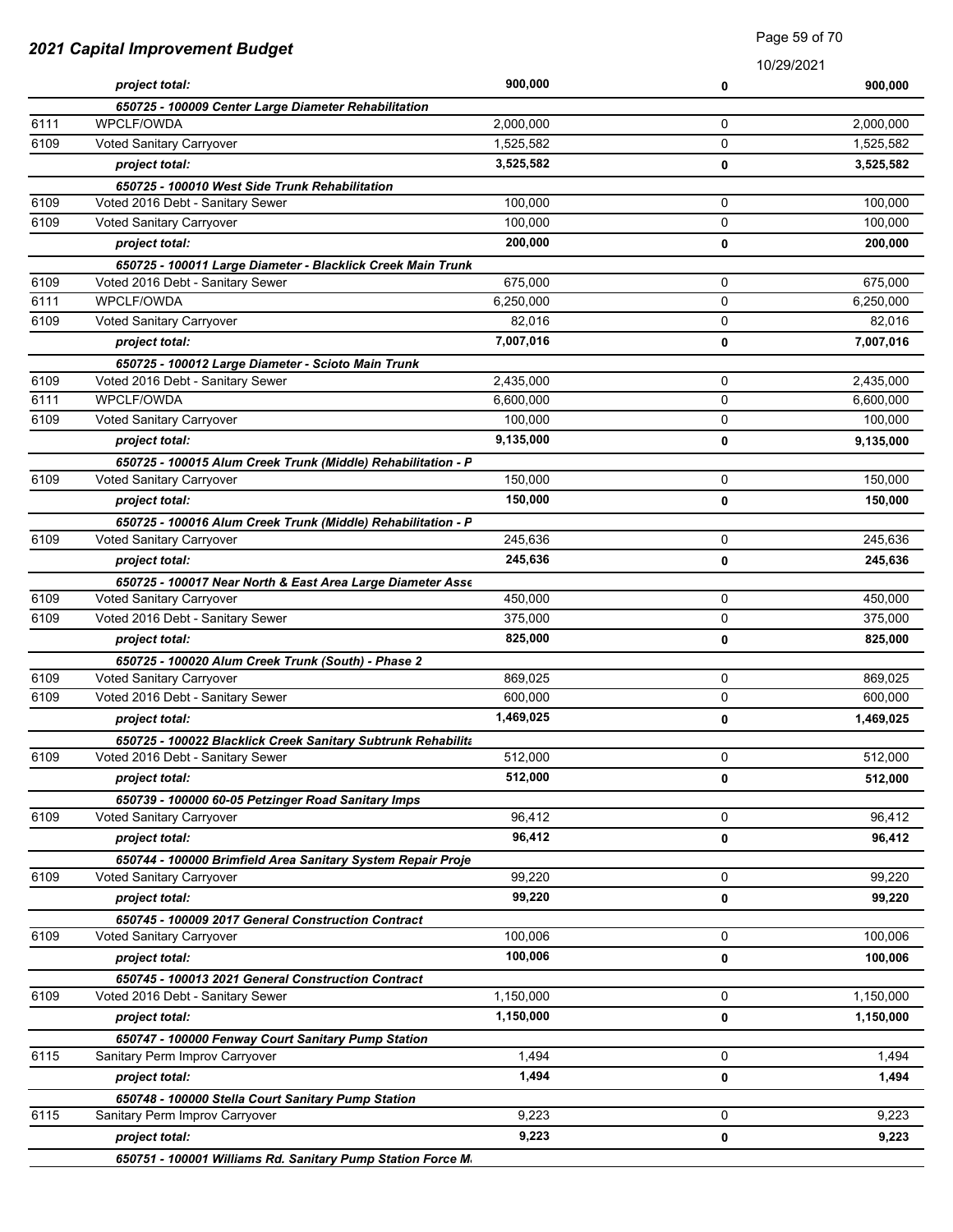|      |                                                                                                  |           | 10/29/2021 |           |
|------|--------------------------------------------------------------------------------------------------|-----------|------------|-----------|
|      | project total:                                                                                   | 900,000   | 0          | 900,000   |
|      | 650725 - 100009 Center Large Diameter Rehabilitation                                             |           |            |           |
| 6111 | <b>WPCLF/OWDA</b>                                                                                | 2,000,000 | 0          | 2,000,000 |
| 6109 | Voted Sanitary Carryover                                                                         | 1,525,582 | 0          | 1,525,582 |
|      | project total:                                                                                   | 3,525,582 | 0          | 3,525,582 |
|      | 650725 - 100010 West Side Trunk Rehabilitation                                                   |           |            |           |
| 6109 | Voted 2016 Debt - Sanitary Sewer                                                                 | 100,000   | 0          | 100,000   |
| 6109 | Voted Sanitary Carryover                                                                         | 100,000   | 0          | 100,000   |
|      | project total:                                                                                   | 200,000   | 0          | 200,000   |
|      | 650725 - 100011 Large Diameter - Blacklick Creek Main Trunk                                      |           |            |           |
| 6109 | Voted 2016 Debt - Sanitary Sewer                                                                 | 675,000   | 0          | 675,000   |
| 6111 | WPCLF/OWDA                                                                                       | 6,250,000 | 0          | 6,250,000 |
| 6109 | Voted Sanitary Carryover                                                                         | 82,016    | 0          | 82,016    |
|      | project total:                                                                                   | 7,007,016 | 0          | 7,007,016 |
|      | 650725 - 100012 Large Diameter - Scioto Main Trunk                                               |           |            |           |
| 6109 | Voted 2016 Debt - Sanitary Sewer                                                                 | 2,435,000 | 0          | 2,435,000 |
| 6111 | WPCLF/OWDA                                                                                       | 6,600,000 | 0          | 6,600,000 |
| 6109 | Voted Sanitary Carryover                                                                         | 100,000   | 0          | 100,000   |
|      | project total:                                                                                   | 9,135,000 | 0          | 9,135,000 |
|      | 650725 - 100015 Alum Creek Trunk (Middle) Rehabilitation - P                                     |           |            |           |
| 6109 | Voted Sanitary Carryover                                                                         | 150,000   | 0          | 150.000   |
|      | project total:                                                                                   | 150,000   | 0          | 150,000   |
|      | 650725 - 100016 Alum Creek Trunk (Middle) Rehabilitation - P                                     |           |            |           |
| 6109 | Voted Sanitary Carryover                                                                         | 245,636   | 0          | 245,636   |
|      | project total:                                                                                   | 245,636   | 0          | 245,636   |
|      | 650725 - 100017 Near North & East Area Large Diameter Asse                                       |           |            |           |
| 6109 | Voted Sanitary Carryover                                                                         | 450,000   | 0          | 450,000   |
| 6109 | Voted 2016 Debt - Sanitary Sewer                                                                 | 375,000   | 0          | 375,000   |
|      | project total:                                                                                   | 825,000   | 0          | 825,000   |
|      |                                                                                                  |           |            |           |
| 6109 | 650725 - 100020 Alum Creek Trunk (South) - Phase 2<br>Voted Sanitary Carryover                   | 869,025   | 0          | 869,025   |
| 6109 | Voted 2016 Debt - Sanitary Sewer                                                                 | 600.000   | 0          | 600,000   |
|      | project total:                                                                                   | 1,469,025 | 0          | 1,469,025 |
|      |                                                                                                  |           |            |           |
| 6109 | 650725 - 100022 Blacklick Creek Sanitary Subtrunk Rehabilita<br>Voted 2016 Debt - Sanitary Sewer | 512,000   | 0          | 512,000   |
|      |                                                                                                  | 512,000   |            | 512,000   |
|      | project total:                                                                                   |           | 0          |           |
| 6109 | 650739 - 100000 60-05 Petzinger Road Sanitary Imps<br>Voted Sanitary Carryover                   | 96,412    | 0          | 96,412    |
|      |                                                                                                  | 96,412    |            |           |
|      | project total:                                                                                   |           | 0          | 96,412    |
|      | 650744 - 100000 Brimfield Area Sanitary System Repair Proje                                      |           | 0          |           |
| 6109 | Voted Sanitary Carryover                                                                         | 99,220    |            | 99,220    |
|      | project total:                                                                                   | 99,220    | 0          | 99,220    |
|      | 650745 - 100009 2017 General Construction Contract                                               |           |            |           |
| 6109 | Voted Sanitary Carryover                                                                         | 100,006   | 0          | 100,006   |
|      | project total:                                                                                   | 100,006   | 0          | 100,006   |
|      | 650745 - 100013 2021 General Construction Contract                                               |           |            |           |
| 6109 | Voted 2016 Debt - Sanitary Sewer                                                                 | 1,150,000 | 0          | 1,150,000 |
|      | project total:                                                                                   | 1,150,000 | 0          | 1,150,000 |
|      | 650747 - 100000 Fenway Court Sanitary Pump Station                                               |           |            |           |
| 6115 | Sanitary Perm Improv Carryover                                                                   | 1,494     | 0          | 1,494     |
|      | project total:                                                                                   | 1,494     | 0          | 1,494     |
|      | 650748 - 100000 Stella Court Sanitary Pump Station                                               |           |            |           |
| 6115 | Sanitary Perm Improv Carryover                                                                   | 9,223     | 0          | 9,223     |
|      | project total:                                                                                   | 9,223     | 0          | 9,223     |
|      | 650751 - 100001 Williams Rd, Sanitary Pump Station Force M.                                      |           |            |           |

*650751 - 100001 Williams Rd. Sanitary Pump Station Force Main Improvements*

## *2021 Capital Improvement Budget*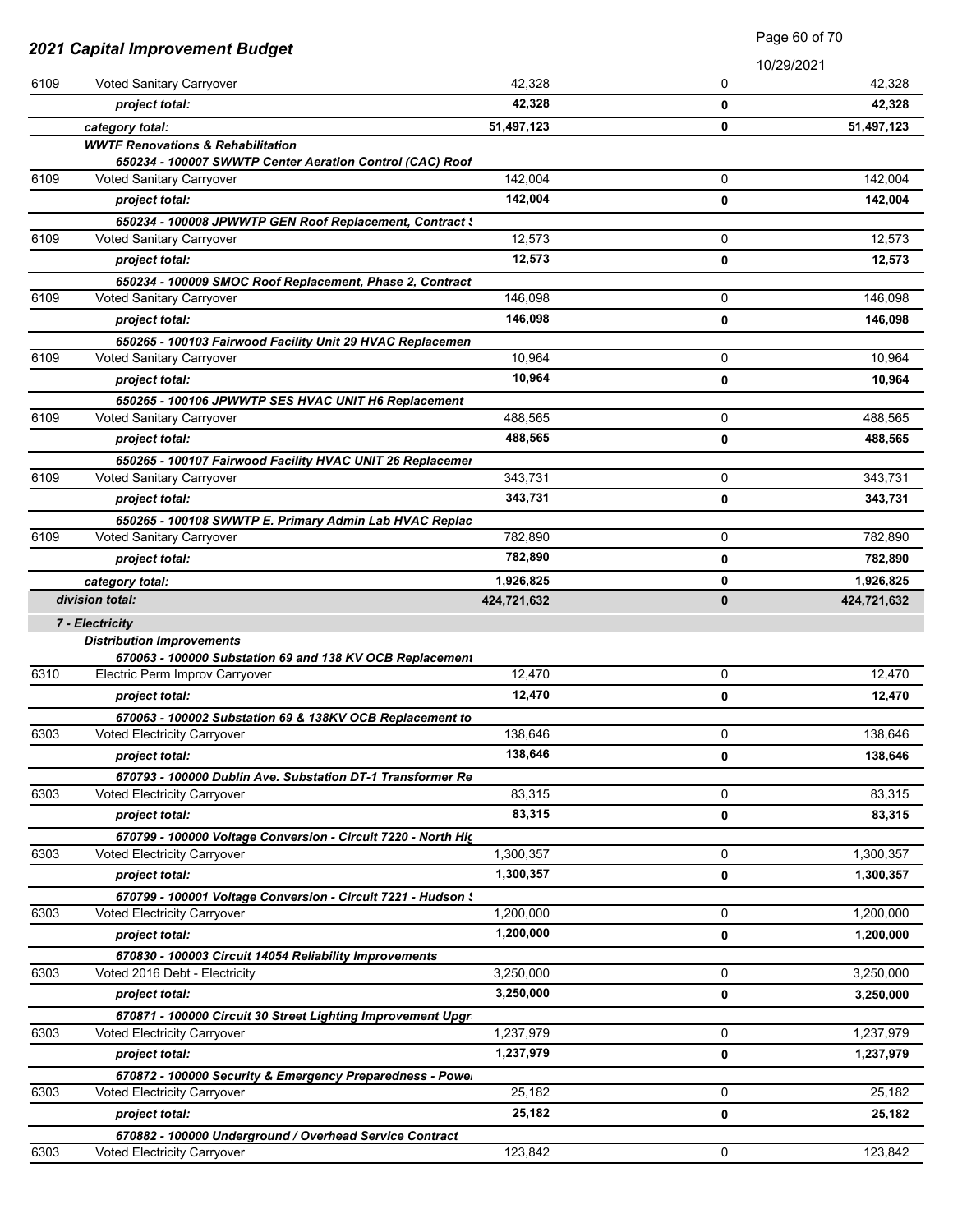|      |                                                                                                    |             | Page 60 of 70 |             |
|------|----------------------------------------------------------------------------------------------------|-------------|---------------|-------------|
|      | <b>2021 Capital Improvement Budget</b>                                                             |             |               | 10/29/2021  |
| 6109 | Voted Sanitary Carryover                                                                           | 42,328      | 0             | 42,328      |
|      | project total:                                                                                     | 42,328      | 0             | 42,328      |
|      | category total:                                                                                    | 51,497,123  | 0             | 51,497,123  |
|      | <b>WWTF Renovations &amp; Rehabilitation</b>                                                       |             |               |             |
|      | 650234 - 100007 SWWTP Center Aeration Control (CAC) Roof                                           |             |               |             |
| 6109 | Voted Sanitary Carryover                                                                           | 142,004     | 0             | 142,004     |
|      | project total:                                                                                     | 142,004     | 0             | 142,004     |
|      | 650234 - 100008 JPWWTP GEN Roof Replacement, Contract \                                            |             |               |             |
| 6109 | Voted Sanitary Carryover                                                                           | 12,573      | 0             | 12,573      |
|      | project total:                                                                                     | 12,573      | 0             | 12,573      |
|      | 650234 - 100009 SMOC Roof Replacement, Phase 2, Contract                                           |             |               |             |
| 6109 | Voted Sanitary Carryover                                                                           | 146,098     | 0             | 146,098     |
|      | project total:                                                                                     | 146,098     | 0             | 146,098     |
|      | 650265 - 100103 Fairwood Facility Unit 29 HVAC Replacemen                                          |             |               |             |
| 6109 | Voted Sanitary Carryover                                                                           | 10,964      | 0             | 10,964      |
|      | project total:                                                                                     | 10,964      | 0             | 10,964      |
|      | 650265 - 100106 JPWWTP SES HVAC UNIT H6 Replacement                                                |             |               |             |
| 6109 | Voted Sanitary Carryover                                                                           | 488,565     | 0             | 488,565     |
|      | project total:                                                                                     | 488,565     | 0             | 488,565     |
|      | 650265 - 100107 Fairwood Facility HVAC UNIT 26 Replacemer                                          |             |               |             |
| 6109 | Voted Sanitary Carryover                                                                           | 343,731     | 0             | 343,731     |
|      | project total:                                                                                     | 343,731     | 0             | 343,731     |
|      | 650265 - 100108 SWWTP E. Primary Admin Lab HVAC Replac                                             |             |               |             |
| 6109 | Voted Sanitary Carryover                                                                           | 782,890     | 0             | 782,890     |
|      | project total:                                                                                     | 782,890     | 0             | 782,890     |
|      | category total:                                                                                    | 1,926,825   | 0             | 1,926,825   |
|      | division total:                                                                                    | 424,721,632 | 0             | 424,721,632 |
|      | 7 - Electricity                                                                                    |             |               |             |
|      | <b>Distribution Improvements</b>                                                                   |             |               |             |
| 6310 | 670063 - 100000 Substation 69 and 138 KV OCB Replacement<br>Electric Perm Improv Carryover         | 12,470      | 0             | 12,470      |
|      | project total:                                                                                     | 12,470      | 0             | 12,470      |
|      |                                                                                                    |             |               |             |
| 6303 | 670063 - 100002 Substation 69 & 138KV OCB Replacement to<br>Voted Electricity Carryover            | 138,646     | 0             | 138,646     |
|      | project total:                                                                                     | 138,646     | 0             | 138,646     |
|      |                                                                                                    |             |               |             |
| 6303 | 670793 - 100000 Dublin Ave. Substation DT-1 Transformer Re<br>Voted Electricity Carryover          | 83,315      | 0             | 83,315      |
|      | project total:                                                                                     | 83,315      |               | 83,315      |
|      |                                                                                                    |             | 0             |             |
| 6303 | 670799 - 100000 Voltage Conversion - Circuit 7220 - North Hig<br>Voted Electricity Carryover       | 1,300,357   | 0             | 1,300,357   |
|      | project total:                                                                                     | 1,300,357   |               | 1,300,357   |
|      |                                                                                                    |             | 0             |             |
| 6303 | 670799 - 100001 Voltage Conversion - Circuit 7221 - Hudson :<br><b>Voted Electricity Carryover</b> | 1,200,000   | 0             | 1,200,000   |
|      |                                                                                                    | 1,200,000   |               |             |
|      | project total:                                                                                     |             | 0             | 1,200,000   |
| 6303 | 670830 - 100003 Circuit 14054 Reliability Improvements<br>Voted 2016 Debt - Electricity            | 3,250,000   | 0             | 3,250,000   |
|      | project total:                                                                                     | 3,250,000   | 0             | 3,250,000   |
|      |                                                                                                    |             |               |             |
| 6303 | 670871 - 100000 Circuit 30 Street Lighting Improvement Upgr<br>Voted Electricity Carryover         | 1,237,979   | 0             | 1,237,979   |
|      |                                                                                                    | 1,237,979   |               |             |
|      | project total:                                                                                     |             | 0             | 1,237,979   |
|      | 670872 - 100000 Security & Emergency Preparedness - Powe                                           | 25,182      | 0             | 25,182      |
| 6303 | Voted Electricity Carryover                                                                        | 25,182      |               |             |
|      | project total:                                                                                     |             | 0             | 25,182      |
|      | 670882 - 100000 Underground / Overhead Service Contract                                            | 123,842     | 0             |             |
| 6303 | Voted Electricity Carryover                                                                        |             |               | 123,842     |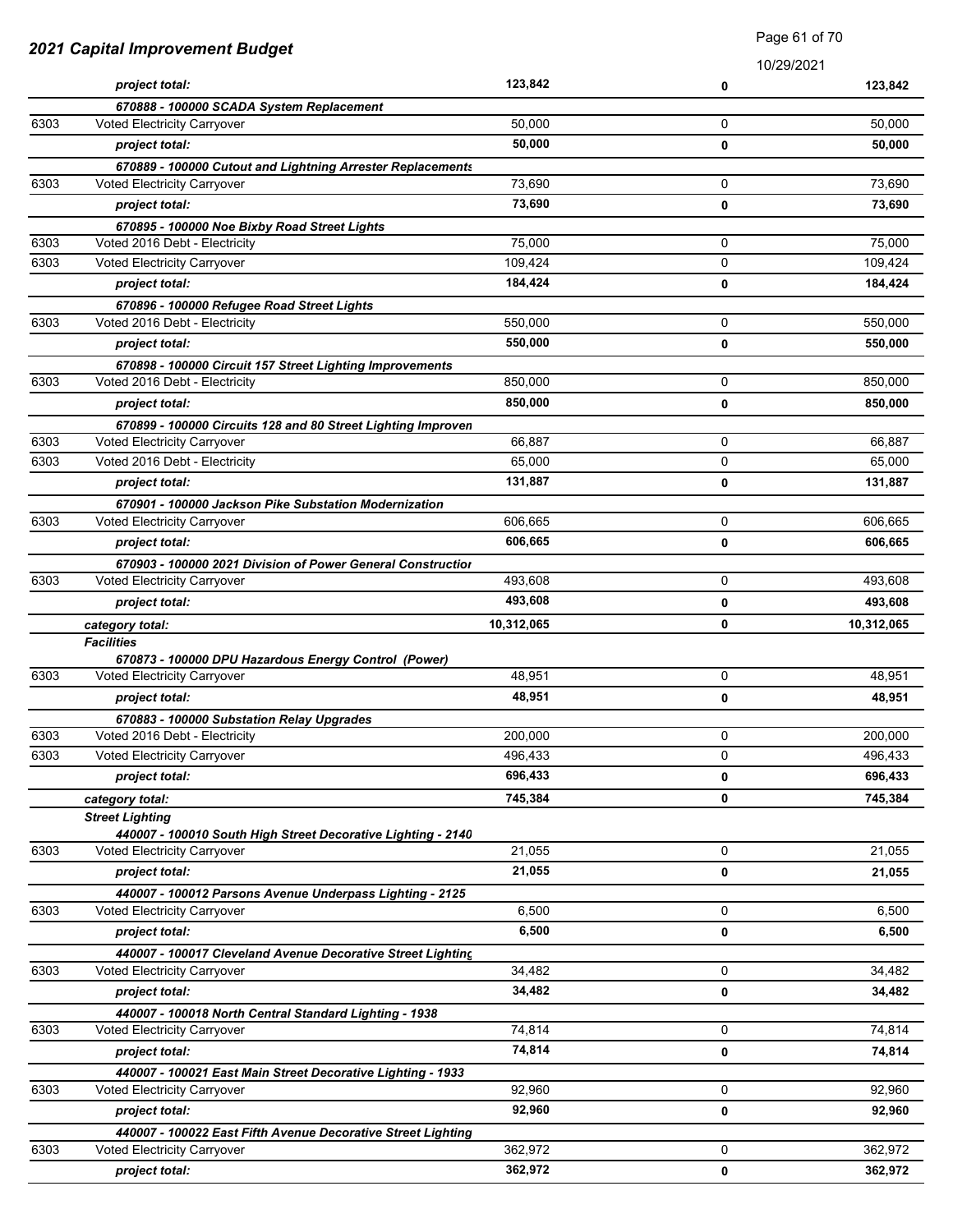|      | 2021 Capital Improvement Budget                                           |            | Faye 01 01 70 |            |
|------|---------------------------------------------------------------------------|------------|---------------|------------|
|      |                                                                           |            | 10/29/2021    |            |
|      | project total:                                                            | 123,842    | 0             | 123,842    |
|      | 670888 - 100000 SCADA System Replacement                                  |            |               |            |
| 6303 | Voted Electricity Carryover                                               | 50,000     | 0             | 50,000     |
|      | project total:                                                            | 50,000     | 0             | 50,000     |
|      | 670889 - 100000 Cutout and Lightning Arrester Replacements                |            |               |            |
| 6303 | Voted Electricity Carryover                                               | 73,690     | 0             | 73,690     |
|      | project total:                                                            | 73,690     | 0             | 73,690     |
|      | 670895 - 100000 Noe Bixby Road Street Lights                              |            |               |            |
| 6303 | Voted 2016 Debt - Electricity                                             | 75,000     | 0             | 75,000     |
| 6303 | Voted Electricity Carryover                                               | 109,424    | 0             | 109,424    |
|      | project total:                                                            | 184,424    | 0             | 184,424    |
|      | 670896 - 100000 Refugee Road Street Lights                                |            |               |            |
| 6303 | Voted 2016 Debt - Electricity                                             | 550,000    | 0             | 550,000    |
|      | project total:                                                            | 550,000    | 0             | 550,000    |
|      | 670898 - 100000 Circuit 157 Street Lighting Improvements                  |            |               |            |
| 6303 | Voted 2016 Debt - Electricity                                             | 850,000    | 0             | 850,000    |
|      | project total:                                                            | 850,000    | 0             | 850,000    |
|      | 670899 - 100000 Circuits 128 and 80 Street Lighting Improven              |            |               |            |
| 6303 | Voted Electricity Carryover                                               | 66,887     | 0             | 66,887     |
| 6303 | Voted 2016 Debt - Electricity                                             | 65,000     | 0             | 65,000     |
|      | project total:                                                            | 131,887    | 0             | 131,887    |
|      | 670901 - 100000 Jackson Pike Substation Modernization                     |            |               |            |
| 6303 | Voted Electricity Carryover                                               | 606,665    | 0             | 606,665    |
|      | project total:                                                            | 606,665    | 0             | 606,665    |
|      | 670903 - 100000 2021 Division of Power General Construction               |            |               |            |
| 6303 | Voted Electricity Carryover                                               | 493,608    | 0             | 493,608    |
|      | project total:                                                            | 493,608    | 0             | 493,608    |
|      | category total:                                                           | 10,312,065 | 0             | 10,312,065 |
|      | <b>Facilities</b><br>670873 - 100000 DPU Hazardous Energy Control (Power) |            |               |            |
| 6303 | Voted Electricity Carryover                                               | 48,951     | 0             | 48,951     |
|      | project total:                                                            | 48,951     | 0             | 48,951     |
|      | 670883 - 100000 Substation Relay Upgrades                                 |            |               |            |
| 6303 | Voted 2016 Debt - Electricity                                             | 200,000    | 0             | 200,000    |
| 6303 | <b>Voted Electricity Carryover</b>                                        | 496,433    | 0             | 496,433    |
|      | project total:                                                            | 696,433    | 0             | 696,433    |
|      | category total:                                                           | 745,384    | 0             | 745,384    |
|      | <b>Street Lighting</b>                                                    |            |               |            |
|      | 440007 - 100010 South High Street Decorative Lighting - 2140              |            |               |            |
| 6303 | Voted Electricity Carryover                                               | 21,055     | 0             | 21,055     |
|      | project total:                                                            | 21,055     | 0             | 21,055     |
|      | 440007 - 100012 Parsons Avenue Underpass Lighting - 2125                  |            |               |            |
| 6303 | Voted Electricity Carryover                                               | 6,500      | 0             | 6,500      |
|      | project total:                                                            | 6,500      | 0             | 6,500      |
|      | 440007 - 100017 Cleveland Avenue Decorative Street Lighting               |            |               |            |
| 6303 | Voted Electricity Carryover                                               | 34,482     | 0             | 34,482     |
|      | project total:                                                            | 34,482     | 0             | 34,482     |
|      | 440007 - 100018 North Central Standard Lighting - 1938                    |            |               |            |
| 6303 | Voted Electricity Carryover                                               | 74,814     | 0             | 74,814     |
|      | project total:                                                            | 74,814     | 0             | 74,814     |
|      | 440007 - 100021 East Main Street Decorative Lighting - 1933               |            |               |            |
| 6303 | <b>Voted Electricity Carryover</b>                                        | 92,960     | 0             | 92,960     |
|      | project total:                                                            | 92,960     | 0             | 92,960     |
|      | 440007 - 100022 East Fifth Avenue Decorative Street Lighting              |            |               |            |
| 6303 | Voted Electricity Carryover                                               | 362,972    | 0             | 362,972    |
|      | project total:                                                            | 362,972    | 0             | 362,972    |

Page 61 of 70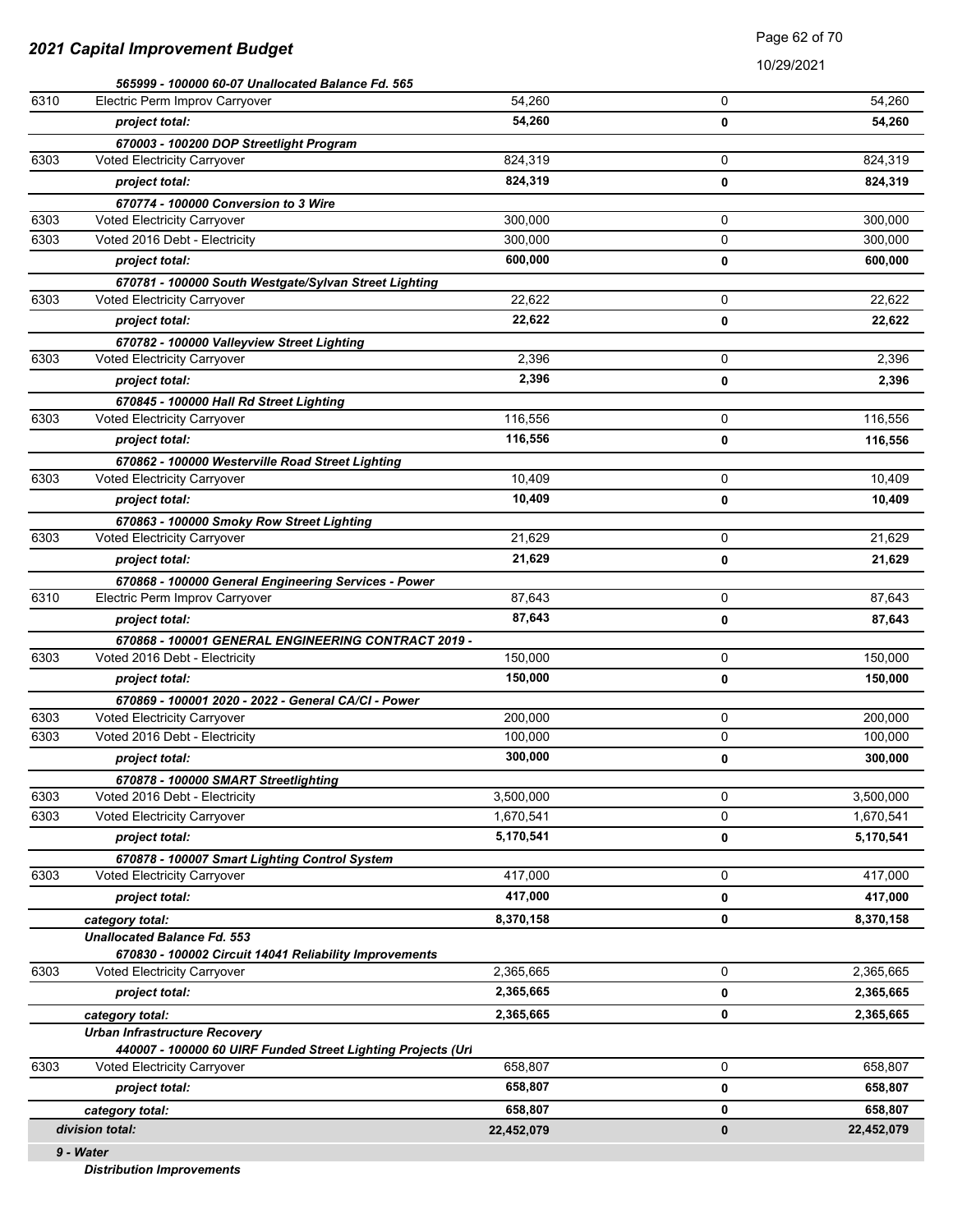10/29/2021

|      | 565999 - 100000 60-07 Unallocated Balance Fd. 565            |            |   |            |
|------|--------------------------------------------------------------|------------|---|------------|
| 6310 | Electric Perm Improv Carryover                               | 54,260     | 0 | 54.260     |
|      | project total:                                               | 54,260     | 0 | 54,260     |
|      | 670003 - 100200 DOP Streetlight Program                      |            |   |            |
| 6303 | Voted Electricity Carryover                                  | 824,319    | 0 | 824,319    |
|      | project total:                                               | 824,319    | 0 | 824,319    |
|      | 670774 - 100000 Conversion to 3 Wire                         |            |   |            |
| 6303 | Voted Electricity Carryover                                  | 300,000    | 0 | 300,000    |
| 6303 | Voted 2016 Debt - Electricity                                | 300,000    | 0 | 300,000    |
|      | project total:                                               | 600,000    | 0 | 600,000    |
|      | 670781 - 100000 South Westgate/Sylvan Street Lighting        |            |   |            |
| 6303 | Voted Electricity Carryover                                  | 22,622     | 0 | 22,622     |
|      | project total:                                               | 22,622     | 0 | 22,622     |
|      | 670782 - 100000 Valleyview Street Lighting                   |            |   |            |
| 6303 | Voted Electricity Carryover                                  | 2,396      | 0 | 2,396      |
|      | project total:                                               | 2,396      | 0 | 2,396      |
|      | 670845 - 100000 Hall Rd Street Lighting                      |            |   |            |
| 6303 | Voted Electricity Carryover                                  | 116,556    | 0 | 116,556    |
|      | project total:                                               | 116,556    | 0 | 116,556    |
|      | 670862 - 100000 Westerville Road Street Lighting             |            |   |            |
| 6303 | Voted Electricity Carryover                                  | 10,409     | 0 | 10,409     |
|      | project total:                                               | 10,409     | 0 | 10,409     |
|      | 670863 - 100000 Smoky Row Street Lighting                    |            |   |            |
| 6303 | Voted Electricity Carryover                                  | 21,629     | 0 | 21,629     |
|      | project total:                                               | 21,629     | 0 | 21,629     |
|      | 670868 - 100000 General Engineering Services - Power         |            |   |            |
| 6310 | Electric Perm Improv Carryover                               | 87,643     | 0 | 87,643     |
|      | project total:                                               | 87,643     | 0 | 87,643     |
|      | 670868 - 100001 GENERAL ENGINEERING CONTRACT 2019 -          |            |   |            |
| 6303 | Voted 2016 Debt - Electricity                                | 150,000    | 0 | 150,000    |
|      | project total:                                               | 150,000    | 0 | 150,000    |
|      | 670869 - 100001 2020 - 2022 - General CA/CI - Power          |            |   |            |
| 6303 | Voted Electricity Carryover                                  | 200,000    | 0 | 200,000    |
| 6303 | Voted 2016 Debt - Electricity                                | 100,000    | 0 | 100,000    |
|      | project total:                                               | 300,000    | 0 | 300,000    |
|      | 670878 - 100000 SMART Streetlighting                         |            |   |            |
| 6303 | Voted 2016 Debt - Electricity                                | 3,500,000  | 0 | 3,500,000  |
| 6303 | Voted Electricity Carryover                                  | 1,670,541  | 0 | 1,670,541  |
|      | project total:                                               | 5,170,541  | 0 | 5,170,541  |
|      | 670878 - 100007 Smart Lighting Control System                |            |   |            |
| 6303 | Voted Electricity Carryover                                  | 417,000    | 0 | 417,000    |
|      | project total:                                               | 417,000    | 0 | 417,000    |
|      | category total:                                              | 8,370,158  | 0 | 8,370,158  |
|      | <b>Unallocated Balance Fd. 553</b>                           |            |   |            |
|      | 670830 - 100002 Circuit 14041 Reliability Improvements       |            |   |            |
| 6303 | <b>Voted Electricity Carryover</b>                           | 2,365,665  | 0 | 2,365,665  |
|      | project total:                                               | 2,365,665  | 0 | 2,365,665  |
|      | category total:                                              | 2,365,665  | 0 | 2,365,665  |
|      | <b>Urban Infrastructure Recovery</b>                         |            |   |            |
|      | 440007 - 100000 60 UIRF Funded Street Lighting Projects (Url |            |   |            |
| 6303 | <b>Voted Electricity Carryover</b>                           | 658,807    | 0 | 658,807    |
|      | project total:                                               | 658,807    | 0 | 658,807    |
|      | category total:                                              | 658,807    | 0 | 658,807    |
|      | division total:                                              | 22,452,079 | 0 | 22,452,079 |
|      | 9 - Water                                                    |            |   |            |

*Distribution Improvements*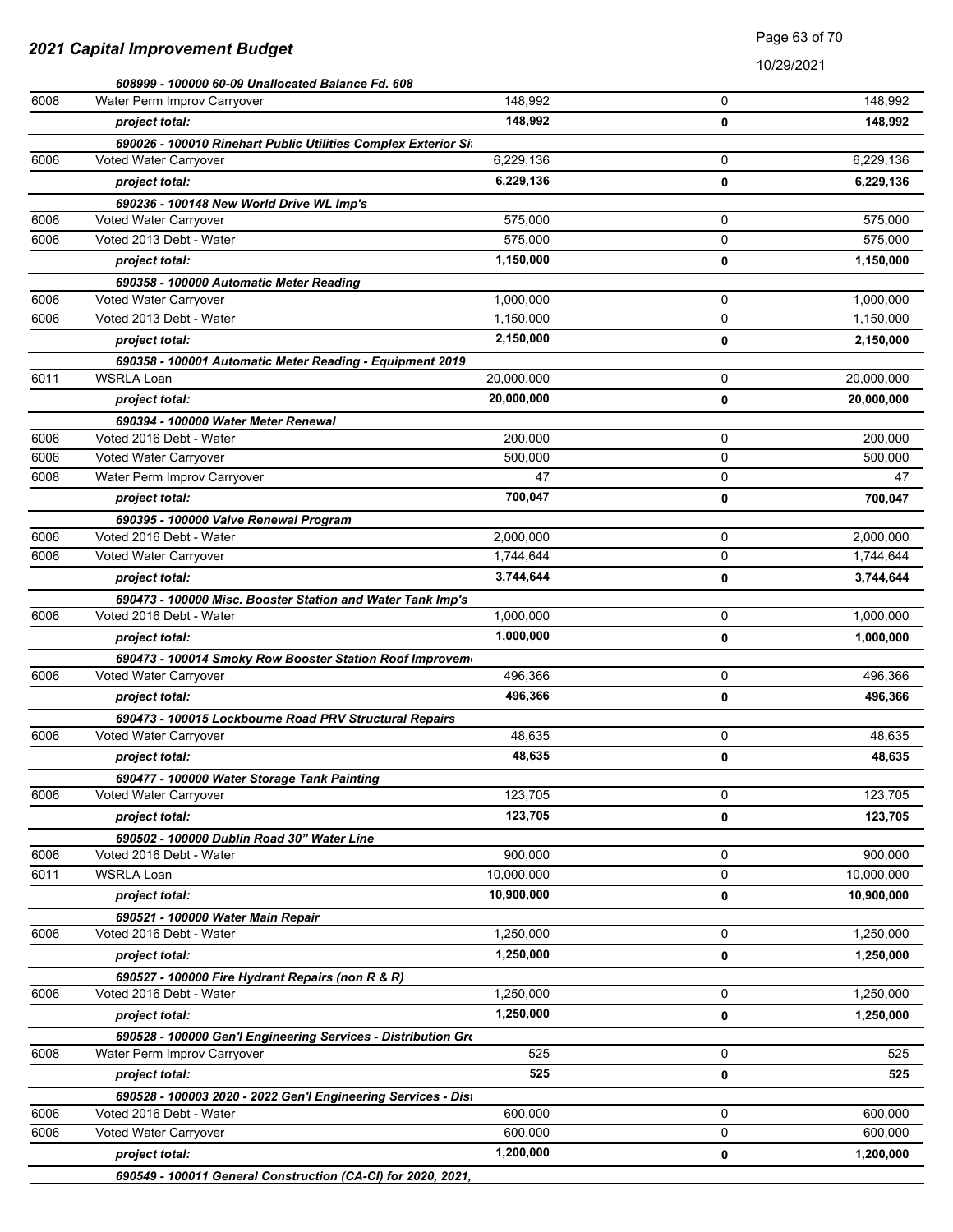|      | 608999 - 100000 60-09 Unallocated Balance Fd. 608                                            |            |             |            |
|------|----------------------------------------------------------------------------------------------|------------|-------------|------------|
| 6008 | Water Perm Improv Carryover                                                                  | 148,992    | $\Omega$    | 148,992    |
|      | project total:                                                                               | 148,992    | 0           | 148,992    |
|      | 690026 - 100010 Rinehart Public Utilities Complex Exterior Si                                |            |             |            |
| 6006 | Voted Water Carryover                                                                        | 6,229,136  | 0           | 6,229,136  |
|      | project total:                                                                               | 6,229,136  | 0           | 6,229,136  |
|      | 690236 - 100148 New World Drive WL Imp's                                                     |            |             |            |
| 6006 | Voted Water Carryover                                                                        | 575,000    | 0           | 575,000    |
| 6006 | Voted 2013 Debt - Water                                                                      | 575.000    | 0           | 575,000    |
|      | project total:                                                                               | 1,150,000  | 0           | 1,150,000  |
|      | 690358 - 100000 Automatic Meter Reading                                                      |            |             |            |
| 6006 | Voted Water Carryover                                                                        | 1,000,000  | 0           | 1,000,000  |
| 6006 | Voted 2013 Debt - Water                                                                      | 1,150,000  | $\mathbf 0$ | 1,150,000  |
|      | project total:                                                                               | 2,150,000  | 0           | 2,150,000  |
|      | 690358 - 100001 Automatic Meter Reading - Equipment 2019                                     |            |             |            |
| 6011 | <b>WSRLA Loan</b>                                                                            | 20,000,000 | 0           | 20,000,000 |
|      | project total:                                                                               | 20,000,000 | 0           | 20,000,000 |
|      | 690394 - 100000 Water Meter Renewal                                                          |            |             |            |
| 6006 | Voted 2016 Debt - Water                                                                      | 200.000    | 0           | 200,000    |
| 6006 | Voted Water Carryover                                                                        | 500,000    | 0           | 500,000    |
| 6008 | Water Perm Improv Carryover                                                                  | 47         | $\mathbf 0$ | 47         |
|      | project total:                                                                               | 700,047    | 0           | 700,047    |
|      | 690395 - 100000 Valve Renewal Program                                                        |            |             |            |
| 6006 | Voted 2016 Debt - Water                                                                      | 2,000,000  | 0           | 2,000,000  |
| 6006 | Voted Water Carryover                                                                        | 1,744,644  | 0           | 1,744,644  |
|      | project total:                                                                               | 3,744,644  | 0           | 3,744,644  |
|      | 690473 - 100000 Misc. Booster Station and Water Tank Imp's                                   |            |             |            |
| 6006 | Voted 2016 Debt - Water                                                                      | 1,000,000  | 0           | 1,000,000  |
|      | project total:                                                                               | 1,000,000  | 0           | 1,000,000  |
|      | 690473 - 100014 Smoky Row Booster Station Roof Improvem                                      |            |             |            |
| 6006 | Voted Water Carryover                                                                        | 496,366    | 0           | 496,366    |
|      | project total:                                                                               | 496,366    | 0           | 496,366    |
|      | 690473 - 100015 Lockbourne Road PRV Structural Repairs                                       |            |             |            |
| 6006 | Voted Water Carryover                                                                        | 48,635     | 0           | 48,635     |
|      | project total:                                                                               | 48,635     | 0           | 48,635     |
|      | 690477 - 100000 Water Storage Tank Painting                                                  |            |             |            |
| 6006 | Voted Water Carryover                                                                        | 123,705    | 0           | 123,705    |
|      | project total:                                                                               | 123,705    | 0           | 123,705    |
|      | 690502 - 100000 Dublin Road 30" Water Line                                                   |            |             |            |
| 6006 | Voted 2016 Debt - Water                                                                      | 900,000    | 0           | 900,000    |
| 6011 | <b>WSRLA Loan</b>                                                                            | 10,000,000 | 0           | 10,000,000 |
|      | project total:                                                                               | 10,900,000 | 0           | 10,900,000 |
|      | 690521 - 100000 Water Main Repair                                                            |            |             |            |
| 6006 | Voted 2016 Debt - Water                                                                      | 1,250,000  | 0           | 1,250,000  |
|      | project total:                                                                               | 1,250,000  | 0           | 1,250,000  |
|      |                                                                                              |            |             |            |
| 6006 | 690527 - 100000 Fire Hydrant Repairs (non R & R)<br>Voted 2016 Debt - Water                  | 1,250,000  | 0           | 1,250,000  |
|      | project total:                                                                               | 1,250,000  |             | 1,250,000  |
|      |                                                                                              |            | 0           |            |
| 6008 | 690528 - 100000 Gen'l Engineering Services - Distribution Gro<br>Water Perm Improv Carryover | 525        | 0           | 525        |
|      |                                                                                              | 525        |             |            |
|      | project total:                                                                               |            | 0           | 525        |
|      | 690528 - 100003 2020 - 2022 Gen'l Engineering Services - Dist                                |            |             |            |
| 6006 | Voted 2016 Debt - Water                                                                      | 600,000    | 0<br>0      | 600,000    |
| 6006 | Voted Water Carryover                                                                        | 600,000    |             | 600,000    |
|      | project total:                                                                               | 1,200,000  | 0           | 1,200,000  |
|      | 690549 - 100011 General Construction (CA-CI) for 2020, 2021,                                 |            |             |            |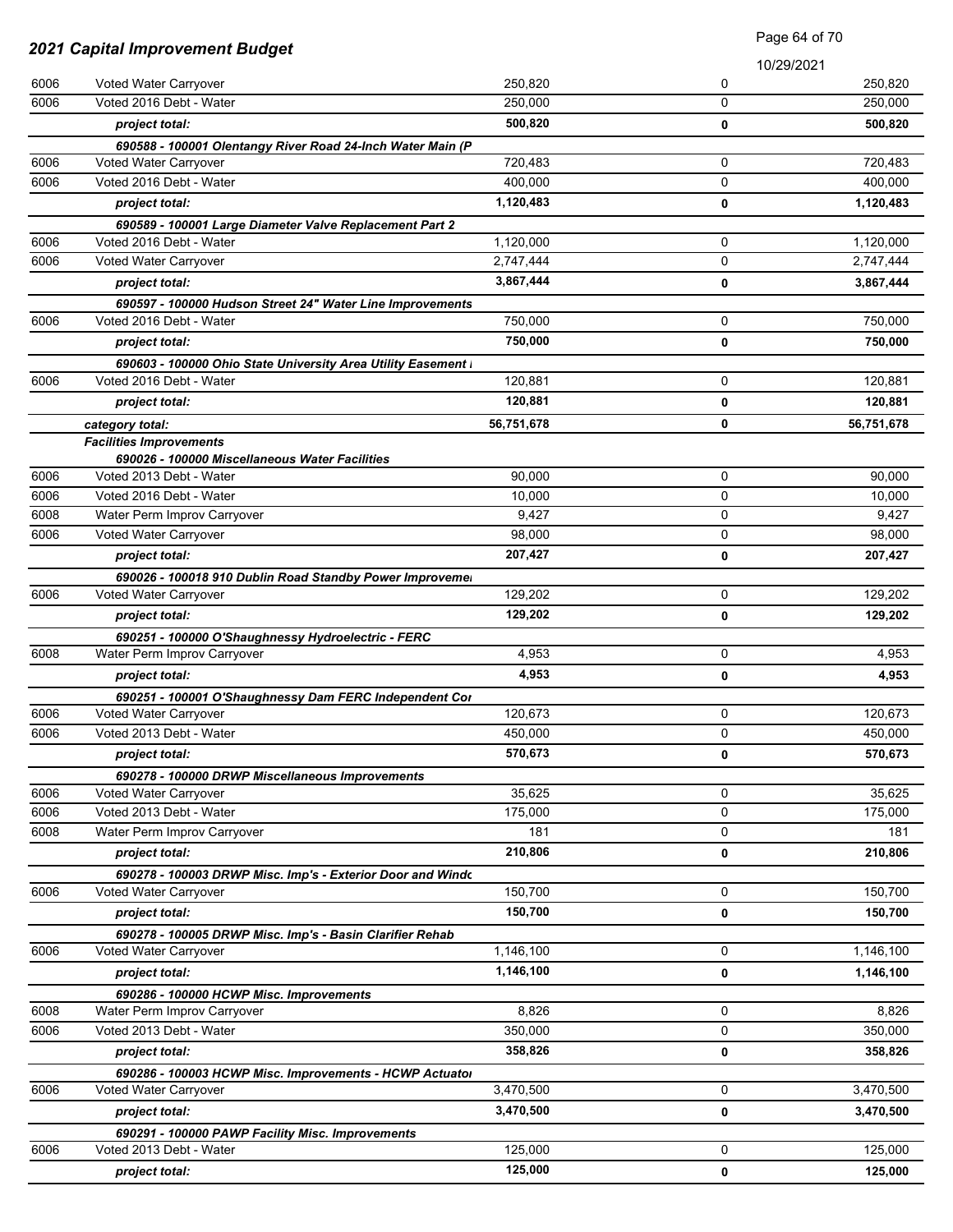|                                 |                                                                                     | Page 64 of 70 |             |            |
|---------------------------------|-------------------------------------------------------------------------------------|---------------|-------------|------------|
| 2021 Capital Improvement Budget |                                                                                     |               | 10/29/2021  |            |
| 6006                            | Voted Water Carryover                                                               | 250,820       | 0           | 250,820    |
| 6006                            | Voted 2016 Debt - Water                                                             | 250,000       | $\mathbf 0$ | 250,000    |
|                                 | project total:                                                                      | 500,820       | 0           | 500,820    |
|                                 | 690588 - 100001 Olentangy River Road 24-Inch Water Main (P                          |               |             |            |
| 6006                            | Voted Water Carryover                                                               | 720,483       | 0           | 720,483    |
| 6006                            | Voted 2016 Debt - Water                                                             | 400,000       | 0           | 400,000    |
|                                 | project total:                                                                      | 1,120,483     | 0           | 1,120,483  |
|                                 | 690589 - 100001 Large Diameter Valve Replacement Part 2                             |               |             |            |
| 6006                            | Voted 2016 Debt - Water                                                             | 1,120,000     | 0           | 1,120,000  |
| 6006                            | Voted Water Carryover                                                               | 2,747,444     | $\mathbf 0$ | 2,747,444  |
|                                 | project total:                                                                      | 3,867,444     | 0           | 3,867,444  |
|                                 | 690597 - 100000 Hudson Street 24" Water Line Improvements                           |               |             |            |
| 6006                            | Voted 2016 Debt - Water                                                             | 750,000       | 0           | 750,000    |
|                                 | project total:                                                                      | 750,000       | 0           | 750,000    |
|                                 | 690603 - 100000 Ohio State University Area Utility Easement I                       |               |             |            |
| 6006                            | Voted 2016 Debt - Water                                                             | 120,881       | 0           | 120,881    |
|                                 | project total:                                                                      | 120,881       | 0           | 120,881    |
|                                 | category total:                                                                     | 56,751,678    | 0           | 56,751,678 |
|                                 | <b>Facilities Improvements</b>                                                      |               |             |            |
| 6006                            | 690026 - 100000 Miscellaneous Water Facilities<br>Voted 2013 Debt - Water           | 90,000        | 0           | 90,000     |
| 6006                            | Voted 2016 Debt - Water                                                             | 10,000        | 0           | 10,000     |
| 6008                            | Water Perm Improv Carryover                                                         | 9,427         | 0           | 9,427      |
| 6006                            | Voted Water Carryover                                                               | 98,000        | 0           | 98,000     |
|                                 | project total:                                                                      | 207,427       | 0           | 207,427    |
|                                 |                                                                                     |               |             |            |
| 6006                            | 690026 - 100018 910 Dublin Road Standby Power Improveme.<br>Voted Water Carryover   | 129,202       | 0           | 129,202    |
|                                 | project total:                                                                      | 129,202       |             | 129,202    |
|                                 |                                                                                     |               | 0           |            |
| 6008                            | 690251 - 100000 O'Shaughnessy Hydroelectric - FERC<br>Water Perm Improv Carryover   | 4,953         | 0           | 4,953      |
|                                 | project total:                                                                      | 4,953         | 0           | 4,953      |
|                                 |                                                                                     |               |             |            |
| 6006                            | 690251 - 100001 O'Shaughnessy Dam FERC Independent Cor<br>Voted Water Carryover     | 120,673       | 0           | 120,673    |
| 6006                            | Voted 2013 Debt - Water                                                             | 450,000       | 0           | 450,000    |
|                                 |                                                                                     | 570,673       |             |            |
|                                 | project total:                                                                      |               | 0           | 570,673    |
| 6006                            | 690278 - 100000 DRWP Miscellaneous Improvements<br>Voted Water Carryover            | 35,625        | 0           | 35,625     |
| 6006                            | Voted 2013 Debt - Water                                                             | 175,000       | 0           | 175,000    |
| 6008                            | Water Perm Improv Carryover                                                         | 181           | 0           | 181        |
|                                 | project total:                                                                      | 210,806       | 0           | 210,806    |
|                                 |                                                                                     |               |             |            |
| 6006                            | 690278 - 100003 DRWP Misc. Imp's - Exterior Door and Windo<br>Voted Water Carryover | 150,700       | 0           | 150,700    |
|                                 | project total:                                                                      | 150,700       | 0           | 150,700    |
|                                 |                                                                                     |               |             |            |
| 6006                            | 690278 - 100005 DRWP Misc. Imp's - Basin Clarifier Rehab<br>Voted Water Carryover   | 1,146,100     | 0           | 1,146,100  |
|                                 | project total:                                                                      | 1,146,100     | 0           | 1,146,100  |
|                                 | 690286 - 100000 HCWP Misc. Improvements                                             |               |             |            |
| 6008                            | Water Perm Improv Carryover                                                         | 8,826         | 0           | 8,826      |
| 6006                            | Voted 2013 Debt - Water                                                             | 350,000       | 0           | 350,000    |
|                                 | project total:                                                                      | 358,826       | 0           | 358,826    |
|                                 |                                                                                     |               |             |            |
| 6006                            | 690286 - 100003 HCWP Misc. Improvements - HCWP Actuator<br>Voted Water Carryover    | 3,470,500     | 0           | 3,470,500  |
|                                 | project total:                                                                      | 3,470,500     | 0           | 3,470,500  |
|                                 |                                                                                     |               |             |            |
| 6006                            | 690291 - 100000 PAWP Facility Misc. Improvements<br>Voted 2013 Debt - Water         | 125,000       | 0           | 125,000    |
|                                 | project total:                                                                      | 125,000       | 0           | 125,000    |
|                                 |                                                                                     |               |             |            |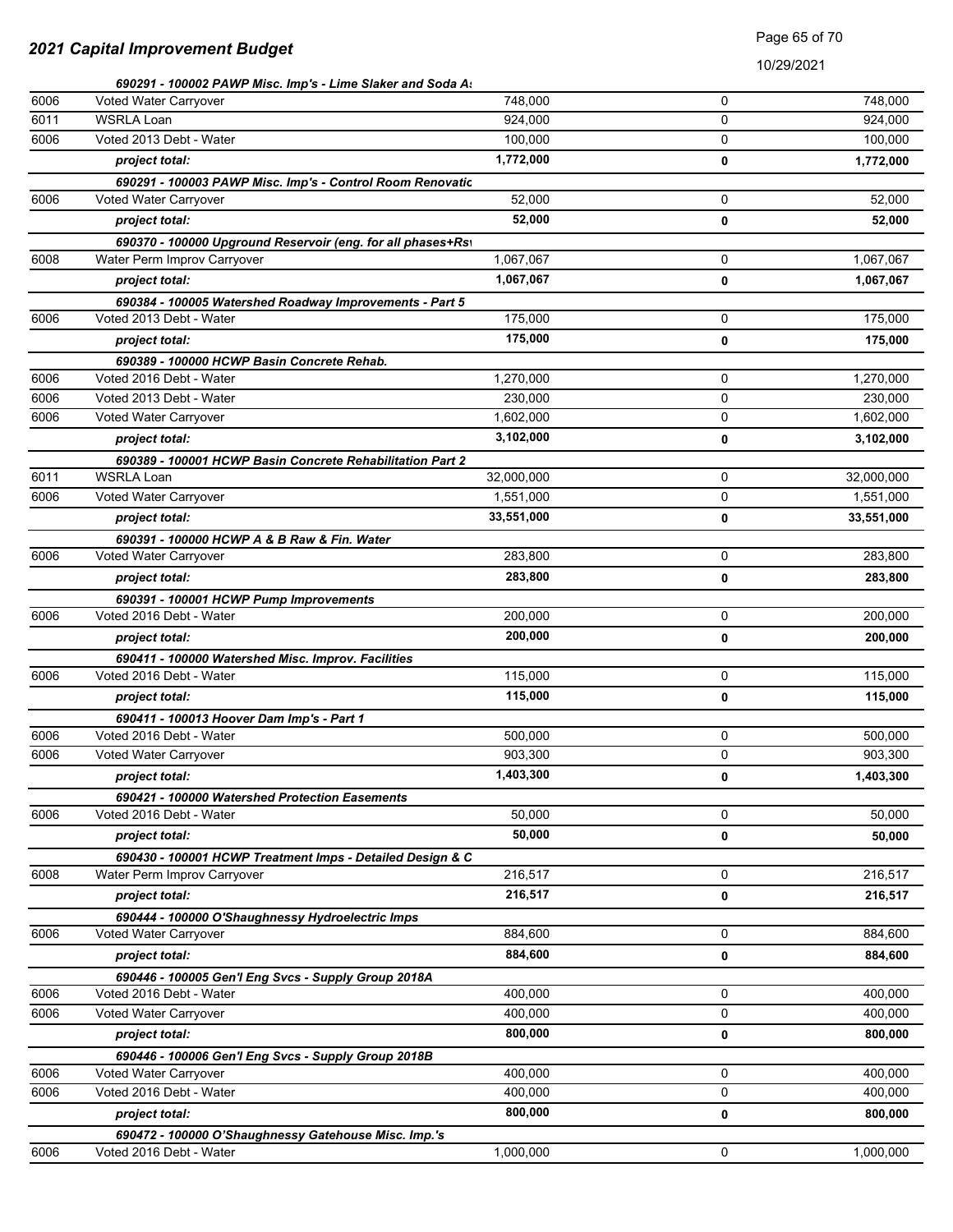## Page 65 of 70

|      | 690291 - 100002 PAWP Misc. Imp's - Lime Slaker and Soda A:  |            |   |            |
|------|-------------------------------------------------------------|------------|---|------------|
| 6006 | Voted Water Carryover                                       | 748,000    | 0 | 748,000    |
| 6011 | <b>WSRLA Loan</b>                                           | 924,000    | 0 | 924.000    |
| 6006 | Voted 2013 Debt - Water                                     | 100,000    | 0 | 100,000    |
|      | project total:                                              | 1,772,000  | 0 | 1,772,000  |
|      | 690291 - 100003 PAWP Misc. Imp's - Control Room Renovatic   |            |   |            |
| 6006 | Voted Water Carryover                                       | 52,000     | 0 | 52,000     |
|      | project total:                                              | 52,000     | 0 | 52,000     |
|      | 690370 - 100000 Upground Reservoir (eng. for all phases+Rs) |            |   |            |
| 6008 | Water Perm Improv Carryover                                 | 1,067,067  | 0 | 1,067,067  |
|      | project total:                                              | 1,067,067  | 0 | 1,067,067  |
|      | 690384 - 100005 Watershed Roadway Improvements - Part 5     |            |   |            |
| 6006 | Voted 2013 Debt - Water                                     | 175,000    | 0 | 175,000    |
|      | project total:                                              | 175,000    | 0 | 175,000    |
|      | 690389 - 100000 HCWP Basin Concrete Rehab.                  |            |   |            |
| 6006 | Voted 2016 Debt - Water                                     | 1,270,000  | 0 | 1,270,000  |
| 6006 | Voted 2013 Debt - Water                                     | 230,000    | 0 | 230,000    |
| 6006 | Voted Water Carryover                                       | 1,602,000  | 0 | 1,602,000  |
|      | project total:                                              | 3,102,000  | 0 | 3,102,000  |
|      | 690389 - 100001 HCWP Basin Concrete Rehabilitation Part 2   |            |   |            |
| 6011 | <b>WSRLA Loan</b>                                           | 32,000,000 | 0 | 32,000,000 |
| 6006 | Voted Water Carryover                                       | 1,551,000  | 0 | 1,551,000  |
|      | project total:                                              | 33,551,000 | 0 | 33,551,000 |
|      | 690391 - 100000 HCWP A & B Raw & Fin. Water                 |            |   |            |
| 6006 | Voted Water Carryover                                       | 283,800    | 0 | 283,800    |
|      | project total:                                              | 283,800    | 0 | 283,800    |
|      | 690391 - 100001 HCWP Pump Improvements                      |            |   |            |
| 6006 | Voted 2016 Debt - Water                                     | 200,000    | 0 | 200,000    |
|      | project total:                                              | 200,000    | 0 | 200,000    |
|      | 690411 - 100000 Watershed Misc. Improv. Facilities          |            |   |            |
| 6006 | Voted 2016 Debt - Water                                     | 115,000    | 0 | 115,000    |
|      | project total:                                              | 115,000    | 0 | 115,000    |
|      | 690411 - 100013 Hoover Dam Imp's - Part 1                   |            |   |            |
| 6006 | Voted 2016 Debt - Water                                     | 500,000    | 0 | 500,000    |
| 6006 | Voted Water Carryover                                       | 903,300    | 0 | 903,300    |
|      | project total:                                              | 1,403,300  | 0 | 1,403,300  |
|      | 690421 - 100000 Watershed Protection Easements              |            |   |            |
| 6006 | Voted 2016 Debt - Water                                     | 50,000     | 0 | 50,000     |
|      | project total:                                              | 50,000     | 0 | 50,000     |
|      | 690430 - 100001 HCWP Treatment Imps - Detailed Design & C   |            |   |            |
| 6008 | Water Perm Improv Carryover                                 | 216,517    | 0 | 216,517    |
|      | project total:                                              | 216,517    | 0 | 216,517    |
|      | 690444 - 100000 O'Shaughnessy Hydroelectric Imps            |            |   |            |
| 6006 | Voted Water Carryover                                       | 884,600    | 0 | 884,600    |
|      | project total:                                              | 884,600    | 0 | 884,600    |
|      | 690446 - 100005 Gen'l Eng Svcs - Supply Group 2018A         |            |   |            |
| 6006 | Voted 2016 Debt - Water                                     | 400,000    | 0 | 400,000    |
| 6006 | Voted Water Carryover                                       | 400,000    | 0 | 400,000    |
|      | project total:                                              | 800,000    | 0 | 800,000    |
|      | 690446 - 100006 Gen'l Eng Svcs - Supply Group 2018B         |            |   |            |
| 6006 | Voted Water Carryover                                       | 400,000    | 0 | 400,000    |
| 6006 | Voted 2016 Debt - Water                                     | 400,000    | 0 | 400,000    |
|      | project total:                                              | 800,000    | 0 | 800,000    |
|      | 690472 - 100000 O'Shaughnessy Gatehouse Misc. Imp.'s        |            |   |            |
| 6006 | Voted 2016 Debt - Water                                     | 1,000,000  | 0 | 1,000,000  |
|      |                                                             |            |   |            |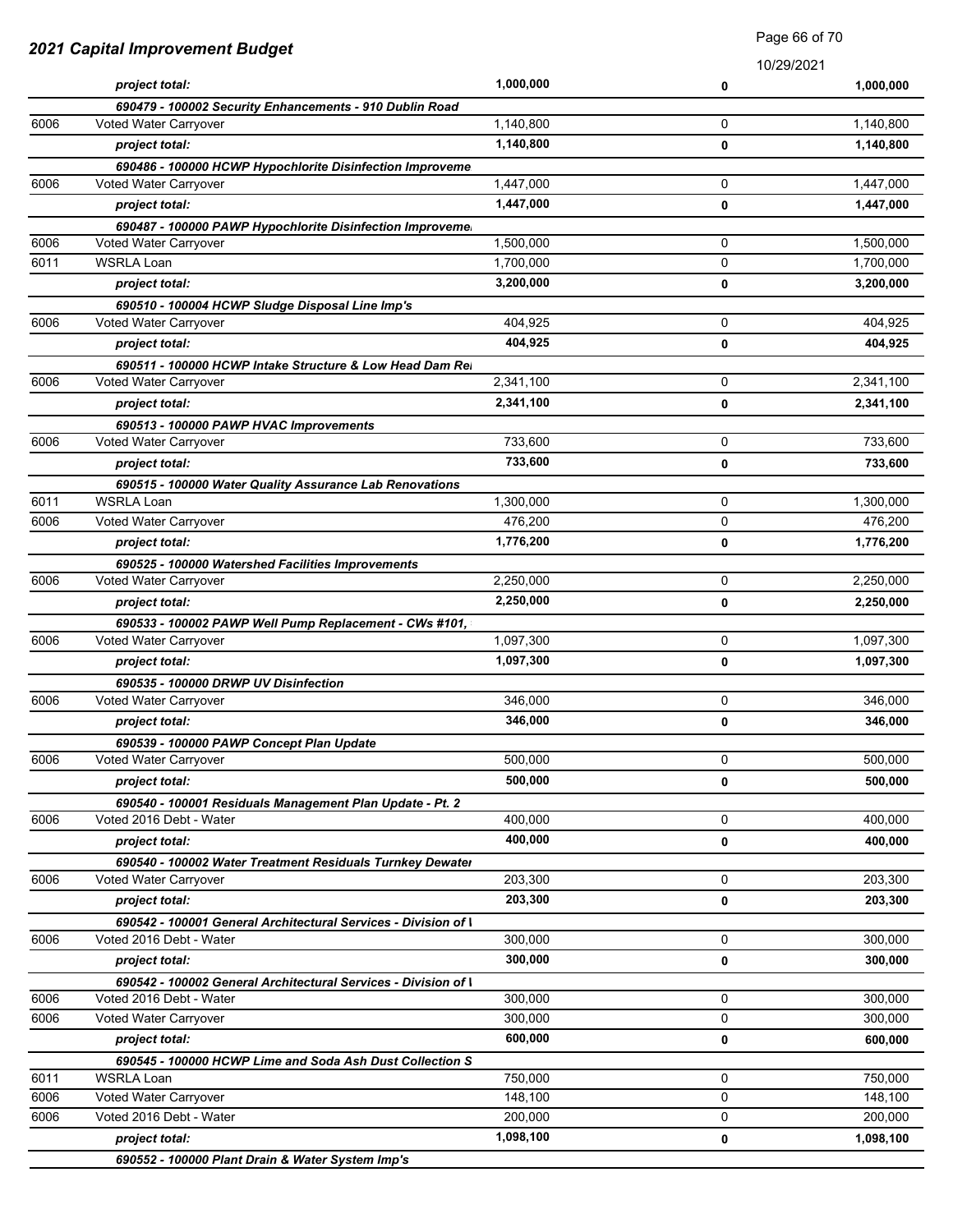| 2021 Capital Improvement Budget |                                                                                   | Faye ou ul <i>I</i> u |            |           |
|---------------------------------|-----------------------------------------------------------------------------------|-----------------------|------------|-----------|
|                                 |                                                                                   |                       | 10/29/2021 |           |
|                                 | project total:                                                                    | 1,000,000             | 0          | 1,000,000 |
|                                 | 690479 - 100002 Security Enhancements - 910 Dublin Road                           |                       |            |           |
| 6006                            | Voted Water Carryover                                                             | 1,140,800             | 0          | 1,140,800 |
|                                 | project total:                                                                    | 1,140,800             | 0          | 1,140,800 |
|                                 | 690486 - 100000 HCWP Hypochlorite Disinfection Improveme                          |                       |            |           |
| 6006                            | Voted Water Carryover                                                             | 1,447,000             | 0          | 1,447,000 |
|                                 | project total:                                                                    | 1,447,000             | 0          | 1,447,000 |
| 6006                            | 690487 - 100000 PAWP Hypochlorite Disinfection Improveme<br>Voted Water Carryover | 1,500,000             | 0          | 1,500,000 |
| 6011                            | <b>WSRLA Loan</b>                                                                 | 1,700,000             | 0          | 1,700,000 |
|                                 |                                                                                   | 3,200,000             |            |           |
|                                 | project total:                                                                    |                       | 0          | 3,200,000 |
| 6006                            | 690510 - 100004 HCWP Sludge Disposal Line Imp's<br>Voted Water Carryover          | 404,925               | 0          | 404,925   |
|                                 | project total:                                                                    | 404,925               | 0          | 404,925   |
|                                 |                                                                                   |                       |            |           |
| 6006                            | 690511 - 100000 HCWP Intake Structure & Low Head Dam Rei<br>Voted Water Carryover | 2,341,100             | 0          | 2,341,100 |
|                                 | project total:                                                                    | 2,341,100             | 0          | 2,341,100 |
|                                 |                                                                                   |                       |            |           |
| 6006                            | 690513 - 100000 PAWP HVAC Improvements<br>Voted Water Carryover                   | 733,600               | 0          | 733,600   |
|                                 | project total:                                                                    | 733,600               | 0          | 733,600   |
|                                 |                                                                                   |                       |            |           |
| 6011                            | 690515 - 100000 Water Quality Assurance Lab Renovations<br><b>WSRLA Loan</b>      | 1,300,000             | 0          | 1,300,000 |
| 6006                            | Voted Water Carryover                                                             | 476,200               | 0          | 476,200   |
|                                 | project total:                                                                    | 1,776,200             | 0          | 1,776,200 |
|                                 | 690525 - 100000 Watershed Facilities Improvements                                 |                       |            |           |
| 6006                            | Voted Water Carryover                                                             | 2,250,000             | 0          | 2,250,000 |
|                                 | project total:                                                                    | 2,250,000             | 0          | 2,250,000 |
|                                 | 690533 - 100002 PAWP Well Pump Replacement - CWs #101,                            |                       |            |           |
| 6006                            | Voted Water Carryover                                                             | 1,097,300             | 0          | 1,097,300 |
|                                 | project total:                                                                    | 1,097,300             | 0          | 1,097,300 |
|                                 | 690535 - 100000 DRWP UV Disinfection                                              |                       |            |           |
| 6006                            | Voted Water Carryover                                                             | 346,000               | 0          | 346,000   |
|                                 | project total:                                                                    | 346,000               | 0          | 346,000   |
|                                 | 690539 - 100000 PAWP Concept Plan Update                                          |                       |            |           |
| 6006                            | Voted Water Carryover                                                             | 500,000               | 0          | 500,000   |
|                                 | project total:                                                                    | 500,000               | 0          | 500,000   |
|                                 | 690540 - 100001 Residuals Management Plan Update - Pt. 2                          |                       |            |           |
| 6006                            | Voted 2016 Debt - Water                                                           | 400,000               | 0          | 400,000   |
|                                 | project total:                                                                    | 400,000               | 0          | 400,000   |
|                                 | 690540 - 100002 Water Treatment Residuals Turnkey Dewater                         |                       |            |           |
| 6006                            | Voted Water Carryover                                                             | 203,300               | 0          | 203,300   |
|                                 | project total:                                                                    | 203,300               | 0          | 203,300   |
|                                 | 690542 - 100001 General Architectural Services - Division of I                    |                       |            |           |
| 6006                            | Voted 2016 Debt - Water                                                           | 300,000               | 0          | 300,000   |
|                                 | project total:                                                                    | 300,000               | 0          | 300,000   |
|                                 | 690542 - 100002 General Architectural Services - Division of I                    |                       |            |           |
| 6006                            | Voted 2016 Debt - Water                                                           | 300,000               | 0          | 300,000   |
| 6006                            | Voted Water Carryover                                                             | 300,000               | 0          | 300,000   |
|                                 | project total:                                                                    | 600,000               | 0          | 600,000   |
|                                 | 690545 - 100000 HCWP Lime and Soda Ash Dust Collection S                          |                       |            |           |
| 6011                            | <b>WSRLA Loan</b>                                                                 | 750,000               | 0          | 750,000   |
| 6006                            | Voted Water Carryover                                                             | 148,100               | 0          | 148,100   |
| 6006                            | Voted 2016 Debt - Water                                                           | 200,000               | 0          | 200,000   |
|                                 | project total:                                                                    | 1,098,100             | 0          | 1,098,100 |
|                                 | 690552 - 100000 Plant Drain & Water System Imp's                                  |                       |            |           |

Page 66 of 70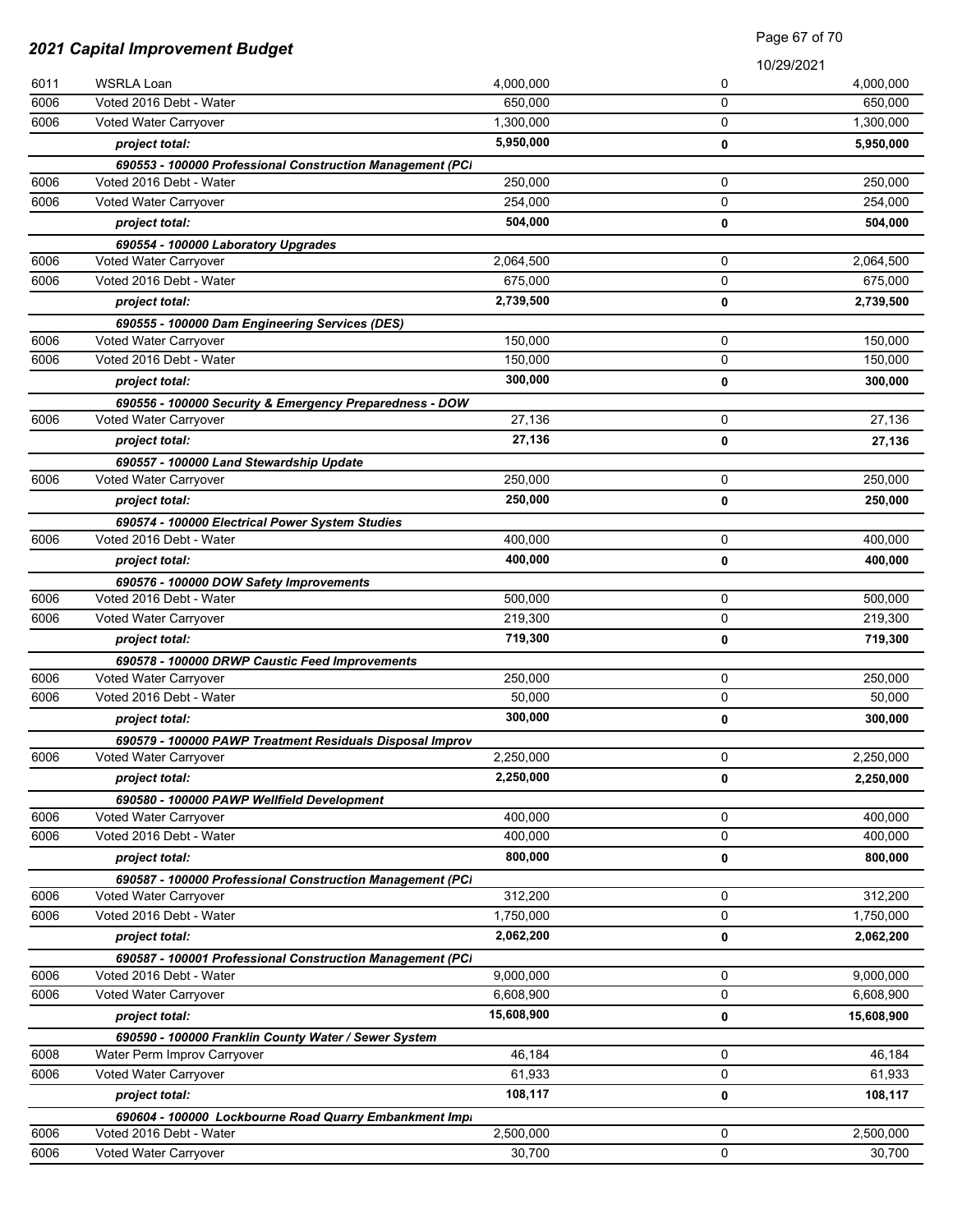| <b>2021 Capital Improvement Budget</b> |                                                                                   | Page 67 of 70 |   |            |
|----------------------------------------|-----------------------------------------------------------------------------------|---------------|---|------------|
|                                        |                                                                                   |               |   | 10/29/2021 |
| 6011                                   | <b>WSRLA Loan</b>                                                                 | 4,000,000     | 0 | 4,000,000  |
| 6006                                   | Voted 2016 Debt - Water                                                           | 650,000       | 0 | 650,000    |
| 6006                                   | Voted Water Carryover                                                             | 1,300,000     | 0 | 1,300,000  |
|                                        | project total:                                                                    | 5,950,000     | 0 | 5,950,000  |
|                                        | 690553 - 100000 Professional Construction Management (PCI                         |               |   |            |
| 6006                                   | Voted 2016 Debt - Water                                                           | 250,000       | 0 | 250,000    |
| 6006                                   | Voted Water Carryover                                                             | 254,000       | 0 | 254,000    |
|                                        | project total:                                                                    | 504,000       | 0 | 504,000    |
|                                        | 690554 - 100000 Laboratory Upgrades                                               |               |   |            |
| 6006                                   | Voted Water Carryover                                                             | 2,064,500     | 0 | 2,064,500  |
| 6006                                   | Voted 2016 Debt - Water                                                           | 675,000       | 0 | 675,000    |
|                                        | project total:                                                                    | 2,739,500     | 0 | 2,739,500  |
|                                        | 690555 - 100000 Dam Engineering Services (DES)                                    |               |   |            |
| 6006                                   | Voted Water Carryover                                                             | 150,000       | 0 | 150,000    |
| 6006                                   | Voted 2016 Debt - Water                                                           | 150,000       | 0 | 150,000    |
|                                        | project total:                                                                    | 300,000       | 0 | 300,000    |
|                                        | 690556 - 100000 Security & Emergency Preparedness - DOW                           |               |   |            |
| 6006                                   | Voted Water Carryover                                                             | 27.136        | 0 | 27,136     |
|                                        | project total:                                                                    | 27,136        | 0 | 27,136     |
|                                        | 690557 - 100000 Land Stewardship Update                                           |               |   |            |
| 6006                                   | Voted Water Carryover                                                             | 250,000       | 0 | 250,000    |
|                                        | project total:                                                                    | 250,000       | 0 | 250,000    |
|                                        | 690574 - 100000 Electrical Power System Studies                                   |               |   |            |
| 6006                                   | Voted 2016 Debt - Water                                                           | 400,000       | 0 | 400,000    |
|                                        | project total:                                                                    | 400,000       | 0 | 400,000    |
|                                        | 690576 - 100000 DOW Safety Improvements                                           |               |   |            |
| 6006                                   | Voted 2016 Debt - Water                                                           | 500,000       | 0 | 500,000    |
| 6006                                   | Voted Water Carryover                                                             | 219,300       | 0 | 219,300    |
|                                        | project total:                                                                    | 719,300       | 0 | 719,300    |
|                                        | 690578 - 100000 DRWP Caustic Feed Improvements                                    |               |   |            |
| 6006                                   | Voted Water Carryover                                                             | 250,000       | 0 | 250,000    |
| 6006                                   | Voted 2016 Debt - Water                                                           | 50,000        | 0 | 50,000     |
|                                        | project total:                                                                    | 300,000       | 0 | 300,000    |
|                                        | 690579 - 100000 PAWP Treatment Residuals Disposal Improv                          |               |   |            |
| 6006                                   | Voted Water Carryover                                                             | 2,250,000     | 0 | 2,250,000  |
|                                        | project total:                                                                    | 2,250,000     | 0 | 2,250,000  |
|                                        | 690580 - 100000 PAWP Wellfield Development                                        |               |   |            |
| 6006                                   | Voted Water Carryover                                                             | 400,000       | 0 | 400,000    |
| 6006                                   | Voted 2016 Debt - Water                                                           | 400,000       | 0 | 400,000    |
|                                        | project total:                                                                    | 800,000       | 0 | 800,000    |
|                                        | 690587 - 100000 Professional Construction Management (PCI                         |               |   |            |
| 6006                                   | Voted Water Carryover                                                             | 312,200       | 0 | 312,200    |
| 6006                                   | Voted 2016 Debt - Water                                                           | 1,750,000     | 0 | 1,750,000  |
|                                        | project total:                                                                    | 2,062,200     | 0 | 2,062,200  |
|                                        | 690587 - 100001 Professional Construction Management (PCI                         |               |   |            |
| 6006                                   | Voted 2016 Debt - Water                                                           | 9,000,000     | 0 | 9,000,000  |
| 6006                                   | Voted Water Carryover                                                             | 6,608,900     | 0 | 6,608,900  |
|                                        | project total:                                                                    | 15,608,900    | 0 | 15,608,900 |
|                                        | 690590 - 100000 Franklin County Water / Sewer System                              |               |   |            |
| 6008                                   | Water Perm Improv Carryover                                                       | 46,184        | 0 | 46,184     |
| 6006                                   | Voted Water Carryover                                                             | 61,933        | 0 | 61,933     |
|                                        | project total:                                                                    | 108,117       | 0 | 108,117    |
|                                        |                                                                                   |               |   |            |
| 6006                                   | 690604 - 100000 Lockbourne Road Quarry Embankment Impi<br>Voted 2016 Debt - Water | 2,500,000     | 0 | 2,500,000  |
|                                        |                                                                                   |               | 0 |            |
| 6006                                   | Voted Water Carryover                                                             | 30,700        |   | 30,700     |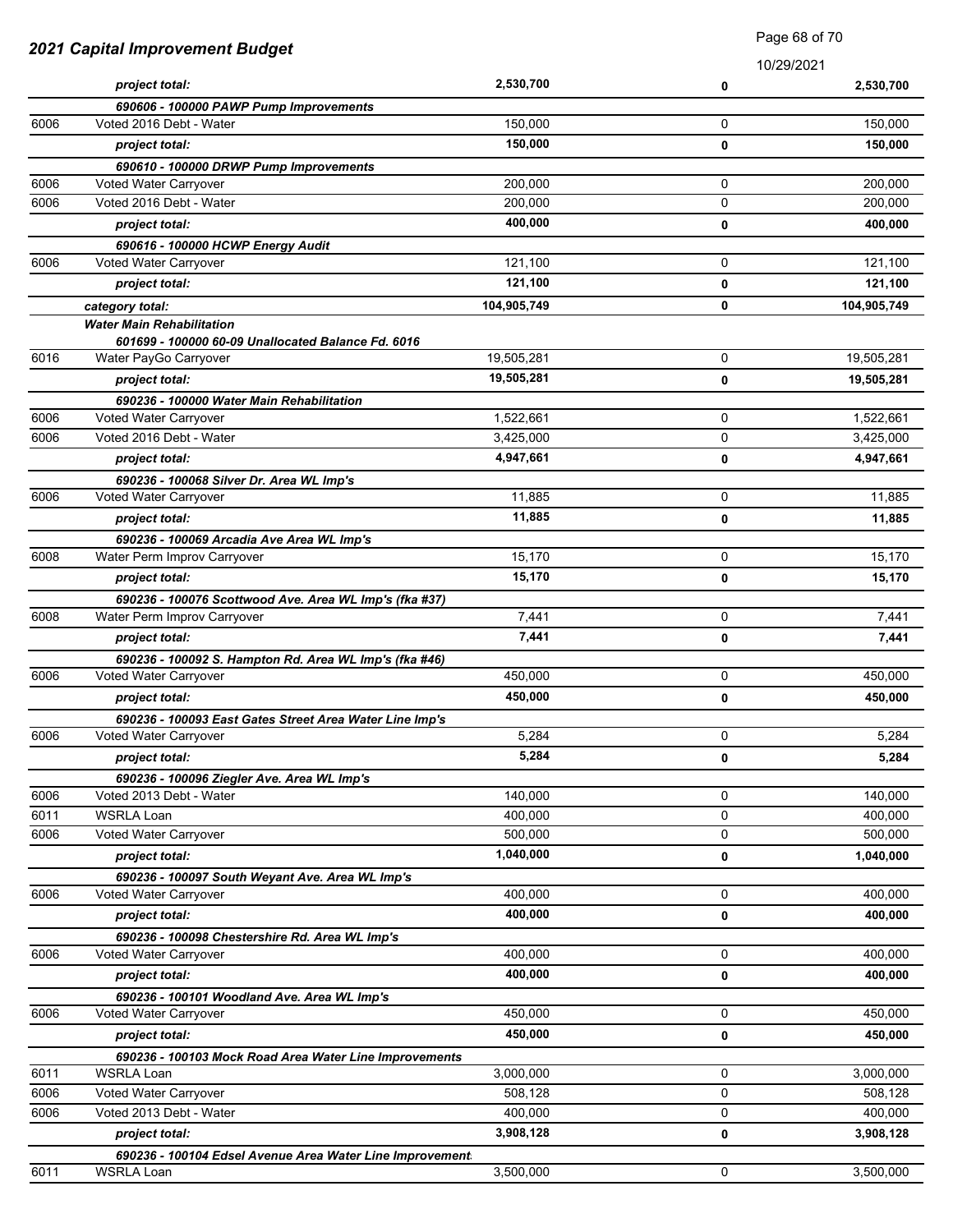| 2021 Capital Improvement Budget |                                                                                        |             | Faye oo or <i>T</i> o |             |
|---------------------------------|----------------------------------------------------------------------------------------|-------------|-----------------------|-------------|
|                                 |                                                                                        |             |                       | 10/29/2021  |
|                                 | project total:                                                                         | 2,530,700   | 0                     | 2,530,700   |
|                                 | 690606 - 100000 PAWP Pump Improvements                                                 |             |                       |             |
| 6006                            | Voted 2016 Debt - Water                                                                | 150,000     | 0                     | 150,000     |
|                                 | project total:                                                                         | 150,000     | 0                     | 150,000     |
|                                 | 690610 - 100000 DRWP Pump Improvements                                                 |             |                       |             |
| 6006                            | Voted Water Carryover                                                                  | 200,000     | 0                     | 200,000     |
| 6006                            | Voted 2016 Debt - Water                                                                | 200,000     | 0                     | 200,000     |
|                                 | project total:                                                                         | 400,000     | 0                     | 400,000     |
|                                 | 690616 - 100000 HCWP Energy Audit                                                      |             |                       |             |
| 6006                            | Voted Water Carryover                                                                  | 121,100     | 0                     | 121,100     |
|                                 | project total:                                                                         | 121,100     | 0                     | 121,100     |
|                                 | category total:                                                                        | 104,905,749 | 0                     | 104,905,749 |
|                                 | <b>Water Main Rehabilitation</b><br>601699 - 100000 60-09 Unallocated Balance Fd. 6016 |             |                       |             |
| 6016                            | Water PayGo Carryover                                                                  | 19,505,281  | 0                     | 19,505,281  |
|                                 | project total:                                                                         | 19,505,281  | 0                     | 19,505,281  |
|                                 | 690236 - 100000 Water Main Rehabilitation                                              |             |                       |             |
| 6006                            | Voted Water Carryover                                                                  | 1,522,661   | $\mathbf 0$           | 1,522,661   |
| 6006                            | Voted 2016 Debt - Water                                                                | 3,425,000   | 0                     | 3,425,000   |
|                                 | project total:                                                                         | 4,947,661   | 0                     | 4,947,661   |
|                                 | 690236 - 100068 Silver Dr. Area WL Imp's                                               |             |                       |             |
| 6006                            | Voted Water Carryover                                                                  | 11,885      | 0                     | 11,885      |
|                                 | project total:                                                                         | 11,885      | 0                     | 11,885      |
|                                 | 690236 - 100069 Arcadia Ave Area WL Imp's                                              |             |                       |             |
| 6008                            | Water Perm Improv Carryover                                                            | 15,170      | 0                     | 15,170      |
|                                 | project total:                                                                         | 15,170      | 0                     | 15,170      |
|                                 | 690236 - 100076 Scottwood Ave. Area WL Imp's (fka #37)                                 |             |                       |             |
| 6008                            | Water Perm Improv Carryover                                                            | 7,441       | 0                     | 7,441       |
|                                 | project total:                                                                         | 7,441       | 0                     | 7,441       |
|                                 | 690236 - 100092 S. Hampton Rd. Area WL Imp's (fka #46)                                 |             |                       |             |
| 6006                            | Voted Water Carryover                                                                  | 450,000     | 0                     | 450,000     |
|                                 | project total:                                                                         | 450,000     | 0                     | 450,000     |
|                                 | 690236 - 100093 East Gates Street Area Water Line Imp's                                |             |                       |             |
| 6006                            | Voted Water Carryover                                                                  | 5,284       | 0                     | 5,284       |
|                                 | project total:                                                                         | 5,284       | 0                     | 5,284       |
|                                 | 690236 - 100096 Ziegler Ave. Area WL Imp's                                             |             |                       |             |
| 6006                            | Voted 2013 Debt - Water                                                                | 140,000     | 0                     | 140,000     |
| 6011                            | WSRLA Loan                                                                             | 400,000     | 0                     | 400,000     |
| 6006                            | Voted Water Carryover                                                                  | 500,000     | 0                     | 500,000     |
|                                 | project total:                                                                         | 1,040,000   | 0                     | 1,040,000   |
|                                 | 690236 - 100097 South Weyant Ave. Area WL Imp's                                        |             |                       |             |
| 6006                            | Voted Water Carryover                                                                  | 400,000     | 0                     | 400,000     |
|                                 | project total:                                                                         | 400,000     | 0                     | 400,000     |
|                                 | 690236 - 100098 Chestershire Rd. Area WL Imp's                                         |             |                       |             |
| 6006                            | Voted Water Carryover                                                                  | 400,000     | 0                     | 400,000     |
|                                 | project total:                                                                         | 400,000     | 0                     | 400,000     |
|                                 | 690236 - 100101 Woodland Ave. Area WL Imp's                                            |             |                       |             |
| 6006                            | Voted Water Carryover                                                                  | 450,000     | 0                     | 450,000     |
|                                 | project total:                                                                         | 450,000     | 0                     | 450,000     |
|                                 | 690236 - 100103 Mock Road Area Water Line Improvements                                 |             |                       |             |
| 6011                            | <b>WSRLA Loan</b>                                                                      | 3,000,000   | 0                     | 3,000,000   |
| 6006                            | Voted Water Carryover                                                                  | 508,128     | 0                     | 508,128     |
| 6006                            | Voted 2013 Debt - Water                                                                | 400,000     | 0                     | 400,000     |
|                                 | project total:                                                                         | 3,908,128   | 0                     | 3,908,128   |
|                                 | 690236 - 100104 Edsel Avenue Area Water Line Improvement                               |             |                       |             |
| 6011                            | <b>WSRLA Loan</b>                                                                      | 3,500,000   | 0                     | 3,500,000   |

Page 68 of 70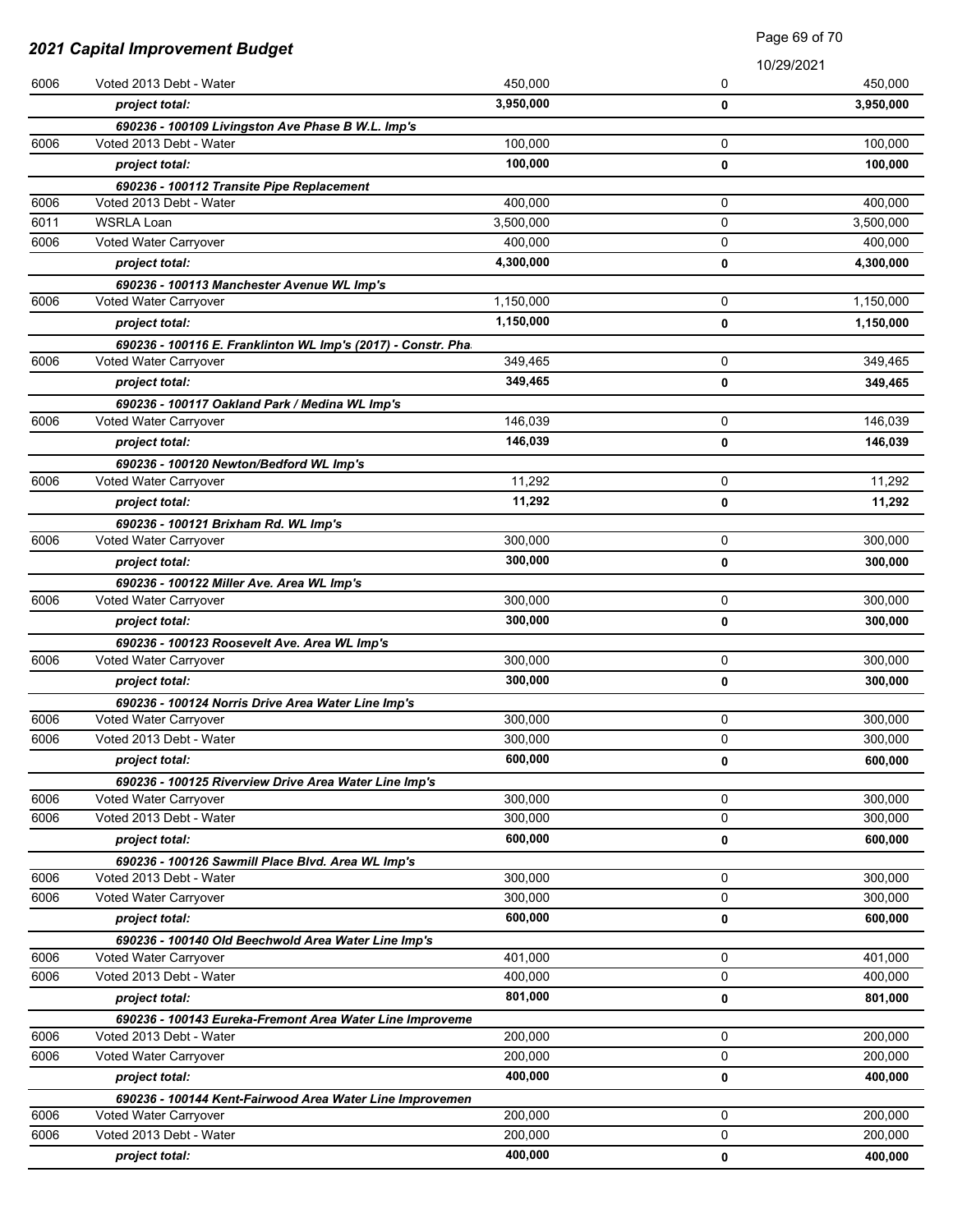| <b>2021 Capital Improvement Budget</b> |                                                                                | Page 69 of 70      |            |                    |
|----------------------------------------|--------------------------------------------------------------------------------|--------------------|------------|--------------------|
|                                        |                                                                                |                    | 10/29/2021 |                    |
| 6006                                   | Voted 2013 Debt - Water                                                        | 450,000            | 0          | 450,000            |
|                                        | project total:                                                                 | 3,950,000          | 0          | 3,950,000          |
|                                        | 690236 - 100109 Livingston Ave Phase B W.L. Imp's                              |                    |            |                    |
| 6006                                   | Voted 2013 Debt - Water                                                        | 100,000            | 0          | 100,000            |
|                                        | project total:                                                                 | 100,000            | 0          | 100,000            |
|                                        | 690236 - 100112 Transite Pipe Replacement                                      |                    |            |                    |
| 6006                                   | Voted 2013 Debt - Water                                                        | 400,000            | 0          | 400,000            |
| 6011                                   | <b>WSRLA Loan</b>                                                              | 3,500,000          | 0          | 3,500,000          |
| 6006                                   | Voted Water Carryover                                                          | 400.000            | 0          | 400,000            |
|                                        | project total:                                                                 | 4,300,000          | 0          | 4,300,000          |
|                                        | 690236 - 100113 Manchester Avenue WL Imp's                                     |                    |            |                    |
| 6006                                   | Voted Water Carryover                                                          | 1,150,000          | 0          | 1,150,000          |
|                                        | project total:                                                                 | 1,150,000          | 0          | 1,150,000          |
|                                        | 690236 - 100116 E. Franklinton WL Imp's (2017) - Constr. Pha                   |                    |            |                    |
| 6006                                   | Voted Water Carryover                                                          | 349,465            | 0          | 349,465            |
|                                        | project total:                                                                 | 349,465            | 0          | 349,465            |
|                                        | 690236 - 100117 Oakland Park / Medina WL Imp's                                 |                    |            |                    |
| 6006                                   | Voted Water Carryover                                                          | 146,039            | 0          | 146,039            |
|                                        | project total:                                                                 | 146,039            | 0          | 146,039            |
|                                        | 690236 - 100120 Newton/Bedford WL Imp's                                        |                    |            |                    |
| 6006                                   | Voted Water Carryover                                                          | 11,292             | 0          | 11,292             |
|                                        | project total:                                                                 | 11,292             | 0          | 11,292             |
|                                        | 690236 - 100121 Brixham Rd. WL Imp's                                           |                    |            |                    |
| 6006                                   | Voted Water Carryover                                                          | 300,000            | 0          | 300,000            |
|                                        | project total:                                                                 | 300,000            | 0          | 300,000            |
|                                        | 690236 - 100122 Miller Ave. Area WL Imp's                                      |                    |            |                    |
| 6006                                   | Voted Water Carryover                                                          | 300,000            | 0          | 300,000            |
|                                        | project total:                                                                 | 300,000            | 0          | 300,000            |
|                                        | 690236 - 100123 Roosevelt Ave. Area WL Imp's                                   |                    |            |                    |
| 6006                                   | Voted Water Carryover                                                          | 300,000            | 0          | 300,000            |
|                                        | project total:                                                                 | 300,000            | 0          | 300,000            |
|                                        | 690236 - 100124 Norris Drive Area Water Line Imp's                             |                    |            |                    |
| 6006<br>6006                           | Voted Water Carryover                                                          | 300,000            | 0<br>0     | 300,000<br>300,000 |
|                                        | Voted 2013 Debt - Water                                                        | 300,000<br>600,000 |            |                    |
|                                        | project total:                                                                 |                    | 0          | 600,000            |
| 6006                                   | 690236 - 100125 Riverview Drive Area Water Line Imp's<br>Voted Water Carryover | 300,000            | 0          | 300,000            |
| 6006                                   | Voted 2013 Debt - Water                                                        | 300,000            | 0          | 300,000            |
|                                        |                                                                                | 600,000            |            |                    |
|                                        | project total:                                                                 |                    | 0          | 600,000            |
| 6006                                   | 690236 - 100126 Sawmill Place Blvd. Area WL Imp's<br>Voted 2013 Debt - Water   | 300,000            | 0          | 300,000            |
| 6006                                   | Voted Water Carryover                                                          | 300,000            | 0          | 300,000            |
|                                        | project total:                                                                 | 600,000            | 0          | 600,000            |
|                                        | 690236 - 100140 Old Beechwold Area Water Line Imp's                            |                    |            |                    |
| 6006                                   | Voted Water Carryover                                                          | 401,000            | 0          | 401,000            |
| 6006                                   | Voted 2013 Debt - Water                                                        | 400,000            | 0          | 400,000            |
|                                        | project total:                                                                 | 801,000            | 0          | 801,000            |
|                                        | 690236 - 100143 Eureka-Fremont Area Water Line Improveme                       |                    |            |                    |
| 6006                                   | Voted 2013 Debt - Water                                                        | 200,000            | 0          | 200,000            |
| 6006                                   | Voted Water Carryover                                                          | 200,000            | 0          | 200,000            |
|                                        | project total:                                                                 | 400,000            | 0          | 400,000            |
|                                        | 690236 - 100144 Kent-Fairwood Area Water Line Improvemen                       |                    |            |                    |
| 6006                                   | Voted Water Carryover                                                          | 200,000            | 0          | 200,000            |
| 6006                                   | Voted 2013 Debt - Water                                                        | 200,000            | 0          | 200,000            |
|                                        | project total:                                                                 | 400,000            | 0          | 400,000            |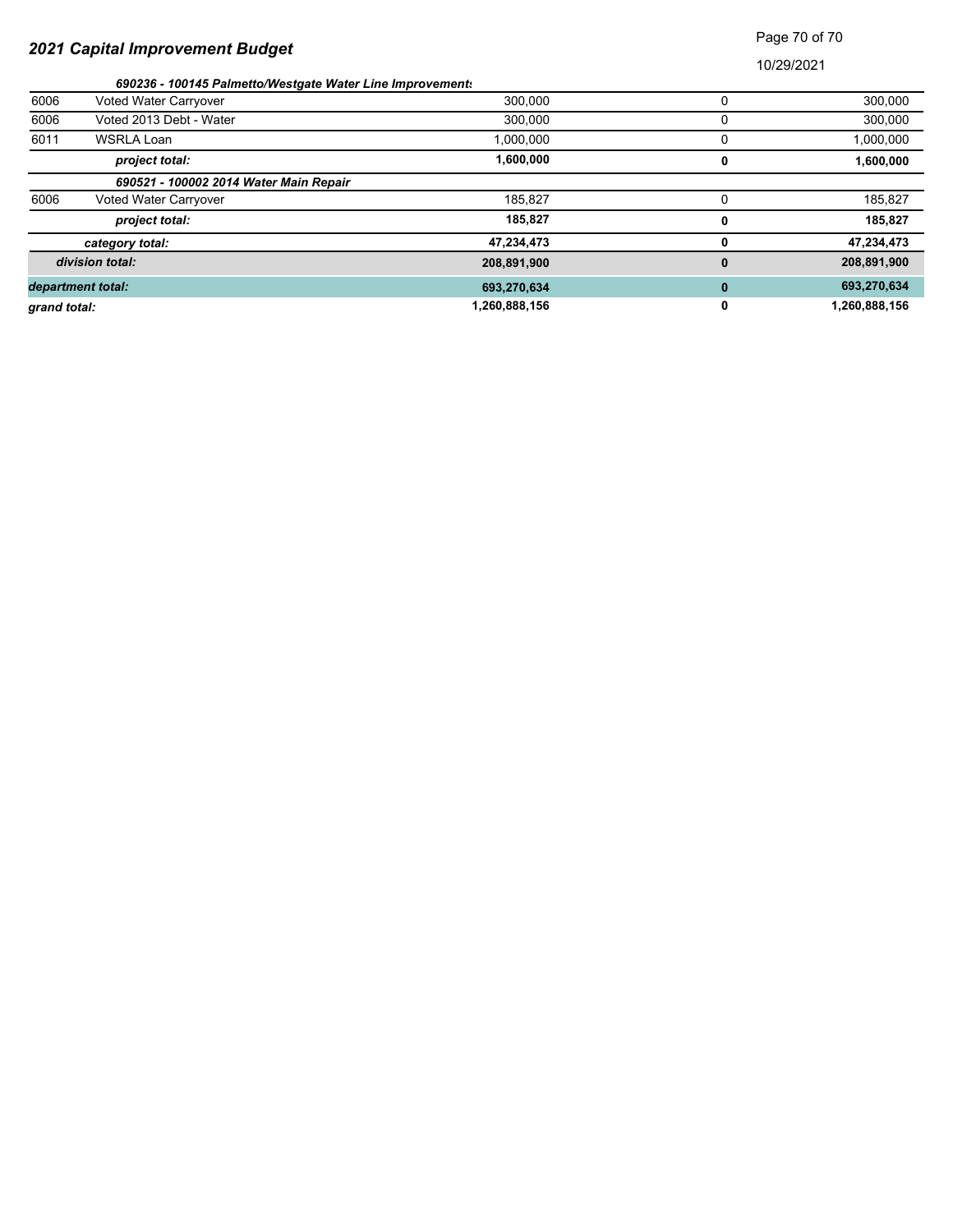# Page 70 of 70

|              | 690236 - 100145 Palmetto/Westgate Water Line Improvements |               |   |               |
|--------------|-----------------------------------------------------------|---------------|---|---------------|
| 6006         | Voted Water Carryover                                     | 300,000       |   | 300,000       |
| 6006         | Voted 2013 Debt - Water                                   | 300,000       |   | 300,000       |
| 6011         | WSRLA Loan                                                | 1,000,000     |   | 1,000,000     |
|              | project total:                                            | 1,600,000     | 0 | 1,600,000     |
|              | 690521 - 100002 2014 Water Main Repair                    |               |   |               |
| 6006         | <b>Voted Water Carryover</b>                              | 185.827       |   | 185,827       |
|              | project total:                                            | 185,827       | 0 | 185,827       |
|              | category total:                                           | 47,234,473    | 0 | 47,234,473    |
|              | division total:                                           | 208,891,900   | 0 | 208,891,900   |
|              | department total:                                         | 693,270,634   | 0 | 693,270,634   |
| grand total: |                                                           | 1,260,888,156 | 0 | 1,260,888,156 |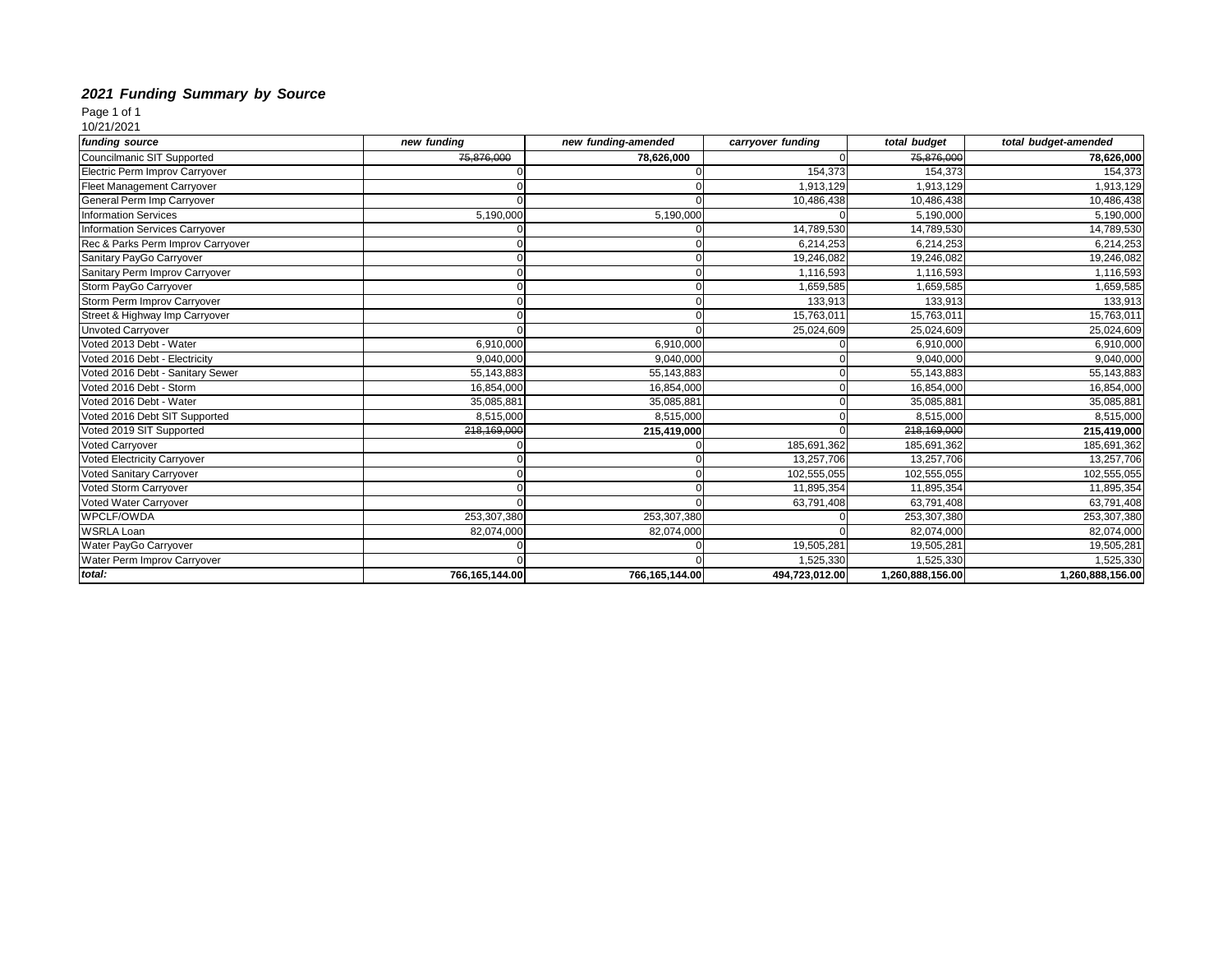### *2021 Funding Summary by Source*

Page 1 of 1

10/21/2021

| funding source                        | new funding    | new funding-amended | carryover funding | total budget     | total budget-amended |
|---------------------------------------|----------------|---------------------|-------------------|------------------|----------------------|
| Councilmanic SIT Supported            | 75,876,000     | 78,626,000          |                   | 75,876,000       | 78,626,000           |
| Electric Perm Improv Carryover        |                |                     | 154,373           | 154,373          | 154,373              |
| Fleet Management Carryover            |                |                     | 1,913,129         | 1,913,129        | 1,913,129            |
| General Perm Imp Carryover            |                |                     | 10,486,438        | 10,486,438       | 10,486,438           |
| <b>Information Services</b>           | 5,190,000      | 5,190,000           |                   | 5,190,000        | 5,190,000            |
| <b>Information Services Carryover</b> |                |                     | 14,789,530        | 14,789,530       | 14,789,530           |
| Rec & Parks Perm Improv Carryover     |                |                     | 6,214,253         | 6,214,253        | 6,214,253            |
| Sanitary PayGo Carryover              |                |                     | 19,246,082        | 19,246,082       | 19,246,082           |
| Sanitary Perm Improv Carryover        |                |                     | 1,116,593         | 1,116,593        | 1,116,593            |
| Storm PayGo Carryover                 |                |                     | 1,659,585         | 1,659,585        | 1,659,585            |
| Storm Perm Improv Carryover           |                |                     | 133,913           | 133,913          | 133,913              |
| Street & Highway Imp Carryover        |                |                     | 15,763,011        | 15,763,011       | 15,763,011           |
| <b>Unvoted Carryover</b>              |                |                     | 25.024.609        | 25,024,609       | 25,024,609           |
| Voted 2013 Debt - Water               | 6,910,000      | 6,910,000           |                   | 6,910,000        | 6,910,000            |
| Voted 2016 Debt - Electricity         | 9,040,000      | 9,040,000           |                   | 9,040,000        | 9,040,000            |
| Voted 2016 Debt - Sanitary Sewer      | 55,143,883     | 55,143,883          |                   | 55,143,883       | 55,143,883           |
| Voted 2016 Debt - Storm               | 16,854,000     | 16,854,000          |                   | 16,854,000       | 16,854,000           |
| Voted 2016 Debt - Water               | 35,085,881     | 35,085,881          |                   | 35,085,881       | 35,085,881           |
| Voted 2016 Debt SIT Supported         | 8,515,000      | 8,515,000           |                   | 8,515,000        | 8,515,000            |
| Voted 2019 SIT Supported              | 218,169,000    | 215,419,000         |                   | 218,169,000      | 215,419,000          |
| <b>Voted Carryover</b>                |                |                     | 185,691,362       | 185,691,362      | 185,691,362          |
| <b>Voted Electricity Carryover</b>    |                |                     | 13,257,706        | 13,257,706       | 13,257,706           |
| Voted Sanitary Carryover              |                |                     | 102,555,055       | 102,555,055      | 102,555,055          |
| Voted Storm Carryover                 |                |                     | 11.895.354        | 11,895,354       | 11,895,354           |
| Voted Water Carryover                 |                |                     | 63,791,408        | 63,791,408       | 63,791,408           |
| <b>WPCLF/OWDA</b>                     | 253,307,380    | 253,307,380         |                   | 253,307,380      | 253,307,380          |
| <b>WSRLA Loan</b>                     | 82,074,000     | 82,074,000          |                   | 82,074,000       | 82,074,000           |
| Water PayGo Carryover                 |                |                     | 19,505,281        | 19,505,281       | 19,505,281           |
| Water Perm Improv Carryover           |                |                     | 1,525,330         | 1,525,330        | 1,525,330            |
| total:                                | 766,165,144.00 | 766,165,144.00      | 494,723,012.00    | 1,260,888,156.00 | 1,260,888,156.00     |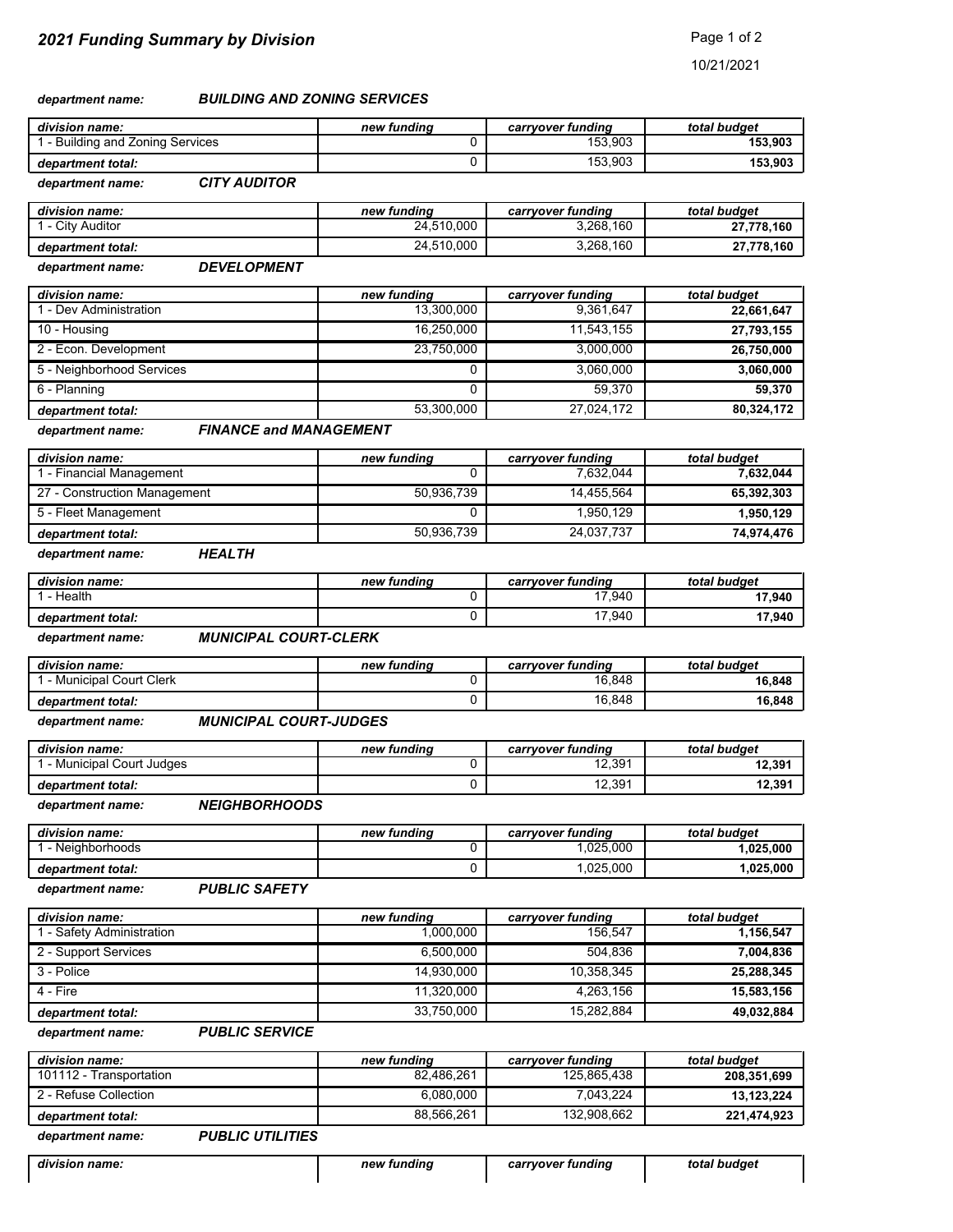10/21/2021

#### *BUILDING AND ZONING SERVICES department name:*

| division name:                 | new fundina | carrvover funding | total budget |
|--------------------------------|-------------|-------------------|--------------|
| - Building and Zoning Services |             | 153.903           | 153.903      |
| department total:              |             | 153.903           | 153.903      |

*CITY AUDITOR department name:*

| division name:      | new fundina | carrvover funding | total budget |
|---------------------|-------------|-------------------|--------------|
| <b>City Auditor</b> | 24.510.000  | 3,268,160         | 27,778,160   |
| department total:   | 24.510.000  | 3.268.160         | 27.778.160   |

#### *DEVELOPMENT department name:*

| division name:            | new fundina | carryover funding | total budget |
|---------------------------|-------------|-------------------|--------------|
| - Dev Administration      | 13.300.000  | 9,361,647         | 22,661,647   |
| 10 - Housing              | 16.250.000  | 11.543.155        | 27,793,155   |
| 2 - Econ. Development     | 23.750.000  | 3.000.000         | 26.750.000   |
| 5 - Neighborhood Services |             | 3.060.000         | 3,060,000    |
| 6 - Planning              |             | 59.370            | 59.370       |
| department total:         | 53,300,000  | 27.024.172        | 80,324,172   |

#### *FINANCE and MANAGEMENT department name:*

| division name:               | new fundina | carryover funding | total budget |
|------------------------------|-------------|-------------------|--------------|
| - Financial Management       |             | 7.632.044         | 7.632.044    |
| 27 - Construction Management | 50.936.739  | 14.455.564        | 65,392,303   |
| 5 - Fleet Management         |             | 1.950.129         | 1.950.129    |
| department total:            | 50,936,739  | 24.037.737        | 74,974,476   |

#### *HEALTH department name:*

| division name:    | new fundina | carryover funding | total budget |
|-------------------|-------------|-------------------|--------------|
| - Health          |             | 17,940            | 17,940       |
| department total: |             | 17,940            | 17,940       |

#### *MUNICIPAL COURT-CLERK department name:*

| division name:            | new fundina | carrvover funding | total budget |
|---------------------------|-------------|-------------------|--------------|
| ' - Municipal Court Clerk |             | 16,848            | 16.848       |
| department total:         |             | 16,848            | 16,848       |

#### *MUNICIPAL COURT-JUDGES department name:*

| division name:         | new fundina | carrvover funding | total budget |
|------------------------|-------------|-------------------|--------------|
| Municipal Court Judges |             | 12,391            | 12,391       |
| department total:      |             | 12.391            | 12,391       |

#### *NEIGHBORHOODS department name:*

| division name:    | new fundina | carrvover funding | total budget |
|-------------------|-------------|-------------------|--------------|
| Neighborhoods     |             | .025.000          | ,025,000     |
| department total: |             | .025.000          | 1.025.000    |

*PUBLIC SAFETY department name:*

| division name:          | new fundina | carryover funding | total budget |
|-------------------------|-------------|-------------------|--------------|
| - Safety Administration | 1.000.000   | 156.547           | 1,156,547    |
| 2 - Support Services    | 6.500.000   | 504.836           | 7,004,836    |
| 3 - Police              | 14.930.000  | 10.358.345        | 25,288,345   |
| 4 - Fire                | 11.320.000  | 4,263,156         | 15,583,156   |
| department total:       | 33,750,000  | 15.282.884        | 49,032,884   |

#### *PUBLIC SERVICE department name:*

| division name:          | new fundina | carryover funding | total budget |
|-------------------------|-------------|-------------------|--------------|
| 101112 - Transportation | 82.486.261  | 125.865.438       | 208,351,699  |
| 2 - Refuse Collection   | 6.080.000   | 7.043.224         | 13,123,224   |
| department total:       | 88.566.261  | 132.908.662       | 221,474,923  |

#### *PUBLIC UTILITIES department name:*

| division name: | new fundina | carrvover funding | total budget |
|----------------|-------------|-------------------|--------------|
|                |             |                   |              |